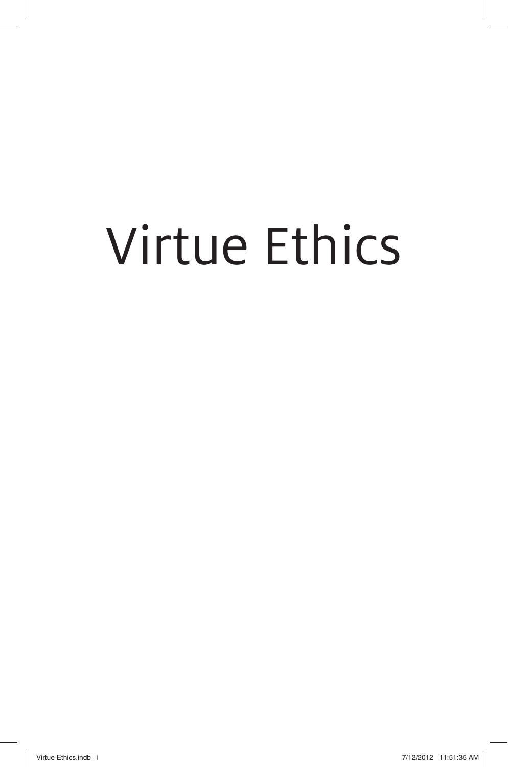# Virtue Ethics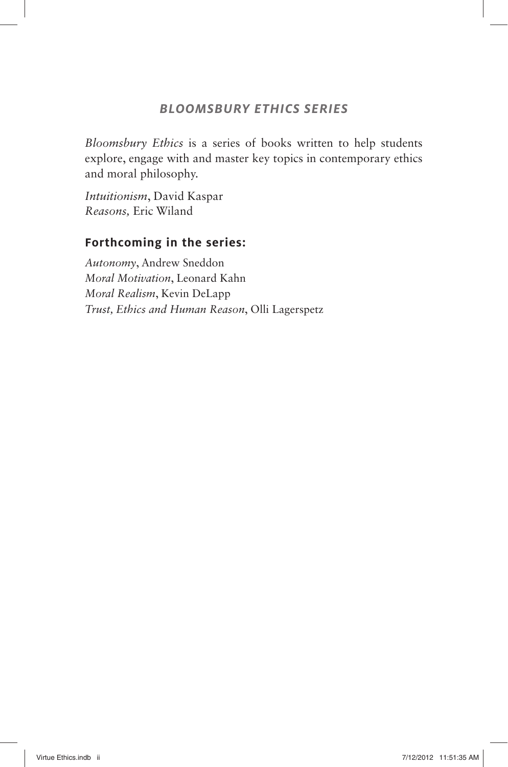#### **BLOOMSBURY ETHICS SERIES**

*Bloomsbury Ethics* is a series of books written to help students explore, engage with and master key topics in contemporary ethics and moral philosophy.

*Intuitionism*, David Kaspar *Reasons,* Eric Wiland

#### **Forthcoming in the series:**

*Autonomy*, Andrew Sneddon *Moral Motivation*, Leonard Kahn *Moral Realism*, Kevin DeLapp *Trust, Ethics and Human Reason*, Olli Lagerspetz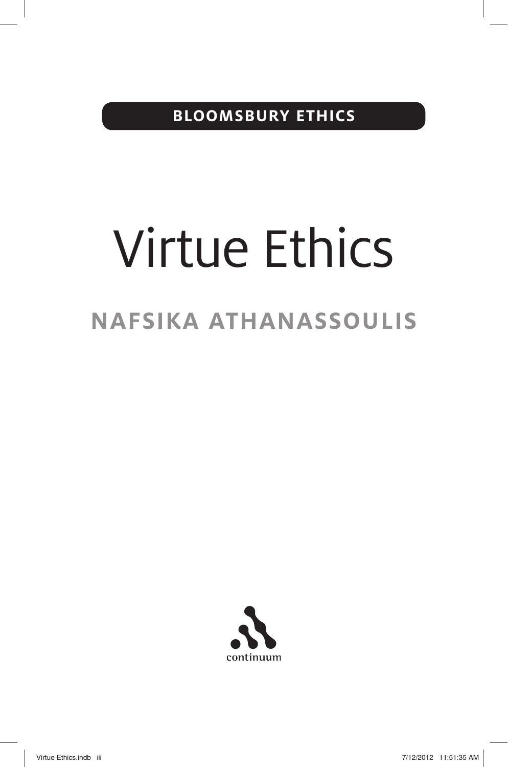**BLOOMSBURY ETHICS**

# Virtue Ethics **NAFSIKA ATHANASSOULIS**



Virtue Ethics.indb iii 30 and 1:51:35 AM 7/12/2012 11:51:35 AM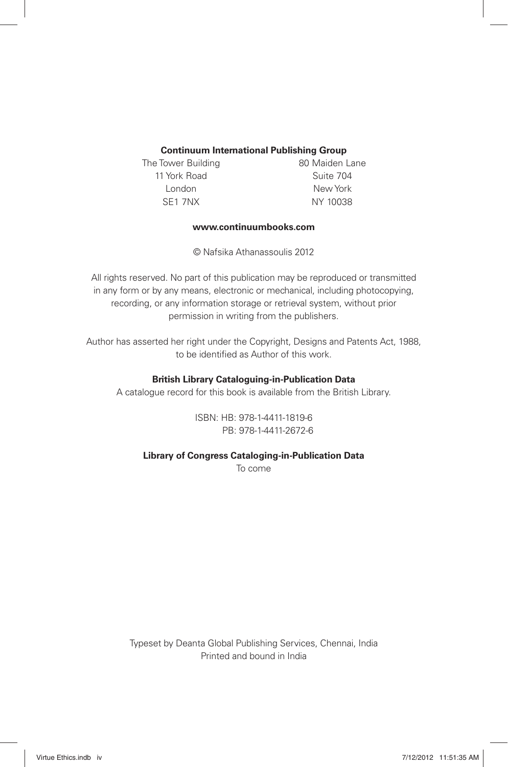#### **Continuum International Publishing Group**

The Tower Building **80 Maiden Lane** 11 York Road Suite 704 London New York SE1 7NX NY 10038

#### **www.continuumbooks.com**

©Nafsika Athanassoulis 2012

All rights reserved. No part of this publication may be reproduced or transmitted in any form or by any means, electronic or mechanical, including photocopying, recording, or any information storage or retrieval system, without prior permission in writing from the publishers.

Author has asserted her right under the Copyright, Designs and Patents Act, 1988, to be identified as Author of this work.

#### **British Library Cataloguing-in-Publication Data**

A catalogue record for this book is available from the British Library.

ISBN: HB: 978-1-4411-1819-6 PB: 978-1-4411-2672-6

**Library of Congress Cataloging-in-Publication Data** 

To come

Typeset by Deanta Global Publishing Services, Chennai, India Printed and bound in India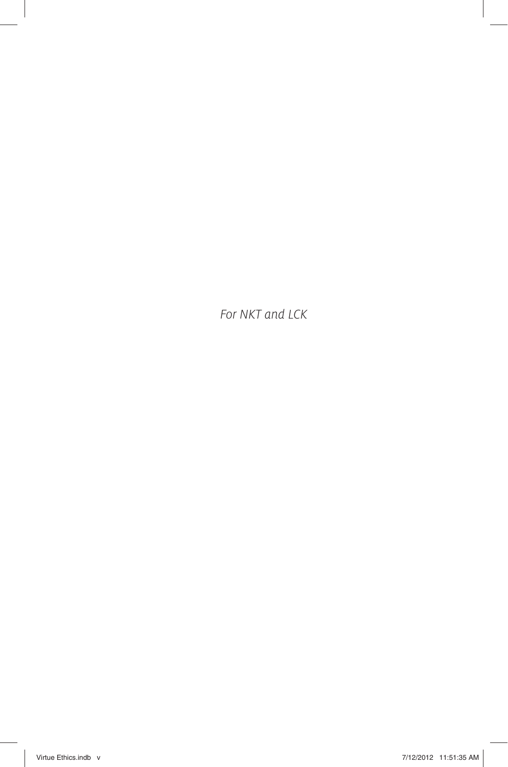For NKT and LCK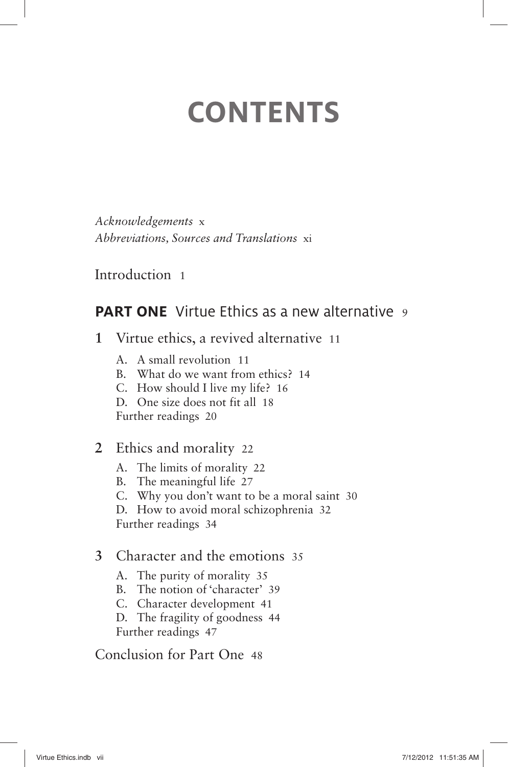# **CONTENTS**

*Acknowledgements* x *Abbreviations, Sources and Translations* xi

Introduction 1

## **PART ONE** Virtue Ethics as a new alternative 9

- **1** Virtue ethics, a revived alternative 11
	- A. A small revolution 11
	- B. What do we want from ethics? 14
	- C. How should I live my life? 16
	- D. One size does not fit all 18

Further readings 20

- **2** Ethics and morality 22
	- A. The limits of morality 22
	- B. The meaningful life 27
	- C. Why you don't want to be a moral saint 30

D. How to avoid moral schizophrenia 32

Further readings 34

#### **3** Character and the emotions 35

- A. The purity of morality 35
- B. The notion of 'character' 39
- C. Character development 41

 D. The fragility of goodness 44 Further readings 47

Conclusion for Part One 48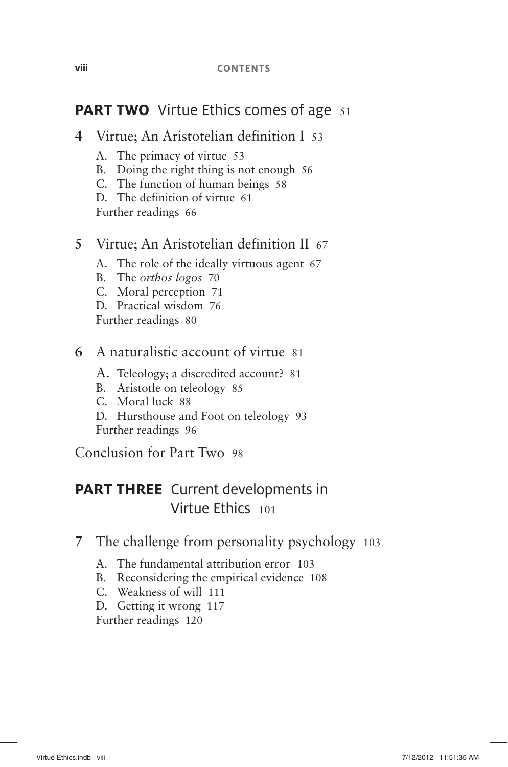## **PART TWO** Virtue Ethics comes of age 51

- **4** Virtue; An Aristotelian definition I 53
	- A. The primacy of virtue 53
	- B. Doing the right thing is not enough 56
	- C. The function of human beings 58
	- D. The definition of virtue 61

Further readings 66

#### **5** Virtue; An Aristotelian definition II 67

- A. The role of the ideally virtuous agent 67
- B. The *orthos logos* 70
- C. Moral perception 71
- D. Practical wisdom 76

Further readings 80

#### **6** A naturalistic account of virtue 81

- A. Teleology; a discredited account? 81
- B. Aristotle on teleology 85
- C. Moral luck 88
- D. Hursthouse and Foot on teleology 93 Further readings 96

Conclusion for Part Two 98

# **PART THREE** Current developments in Virtue Ethics <sup>101</sup>

- **7** The challenge from personality psychology 103
	- A. The fundamental attribution error 103
	- B. Reconsidering the empirical evidence 108
	- C. Weakness of will 111

D. Getting it wrong 117

Further readings 120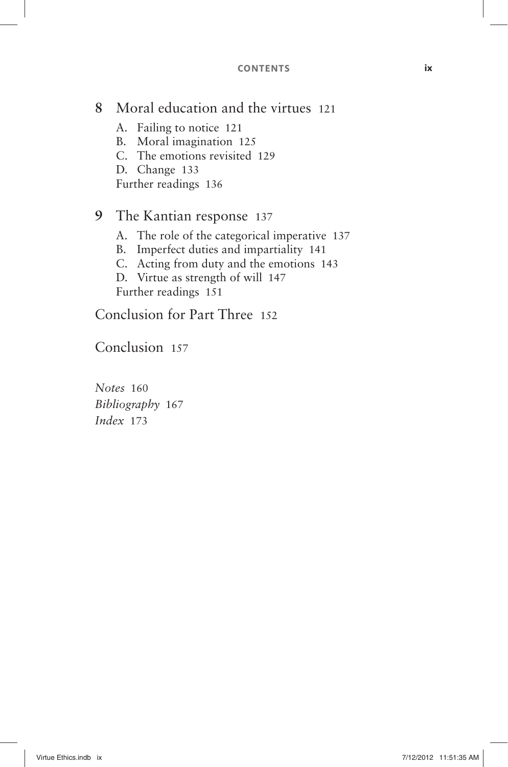#### **CONTENTS ix**

### **8** Moral education and the virtues 121

- A. Failing to notice 121
- B. Moral imagination 125
- C. The emotions revisited 129
- D. Change 133

Further readings 136

#### **9** The Kantian response 137

- A. The role of the categorical imperative 137
- B. Imperfect duties and impartiality 141
- C. Acting from duty and the emotions 143
- D. Virtue as strength of will 147 Further readings 151

Conclusion for Part Three 152

Conclusion 157

*Notes* 160 *Bibliography* 167 *Index* 173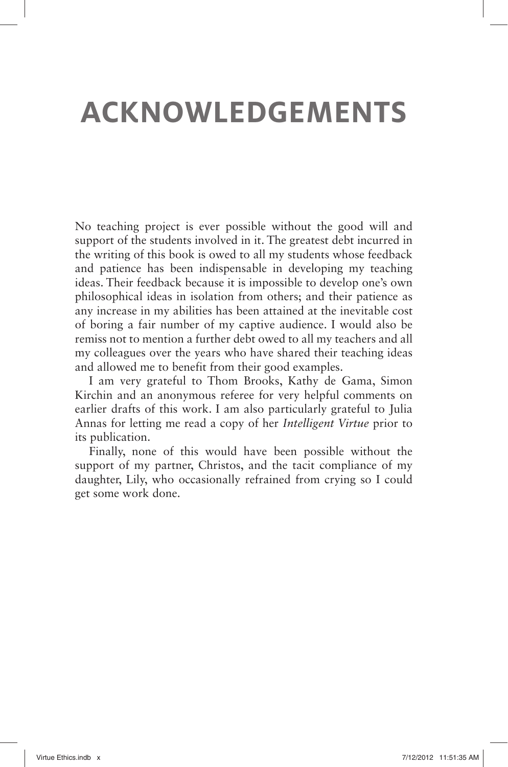# **ACKNOWLEDGEMENTS**

No teaching project is ever possible without the good will and support of the students involved in it. The greatest debt incurred in the writing of this book is owed to all my students whose feedback and patience has been indispensable in developing my teaching ideas. Their feedback because it is impossible to develop one's own philosophical ideas in isolation from others; and their patience as any increase in my abilities has been attained at the inevitable cost of boring a fair number of my captive audience. I would also be remiss not to mention a further debt owed to all my teachers and all my colleagues over the years who have shared their teaching ideas and allowed me to benefit from their good examples.

I am very grateful to Thom Brooks, Kathy de Gama, Simon Kirchin and an anonymous referee for very helpful comments on earlier drafts of this work. I am also particularly grateful to Julia Annas for letting me read a copy of her *Intelligent Virtue* prior to its publication.

Finally, none of this would have been possible without the support of my partner, Christos, and the tacit compliance of my daughter, Lily, who occasionally refrained from crying so I could get some work done.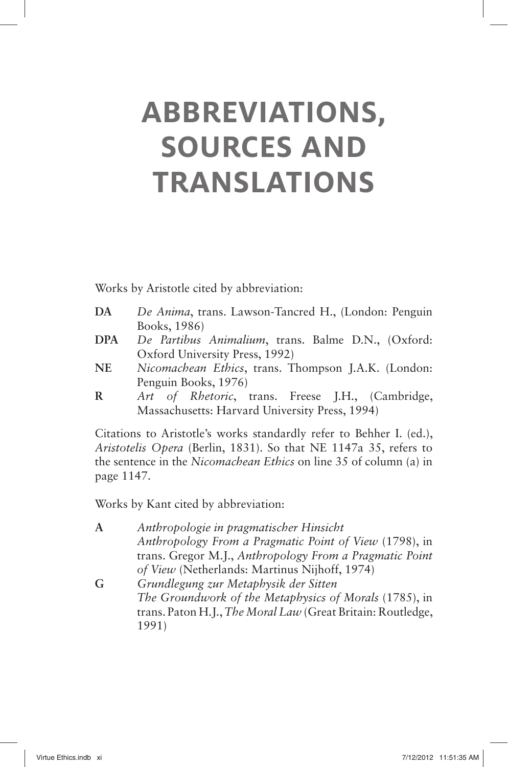# **ABBREVIATIONS, SOURCES AND TRANSLATIONS**

Works by Aristotle cited by abbreviation:

- **DA** *De Anima*, trans. Lawson-Tancred H., (London: Penguin Books, 1986)
- **DPA** *De Partibus Animalium*, trans. Balme D.N., (Oxford: Oxford University Press, 1992)
- **NE** *Nicomachean Ethics*, trans. Thompson J.A.K. (London: Penguin Books, 1976)
- **R** *Art of Rhetoric*, trans. Freese J.H., (Cambridge, Massachusetts: Harvard University Press, 1994)

Citations to Aristotle's works standardly refer to Behher I. (ed.), *Aristotelis Opera* (Berlin, 1831). So that NE 1147a 35, refers to the sentence in the *Nicomachean Ethics* on line 35 of column (a) in page 1147.

Works by Kant cited by abbreviation:

**A** *Anthropologie in pragmatischer Hinsicht Anthropology From a Pragmatic Point of View* (1798), in trans. Gregor M.J., *Anthropology From a Pragmatic Point of View* (Netherlands: Martinus Nijhoff, 1974) **G** *Grundlegung zur Metaphysik der Sitten The Groundwork of the Metaphysics of Morals* (1785), in trans. Paton H.J., *The Moral Law* (Great Britain: Routledge,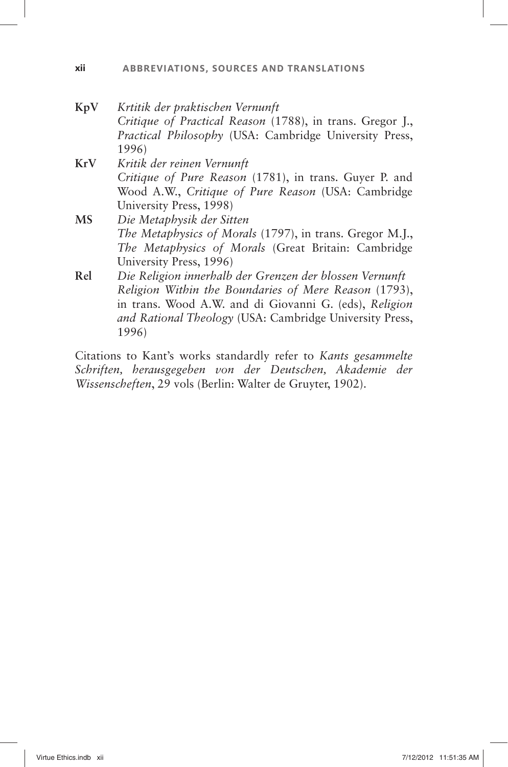#### **xii ABBREVIATIONS, SOURCES AND TRANSLATIONS**

- **KpV** *Krtitik der praktischen Vernunft Critique of Practical Reason* (1788), in trans. Gregor J., *Practical Philosophy* (USA: Cambridge University Press, 1996) **KrV** *Kritik der reinen Vernunft Critique of Pure Reason* (1781), in trans. Guyer P. and Wood A.W., *Critique of Pure Reason* (USA: Cambridge University Press, 1998) **MS** *Die Metaphysik der Sitten*
- *The Metaphysics of Morals* (1797), in trans. Gregor M.J., *The Metaphysics of Morals* (Great Britain: Cambridge University Press, 1996)
- **Rel** *Die Religion innerhalb der Grenzen der blossen Vernunft Religion Within the Boundaries of Mere Reason* (1793), in trans. Wood A.W. and di Giovanni G. (eds), *Religion and Rational Theology* (USA: Cambridge University Press, 1996)

Citations to Kant's works standardly refer to *Kants gesammelte Schriften, herausgegeben von der Deutschen, Akademie der Wissenscheften*, 29 vols (Berlin: Walter de Gruyter, 1902).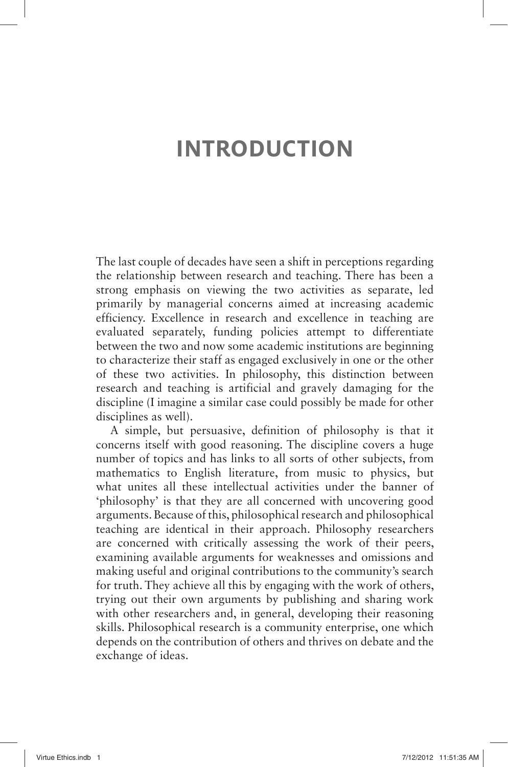# **INTRODUCTION**

The last couple of decades have seen a shift in perceptions regarding the relationship between research and teaching. There has been a strong emphasis on viewing the two activities as separate, led primarily by managerial concerns aimed at increasing academic efficiency. Excellence in research and excellence in teaching are evaluated separately, funding policies attempt to differentiate between the two and now some academic institutions are beginning to characterize their staff as engaged exclusively in one or the other of these two activities. In philosophy, this distinction between research and teaching is artificial and gravely damaging for the discipline (I imagine a similar case could possibly be made for other disciplines as well).

A simple, but persuasive, definition of philosophy is that it concerns itself with good reasoning. The discipline covers a huge number of topics and has links to all sorts of other subjects, from mathematics to English literature, from music to physics, but what unites all these intellectual activities under the banner of ' philosophy 'is that they are all concerned with uncovering good arguments. Because of this, philosophical research and philosophical teaching are identical in their approach. Philosophy researchers are concerned with critically assessing the work of their peers, examining available arguments for weaknesses and omissions and making useful and original contributions to the community's search for truth. They achieve all this by engaging with the work of others, trying out their own arguments by publishing and sharing work with other researchers and, in general, developing their reasoning skills. Philosophical research is a community enterprise, one which depends on the contribution of others and thrives on debate and the exchange of ideas.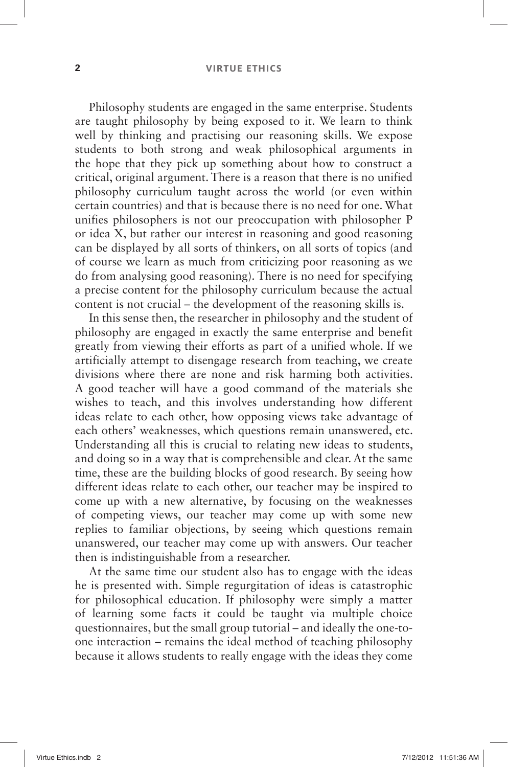#### **2 VIRTUE ETHICS**

Philosophy students are engaged in the same enterprise. Students are taught philosophy by being exposed to it. We learn to think well by thinking and practising our reasoning skills. We expose students to both strong and weak philosophical arguments in the hope that they pick up something about how to construct a critical, original argument. There is a reason that there is no unified philosophy curriculum taught across the world (or even within certain countries) and that is because there is no need for one. What unifies philosophers is not our preoccupation with philosopher P or idea X, but rather our interest in reasoning and good reasoning can be displayed by all sorts of thinkers, on all sorts of topics (and of course we learn as much from criticizing poor reasoning as we do from analysing good reasoning). There is no need for specifying a precise content for the philosophy curriculum because the actual content is not crucial – the development of the reasoning skills is.

In this sense then, the researcher in philosophy and the student of philosophy are engaged in exactly the same enterprise and benefit greatly from viewing their efforts as part of a unified whole. If we artificially attempt to disengage research from teaching, we create divisions where there are none and risk harming both activities. A good teacher will have a good command of the materials she wishes to teach, and this involves understanding how different ideas relate to each other, how opposing views take advantage of each others' weaknesses, which questions remain unanswered, etc. Understanding all this is crucial to relating new ideas to students, and doing so in a way that is comprehensible and clear. At the same time, these are the building blocks of good research. By seeing how different ideas relate to each other, our teacher may be inspired to come up with a new alternative, by focusing on the weaknesses of competing views, our teacher may come up with some new replies to familiar objections, by seeing which questions remain unanswered, our teacher may come up with answers. Our teacher then is indistinguishable from a researcher.

At the same time our student also has to engage with the ideas he is presented with. Simple regurgitation of ideas is catastrophic for philosophical education. If philosophy were simply a matter of learning some facts it could be taught via multiple choice questionnaires, but the small group tutorial –and ideally the one-toone interaction –remains the ideal method of teaching philosophy because it allows students to really engage with the ideas they come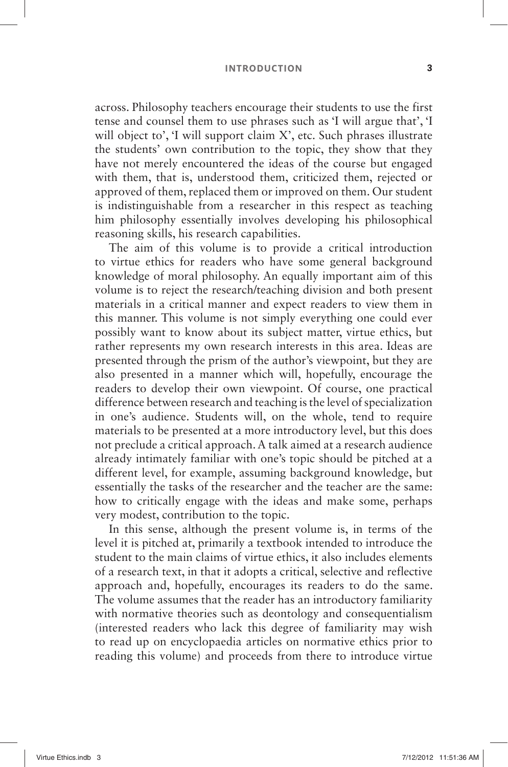#### **INTRODUCTION 3**

across. Philosophy teachers encourage their students to use the first tense and counsel them to use phrases such as 'I will argue that'. 'I will object to', 'I will support claim  $X'$ , etc. Such phrases illustrate the students' own contribution to the topic, they show that they have not merely encountered the ideas of the course but engaged with them, that is, understood them, criticized them, rejected or approved of them, replaced them or improved on them. Our student is indistinguishable from a researcher in this respect as teaching him philosophy essentially involves developing his philosophical reasoning skills, his research capabilities.

The aim of this volume is to provide a critical introduction to virtue ethics for readers who have some general background knowledge of moral philosophy. An equally important aim of this volume is to reject the research/teaching division and both present materials in a critical manner and expect readers to view them in this manner. This volume is not simply everything one could ever possibly want to know about its subject matter, virtue ethics, but rather represents my own research interests in this area. Ideas are presented through the prism of the author's viewpoint, but they are also presented in a manner which will, hopefully, encourage the readers to develop their own viewpoint. Of course, one practical difference between research and teaching is the level of specialization in one's audience. Students will, on the whole, tend to require materials to be presented at a more introductory level, but this does not preclude a critical approach. A talk aimed at a research audience already intimately familiar with one's topic should be pitched at a different level, for example, assuming background knowledge, but essentially the tasks of the researcher and the teacher are the same: how to critically engage with the ideas and make some, perhaps very modest, contribution to the topic.

In this sense, although the present volume is, in terms of the level it is pitched at, primarily a textbook intended to introduce the student to the main claims of virtue ethics, it also includes elements of a research text, in that it adopts a critical, selective and reflective approach and, hopefully, encourages its readers to do the same. The volume assumes that the reader has an introductory familiarity with normative theories such as deontology and consequentialism (interested readers who lack this degree of familiarity may wish to read up on encyclopaedia articles on normative ethics prior to reading this volume) and proceeds from there to introduce virtue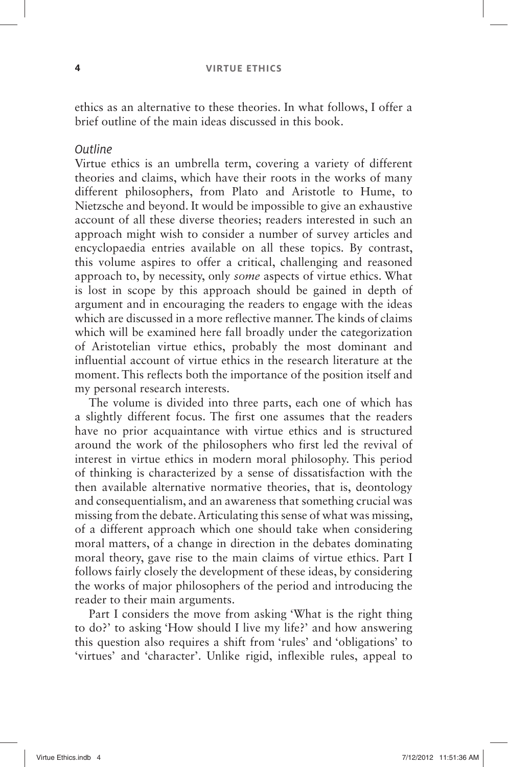ethics as an alternative to these theories. In what follows, I offer a brief outline of the main ideas discussed in this book.

#### **Outline**

Virtue ethics is an umbrella term, covering a variety of different theories and claims, which have their roots in the works of many different philosophers, from Plato and Aristotle to Hume, to Nietzsche and beyond. It would be impossible to give an exhaustive account of all these diverse theories; readers interested in such an approach might wish to consider a number of survey articles and encyclopaedia entries available on all these topics. By contrast, this volume aspires to offer a critical, challenging and reasoned approach to, by necessity, only *some* aspects of virtue ethics. What is lost in scope by this approach should be gained in depth of argument and in encouraging the readers to engage with the ideas which are discussed in a more reflective manner. The kinds of claims which will be examined here fall broadly under the categorization of Aristotelian virtue ethics, probably the most dominant and influential account of virtue ethics in the research literature at the moment. This reflects both the importance of the position itself and my personal research interests.

The volume is divided into three parts, each one of which has a slightly different focus. The first one assumes that the readers have no prior acquaintance with virtue ethics and is structured around the work of the philosophers who first led the revival of interest in virtue ethics in modern moral philosophy. This period of thinking is characterized by a sense of dissatisfaction with the then available alternative normative theories, that is, deontology and consequentialism, and an awareness that something crucial was missing from the debate. Articulating this sense of what was missing, of a different approach which one should take when considering moral matters, of a change in direction in the debates dominating moral theory, gave rise to the main claims of virtue ethics. Part I follows fairly closely the development of these ideas, by considering the works of major philosophers of the period and introducing the reader to their main arguments.

Part I considers the move from asking 'What is the right thing to do?' to asking 'How should I live my life?' and how answering this question also requires a shift from 'rules' and 'obligations' to 'virtues' and 'character'. Unlike rigid, inflexible rules, appeal to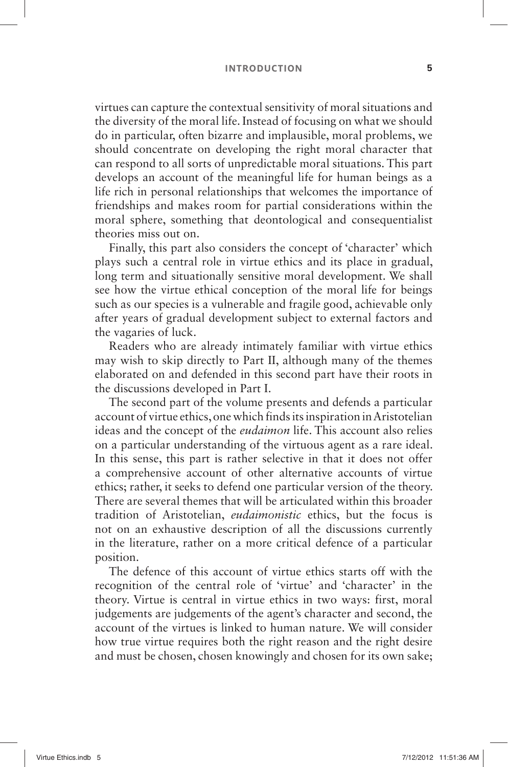#### **INTRODUCTION 5**

virtues can capture the contextual sensitivity of moral situations and the diversity of the moral life. Instead of focusing on what we should do in particular, often bizarre and implausible, moral problems, we should concentrate on developing the right moral character that can respond to all sorts of unpredictable moral situations. This part develops an account of the meaningful life for human beings as a life rich in personal relationships that welcomes the importance of friendships and makes room for partial considerations within the moral sphere, something that deontological and consequentialist theories miss out on.

Finally, this part also considers the concept of 'character' which plays such a central role in virtue ethics and its place in gradual, long term and situationally sensitive moral development. We shall see how the virtue ethical conception of the moral life for beings such as our species is a vulnerable and fragile good, achievable only after years of gradual development subject to external factors and the vagaries of luck.

Readers who are already intimately familiar with virtue ethics may wish to skip directly to Part II, although many of the themes elaborated on and defended in this second part have their roots in the discussions developed in Part I.

The second part of the volume presents and defends a particular account of virtue ethics, one which finds its inspiration in Aristotelian ideas and the concept of the *eudaimon* life. This account also relies on a particular understanding of the virtuous agent as a rare ideal. In this sense, this part is rather selective in that it does not offer a comprehensive account of other alternative accounts of virtue ethics; rather, it seeks to defend one particular version of the theory. There are several themes that will be articulated within this broader tradition of Aristotelian, *eudaimonistic* ethics, but the focus is not on an exhaustive description of all the discussions currently in the literature, rather on a more critical defence of a particular position.

The defence of this account of virtue ethics starts off with the recognition of the central role of 'virtue' and 'character' in the theory. Virtue is central in virtue ethics in two ways: first, moral judgements are judgements of the agent's character and second, the account of the virtues is linked to human nature. We will consider how true virtue requires both the right reason and the right desire and must be chosen, chosen knowingly and chosen for its own sake;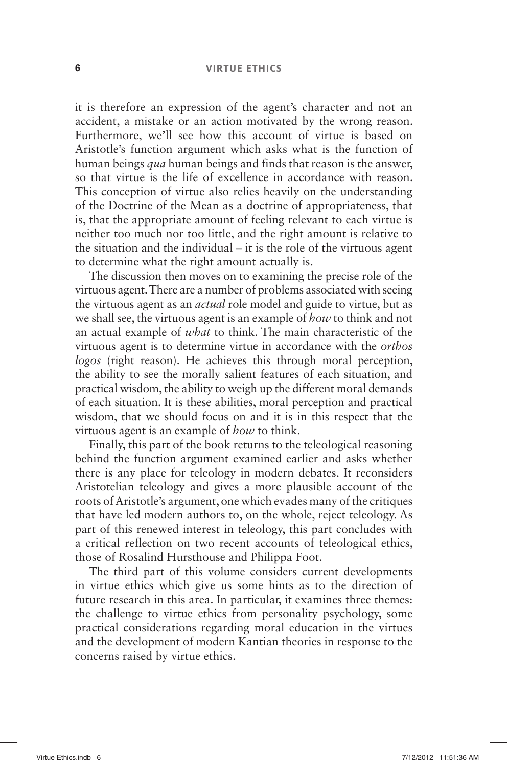#### **6 VIRTUE ETHICS**

it is therefore an expression of the agent's character and not an accident, a mistake or an action motivated by the wrong reason. Furthermore, we'll see how this account of virtue is based on Aristotle's function argument which asks what is the function of human beings *qua* human beings and finds that reason is the answer, so that virtue is the life of excellence in accordance with reason. This conception of virtue also relies heavily on the understanding of the Doctrine of the Mean as a doctrine of appropriateness, that is, that the appropriate amount of feeling relevant to each virtue is neither too much nor too little, and the right amount is relative to the situation and the individual  $-$  it is the role of the virtuous agent to determine what the right amount actually is.

The discussion then moves on to examining the precise role of the virtuous agent. There are a number of problems associated with seeing the virtuous agent as an *actual* role model and guide to virtue, but as we shall see, the virtuous agent is an example of *how* to think and not an actual example of *what* to think. The main characteristic of the virtuous agent is to determine virtue in accordance with the *orthos logos* (right reason). He achieves this through moral perception, the ability to see the morally salient features of each situation, and practical wisdom, the ability to weigh up the different moral demands of each situation. It is these abilities, moral perception and practical wisdom, that we should focus on and it is in this respect that the virtuous agent is an example of *how* to think.

Finally, this part of the book returns to the teleological reasoning behind the function argument examined earlier and asks whether there is any place for teleology in modern debates. It reconsiders Aristotelian teleology and gives a more plausible account of the roots of Aristotle's argument, one which evades many of the critiques that have led modern authors to, on the whole, reject teleology. As part of this renewed interest in teleology, this part concludes with a critical reflection on two recent accounts of teleological ethics, those of Rosalind Hursthouse and Philippa Foot.

The third part of this volume considers current developments in virtue ethics which give us some hints as to the direction of future research in this area. In particular, it examines three themes: the challenge to virtue ethics from personality psychology, some practical considerations regarding moral education in the virtues and the development of modern Kantian theories in response to the concerns raised by virtue ethics.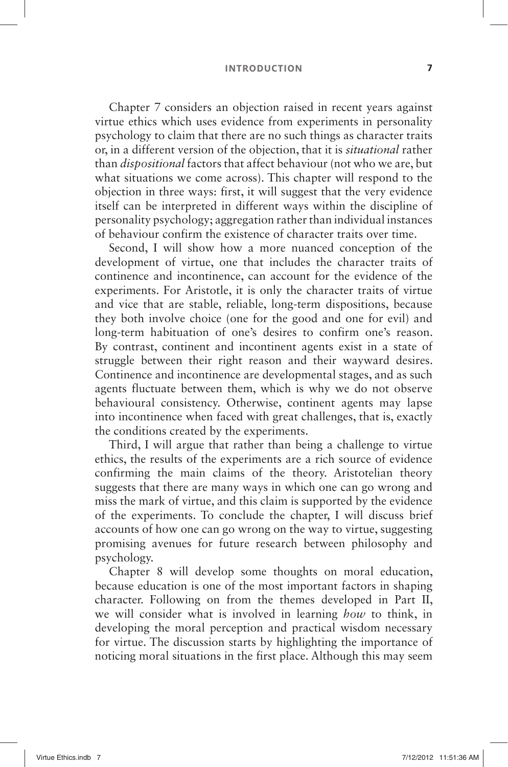#### **INTRODUCTION 7**

Chapter 7 considers an objection raised in recent years against virtue ethics which uses evidence from experiments in personality psychology to claim that there are no such things as character traits or, in a different version of the objection, that it is *situational* rather than *dispositional* factors that affect behaviour (not who we are, but what situations we come across). This chapter will respond to the objection in three ways: first, it will suggest that the very evidence itself can be interpreted in different ways within the discipline of personality psychology; aggregation rather than individual instances of behaviour confirm the existence of character traits over time.

Second, I will show how a more nuanced conception of the development of virtue, one that includes the character traits of continence and incontinence, can account for the evidence of the experiments. For Aristotle, it is only the character traits of virtue and vice that are stable, reliable, long-term dispositions, because they both involve choice (one for the good and one for evil) and long-term habituation of one's desires to confirm one's reason. By contrast, continent and incontinent agents exist in a state of struggle between their right reason and their wayward desires. Continence and incontinence are developmental stages, and as such agents fluctuate between them, which is why we do not observe behavioural consistency. Otherwise, continent agents may lapse into incontinence when faced with great challenges, that is, exactly the conditions created by the experiments.

Third, I will argue that rather than being a challenge to virtue ethics, the results of the experiments are a rich source of evidence confirming the main claims of the theory. Aristotelian theory suggests that there are many ways in which one can go wrong and miss the mark of virtue, and this claim is supported by the evidence of the experiments. To conclude the chapter, I will discuss brief accounts of how one can go wrong on the way to virtue, suggesting promising avenues for future research between philosophy and psychology.

Chapter 8 will develop some thoughts on moral education, because education is one of the most important factors in shaping character. Following on from the themes developed in Part II, we will consider what is involved in learning *how* to think, in developing the moral perception and practical wisdom necessary for virtue. The discussion starts by highlighting the importance of noticing moral situations in the first place. Although this may seem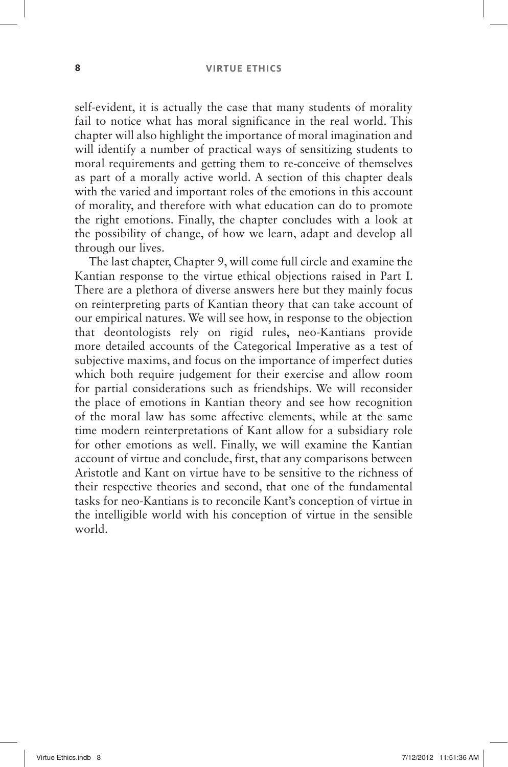self-evident, it is actually the case that many students of morality fail to notice what has moral significance in the real world. This chapter will also highlight the importance of moral imagination and will identify a number of practical ways of sensitizing students to moral requirements and getting them to re-conceive of themselves as part of a morally active world. A section of this chapter deals with the varied and important roles of the emotions in this account of morality, and therefore with what education can do to promote the right emotions. Finally, the chapter concludes with a look at the possibility of change, of how we learn, adapt and develop all through our lives.

The last chapter, Chapter 9, will come full circle and examine the Kantian response to the virtue ethical objections raised in Part I. There are a plethora of diverse answers here but they mainly focus on reinterpreting parts of Kantian theory that can take account of our empirical natures. We will see how, in response to the objection that deontologists rely on rigid rules, neo-Kantians provide more detailed accounts of the Categorical Imperative as a test of subjective maxims, and focus on the importance of imperfect duties which both require judgement for their exercise and allow room for partial considerations such as friendships. We will reconsider the place of emotions in Kantian theory and see how recognition of the moral law has some affective elements, while at the same time modern reinterpretations of Kant allow for a subsidiary role for other emotions as well. Finally, we will examine the Kantian account of virtue and conclude, first, that any comparisons between Aristotle and Kant on virtue have to be sensitive to the richness of their respective theories and second, that one of the fundamental tasks for neo-Kantians is to reconcile Kant's conception of virtue in the intelligible world with his conception of virtue in the sensible world.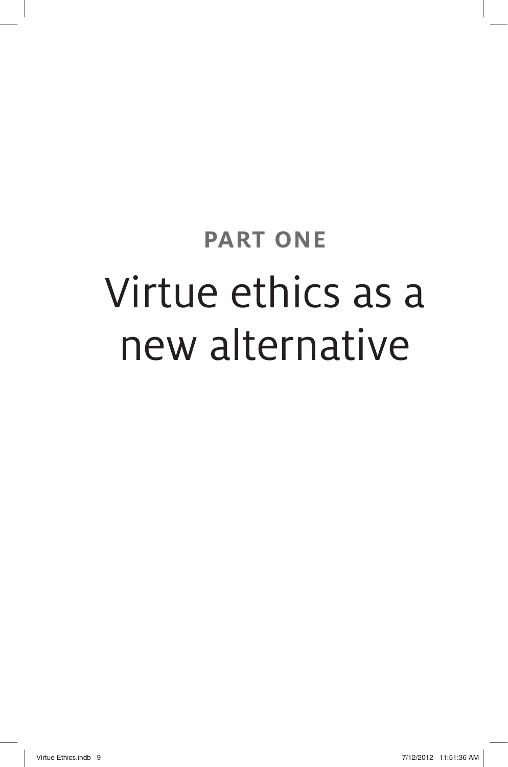# **PART ONE**  Virtue ethics as a new alternative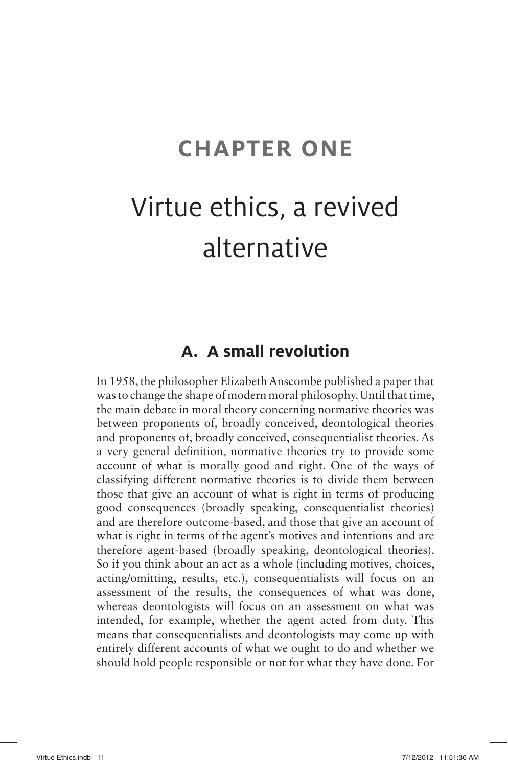# **CHAPTER ONE**

# Virtue ethics, a revived alternative

# **A. A small revolution**

In 1958, the philosopher Elizabeth Anscombe published a paper that was to change the shape of modern moral philosophy. Until that time, the main debate in moral theory concerning normative theories was between proponents of, broadly conceived, deontological theories and proponents of, broadly conceived, consequentialist theories. As a very general definition, normative theories try to provide some account of what is morally good and right. One of the ways of classifying different normative theories is to divide them between those that give an account of what is right in terms of producing good consequences (broadly speaking, consequentialist theories) and are therefore outcome-based, and those that give an account of what is right in terms of the agent's motives and intentions and are therefore agent-based (broadly speaking, deontological theories). So if you think about an act as a whole (including motives, choices, acting/omitting, results, etc.), consequentialists will focus on an assessment of the results, the consequences of what was done, whereas deontologists will focus on an assessment on what was intended, for example, whether the agent acted from duty. This means that consequentialists and deontologists may come up with entirely different accounts of what we ought to do and whether we should hold people responsible or not for what they have done. For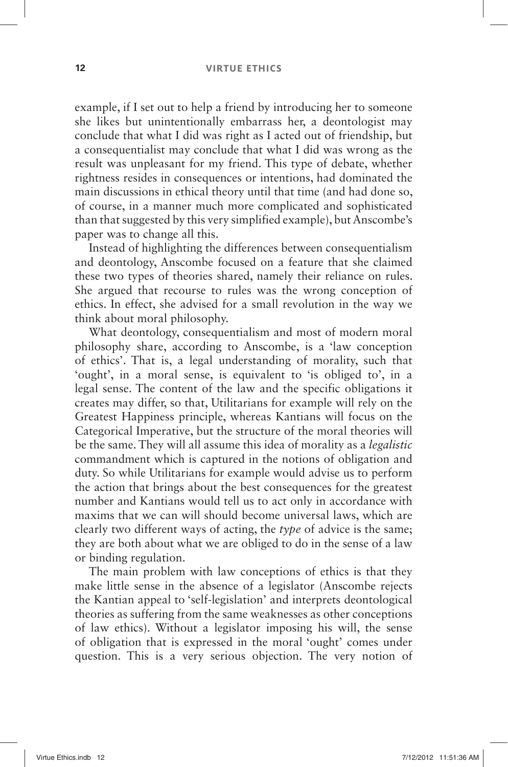example, if I set out to help a friend by introducing her to someone she likes but unintentionally embarrass her, a deontologist may conclude that what I did was right as I acted out of friendship, but a consequentialist may conclude that what I did was wrong as the result was unpleasant for my friend. This type of debate, whether rightness resides in consequences or intentions, had dominated the main discussions in ethical theory until that time (and had done so, of course, in a manner much more complicated and sophisticated than that suggested by this very simplified example), but Anscombe's paper was to change all this.

Instead of highlighting the differences between consequentialism and deontology, Anscombe focused on a feature that she claimed these two types of theories shared, namely their reliance on rules. She argued that recourse to rules was the wrong conception of ethics. In effect, she advised for a small revolution in the way we think about moral philosophy.

What deontology, consequentialism and most of modern moral philosophy share, according to Anscombe, is a 'law conception of ethics'. That is, a legal understanding of morality, such that 'ought', in a moral sense, is equivalent to 'is obliged to', in a legal sense. The content of the law and the specific obligations it creates may differ, so that, Utilitarians for example will rely on the Greatest Happiness principle, whereas Kantians will focus on the Categorical Imperative, but the structure of the moral theories will be the same. They will all assume this idea of morality as a *legalistic* commandment which is captured in the notions of obligation and duty. So while Utilitarians for example would advise us to perform the action that brings about the best consequences for the greatest number and Kantians would tell us to act only in accordance with maxims that we can will should become universal laws, which are clearly two different ways of acting, the *type* of advice is the same; they are both about what we are obliged to do in the sense of a law or binding regulation.

The main problem with law conceptions of ethics is that they make little sense in the absence of a legislator (Anscombe rejects the Kantian appeal to 'self-legislation' and interprets deontological theories as suffering from the same weaknesses as other conceptions of law ethics). Without a legislator imposing his will, the sense of obligation that is expressed in the moral 'ought' comes under question. This is a very serious objection. The very notion of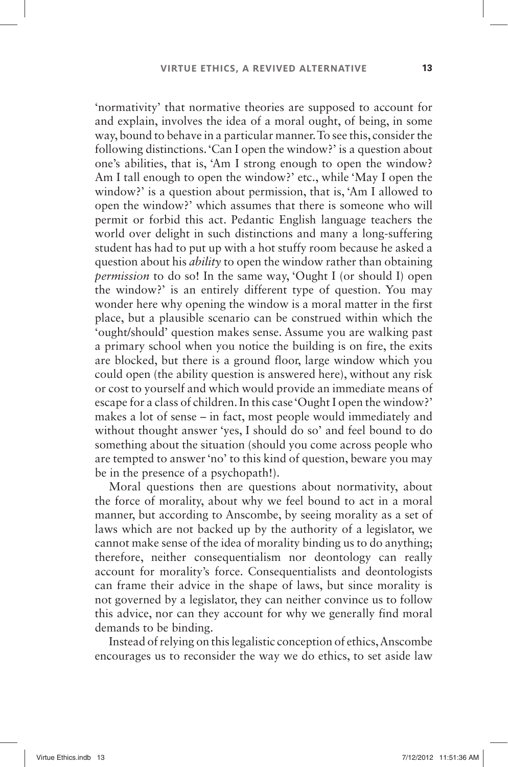' normativity 'that normative theories are supposed to account for and explain, involves the idea of a moral ought, of being, in some way, bound to behave in a particular manner. To see this, consider the following distinctions. 'Can I open the window?' is a question about one's abilities, that is, 'Am I strong enough to open the window? Am I tall enough to open the window?' etc., while 'May I open the window?' is a question about permission, that is, 'Am I allowed to open the window? 'which assumes that there is someone who will permit or forbid this act. Pedantic English language teachers the world over delight in such distinctions and many a long-suffering student has had to put up with a hot stuffy room because he asked a question about his *ability* to open the window rather than obtaining *permission* to do so! In the same way, 'Ought I (or should I) open the window? 'is an entirely different type of question. You may wonder here why opening the window is a moral matter in the first place, but a plausible scenario can be construed within which the 'ought/should' question makes sense. Assume you are walking past a primary school when you notice the building is on fire, the exits are blocked, but there is a ground floor, large window which you could open (the ability question is answered here), without any risk or cost to yourself and which would provide an immediate means of escape for a class of children. In this case 'Ought I open the window?' makes a lot of sense – in fact, most people would immediately and without thought answer 'yes, I should do so' and feel bound to do something about the situation (should you come across people who are tempted to answer 'no' to this kind of question, beware you may be in the presence of a psychopath!).

Moral questions then are questions about normativity, about the force of morality, about why we feel bound to act in a moral manner, but according to Anscombe, by seeing morality as a set of laws which are not backed up by the authority of a legislator, we cannot make sense of the idea of morality binding us to do anything; therefore, neither consequentialism nor deontology can really account for morality's force. Consequentialists and deontologists can frame their advice in the shape of laws, but since morality is not governed by a legislator, they can neither convince us to follow this advice, nor can they account for why we generally find moral demands to be binding.

Instead of relying on this legalistic conception of ethics, Anscombe encourages us to reconsider the way we do ethics, to set aside law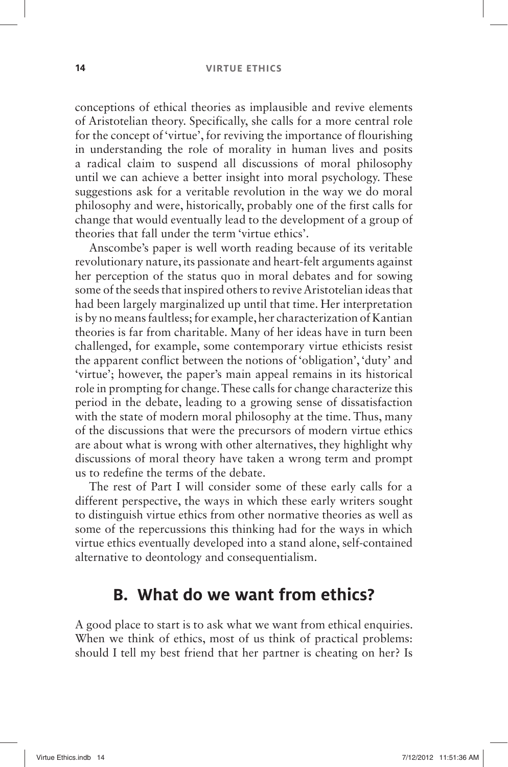#### **14 VIRTUE ETHICS**

conceptions of ethical theories as implausible and revive elements of Aristotelian theory. Specifically, she calls for a more central role for the concept of 'virtue', for reviving the importance of flourishing in understanding the role of morality in human lives and posits a radical claim to suspend all discussions of moral philosophy until we can achieve a better insight into moral psychology. These suggestions ask for a veritable revolution in the way we do moral philosophy and were, historically, probably one of the first calls for change that would eventually lead to the development of a group of theories that fall under the term 'virtue ethics'.

Anscombe's paper is well worth reading because of its veritable revolutionary nature, its passionate and heart-felt arguments against her perception of the status quo in moral debates and for sowing some of the seeds that inspired others to revive Aristotelian ideas that had been largely marginalized up until that time. Her interpretation is by no means faultless; for example, her characterization of Kantian theories is far from charitable. Many of her ideas have in turn been challenged, for example, some contemporary virtue ethicists resist the apparent conflict between the notions of 'obligation', 'duty' and 'virtue'; however, the paper's main appeal remains in its historical role in prompting for change. These calls for change characterize this period in the debate, leading to a growing sense of dissatisfaction with the state of modern moral philosophy at the time. Thus, many of the discussions that were the precursors of modern virtue ethics are about what is wrong with other alternatives, they highlight why discussions of moral theory have taken a wrong term and prompt us to redefine the terms of the debate.

The rest of Part I will consider some of these early calls for a different perspective, the ways in which these early writers sought to distinguish virtue ethics from other normative theories as well as some of the repercussions this thinking had for the ways in which virtue ethics eventually developed into a stand alone, self-contained alternative to deontology and consequentialism.

### **B. What do we want from ethics?**

A good place to start is to ask what we want from ethical enquiries. When we think of ethics, most of us think of practical problems: should I tell my best friend that her partner is cheating on her? Is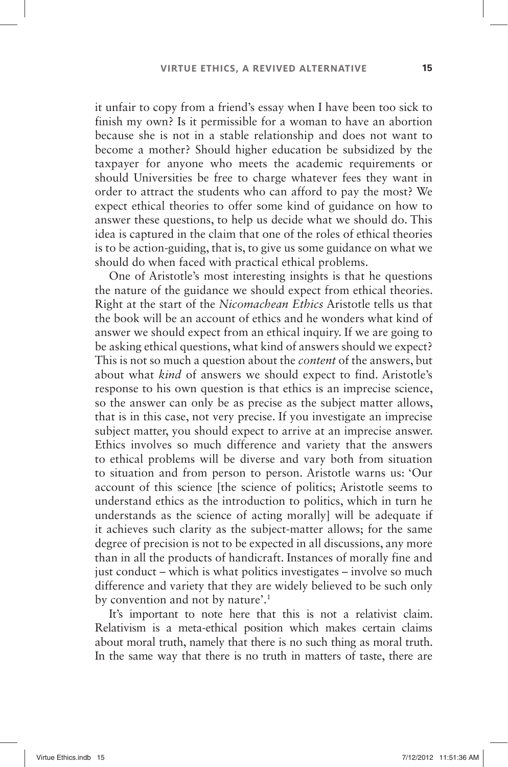it unfair to copy from a friend's essay when I have been too sick to finish my own? Is it permissible for a woman to have an abortion because she is not in a stable relationship and does not want to become a mother? Should higher education be subsidized by the taxpayer for anyone who meets the academic requirements or should Universities be free to charge whatever fees they want in order to attract the students who can afford to pay the most? We expect ethical theories to offer some kind of guidance on how to answer these questions, to help us decide what we should do. This idea is captured in the claim that one of the roles of ethical theories is to be action-guiding, that is, to give us some guidance on what we should do when faced with practical ethical problems.

One of Aristotle's most interesting insights is that he questions the nature of the guidance we should expect from ethical theories. Right at the start of the *Nicomachean Ethics* Aristotle tells us that the book will be an account of ethics and he wonders what kind of answer we should expect from an ethical inquiry. If we are going to be asking ethical questions, what kind of answers should we expect? This is not so much a question about the *content* of the answers, but about what *kind* of answers we should expect to find. Aristotle's response to his own question is that ethics is an imprecise science, so the answer can only be as precise as the subject matter allows, that is in this case, not very precise. If you investigate an imprecise subject matter, you should expect to arrive at an imprecise answer. Ethics involves so much difference and variety that the answers to ethical problems will be diverse and vary both from situation to situation and from person to person. Aristotle warns us: ' Our account of this science [the science of politics; Aristotle seems to understand ethics as the introduction to politics, which in turn he understands as the science of acting morally] will be adequate if it achieves such clarity as the subject-matter allows; for the same degree of precision is not to be expected in all discussions, any more than in all the products of handicraft. Instances of morally fine and just conduct – which is what politics investigates – involve so much difference and variety that they are widely believed to be such only by convention and not by nature'.<sup>1</sup>

It's important to note here that this is not a relativist claim. Relativism is a meta-ethical position which makes certain claims about moral truth, namely that there is no such thing as moral truth. In the same way that there is no truth in matters of taste, there are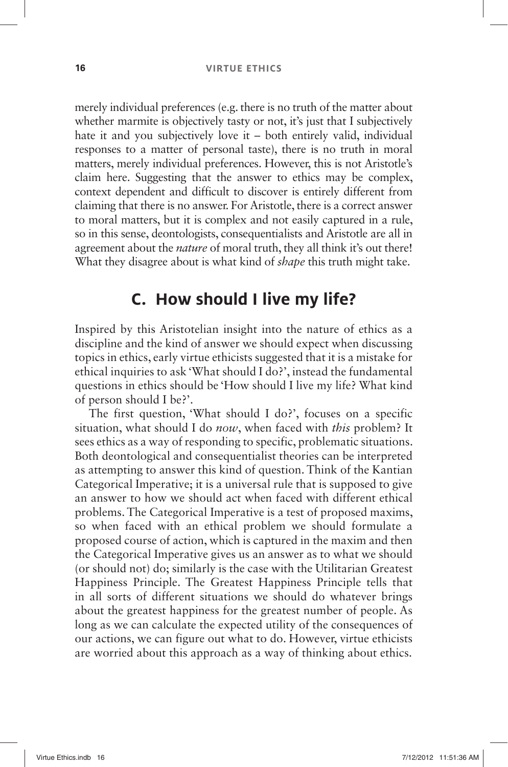merely individual preferences (e.g. there is no truth of the matter about whether marmite is objectively tasty or not, it's just that I subjectively hate it and you subjectively love it  $-$  both entirely valid, individual responses to a matter of personal taste), there is no truth in moral matters, merely individual preferences. However, this is not Aristotle's claim here. Suggesting that the answer to ethics may be complex, context dependent and difficult to discover is entirely different from claiming that there is no answer. For Aristotle, there is a correct answer to moral matters, but it is complex and not easily captured in a rule, so in this sense, deontologists, consequentialists and Aristotle are all in agreement about the *nature* of moral truth, they all think it's out there! What they disagree about is what kind of *shape* this truth might take.

## **C. How should I live my life?**

Inspired by this Aristotelian insight into the nature of ethics as a discipline and the kind of answer we should expect when discussing topics in ethics, early virtue ethicists suggested that it is a mistake for ethical inquiries to ask 'What should I do?', instead the fundamental questions in ethics should be 'How should I live my life? What kind of person should I be?'.

The first question, 'What should I do?', focuses on a specific situation, what should I do *now*, when faced with *this* problem? It sees ethics as a way of responding to specific, problematic situations. Both deontological and consequentialist theories can be interpreted as attempting to answer this kind of question. Think of the Kantian Categorical Imperative; it is a universal rule that is supposed to give an answer to how we should act when faced with different ethical problems. The Categorical Imperative is a test of proposed maxims, so when faced with an ethical problem we should formulate a proposed course of action, which is captured in the maxim and then the Categorical Imperative gives us an answer as to what we should (or should not) do; similarly is the case with the Utilitarian Greatest Happiness Principle. The Greatest Happiness Principle tells that in all sorts of different situations we should do whatever brings about the greatest happiness for the greatest number of people. As long as we can calculate the expected utility of the consequences of our actions, we can figure out what to do. However, virtue ethicists are worried about this approach as a way of thinking about ethics.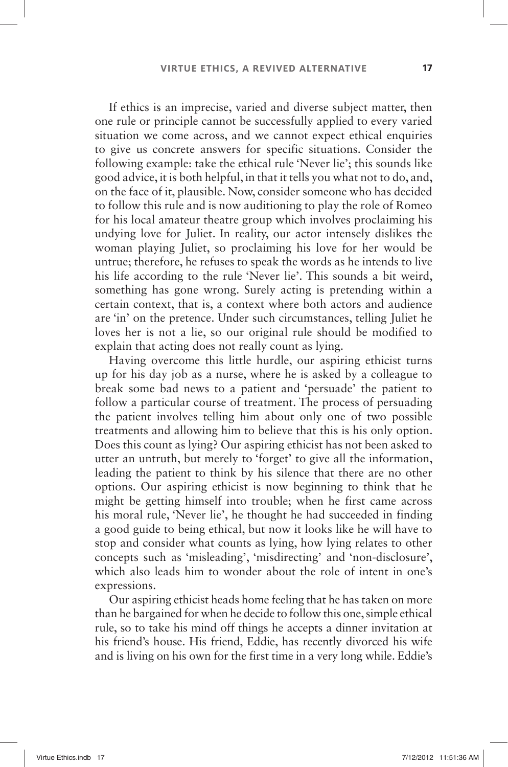If ethics is an imprecise, varied and diverse subject matter, then one rule or principle cannot be successfully applied to every varied situation we come across, and we cannot expect ethical enquiries to give us concrete answers for specific situations. Consider the following example: take the ethical rule 'Never lie': this sounds like good advice, it is both helpful, in that it tells you what not to do, and, on the face of it, plausible. Now, consider someone who has decided to follow this rule and is now auditioning to play the role of Romeo for his local amateur theatre group which involves proclaiming his undying love for Juliet. In reality, our actor intensely dislikes the woman playing Juliet, so proclaiming his love for her would be untrue; therefore, he refuses to speak the words as he intends to live his life according to the rule 'Never lie'. This sounds a bit weird, something has gone wrong. Surely acting is pretending within a certain context, that is, a context where both actors and audience are 'in' on the pretence. Under such circumstances, telling Juliet he loves her is not a lie, so our original rule should be modified to explain that acting does not really count as lying.

Having overcome this little hurdle, our aspiring ethicist turns up for his day job as a nurse, where he is asked by a colleague to break some bad news to a patient and 'persuade' the patient to follow a particular course of treatment. The process of persuading the patient involves telling him about only one of two possible treatments and allowing him to believe that this is his only option. Does this count as lying? Our aspiring ethicist has not been asked to utter an untruth, but merely to 'forget' to give all the information, leading the patient to think by his silence that there are no other options. Our aspiring ethicist is now beginning to think that he might be getting himself into trouble; when he first came across his moral rule, 'Never lie', he thought he had succeeded in finding a good guide to being ethical, but now it looks like he will have to stop and consider what counts as lying, how lying relates to other concepts such as 'misleading', 'misdirecting' and 'non-disclosure', which also leads him to wonder about the role of intent in one's expressions.

Our aspiring ethicist heads home feeling that he has taken on more than he bargained for when he decide to follow this one, simple ethical rule, so to take his mind off things he accepts a dinner invitation at his friend's house. His friend, Eddie, has recently divorced his wife and is living on his own for the first time in a very long while. Eddie's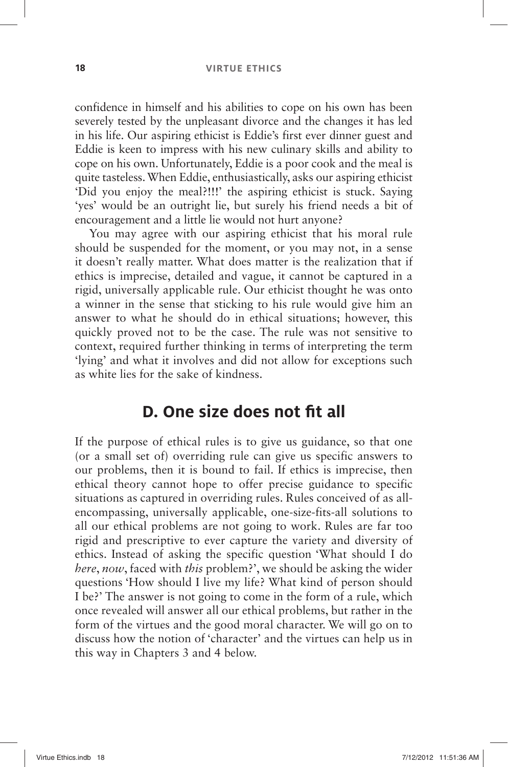#### **18 VIRTUE ETHICS**

confidence in himself and his abilities to cope on his own has been severely tested by the unpleasant divorce and the changes it has led in his life. Our aspiring ethicist is Eddie's first ever dinner guest and Eddie is keen to impress with his new culinary skills and ability to cope on his own. Unfortunately, Eddie is a poor cook and the meal is quite tasteless. When Eddie, enthusiastically, asks our aspiring ethicist 'Did you enjoy the meal?!!!' the aspiring ethicist is stuck. Saying 'ves' would be an outright lie, but surely his friend needs a bit of encouragement and a little lie would not hurt anyone?

You may agree with our aspiring ethicist that his moral rule should be suspended for the moment, or you may not, in a sense it doesn't really matter. What does matter is the realization that if ethics is imprecise, detailed and vague, it cannot be captured in a rigid, universally applicable rule. Our ethicist thought he was onto a winner in the sense that sticking to his rule would give him an answer to what he should do in ethical situations; however, this quickly proved not to be the case. The rule was not sensitive to context, required further thinking in terms of interpreting the term 'lying' and what it involves and did not allow for exceptions such as white lies for the sake of kindness.

## **D. One size does not fit all**

If the purpose of ethical rules is to give us guidance, so that one (or a small set of) overriding rule can give us specific answers to our problems, then it is bound to fail. If ethics is imprecise, then ethical theory cannot hope to offer precise guidance to specific situations as captured in overriding rules. Rules conceived of as allencompassing, universally applicable, one-size-fits-all solutions to all our ethical problems are not going to work. Rules are far too rigid and prescriptive to ever capture the variety and diversity of ethics. Instead of asking the specific question 'What should I do *here*, *now*, faced with *this* problem?', we should be asking the wider questions 'How should I live my life? What kind of person should I be?' The answer is not going to come in the form of a rule, which once revealed will answer all our ethical problems, but rather in the form of the virtues and the good moral character. We will go on to discuss how the notion of 'character' and the virtues can help us in this way in Chapters 3 and 4 below.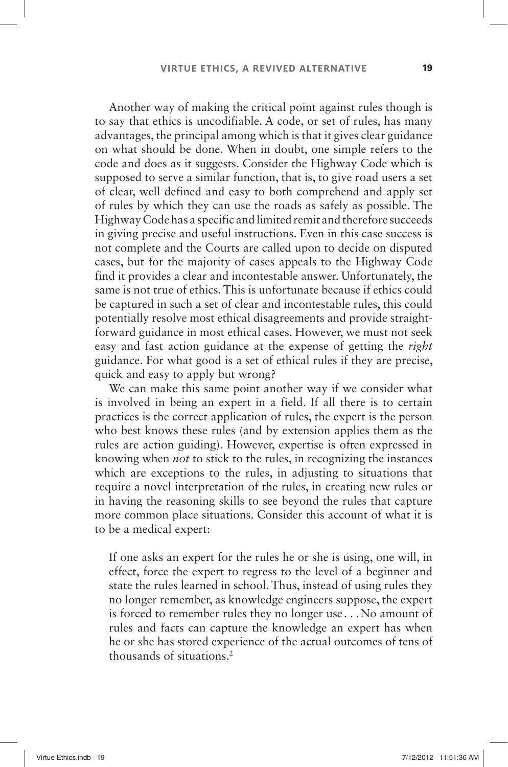Another way of making the critical point against rules though is to say that ethics is uncodifiable. A code, or set of rules, has many advantages, the principal among which is that it gives clear guidance on what should be done. When in doubt, one simple refers to the code and does as it suggests. Consider the Highway Code which is supposed to serve a similar function, that is, to give road users a set of clear, well defined and easy to both comprehend and apply set of rules by which they can use the roads as safely as possible. The Highway Code has a specific and limited remit and therefore succeeds in giving precise and useful instructions. Even in this case success is not complete and the Courts are called upon to decide on disputed cases, but for the majority of cases appeals to the Highway Code find it provides a clear and incontestable answer. Unfortunately, the same is not true of ethics. This is unfortunate because if ethics could be captured in such a set of clear and incontestable rules, this could potentially resolve most ethical disagreements and provide straightforward guidance in most ethical cases. However, we must not seek easy and fast action guidance at the expense of getting the *right* guidance. For what good is a set of ethical rules if they are precise, quick and easy to apply but wrong?

We can make this same point another way if we consider what is involved in being an expert in a field. If all there is to certain practices is the correct application of rules, the expert is the person who best knows these rules (and by extension applies them as the rules are action guiding). However, expertise is often expressed in knowing when *not* to stick to the rules, in recognizing the instances which are exceptions to the rules, in adjusting to situations that require a novel interpretation of the rules, in creating new rules or in having the reasoning skills to see beyond the rules that capture more common place situations. Consider this account of what it is to be a medical expert:

If one asks an expert for the rules he or she is using, one will, in effect, force the expert to regress to the level of a beginner and state the rules learned in school. Thus, instead of using rules they no longer remember, as knowledge engineers suppose, the expert is forced to remember rules they no longer use . . .No amount of rules and facts can capture the knowledge an expert has when he or she has stored experience of the actual outcomes of tens of thousands of situations. 2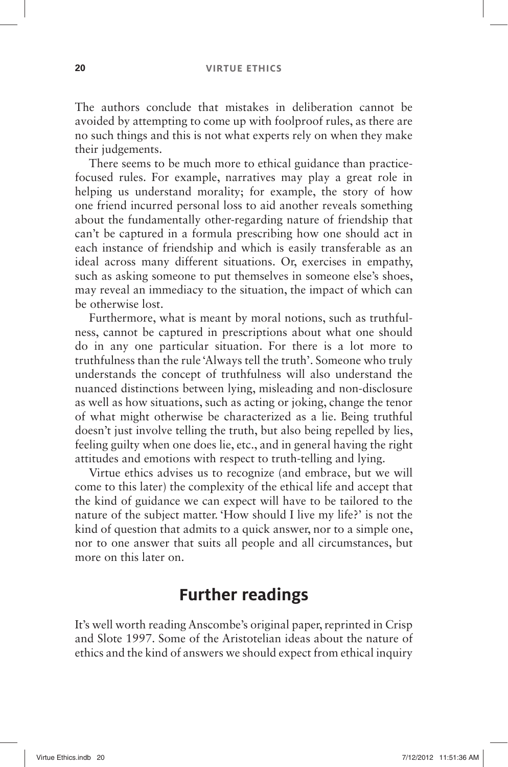The authors conclude that mistakes in deliberation cannot be avoided by attempting to come up with foolproof rules, as there are no such things and this is not what experts rely on when they make their judgements.

There seems to be much more to ethical guidance than practicefocused rules. For example, narratives may play a great role in helping us understand morality; for example, the story of how one friend incurred personal loss to aid another reveals something about the fundamentally other-regarding nature of friendship that can't be captured in a formula prescribing how one should act in each instance of friendship and which is easily transferable as an ideal across many different situations. Or, exercises in empathy, such as asking someone to put themselves in someone else's shoes, may reveal an immediacy to the situation, the impact of which can be otherwise lost.

Furthermore, what is meant by moral notions, such as truthfulness, cannot be captured in prescriptions about what one should do in any one particular situation. For there is a lot more to truthfulness than the rule 'Always tell the truth'. Someone who truly understands the concept of truthfulness will also understand the nuanced distinctions between lying, misleading and non-disclosure as well as how situations, such as acting or joking, change the tenor of what might otherwise be characterized as a lie. Being truthful doesn't just involve telling the truth, but also being repelled by lies, feeling guilty when one does lie, etc., and in general having the right attitudes and emotions with respect to truth-telling and lying.

Virtue ethics advises us to recognize (and embrace, but we will come to this later) the complexity of the ethical life and accept that the kind of guidance we can expect will have to be tailored to the nature of the subject matter. 'How should I live my life?' is not the kind of question that admits to a quick answer, nor to a simple one, nor to one answer that suits all people and all circumstances, but more on this later on.

## **Further readings**

It's well worth reading Anscombe's original paper, reprinted in Crisp and Slote 1997. Some of the Aristotelian ideas about the nature of ethics and the kind of answers we should expect from ethical inquiry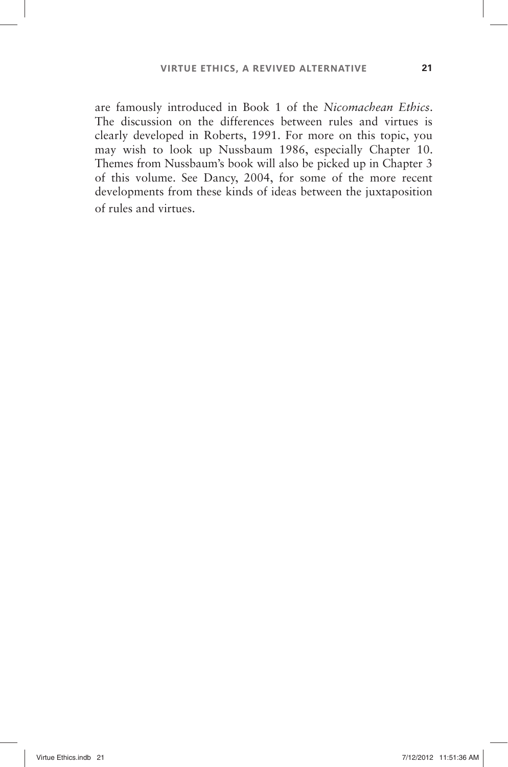are famously introduced in Book 1 of the *Nicomachean Ethics*. The discussion on the differences between rules and virtues is clearly developed in Roberts, 1991. For more on this topic, you may wish to look up Nussbaum 1986, especially Chapter 10. Themes from Nussbaum's book will also be picked up in Chapter 3 of this volume. See Dancy, 2004, for some of the more recent developments from these kinds of ideas between the juxtaposition of rules and virtues.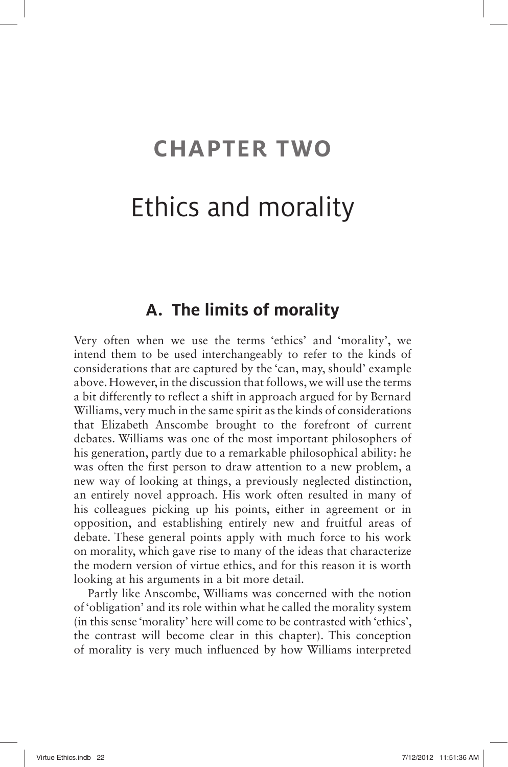# **CHAPTER TWO**

# Ethics and morality

### **A. The limits of morality**

Very often when we use the terms 'ethics' and 'morality', we intend them to be used interchangeably to refer to the kinds of considerations that are captured by the 'can, may, should' example above. However, in the discussion that follows, we will use the terms a bit differently to reflect a shift in approach argued for by Bernard Williams, very much in the same spirit as the kinds of considerations that Elizabeth Anscombe brought to the forefront of current debates. Williams was one of the most important philosophers of his generation, partly due to a remarkable philosophical ability: he was often the first person to draw attention to a new problem, a new way of looking at things, a previously neglected distinction, an entirely novel approach. His work often resulted in many of his colleagues picking up his points, either in agreement or in opposition, and establishing entirely new and fruitful areas of debate. These general points apply with much force to his work on morality, which gave rise to many of the ideas that characterize the modern version of virtue ethics, and for this reason it is worth looking at his arguments in a bit more detail.

Partly like Anscombe, Williams was concerned with the notion of 'obligation' and its role within what he called the morality system (in this sense 'morality' here will come to be contrasted with 'ethics', the contrast will become clear in this chapter). This conception of morality is very much influenced by how Williams interpreted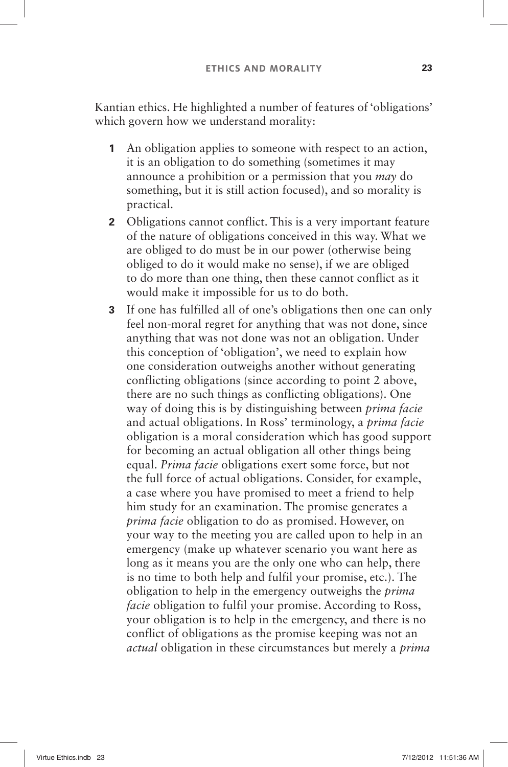Kantian ethics. He highlighted a number of features of 'obligations' which govern how we understand morality:

- **1** An obligation applies to someone with respect to an action, it is an obligation to do something (sometimes it may announce a prohibition or a permission that you *may* do something, but it is still action focused), and so morality is practical.
- **2** Obligations cannot conflict. This is a very important feature of the nature of obligations conceived in this way. What we are obliged to do must be in our power (otherwise being obliged to do it would make no sense), if we are obliged to do more than one thing, then these cannot conflict as it would make it impossible for us to do both.
- **3** If one has fulfilled all of one's obligations then one can only feel non-moral regret for anything that was not done, since anything that was not done was not an obligation. Under this conception of 'obligation', we need to explain how one consideration outweighs another without generating conflicting obligations (since according to point 2 above, there are no such things as conflicting obligations). One way of doing this is by distinguishing between *prima facie* and actual obligations. In Ross' terminology, a *prima facie* obligation is a moral consideration which has good support for becoming an actual obligation all other things being equal. *Prima facie* obligations exert some force, but not the full force of actual obligations. Consider, for example, a case where you have promised to meet a friend to help him study for an examination. The promise generates a *prima facie* obligation to do as promised. However, on your way to the meeting you are called upon to help in an emergency (make up whatever scenario you want here as long as it means you are the only one who can help, there is no time to both help and fulfil your promise, etc.). The obligation to help in the emergency outweighs the *prima facie* obligation to fulfil your promise. According to Ross, your obligation is to help in the emergency, and there is no conflict of obligations as the promise keeping was not an *actual* obligation in these circumstances but merely a *prima*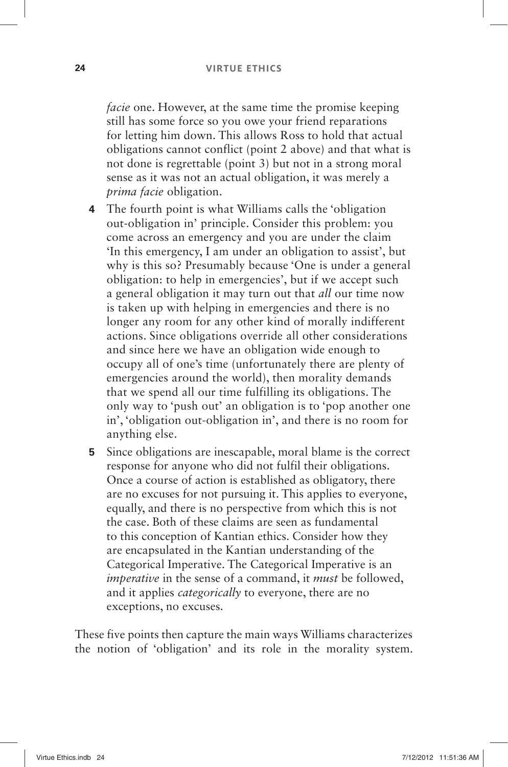*facie* one. However, at the same time the promise keeping still has some force so you owe your friend reparations for letting him down. This allows Ross to hold that actual obligations cannot conflict (point 2 above) and that what is not done is regrettable (point 3) but not in a strong moral sense as it was not an actual obligation, it was merely a *prima facie* obligation.

- **4** The fourth point is what Williams calls the 'obligation out-obligation in' principle. Consider this problem: you come across an emergency and you are under the claim ' In this emergency, I am under an obligation to assist ' , but why is this so? Presumably because 'One is under a general obligation: to help in emergencies', but if we accept such a general obligation it may turn out that *all* our time now is taken up with helping in emergencies and there is no longer any room for any other kind of morally indifferent actions. Since obligations override all other considerations and since here we have an obligation wide enough to occupy all of one's time (unfortunately there are plenty of emergencies around the world), then morality demands that we spend all our time fulfilling its obligations. The only way to 'push out' an obligation is to 'pop another one in', 'obligation out-obligation in', and there is no room for anything else.
- **5** Since obligations are inescapable, moral blame is the correct response for anyone who did not fulfil their obligations. Once a course of action is established as obligatory, there are no excuses for not pursuing it. This applies to everyone, equally, and there is no perspective from which this is not the case. Both of these claims are seen as fundamental to this conception of Kantian ethics. Consider how they are encapsulated in the Kantian understanding of the Categorical Imperative. The Categorical Imperative is an *imperative* in the sense of a command, it *must* be followed, and it applies *categorically* to everyone, there are no exceptions, no excuses.

These five points then capture the main ways Williams characterizes the notion of 'obligation' and its role in the morality system.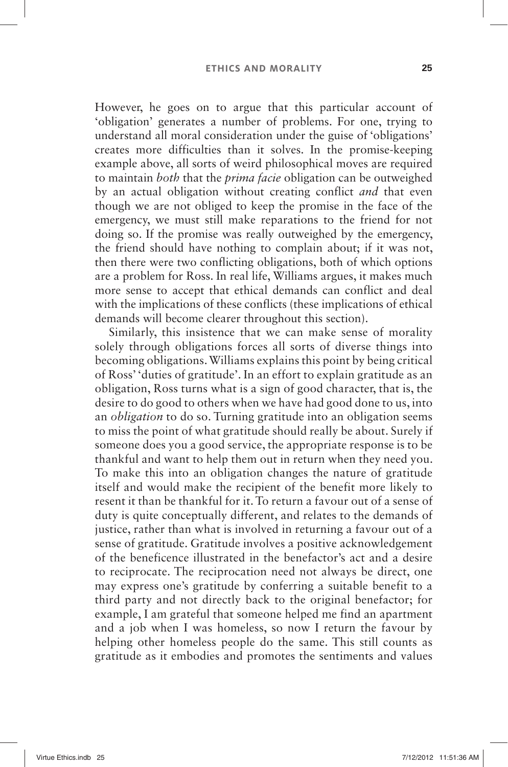However, he goes on to argue that this particular account of 'obligation' generates a number of problems. For one, trying to understand all moral consideration under the guise of 'obligations' creates more difficulties than it solves. In the promise-keeping example above, all sorts of weird philosophical moves are required to maintain *both* that the *prima facie* obligation can be outweighed by an actual obligation without creating conflict *and* that even though we are not obliged to keep the promise in the face of the emergency, we must still make reparations to the friend for not doing so. If the promise was really outweighed by the emergency, the friend should have nothing to complain about; if it was not, then there were two conflicting obligations, both of which options are a problem for Ross. In real life, Williams argues, it makes much more sense to accept that ethical demands can conflict and deal with the implications of these conflicts (these implications of ethical demands will become clearer throughout this section).

Similarly, this insistence that we can make sense of morality solely through obligations forces all sorts of diverse things into becoming obligations. Williams explains this point by being critical of Ross' 'duties of gratitude'. In an effort to explain gratitude as an obligation, Ross turns what is a sign of good character, that is, the desire to do good to others when we have had good done to us, into an *obligation* to do so. Turning gratitude into an obligation seems to miss the point of what gratitude should really be about. Surely if someone does you a good service, the appropriate response is to be thankful and want to help them out in return when they need you. To make this into an obligation changes the nature of gratitude itself and would make the recipient of the benefit more likely to resent it than be thankful for it. To return a favour out of a sense of duty is quite conceptually different, and relates to the demands of justice, rather than what is involved in returning a favour out of a sense of gratitude. Gratitude involves a positive acknowledgement of the beneficence illustrated in the benefactor's act and a desire to reciprocate. The reciprocation need not always be direct, one may express one's gratitude by conferring a suitable benefit to a third party and not directly back to the original benefactor; for example, I am grateful that someone helped me find an apartment and a job when I was homeless, so now I return the favour by helping other homeless people do the same. This still counts as gratitude as it embodies and promotes the sentiments and values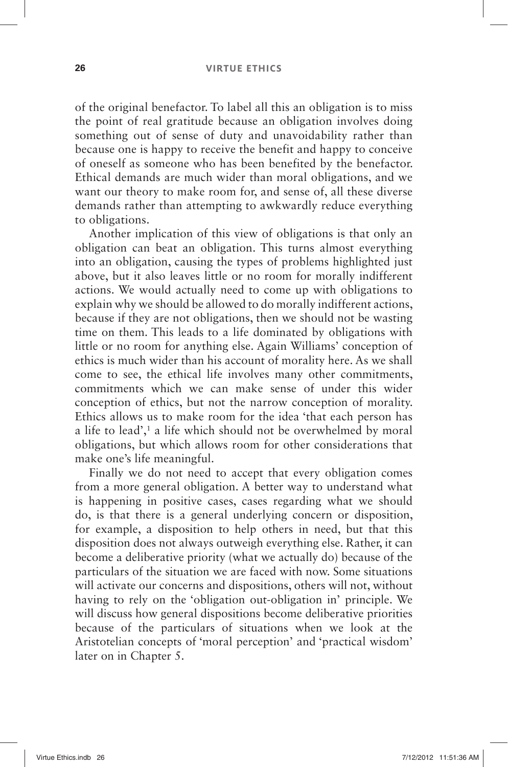#### **26 VIRTUE ETHICS**

of the original benefactor. To label all this an obligation is to miss the point of real gratitude because an obligation involves doing something out of sense of duty and unavoidability rather than because one is happy to receive the benefit and happy to conceive of oneself as someone who has been benefited by the benefactor. Ethical demands are much wider than moral obligations, and we want our theory to make room for, and sense of, all these diverse demands rather than attempting to awkwardly reduce everything to obligations.

Another implication of this view of obligations is that only an obligation can beat an obligation. This turns almost everything into an obligation, causing the types of problems highlighted just above, but it also leaves little or no room for morally indifferent actions. We would actually need to come up with obligations to explain why we should be allowed to do morally indifferent actions, because if they are not obligations, then we should not be wasting time on them. This leads to a life dominated by obligations with little or no room for anything else. Again Williams' conception of ethics is much wider than his account of morality here. As we shall come to see, the ethical life involves many other commitments, commitments which we can make sense of under this wider conception of ethics, but not the narrow conception of morality. Ethics allows us to make room for the idea 'that each person has a life to lead',<sup>1</sup> a life which should not be overwhelmed by moral obligations, but which allows room for other considerations that make one's life meaningful.

Finally we do not need to accept that every obligation comes from a more general obligation. A better way to understand what is happening in positive cases, cases regarding what we should do, is that there is a general underlying concern or disposition, for example, a disposition to help others in need, but that this disposition does not always outweigh everything else. Rather, it can become a deliberative priority (what we actually do) because of the particulars of the situation we are faced with now. Some situations will activate our concerns and dispositions, others will not, without having to rely on the 'obligation out-obligation in' principle. We will discuss how general dispositions become deliberative priorities because of the particulars of situations when we look at the Aristotelian concepts of 'moral perception' and 'practical wisdom' later on in Chapter 5.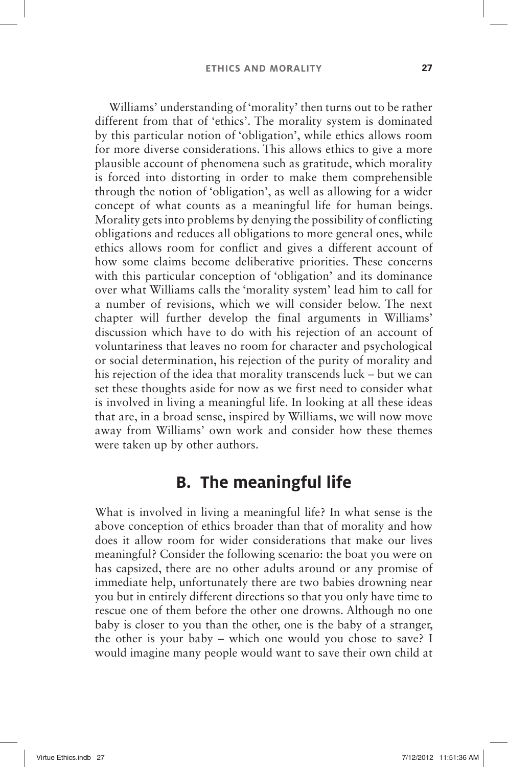Williams' understanding of 'morality' then turns out to be rather different from that of 'ethics'. The morality system is dominated by this particular notion of 'obligation', while ethics allows room for more diverse considerations. This allows ethics to give a more plausible account of phenomena such as gratitude, which morality is forced into distorting in order to make them comprehensible through the notion of 'obligation', as well as allowing for a wider concept of what counts as a meaningful life for human beings. Morality gets into problems by denying the possibility of conflicting obligations and reduces all obligations to more general ones, while ethics allows room for conflict and gives a different account of how some claims become deliberative priorities. These concerns with this particular conception of 'obligation' and its dominance over what Williams calls the 'morality system' lead him to call for a number of revisions, which we will consider below. The next chapter will further develop the final arguments in Williams' discussion which have to do with his rejection of an account of voluntariness that leaves no room for character and psychological or social determination, his rejection of the purity of morality and his rejection of the idea that morality transcends luck – but we can set these thoughts aside for now as we first need to consider what is involved in living a meaningful life. In looking at all these ideas that are, in a broad sense, inspired by Williams, we will now move away from Williams' own work and consider how these themes were taken up by other authors.

#### **B. The meaningful life**

What is involved in living a meaningful life? In what sense is the above conception of ethics broader than that of morality and how does it allow room for wider considerations that make our lives meaningful? Consider the following scenario: the boat you were on has capsized, there are no other adults around or any promise of immediate help, unfortunately there are two babies drowning near you but in entirely different directions so that you only have time to rescue one of them before the other one drowns. Although no one baby is closer to you than the other, one is the baby of a stranger, the other is your baby – which one would you chose to save? I would imagine many people would want to save their own child at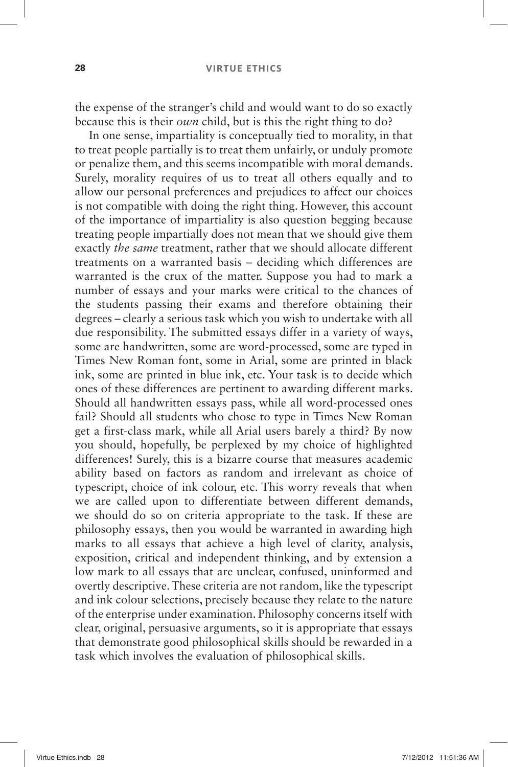the expense of the stranger's child and would want to do so exactly because this is their *own* child, but is this the right thing to do?

In one sense, impartiality is conceptually tied to morality, in that to treat people partially is to treat them unfairly, or unduly promote or penalize them, and this seems incompatible with moral demands. Surely, morality requires of us to treat all others equally and to allow our personal preferences and prejudices to affect our choices is not compatible with doing the right thing. However, this account of the importance of impartiality is also question begging because treating people impartially does not mean that we should give them exactly *the same* treatment, rather that we should allocate different treatments on a warranted basis – deciding which differences are warranted is the crux of the matter. Suppose you had to mark a number of essays and your marks were critical to the chances of the students passing their exams and therefore obtaining their degrees –clearly a serious task which you wish to undertake with all due responsibility. The submitted essays differ in a variety of ways, some are handwritten, some are word-processed, some are typed in Times New Roman font, some in Arial, some are printed in black ink, some are printed in blue ink, etc. Your task is to decide which ones of these differences are pertinent to awarding different marks. Should all handwritten essays pass, while all word-processed ones fail? Should all students who chose to type in Times New Roman get a first-class mark, while all Arial users barely a third? By now you should, hopefully, be perplexed by my choice of highlighted differences! Surely, this is a bizarre course that measures academic ability based on factors as random and irrelevant as choice of typescript, choice of ink colour, etc. This worry reveals that when we are called upon to differentiate between different demands, we should do so on criteria appropriate to the task. If these are philosophy essays, then you would be warranted in awarding high marks to all essays that achieve a high level of clarity, analysis, exposition, critical and independent thinking, and by extension a low mark to all essays that are unclear, confused, uninformed and overtly descriptive. These criteria are not random, like the typescript and ink colour selections, precisely because they relate to the nature of the enterprise under examination. Philosophy concerns itself with clear, original, persuasive arguments, so it is appropriate that essays that demonstrate good philosophical skills should be rewarded in a task which involves the evaluation of philosophical skills.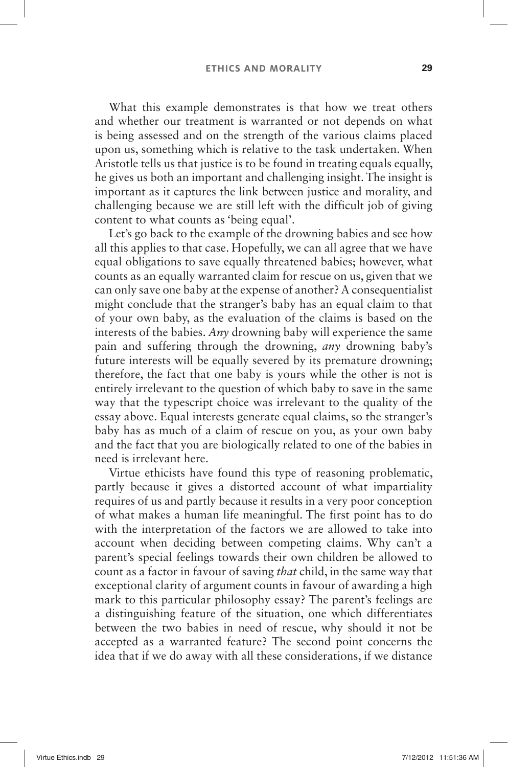What this example demonstrates is that how we treat others and whether our treatment is warranted or not depends on what is being assessed and on the strength of the various claims placed upon us, something which is relative to the task undertaken. When Aristotle tells us that justice is to be found in treating equals equally, he gives us both an important and challenging insight. The insight is important as it captures the link between justice and morality, and challenging because we are still left with the difficult job of giving content to what counts as 'being equal'.

Let's go back to the example of the drowning babies and see how all this applies to that case. Hopefully, we can all agree that we have equal obligations to save equally threatened babies; however, what counts as an equally warranted claim for rescue on us, given that we can only save one baby at the expense of another? A consequentialist might conclude that the stranger's baby has an equal claim to that of your own baby, as the evaluation of the claims is based on the interests of the babies. *Any* drowning baby will experience the same pain and suffering through the drowning, *any* drowning baby's future interests will be equally severed by its premature drowning; therefore, the fact that one baby is yours while the other is not is entirely irrelevant to the question of which baby to save in the same way that the typescript choice was irrelevant to the quality of the essay above. Equal interests generate equal claims, so the stranger's baby has as much of a claim of rescue on you, as your own baby and the fact that you are biologically related to one of the babies in need is irrelevant here.

Virtue ethicists have found this type of reasoning problematic, partly because it gives a distorted account of what impartiality requires of us and partly because it results in a very poor conception of what makes a human life meaningful. The first point has to do with the interpretation of the factors we are allowed to take into account when deciding between competing claims. Why can't a parent's special feelings towards their own children be allowed to count as a factor in favour of saving *that* child, in the same way that exceptional clarity of argument counts in favour of awarding a high mark to this particular philosophy essay? The parent's feelings are a distinguishing feature of the situation, one which differentiates between the two babies in need of rescue, why should it not be accepted as a warranted feature? The second point concerns the idea that if we do away with all these considerations, if we distance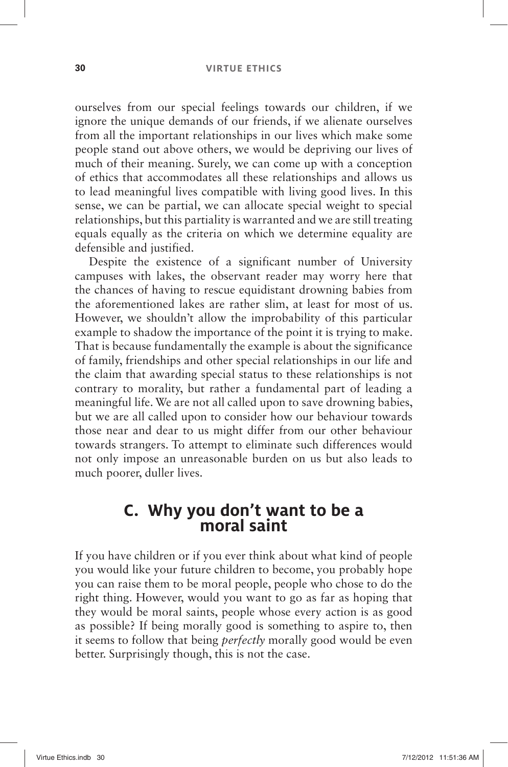ourselves from our special feelings towards our children, if we ignore the unique demands of our friends, if we alienate ourselves from all the important relationships in our lives which make some people stand out above others, we would be depriving our lives of much of their meaning. Surely, we can come up with a conception of ethics that accommodates all these relationships and allows us to lead meaningful lives compatible with living good lives. In this sense, we can be partial, we can allocate special weight to special relationships, but this partiality is warranted and we are still treating equals equally as the criteria on which we determine equality are defensible and justified.

Despite the existence of a significant number of University campuses with lakes, the observant reader may worry here that the chances of having to rescue equidistant drowning babies from the aforementioned lakes are rather slim, at least for most of us. However, we shouldn't allow the improbability of this particular example to shadow the importance of the point it is trying to make. That is because fundamentally the example is about the significance of family, friendships and other special relationships in our life and the claim that awarding special status to these relationships is not contrary to morality, but rather a fundamental part of leading a meaningful life. We are not all called upon to save drowning babies, but we are all called upon to consider how our behaviour towards those near and dear to us might differ from our other behaviour towards strangers. To attempt to eliminate such differences would not only impose an unreasonable burden on us but also leads to much poorer, duller lives.

#### **C.** Why you don't want to be a **moral saint**

If you have children or if you ever think about what kind of people you would like your future children to become, you probably hope you can raise them to be moral people, people who chose to do the right thing. However, would you want to go as far as hoping that they would be moral saints, people whose every action is as good as possible? If being morally good is something to aspire to, then it seems to follow that being *perfectly* morally good would be even better. Surprisingly though, this is not the case.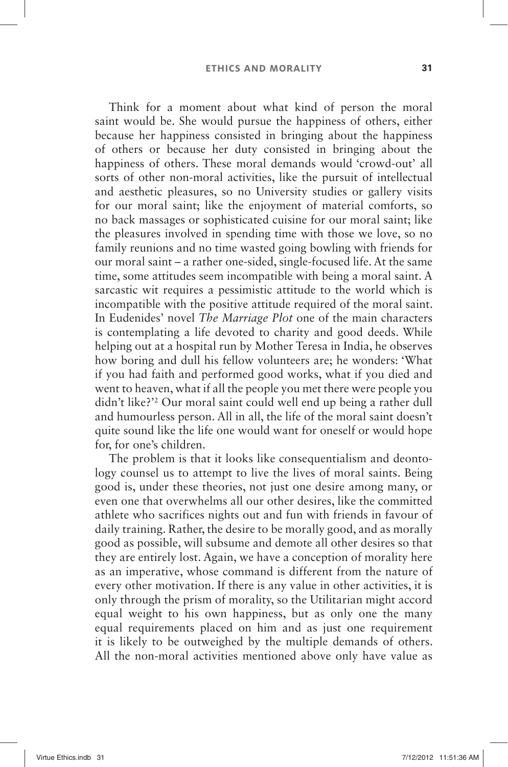Think for a moment about what kind of person the moral saint would be. She would pursue the happiness of others, either because her happiness consisted in bringing about the happiness of others or because her duty consisted in bringing about the happiness of others. These moral demands would 'crowd-out' all sorts of other non-moral activities, like the pursuit of intellectual and aesthetic pleasures, so no University studies or gallery visits for our moral saint; like the enjoyment of material comforts, so no back massages or sophisticated cuisine for our moral saint; like the pleasures involved in spending time with those we love, so no family reunions and no time wasted going bowling with friends for our moral saint –a rather one-sided, single-focused life. At the same time, some attitudes seem incompatible with being a moral saint. A sarcastic wit requires a pessimistic attitude to the world which is incompatible with the positive attitude required of the moral saint. In Eudenides' novel *The Marriage Plot* one of the main characters is contemplating a life devoted to charity and good deeds. While helping out at a hospital run by Mother Teresa in India, he observes how boring and dull his fellow volunteers are; he wonders: 'What if you had faith and performed good works, what if you died and went to heaven, what if all the people you met there were people you didn't like?<sup>32</sup> Our moral saint could well end up being a rather dull and humourless person. All in all, the life of the moral saint doesn't quite sound like the life one would want for oneself or would hope for, for one's children.

The problem is that it looks like consequentialism and deontology counsel us to attempt to live the lives of moral saints. Being good is, under these theories, not just one desire among many, or even one that overwhelms all our other desires, like the committed athlete who sacrifices nights out and fun with friends in favour of daily training. Rather, the desire to be morally good, and as morally good as possible, will subsume and demote all other desires so that they are entirely lost. Again, we have a conception of morality here as an imperative, whose command is different from the nature of every other motivation. If there is any value in other activities, it is only through the prism of morality, so the Utilitarian might accord equal weight to his own happiness, but as only one the many equal requirements placed on him and as just one requirement it is likely to be outweighed by the multiple demands of others. All the non-moral activities mentioned above only have value as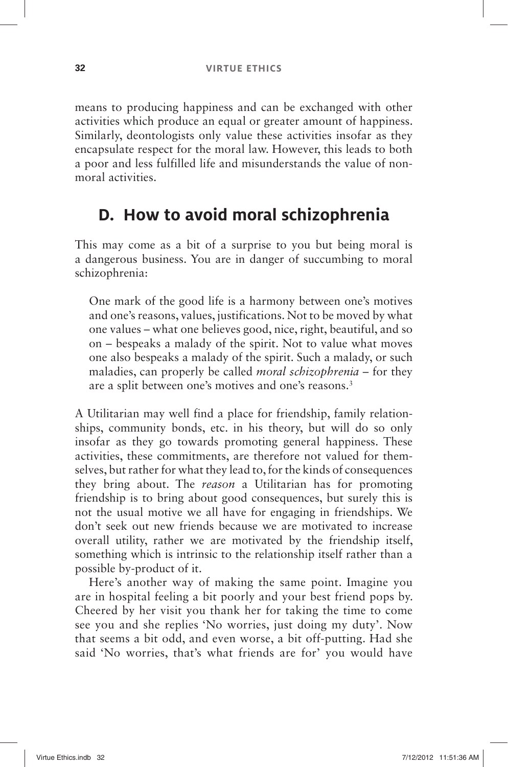means to producing happiness and can be exchanged with other activities which produce an equal or greater amount of happiness. Similarly, deontologists only value these activities insofar as they encapsulate respect for the moral law. However, this leads to both a poor and less fulfilled life and misunderstands the value of nonmoral activities.

## **D. How to avoid moral schizophrenia**

This may come as a bit of a surprise to you but being moral is a dangerous business. You are in danger of succumbing to moral schizophrenia:

One mark of the good life is a harmony between one's motives and one's reasons, values, justifications. Not to be moved by what one values –what one believes good, nice, right, beautiful, and so on –bespeaks a malady of the spirit. Not to value what moves one also bespeaks a malady of the spirit. Such a malady, or such maladies, can properly be called *moral schizophrenia* – for they are a split between one's motives and one's reasons.<sup>3</sup>

A Utilitarian may well find a place for friendship, family relationships, community bonds, etc. in his theory, but will do so only insofar as they go towards promoting general happiness. These activities, these commitments, are therefore not valued for themselves, but rather for what they lead to, for the kinds of consequences they bring about. The *reason* a Utilitarian has for promoting friendship is to bring about good consequences, but surely this is not the usual motive we all have for engaging in friendships. We don't seek out new friends because we are motivated to increase overall utility, rather we are motivated by the friendship itself, something which is intrinsic to the relationship itself rather than a possible by-product of it.

Here's another way of making the same point. Imagine you are in hospital feeling a bit poorly and your best friend pops by. Cheered by her visit you thank her for taking the time to come see you and she replies 'No worries, just doing my duty'. Now that seems a bit odd, and even worse, a bit off-putting. Had she said 'No worries, that's what friends are for' you would have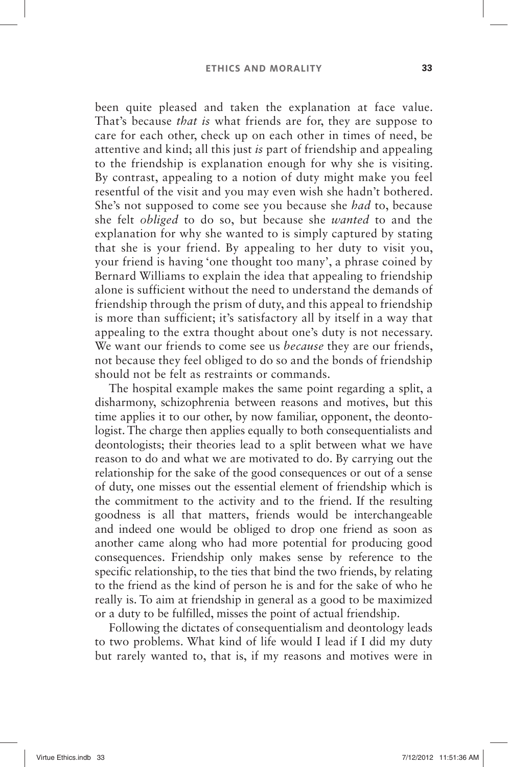been quite pleased and taken the explanation at face value. That's because *that is* what friends are for, they are suppose to care for each other, check up on each other in times of need, be attentive and kind; all this just *is* part of friendship and appealing to the friendship is explanation enough for why she is visiting. By contrast, appealing to a notion of duty might make you feel resentful of the visit and you may even wish she hadn't bothered. She's not supposed to come see you because she *had* to, because she felt *obliged* to do so, but because she *wanted* to and the explanation for why she wanted to is simply captured by stating that she is your friend. By appealing to her duty to visit you, your friend is having 'one thought too many', a phrase coined by Bernard Williams to explain the idea that appealing to friendship alone is sufficient without the need to understand the demands of friendship through the prism of duty, and this appeal to friendship is more than sufficient; it's satisfactory all by itself in a way that appealing to the extra thought about one's duty is not necessary. We want our friends to come see us *because* they are our friends, not because they feel obliged to do so and the bonds of friendship should not be felt as restraints or commands.

The hospital example makes the same point regarding a split, a disharmony, schizophrenia between reasons and motives, but this time applies it to our other, by now familiar, opponent, the deontologist. The charge then applies equally to both consequentialists and deontologists; their theories lead to a split between what we have reason to do and what we are motivated to do. By carrying out the relationship for the sake of the good consequences or out of a sense of duty, one misses out the essential element of friendship which is the commitment to the activity and to the friend. If the resulting goodness is all that matters, friends would be interchangeable and indeed one would be obliged to drop one friend as soon as another came along who had more potential for producing good consequences. Friendship only makes sense by reference to the specific relationship, to the ties that bind the two friends, by relating to the friend as the kind of person he is and for the sake of who he really is. To aim at friendship in general as a good to be maximized or a duty to be fulfilled, misses the point of actual friendship.

Following the dictates of consequentialism and deontology leads to two problems. What kind of life would I lead if I did my duty but rarely wanted to, that is, if my reasons and motives were in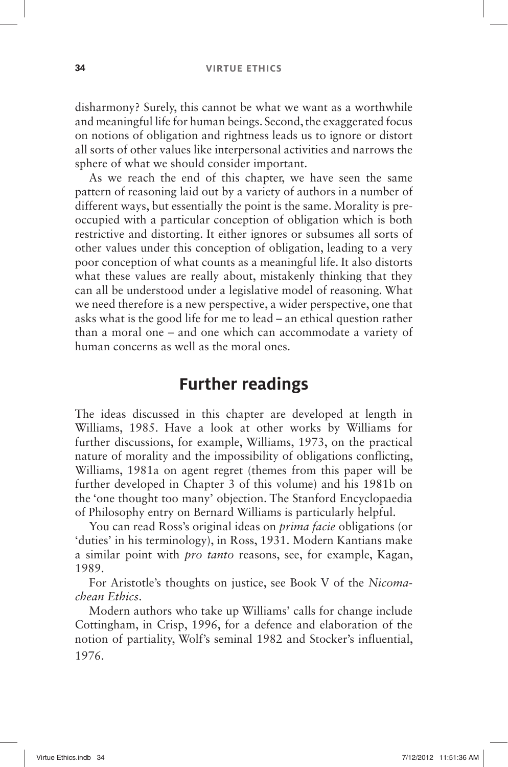disharmony? Surely, this cannot be what we want as a worthwhile and meaningful life for human beings. Second, the exaggerated focus on notions of obligation and rightness leads us to ignore or distort all sorts of other values like interpersonal activities and narrows the sphere of what we should consider important.

As we reach the end of this chapter, we have seen the same pattern of reasoning laid out by a variety of authors in a number of different ways, but essentially the point is the same. Morality is preoccupied with a particular conception of obligation which is both restrictive and distorting. It either ignores or subsumes all sorts of other values under this conception of obligation, leading to a very poor conception of what counts as a meaningful life. It also distorts what these values are really about, mistakenly thinking that they can all be understood under a legislative model of reasoning. What we need therefore is a new perspective, a wider perspective, one that asks what is the good life for me to lead –an ethical question rather than a moral one – and one which can accommodate a variety of human concerns as well as the moral ones.

## **Further readings**

The ideas discussed in this chapter are developed at length in Williams, 1985. Have a look at other works by Williams for further discussions, for example, Williams, 1973, on the practical nature of morality and the impossibility of obligations conflicting, Williams, 1981a on agent regret (themes from this paper will be further developed in Chapter 3 of this volume) and his 1981b on the 'one thought too many' objection. The Stanford Encyclopaedia of Philosophy entry on Bernard Williams is particularly helpful.

You can read Ross's original ideas on *prima facie* obligations (or ' duties 'in his terminology), in Ross, 1931. Modern Kantians make a similar point with *pro tanto* reasons, see, for example, Kagan, 1989.

For Aristotle's thoughts on justice, see Book V of the *Nicomachean Ethics*.

Modern authors who take up Williams' calls for change include Cottingham, in Crisp, 1996, for a defence and elaboration of the notion of partiality, Wolf's seminal 1982 and Stocker's influential, 1976.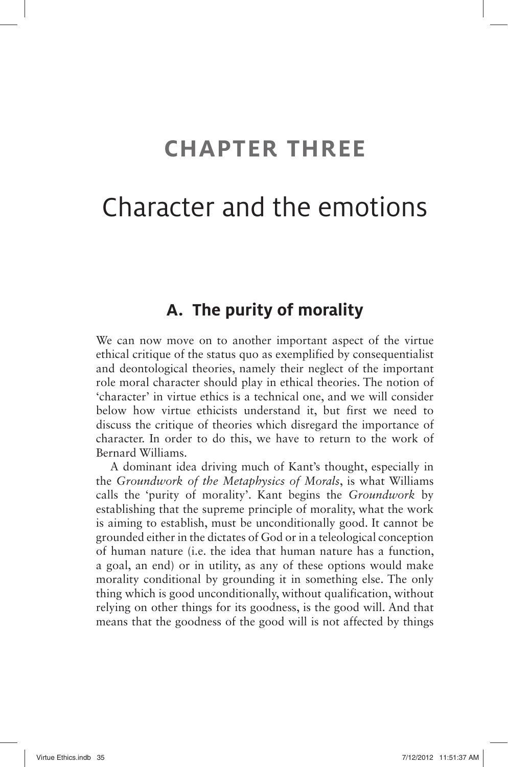# **CHAPTER THREE**

# Character and the emotions

#### **A. The purity of morality**

We can now move on to another important aspect of the virtue ethical critique of the status quo as exemplified by consequentialist and deontological theories, namely their neglect of the important role moral character should play in ethical theories. The notion of ' character' in virtue ethics is a technical one, and we will consider below how virtue ethicists understand it, but first we need to discuss the critique of theories which disregard the importance of character. In order to do this, we have to return to the work of Bernard Williams.

A dominant idea driving much of Kant's thought, especially in the *Groundwork of the Metaphysics of Morals*, is what Williams calls the 'purity of morality'. Kant begins the *Groundwork* by establishing that the supreme principle of morality, what the work is aiming to establish, must be unconditionally good. It cannot be grounded either in the dictates of God or in a teleological conception of human nature (i.e. the idea that human nature has a function, a goal, an end) or in utility, as any of these options would make morality conditional by grounding it in something else. The only thing which is good unconditionally, without qualification, without relying on other things for its goodness, is the good will. And that means that the goodness of the good will is not affected by things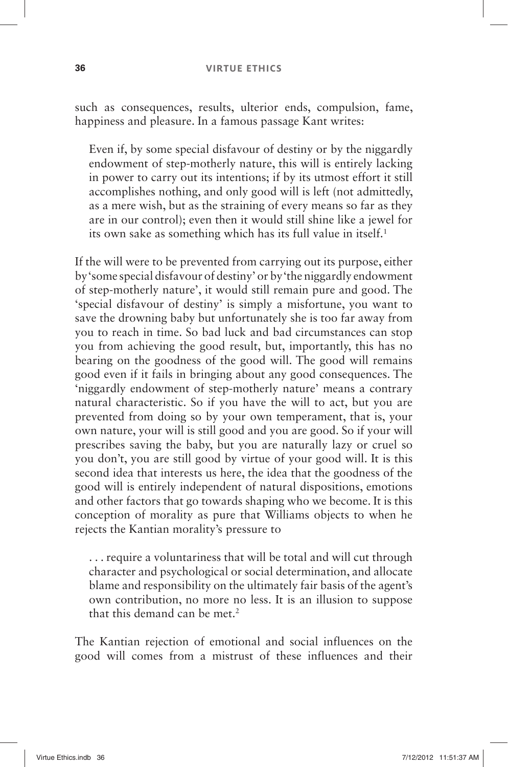#### **36 VIRTUE ETHICS**

such as consequences, results, ulterior ends, compulsion, fame, happiness and pleasure. In a famous passage Kant writes:

Even if, by some special disfavour of destiny or by the niggardly endowment of step-motherly nature, this will is entirely lacking in power to carry out its intentions; if by its utmost effort it still accomplishes nothing, and only good will is left (not admittedly, as a mere wish, but as the straining of every means so far as they are in our control); even then it would still shine like a jewel for its own sake as something which has its full value in itself.<sup>1</sup>

If the will were to be prevented from carrying out its purpose, either by ' some special disfavour of destiny 'or by ' the niggardly endowment of step-motherly nature', it would still remain pure and good. The ' special disfavour of destiny 'is simply a misfortune, you want to save the drowning baby but unfortunately she is too far away from you to reach in time. So bad luck and bad circumstances can stop you from achieving the good result, but, importantly, this has no bearing on the goodness of the good will. The good will remains good even if it fails in bringing about any good consequences. The 'niggardly endowment of step-motherly nature' means a contrary natural characteristic. So if you have the will to act, but you are prevented from doing so by your own temperament, that is, your own nature, your will is still good and you are good. So if your will prescribes saving the baby, but you are naturally lazy or cruel so you don't, you are still good by virtue of your good will. It is this second idea that interests us here, the idea that the goodness of the good will is entirely independent of natural dispositions, emotions and other factors that go towards shaping who we become. It is this conception of morality as pure that Williams objects to when he rejects the Kantian morality's pressure to

. . . require a voluntariness that will be total and will cut through character and psychological or social determination, and allocate blame and responsibility on the ultimately fair basis of the agent's own contribution, no more no less. It is an illusion to suppose that this demand can be met. 2

The Kantian rejection of emotional and social influences on the good will comes from a mistrust of these influences and their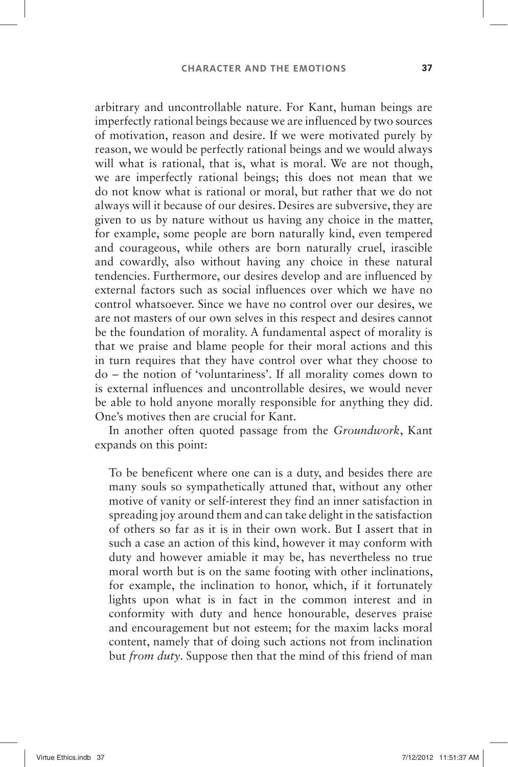arbitrary and uncontrollable nature. For Kant, human beings are imperfectly rational beings because we are influenced by two sources of motivation, reason and desire. If we were motivated purely by reason, we would be perfectly rational beings and we would always will what is rational, that is, what is moral. We are not though, we are imperfectly rational beings; this does not mean that we do not know what is rational or moral, but rather that we do not always will it because of our desires. Desires are subversive, they are given to us by nature without us having any choice in the matter, for example, some people are born naturally kind, even tempered and courageous, while others are born naturally cruel, irascible and cowardly, also without having any choice in these natural tendencies. Furthermore, our desires develop and are influenced by external factors such as social influences over which we have no control whatsoever. Since we have no control over our desires, we are not masters of our own selves in this respect and desires cannot be the foundation of morality. A fundamental aspect of morality is that we praise and blame people for their moral actions and this in turn requires that they have control over what they choose to do – the notion of 'voluntariness'. If all morality comes down to is external influences and uncontrollable desires, we would never be able to hold anyone morally responsible for anything they did. One's motives then are crucial for Kant.

In another often quoted passage from the *Groundwork*, Kant expands on this point:

To be beneficent where one can is a duty, and besides there are many souls so sympathetically attuned that, without any other motive of vanity or self-interest they find an inner satisfaction in spreading joy around them and can take delight in the satisfaction of others so far as it is in their own work. But I assert that in such a case an action of this kind, however it may conform with duty and however amiable it may be, has nevertheless no true moral worth but is on the same footing with other inclinations, for example, the inclination to honor, which, if it fortunately lights upon what is in fact in the common interest and in conformity with duty and hence honourable, deserves praise and encouragement but not esteem; for the maxim lacks moral content, namely that of doing such actions not from inclination but *from duty*. Suppose then that the mind of this friend of man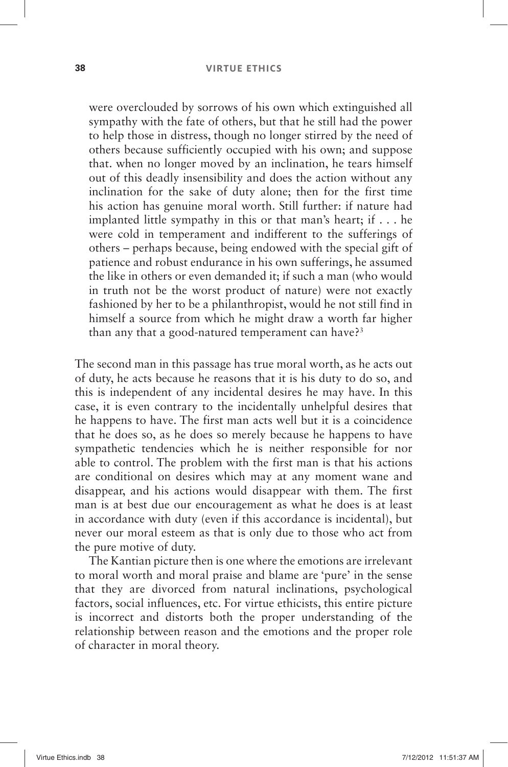#### **38 VIRTUE ETHICS**

were overclouded by sorrows of his own which extinguished all sympathy with the fate of others, but that he still had the power to help those in distress, though no longer stirred by the need of others because sufficiently occupied with his own; and suppose that. when no longer moved by an inclination, he tears himself out of this deadly insensibility and does the action without any inclination for the sake of duty alone; then for the first time his action has genuine moral worth. Still further: if nature had implanted little sympathy in this or that man's heart; if  $\dots$  he were cold in temperament and indifferent to the sufferings of others –perhaps because, being endowed with the special gift of patience and robust endurance in his own sufferings, he assumed the like in others or even demanded it; if such a man (who would in truth not be the worst product of nature) were not exactly fashioned by her to be a philanthropist, would he not still find in himself a source from which he might draw a worth far higher than any that a good-natured temperament can have?<sup>3</sup>

The second man in this passage has true moral worth, as he acts out of duty, he acts because he reasons that it is his duty to do so, and this is independent of any incidental desires he may have. In this case, it is even contrary to the incidentally unhelpful desires that he happens to have. The first man acts well but it is a coincidence that he does so, as he does so merely because he happens to have sympathetic tendencies which he is neither responsible for nor able to control. The problem with the first man is that his actions are conditional on desires which may at any moment wane and disappear, and his actions would disappear with them. The first man is at best due our encouragement as what he does is at least in accordance with duty (even if this accordance is incidental), but never our moral esteem as that is only due to those who act from the pure motive of duty.

The Kantian picture then is one where the emotions are irrelevant to moral worth and moral praise and blame are 'pure' in the sense that they are divorced from natural inclinations, psychological factors, social influences, etc. For virtue ethicists, this entire picture is incorrect and distorts both the proper understanding of the relationship between reason and the emotions and the proper role of character in moral theory.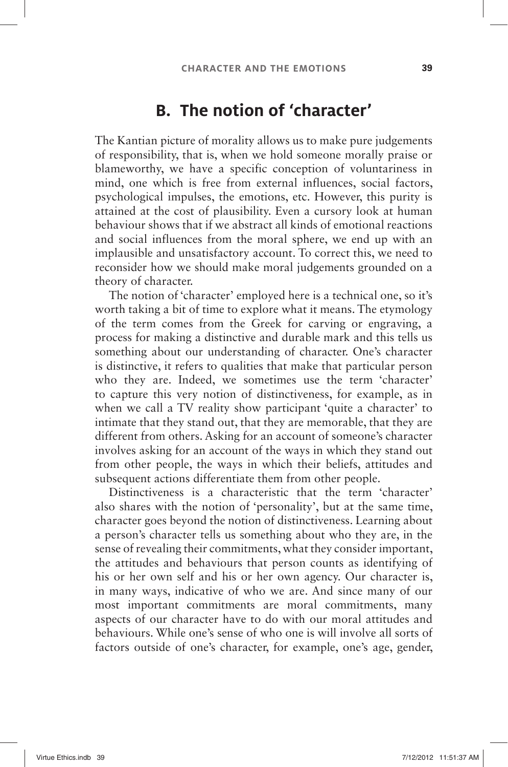## **B.** The notion of 'character'

The Kantian picture of morality allows us to make pure judgements of responsibility, that is, when we hold someone morally praise or blameworthy, we have a specific conception of voluntariness in mind, one which is free from external influences, social factors, psychological impulses, the emotions, etc. However, this purity is attained at the cost of plausibility. Even a cursory look at human behaviour shows that if we abstract all kinds of emotional reactions and social influences from the moral sphere, we end up with an implausible and unsatisfactory account. To correct this, we need to reconsider how we should make moral judgements grounded on a theory of character.

The notion of 'character' employed here is a technical one, so it's worth taking a bit of time to explore what it means. The etymology of the term comes from the Greek for carving or engraving, a process for making a distinctive and durable mark and this tells us something about our understanding of character. One's character is distinctive, it refers to qualities that make that particular person who they are. Indeed, we sometimes use the term 'character' to capture this very notion of distinctiveness, for example, as in when we call a TV reality show participant 'quite a character' to intimate that they stand out, that they are memorable, that they are different from others. Asking for an account of someone's character involves asking for an account of the ways in which they stand out from other people, the ways in which their beliefs, attitudes and subsequent actions differentiate them from other people.

Distinctiveness is a characteristic that the term 'character' also shares with the notion of 'personality', but at the same time, character goes beyond the notion of distinctiveness. Learning about a person's character tells us something about who they are, in the sense of revealing their commitments, what they consider important, the attitudes and behaviours that person counts as identifying of his or her own self and his or her own agency. Our character is, in many ways, indicative of who we are. And since many of our most important commitments are moral commitments, many aspects of our character have to do with our moral attitudes and behaviours. While one's sense of who one is will involve all sorts of factors outside of one's character, for example, one's age, gender,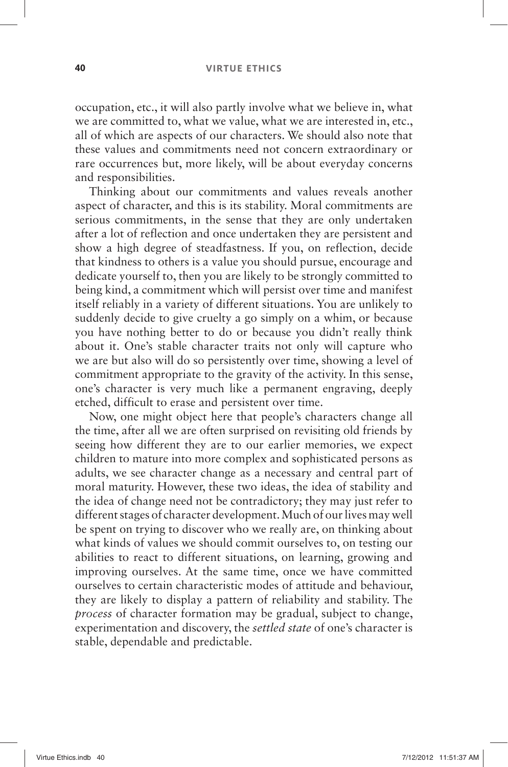#### **40 VIRTUE ETHICS**

occupation, etc., it will also partly involve what we believe in, what we are committed to, what we value, what we are interested in, etc., all of which are aspects of our characters. We should also note that these values and commitments need not concern extraordinary or rare occurrences but, more likely, will be about everyday concerns and responsibilities.

Thinking about our commitments and values reveals another aspect of character, and this is its stability. Moral commitments are serious commitments, in the sense that they are only undertaken after a lot of reflection and once undertaken they are persistent and show a high degree of steadfastness. If you, on reflection, decide that kindness to others is a value you should pursue, encourage and dedicate yourself to, then you are likely to be strongly committed to being kind, a commitment which will persist over time and manifest itself reliably in a variety of different situations. You are unlikely to suddenly decide to give cruelty a go simply on a whim, or because you have nothing better to do or because you didn't really think about it. One's stable character traits not only will capture who we are but also will do so persistently over time, showing a level of commitment appropriate to the gravity of the activity. In this sense, one's character is very much like a permanent engraving, deeply etched, difficult to erase and persistent over time.

Now, one might object here that people's characters change all the time, after all we are often surprised on revisiting old friends by seeing how different they are to our earlier memories, we expect children to mature into more complex and sophisticated persons as adults, we see character change as a necessary and central part of moral maturity. However, these two ideas, the idea of stability and the idea of change need not be contradictory; they may just refer to different stages of character development. Much of our lives may well be spent on trying to discover who we really are, on thinking about what kinds of values we should commit ourselves to, on testing our abilities to react to different situations, on learning, growing and improving ourselves. At the same time, once we have committed ourselves to certain characteristic modes of attitude and behaviour, they are likely to display a pattern of reliability and stability. The *process* of character formation may be gradual, subject to change, experimentation and discovery, the *settled state* of one's character is stable, dependable and predictable.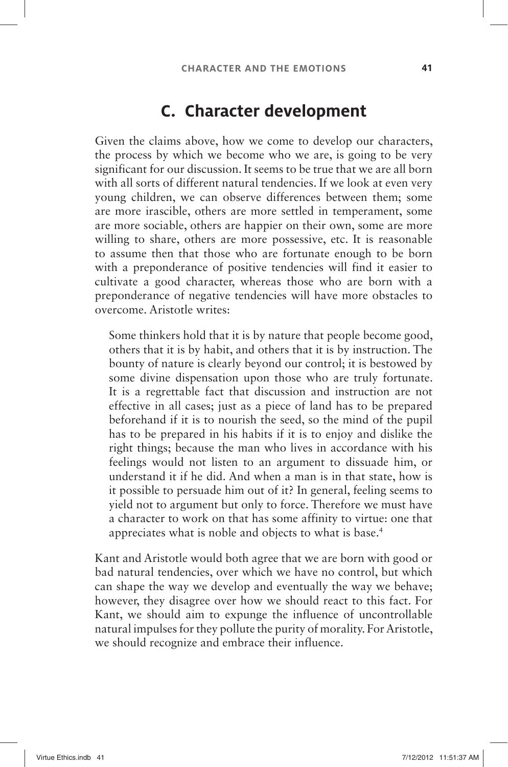#### **C. Character development**

Given the claims above, how we come to develop our characters, the process by which we become who we are, is going to be very significant for our discussion. It seems to be true that we are all born with all sorts of different natural tendencies. If we look at even very young children, we can observe differences between them; some are more irascible, others are more settled in temperament, some are more sociable, others are happier on their own, some are more willing to share, others are more possessive, etc. It is reasonable to assume then that those who are fortunate enough to be born with a preponderance of positive tendencies will find it easier to cultivate a good character, whereas those who are born with a preponderance of negative tendencies will have more obstacles to overcome. Aristotle writes:

Some thinkers hold that it is by nature that people become good, others that it is by habit, and others that it is by instruction. The bounty of nature is clearly beyond our control; it is bestowed by some divine dispensation upon those who are truly fortunate. It is a regrettable fact that discussion and instruction are not effective in all cases; just as a piece of land has to be prepared beforehand if it is to nourish the seed, so the mind of the pupil has to be prepared in his habits if it is to enjoy and dislike the right things; because the man who lives in accordance with his feelings would not listen to an argument to dissuade him, or understand it if he did. And when a man is in that state, how is it possible to persuade him out of it? In general, feeling seems to yield not to argument but only to force. Therefore we must have a character to work on that has some affinity to virtue: one that appreciates what is noble and objects to what is base. 4

Kant and Aristotle would both agree that we are born with good or bad natural tendencies, over which we have no control, but which can shape the way we develop and eventually the way we behave; however, they disagree over how we should react to this fact. For Kant, we should aim to expunge the influence of uncontrollable natural impulses for they pollute the purity of morality. For Aristotle, we should recognize and embrace their influence.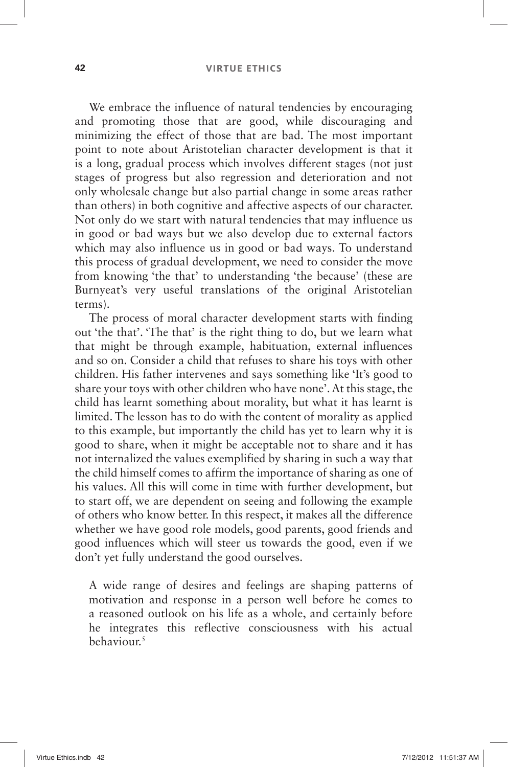We embrace the influence of natural tendencies by encouraging and promoting those that are good, while discouraging and minimizing the effect of those that are bad. The most important point to note about Aristotelian character development is that it is a long, gradual process which involves different stages (not just stages of progress but also regression and deterioration and not only wholesale change but also partial change in some areas rather than others) in both cognitive and affective aspects of our character. Not only do we start with natural tendencies that may influence us in good or bad ways but we also develop due to external factors which may also influence us in good or bad ways. To understand this process of gradual development, we need to consider the move from knowing 'the that' to understanding 'the because' (these are Burnyeat's very useful translations of the original Aristotelian terms).

The process of moral character development starts with finding out 'the that'. The that' is the right thing to do, but we learn what that might be through example, habituation, external influences and so on. Consider a child that refuses to share his toys with other children. His father intervenes and says something like 'It's good to share your toys with other children who have none'. At this stage, the child has learnt something about morality, but what it has learnt is limited. The lesson has to do with the content of morality as applied to this example, but importantly the child has yet to learn why it is good to share, when it might be acceptable not to share and it has not internalized the values exemplified by sharing in such a way that the child himself comes to affirm the importance of sharing as one of his values. All this will come in time with further development, but to start off, we are dependent on seeing and following the example of others who know better. In this respect, it makes all the difference whether we have good role models, good parents, good friends and good influences which will steer us towards the good, even if we don't yet fully understand the good ourselves.

A wide range of desires and feelings are shaping patterns of motivation and response in a person well before he comes to a reasoned outlook on his life as a whole, and certainly before he integrates this reflective consciousness with his actual behaviour. $5$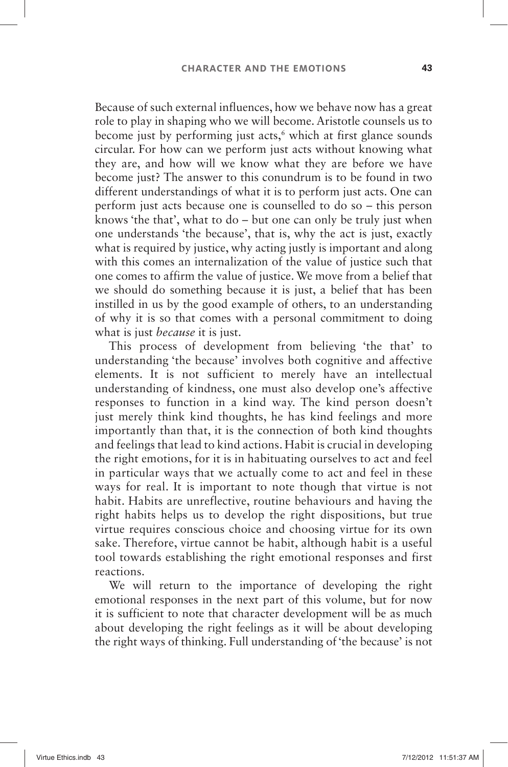Because of such external influences, how we behave now has a great role to play in shaping who we will become. Aristotle counsels us to become just by performing just acts,<sup>6</sup> which at first glance sounds circular. For how can we perform just acts without knowing what they are, and how will we know what they are before we have become just? The answer to this conundrum is to be found in two different understandings of what it is to perform just acts. One can perform just acts because one is counselled to do so – this person knows 'the that', what to do  $-$  but one can only be truly just when one understands 'the because', that is, why the act is just, exactly what is required by justice, why acting justly is important and along with this comes an internalization of the value of justice such that one comes to affirm the value of justice. We move from a belief that we should do something because it is just, a belief that has been instilled in us by the good example of others, to an understanding of why it is so that comes with a personal commitment to doing what is just *because* it is just.

This process of development from believing 'the that' to understanding 'the because' involves both cognitive and affective elements. It is not sufficient to merely have an intellectual understanding of kindness, one must also develop one's affective responses to function in a kind way. The kind person doesn't just merely think kind thoughts, he has kind feelings and more importantly than that, it is the connection of both kind thoughts and feelings that lead to kind actions. Habit is crucial in developing the right emotions, for it is in habituating ourselves to act and feel in particular ways that we actually come to act and feel in these ways for real. It is important to note though that virtue is not habit. Habits are unreflective, routine behaviours and having the right habits helps us to develop the right dispositions, but true virtue requires conscious choice and choosing virtue for its own sake. Therefore, virtue cannot be habit, although habit is a useful tool towards establishing the right emotional responses and first reactions.

We will return to the importance of developing the right emotional responses in the next part of this volume, but for now it is sufficient to note that character development will be as much about developing the right feelings as it will be about developing the right ways of thinking. Full understanding of 'the because' is not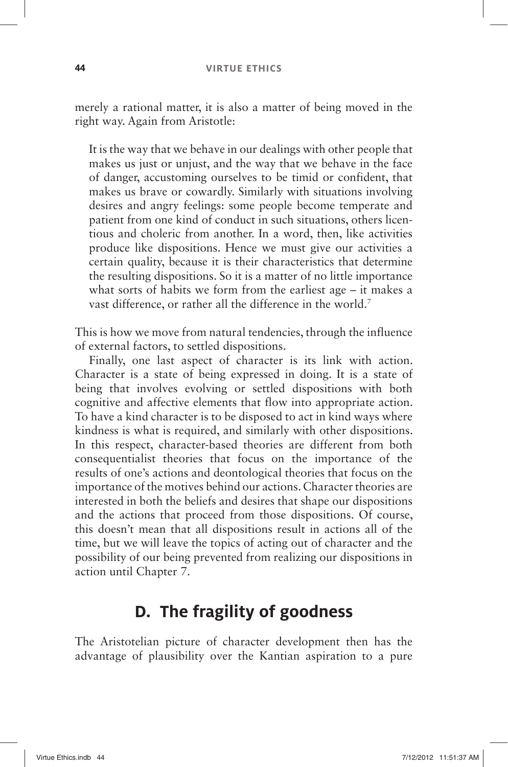merely a rational matter, it is also a matter of being moved in the right way. Again from Aristotle:

It is the way that we behave in our dealings with other people that makes us just or unjust, and the way that we behave in the face of danger, accustoming ourselves to be timid or confident, that makes us brave or cowardly. Similarly with situations involving desires and angry feelings: some people become temperate and patient from one kind of conduct in such situations, others licentious and choleric from another. In a word, then, like activities produce like dispositions. Hence we must give our activities a certain quality, because it is their characteristics that determine the resulting dispositions. So it is a matter of no little importance what sorts of habits we form from the earliest age  $-$  it makes a vast difference, or rather all the difference in the world.<sup>7</sup>

This is how we move from natural tendencies, through the influence of external factors, to settled dispositions.

Finally, one last aspect of character is its link with action. Character is a state of being expressed in doing. It is a state of being that involves evolving or settled dispositions with both cognitive and affective elements that flow into appropriate action. To have a kind character is to be disposed to act in kind ways where kindness is what is required, and similarly with other dispositions. In this respect, character-based theories are different from both consequentialist theories that focus on the importance of the results of one's actions and deontological theories that focus on the importance of the motives behind our actions. Character theories are interested in both the beliefs and desires that shape our dispositions and the actions that proceed from those dispositions. Of course, this doesn't mean that all dispositions result in actions all of the time, but we will leave the topics of acting out of character and the possibility of our being prevented from realizing our dispositions in action until Chapter 7.

#### **D. The fragility of goodness**

The Aristotelian picture of character development then has the advantage of plausibility over the Kantian aspiration to a pure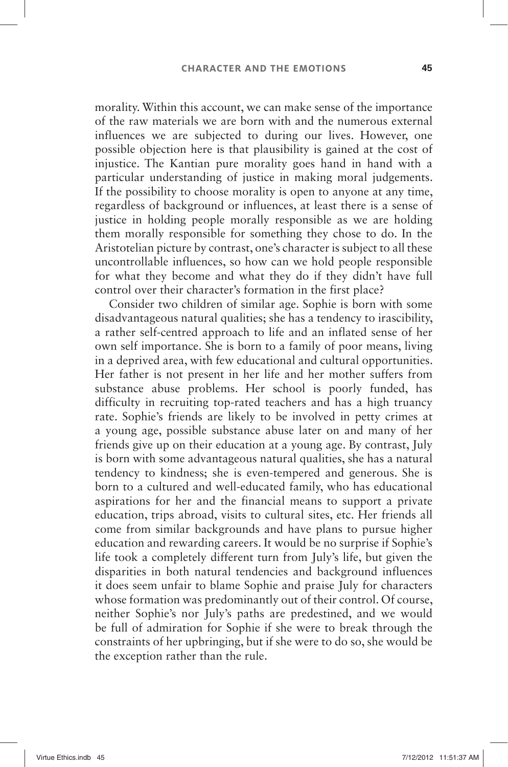morality. Within this account, we can make sense of the importance of the raw materials we are born with and the numerous external influences we are subjected to during our lives. However, one possible objection here is that plausibility is gained at the cost of injustice. The Kantian pure morality goes hand in hand with a particular understanding of justice in making moral judgements. If the possibility to choose morality is open to anyone at any time, regardless of background or influences, at least there is a sense of justice in holding people morally responsible as we are holding them morally responsible for something they chose to do. In the Aristotelian picture by contrast, one's character is subject to all these uncontrollable influences, so how can we hold people responsible for what they become and what they do if they didn't have full control over their character's formation in the first place?

Consider two children of similar age. Sophie is born with some disadvantageous natural qualities; she has a tendency to irascibility, a rather self-centred approach to life and an inflated sense of her own self importance. She is born to a family of poor means, living in a deprived area, with few educational and cultural opportunities. Her father is not present in her life and her mother suffers from substance abuse problems. Her school is poorly funded, has difficulty in recruiting top-rated teachers and has a high truancy rate. Sophie's friends are likely to be involved in petty crimes at a young age, possible substance abuse later on and many of her friends give up on their education at a young age. By contrast, July is born with some advantageous natural qualities, she has a natural tendency to kindness; she is even-tempered and generous. She is born to a cultured and well-educated family, who has educational aspirations for her and the financial means to support a private education, trips abroad, visits to cultural sites, etc. Her friends all come from similar backgrounds and have plans to pursue higher education and rewarding careers. It would be no surprise if Sophie's life took a completely different turn from July's life, but given the disparities in both natural tendencies and background influences it does seem unfair to blame Sophie and praise July for characters whose formation was predominantly out of their control. Of course, neither Sophie's nor July's paths are predestined, and we would be full of admiration for Sophie if she were to break through the constraints of her upbringing, but if she were to do so, she would be the exception rather than the rule.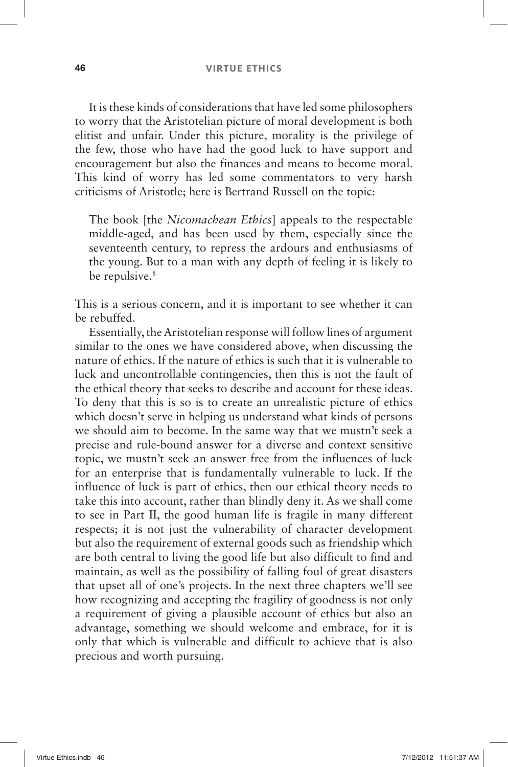It is these kinds of considerations that have led some philosophers to worry that the Aristotelian picture of moral development is both elitist and unfair. Under this picture, morality is the privilege of the few, those who have had the good luck to have support and encouragement but also the finances and means to become moral. This kind of worry has led some commentators to very harsh criticisms of Aristotle; here is Bertrand Russell on the topic:

The book [the *Nicomachean Ethics*] appeals to the respectable middle-aged, and has been used by them, especially since the seventeenth century, to repress the ardours and enthusiasms of the young. But to a man with any depth of feeling it is likely to be repulsive.<sup>8</sup>

This is a serious concern, and it is important to see whether it can be rebuffed.

Essentially, the Aristotelian response will follow lines of argument similar to the ones we have considered above, when discussing the nature of ethics. If the nature of ethics is such that it is vulnerable to luck and uncontrollable contingencies, then this is not the fault of the ethical theory that seeks to describe and account for these ideas. To deny that this is so is to create an unrealistic picture of ethics which doesn't serve in helping us understand what kinds of persons we should aim to become. In the same way that we mustn't seek a precise and rule-bound answer for a diverse and context sensitive topic, we mustn't seek an answer free from the influences of luck for an enterprise that is fundamentally vulnerable to luck. If the influence of luck is part of ethics, then our ethical theory needs to take this into account, rather than blindly deny it. As we shall come to see in Part II, the good human life is fragile in many different respects; it is not just the vulnerability of character development but also the requirement of external goods such as friendship which are both central to living the good life but also difficult to find and maintain, as well as the possibility of falling foul of great disasters that upset all of one's projects. In the next three chapters we'll see how recognizing and accepting the fragility of goodness is not only a requirement of giving a plausible account of ethics but also an advantage, something we should welcome and embrace, for it is only that which is vulnerable and difficult to achieve that is also precious and worth pursuing.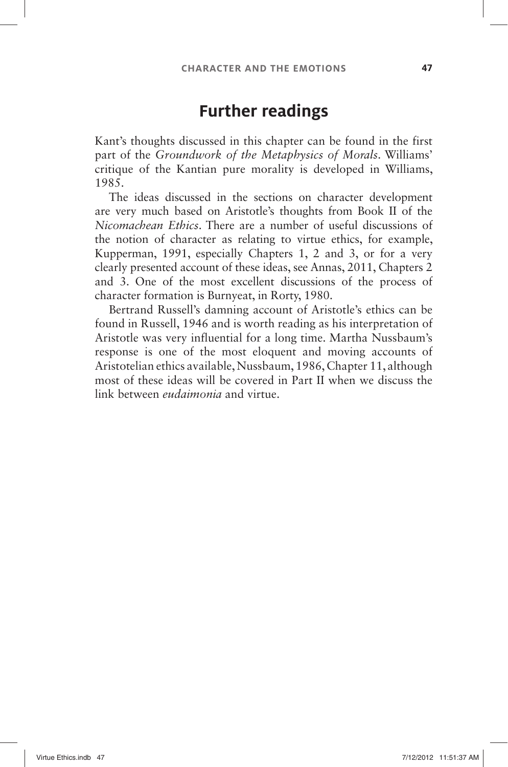#### **Further readings**

Kant's thoughts discussed in this chapter can be found in the first part of the *Groundwork of the Metaphysics of Morals*. Williams' critique of the Kantian pure morality is developed in Williams, 1985.

The ideas discussed in the sections on character development are very much based on Aristotle's thoughts from Book II of the *Nicomachean Ethics*. There are a number of useful discussions of the notion of character as relating to virtue ethics, for example, Kupperman, 1991, especially Chapters 1, 2 and 3, or for a very clearly presented account of these ideas, see Annas, 2011, Chapters 2 and 3. One of the most excellent discussions of the process of character formation is Burnyeat, in Rorty, 1980.

Bertrand Russell's damning account of Aristotle's ethics can be found in Russell, 1946 and is worth reading as his interpretation of Aristotle was very influential for a long time. Martha Nussbaum's response is one of the most eloquent and moving accounts of Aristotelian ethics available, Nussbaum, 1986, Chapter 11, although most of these ideas will be covered in Part II when we discuss the link between *eudaimonia* and virtue.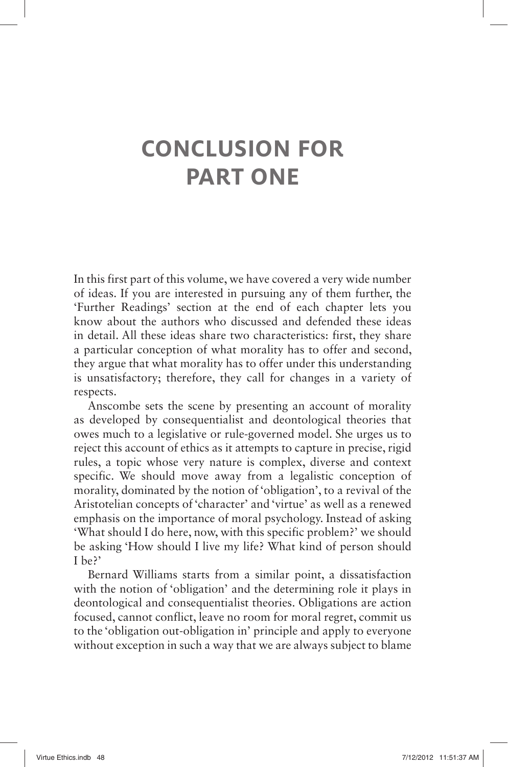# **CONCLUSION FOR PART ONE**

In this first part of this volume, we have covered a very wide number of ideas. If you are interested in pursuing any of them further, the 'Further Readings' section at the end of each chapter lets you know about the authors who discussed and defended these ideas in detail. All these ideas share two characteristics: first, they share a particular conception of what morality has to offer and second, they argue that what morality has to offer under this understanding is unsatisfactory; therefore, they call for changes in a variety of respects.

Anscombe sets the scene by presenting an account of morality as developed by consequentialist and deontological theories that owes much to a legislative or rule-governed model. She urges us to reject this account of ethics as it attempts to capture in precise, rigid rules, a topic whose very nature is complex, diverse and context specific. We should move away from a legalistic conception of morality, dominated by the notion of 'obligation', to a revival of the Aristotelian concepts of 'character' and 'virtue' as well as a renewed emphasis on the importance of moral psychology. Instead of asking ' What should I do here, now, with this specific problem? 'we should be asking 'How should I live my life? What kind of person should I be?'

Bernard Williams starts from a similar point, a dissatisfaction with the notion of 'obligation' and the determining role it plays in deontological and consequentialist theories. Obligations are action focused, cannot conflict, leave no room for moral regret, commit us to the 'obligation out-obligation in' principle and apply to everyone without exception in such a way that we are always subject to blame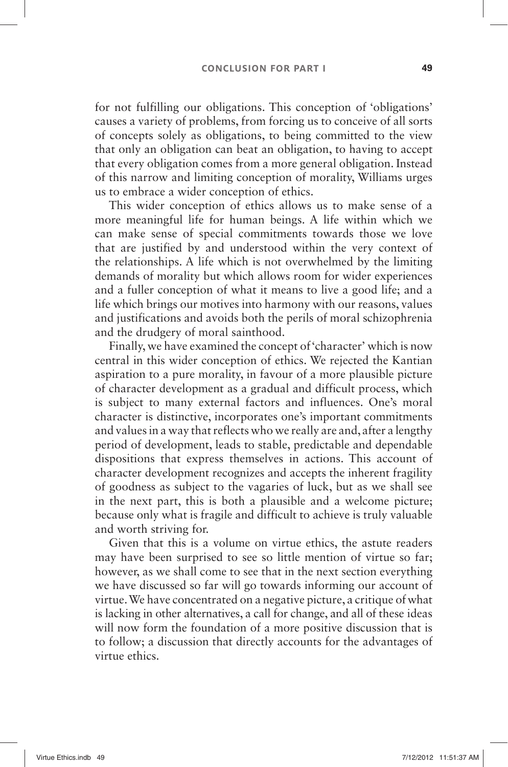for not fulfilling our obligations. This conception of 'obligations' causes a variety of problems, from forcing us to conceive of all sorts of concepts solely as obligations, to being committed to the view that only an obligation can beat an obligation, to having to accept that every obligation comes from a more general obligation. Instead of this narrow and limiting conception of morality, Williams urges us to embrace a wider conception of ethics.

This wider conception of ethics allows us to make sense of a more meaningful life for human beings. A life within which we can make sense of special commitments towards those we love that are justified by and understood within the very context of the relationships. A life which is not overwhelmed by the limiting demands of morality but which allows room for wider experiences and a fuller conception of what it means to live a good life; and a life which brings our motives into harmony with our reasons, values and justifications and avoids both the perils of moral schizophrenia and the drudgery of moral sainthood.

Finally, we have examined the concept of 'character' which is now central in this wider conception of ethics. We rejected the Kantian aspiration to a pure morality, in favour of a more plausible picture of character development as a gradual and difficult process, which is subject to many external factors and influences. One's moral character is distinctive, incorporates one's important commitments and values in a way that reflects who we really are and, after a lengthy period of development, leads to stable, predictable and dependable dispositions that express themselves in actions. This account of character development recognizes and accepts the inherent fragility of goodness as subject to the vagaries of luck, but as we shall see in the next part, this is both a plausible and a welcome picture; because only what is fragile and difficult to achieve is truly valuable and worth striving for.

Given that this is a volume on virtue ethics, the astute readers may have been surprised to see so little mention of virtue so far; however, as we shall come to see that in the next section everything we have discussed so far will go towards informing our account of virtue. We have concentrated on a negative picture, a critique of what is lacking in other alternatives, a call for change, and all of these ideas will now form the foundation of a more positive discussion that is to follow; a discussion that directly accounts for the advantages of virtue ethics.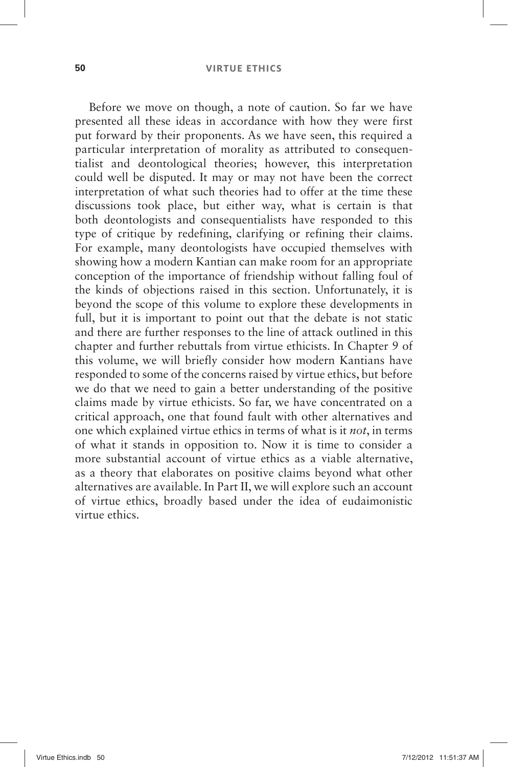Before we move on though, a note of caution. So far we have presented all these ideas in accordance with how they were first put forward by their proponents. As we have seen, this required a particular interpretation of morality as attributed to consequentialist and deontological theories; however, this interpretation could well be disputed. It may or may not have been the correct interpretation of what such theories had to offer at the time these discussions took place, but either way, what is certain is that both deontologists and consequentialists have responded to this type of critique by redefining, clarifying or refining their claims. For example, many deontologists have occupied themselves with showing how a modern Kantian can make room for an appropriate conception of the importance of friendship without falling foul of the kinds of objections raised in this section. Unfortunately, it is beyond the scope of this volume to explore these developments in full, but it is important to point out that the debate is not static and there are further responses to the line of attack outlined in this chapter and further rebuttals from virtue ethicists. In Chapter 9 of this volume, we will briefly consider how modern Kantians have responded to some of the concerns raised by virtue ethics, but before we do that we need to gain a better understanding of the positive claims made by virtue ethicists. So far, we have concentrated on a critical approach, one that found fault with other alternatives and one which explained virtue ethics in terms of what is it *not*, in terms of what it stands in opposition to. Now it is time to consider a more substantial account of virtue ethics as a viable alternative, as a theory that elaborates on positive claims beyond what other alternatives are available. In Part II, we will explore such an account of virtue ethics, broadly based under the idea of eudaimonistic virtue ethics.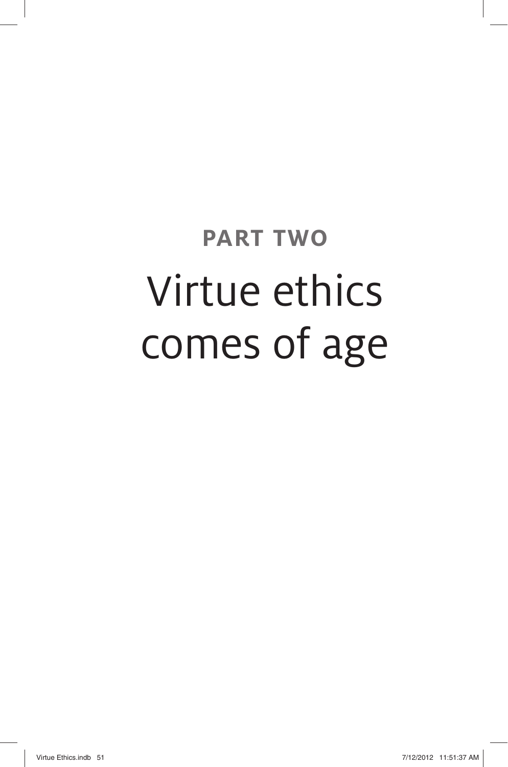# **PART TWO**  Virtue ethics comes of age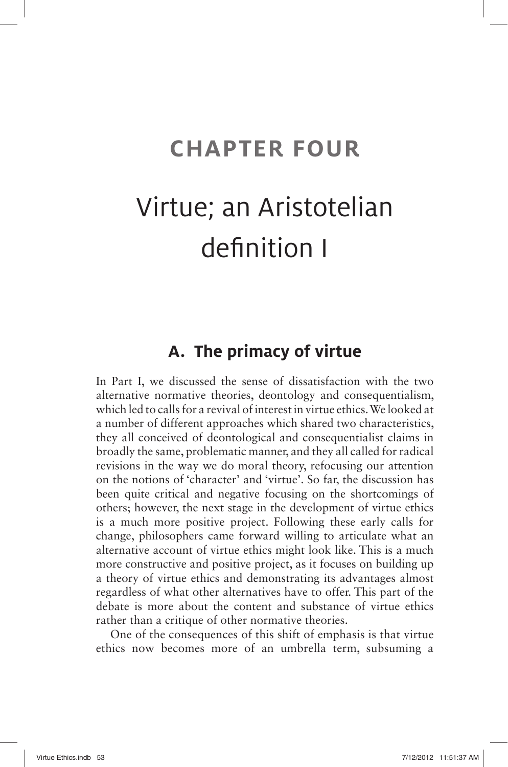## **CHAPTER FOUR**

# Virtue; an Aristotelian definition I

## **A. The primacy of virtue**

In Part I, we discussed the sense of dissatisfaction with the two alternative normative theories, deontology and consequentialism, which led to calls for a revival of interest in virtue ethics. We looked at a number of different approaches which shared two characteristics, they all conceived of deontological and consequentialist claims in broadly the same, problematic manner, and they all called for radical revisions in the way we do moral theory, refocusing our attention on the notions of 'character' and 'virtue'. So far, the discussion has been quite critical and negative focusing on the shortcomings of others; however, the next stage in the development of virtue ethics is a much more positive project. Following these early calls for change, philosophers came forward willing to articulate what an alternative account of virtue ethics might look like. This is a much more constructive and positive project, as it focuses on building up a theory of virtue ethics and demonstrating its advantages almost regardless of what other alternatives have to offer. This part of the debate is more about the content and substance of virtue ethics rather than a critique of other normative theories.

One of the consequences of this shift of emphasis is that virtue ethics now becomes more of an umbrella term, subsuming a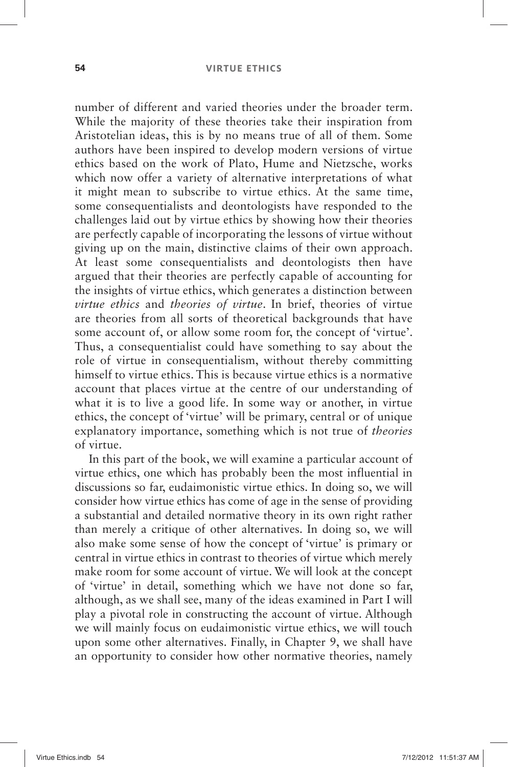number of different and varied theories under the broader term. While the majority of these theories take their inspiration from Aristotelian ideas, this is by no means true of all of them. Some authors have been inspired to develop modern versions of virtue ethics based on the work of Plato, Hume and Nietzsche, works which now offer a variety of alternative interpretations of what it might mean to subscribe to virtue ethics. At the same time, some consequentialists and deontologists have responded to the challenges laid out by virtue ethics by showing how their theories are perfectly capable of incorporating the lessons of virtue without giving up on the main, distinctive claims of their own approach. At least some consequentialists and deontologists then have argued that their theories are perfectly capable of accounting for the insights of virtue ethics, which generates a distinction between *virtue ethics* and *theories of virtue*. In brief, theories of virtue are theories from all sorts of theoretical backgrounds that have some account of, or allow some room for, the concept of 'virtue'. Thus, a consequentialist could have something to say about the role of virtue in consequentialism, without thereby committing himself to virtue ethics. This is because virtue ethics is a normative account that places virtue at the centre of our understanding of what it is to live a good life. In some way or another, in virtue ethics, the concept of 'virtue' will be primary, central or of unique explanatory importance, something which is not true of *theories* of virtue.

In this part of the book, we will examine a particular account of virtue ethics, one which has probably been the most influential in discussions so far, eudaimonistic virtue ethics. In doing so, we will consider how virtue ethics has come of age in the sense of providing a substantial and detailed normative theory in its own right rather than merely a critique of other alternatives. In doing so, we will also make some sense of how the concept of 'virtue' is primary or central in virtue ethics in contrast to theories of virtue which merely make room for some account of virtue. We will look at the concept of 'virtue' in detail, something which we have not done so far, although, as we shall see, many of the ideas examined in Part I will play a pivotal role in constructing the account of virtue. Although we will mainly focus on eudaimonistic virtue ethics, we will touch upon some other alternatives. Finally, in Chapter 9, we shall have an opportunity to consider how other normative theories, namely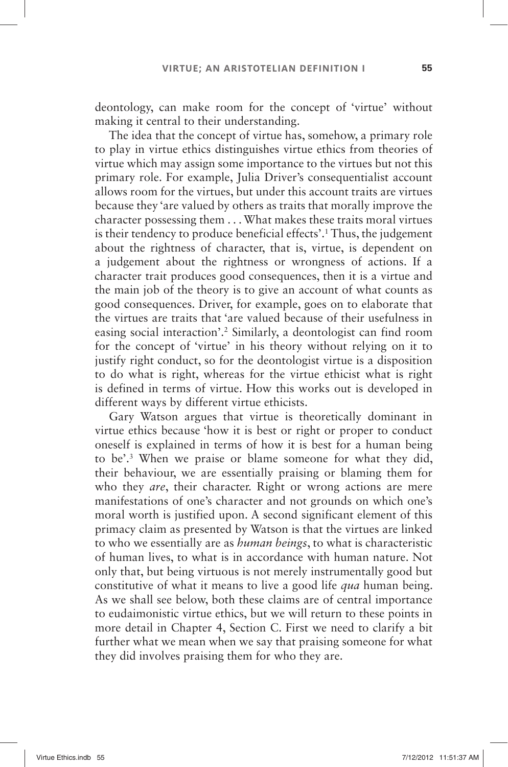deontology, can make room for the concept of 'virtue' without making it central to their understanding.

The idea that the concept of virtue has, somehow, a primary role to play in virtue ethics distinguishes virtue ethics from theories of virtue which may assign some importance to the virtues but not this primary role. For example, Julia Driver's consequentialist account allows room for the virtues, but under this account traits are virtues because they 'are valued by others as traits that morally improve the character possessing them. . . What makes these traits moral virtues is their tendency to produce beneficial effects'.<sup>1</sup> Thus, the judgement about the rightness of character, that is, virtue, is dependent on a judgement about the rightness or wrongness of actions. If a character trait produces good consequences, then it is a virtue and the main job of the theory is to give an account of what counts as good consequences. Driver, for example, goes on to elaborate that the virtues are traits that 'are valued because of their usefulness in easing social interaction'.<sup>2</sup> Similarly, a deontologist can find room for the concept of 'virtue' in his theory without relying on it to justify right conduct, so for the deontologist virtue is a disposition to do what is right, whereas for the virtue ethicist what is right is defined in terms of virtue. How this works out is developed in different ways by different virtue ethicists.

Gary Watson argues that virtue is theoretically dominant in virtue ethics because 'how it is best or right or proper to conduct oneself is explained in terms of how it is best for a human being to be'.<sup>3</sup> When we praise or blame someone for what they did, their behaviour, we are essentially praising or blaming them for who they *are*, their character. Right or wrong actions are mere manifestations of one's character and not grounds on which one's moral worth is justified upon. A second significant element of this primacy claim as presented by Watson is that the virtues are linked to who we essentially are as *human beings*, to what is characteristic of human lives, to what is in accordance with human nature. Not only that, but being virtuous is not merely instrumentally good but constitutive of what it means to live a good life *qua* human being. As we shall see below, both these claims are of central importance to eudaimonistic virtue ethics, but we will return to these points in more detail in Chapter 4, Section C. First we need to clarify a bit further what we mean when we say that praising someone for what they did involves praising them for who they are.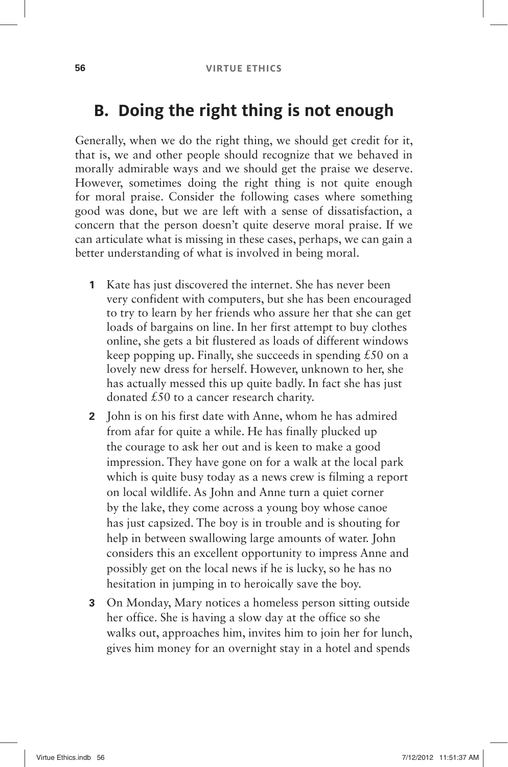## **B. Doing the right thing is not enough**

Generally, when we do the right thing, we should get credit for it, that is, we and other people should recognize that we behaved in morally admirable ways and we should get the praise we deserve. However, sometimes doing the right thing is not quite enough for moral praise. Consider the following cases where something good was done, but we are left with a sense of dissatisfaction, a concern that the person doesn't quite deserve moral praise. If we can articulate what is missing in these cases, perhaps, we can gain a better understanding of what is involved in being moral.

- **1** Kate has just discovered the internet. She has never been very confident with computers, but she has been encouraged to try to learn by her friends who assure her that she can get loads of bargains on line. In her first attempt to buy clothes online, she gets a bit flustered as loads of different windows keep popping up. Finally, she succeeds in spending  $£50$  on a lovely new dress for herself. However, unknown to her, she has actually messed this up quite badly. In fact she has just donated  $£50$  to a cancer research charity.
- **2** John is on his first date with Anne, whom he has admired from afar for quite a while. He has finally plucked up the courage to ask her out and is keen to make a good impression. They have gone on for a walk at the local park which is quite busy today as a news crew is filming a report on local wildlife. As John and Anne turn a quiet corner by the lake, they come across a young boy whose canoe has just capsized. The boy is in trouble and is shouting for help in between swallowing large amounts of water. John considers this an excellent opportunity to impress Anne and possibly get on the local news if he is lucky, so he has no hesitation in jumping in to heroically save the boy.
- **3** On Monday, Mary notices a homeless person sitting outside her office. She is having a slow day at the office so she walks out, approaches him, invites him to join her for lunch, gives him money for an overnight stay in a hotel and spends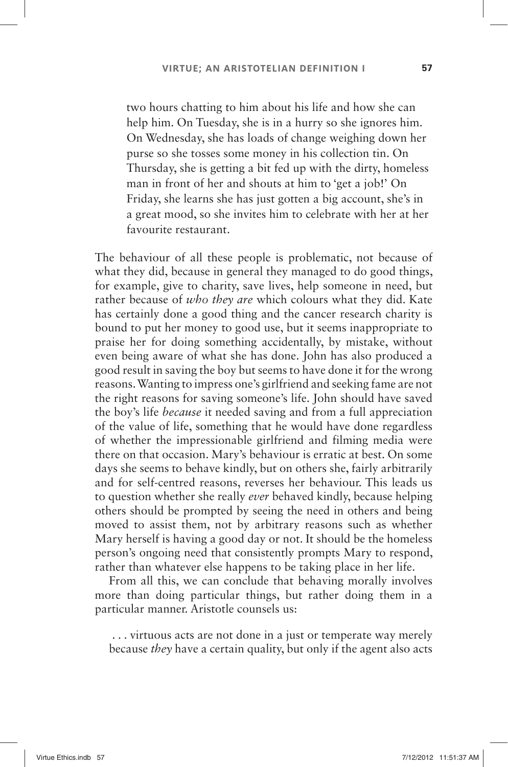two hours chatting to him about his life and how she can help him. On Tuesday, she is in a hurry so she ignores him. On Wednesday, she has loads of change weighing down her purse so she tosses some money in his collection tin. On Thursday, she is getting a bit fed up with the dirty, homeless man in front of her and shouts at him to 'get a job!' On Friday, she learns she has just gotten a big account, she's in a great mood, so she invites him to celebrate with her at her favourite restaurant.

The behaviour of all these people is problematic, not because of what they did, because in general they managed to do good things, for example, give to charity, save lives, help someone in need, but rather because of *who they are* which colours what they did. Kate has certainly done a good thing and the cancer research charity is bound to put her money to good use, but it seems inappropriate to praise her for doing something accidentally, by mistake, without even being aware of what she has done. John has also produced a good result in saving the boy but seems to have done it for the wrong reasons. Wanting to impress one's girlfriend and seeking fame are not the right reasons for saving someone's life. John should have saved the boy's life *because* it needed saving and from a full appreciation of the value of life, something that he would have done regardless of whether the impressionable girlfriend and filming media were there on that occasion. Mary's behaviour is erratic at best. On some days she seems to behave kindly, but on others she, fairly arbitrarily and for self-centred reasons, reverses her behaviour. This leads us to question whether she really *ever* behaved kindly, because helping others should be prompted by seeing the need in others and being moved to assist them, not by arbitrary reasons such as whether Mary herself is having a good day or not. It should be the homeless person's ongoing need that consistently prompts Mary to respond, rather than whatever else happens to be taking place in her life.

From all this, we can conclude that behaving morally involves more than doing particular things, but rather doing them in a particular manner. Aristotle counsels us:

 . . . virtuous acts are not done in a just or temperate way merely because *they* have a certain quality, but only if the agent also acts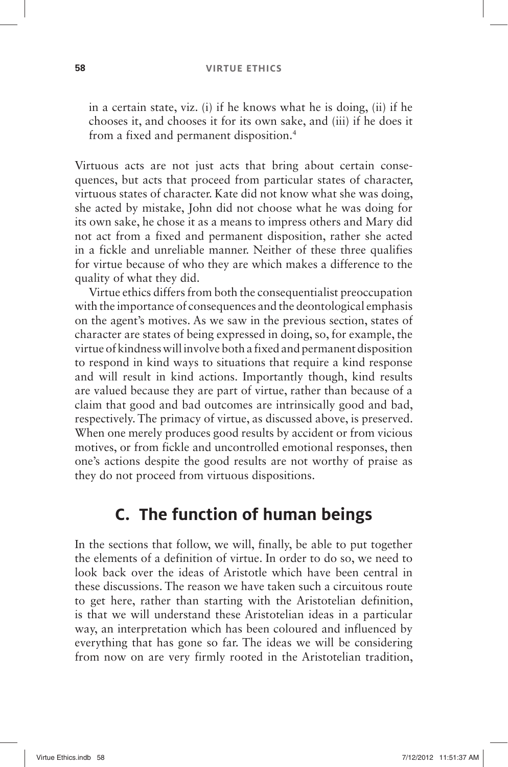#### **58 VIRTUE ETHICS**

in a certain state, viz. (i) if he knows what he is doing, (ii) if he chooses it, and chooses it for its own sake, and (iii) if he does it from a fixed and permanent disposition. 4

Virtuous acts are not just acts that bring about certain consequences, but acts that proceed from particular states of character, virtuous states of character. Kate did not know what she was doing, she acted by mistake, John did not choose what he was doing for its own sake, he chose it as a means to impress others and Mary did not act from a fixed and permanent disposition, rather she acted in a fickle and unreliable manner. Neither of these three qualifies for virtue because of who they are which makes a difference to the quality of what they did.

Virtue ethics differs from both the consequentialist preoccupation with the importance of consequences and the deontological emphasis on the agent's motives. As we saw in the previous section, states of character are states of being expressed in doing, so, for example, the virtue of kindness will involve both a fixed and permanent disposition to respond in kind ways to situations that require a kind response and will result in kind actions. Importantly though, kind results are valued because they are part of virtue, rather than because of a claim that good and bad outcomes are intrinsically good and bad, respectively. The primacy of virtue, as discussed above, is preserved. When one merely produces good results by accident or from vicious motives, or from fickle and uncontrolled emotional responses, then one's actions despite the good results are not worthy of praise as they do not proceed from virtuous dispositions.

#### **C. The function of human beings**

In the sections that follow, we will, finally, be able to put together the elements of a definition of virtue. In order to do so, we need to look back over the ideas of Aristotle which have been central in these discussions. The reason we have taken such a circuitous route to get here, rather than starting with the Aristotelian definition, is that we will understand these Aristotelian ideas in a particular way, an interpretation which has been coloured and influenced by everything that has gone so far. The ideas we will be considering from now on are very firmly rooted in the Aristotelian tradition,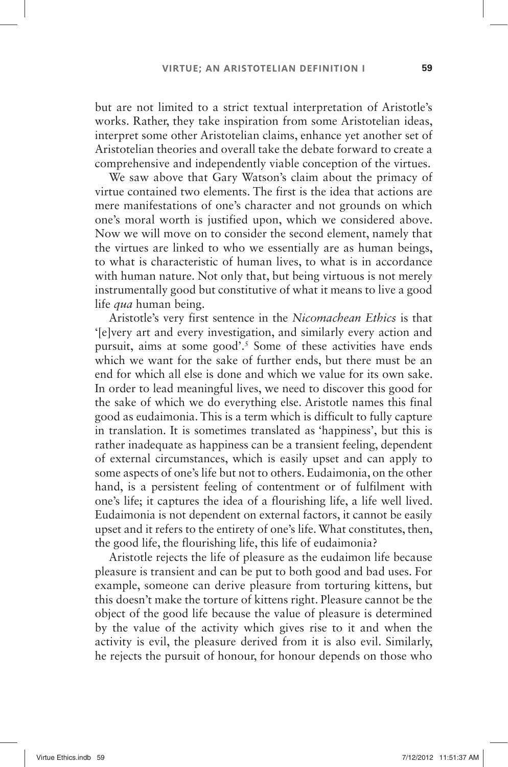but are not limited to a strict textual interpretation of Aristotle's works. Rather, they take inspiration from some Aristotelian ideas, interpret some other Aristotelian claims, enhance yet another set of Aristotelian theories and overall take the debate forward to create a comprehensive and independently viable conception of the virtues.

We saw above that Gary Watson's claim about the primacy of virtue contained two elements. The first is the idea that actions are mere manifestations of one's character and not grounds on which one's moral worth is justified upon, which we considered above. Now we will move on to consider the second element, namely that the virtues are linked to who we essentially are as human beings, to what is characteristic of human lives, to what is in accordance with human nature. Not only that, but being virtuous is not merely instrumentally good but constitutive of what it means to live a good life *qua* human being.

Aristotle's very first sentence in the *Nicomachean Ethics* is that ' [e]very art and every investigation, and similarly every action and pursuit, aims at some good'.<sup>5</sup> Some of these activities have ends which we want for the sake of further ends, but there must be an end for which all else is done and which we value for its own sake. In order to lead meaningful lives, we need to discover this good for the sake of which we do everything else. Aristotle names this final good as eudaimonia. This is a term which is difficult to fully capture in translation. It is sometimes translated as 'happiness', but this is rather inadequate as happiness can be a transient feeling, dependent of external circumstances, which is easily upset and can apply to some aspects of one's life but not to others. Eudaimonia, on the other hand, is a persistent feeling of contentment or of fulfilment with one's life; it captures the idea of a flourishing life, a life well lived. Eudaimonia is not dependent on external factors, it cannot be easily upset and it refers to the entirety of one's life. What constitutes, then, the good life, the flourishing life, this life of eudaimonia?

Aristotle rejects the life of pleasure as the eudaimon life because pleasure is transient and can be put to both good and bad uses. For example, someone can derive pleasure from torturing kittens, but this doesn't make the torture of kittens right. Pleasure cannot be the object of the good life because the value of pleasure is determined by the value of the activity which gives rise to it and when the activity is evil, the pleasure derived from it is also evil. Similarly, he rejects the pursuit of honour, for honour depends on those who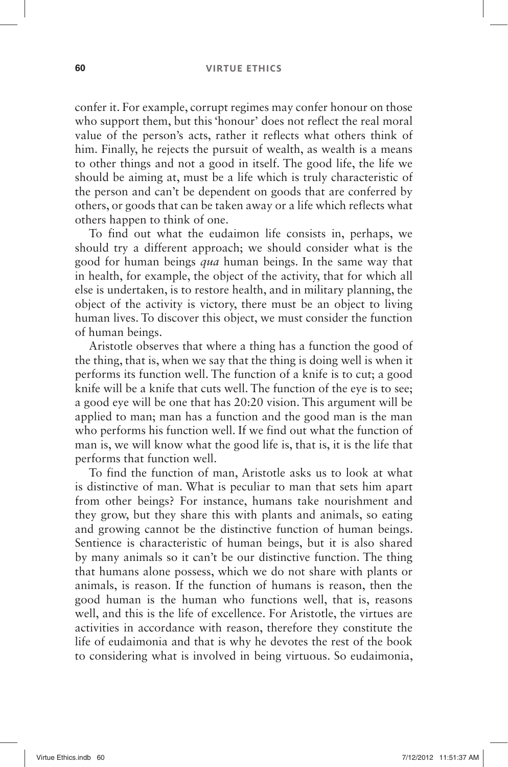confer it. For example, corrupt regimes may confer honour on those who support them, but this 'honour' does not reflect the real moral value of the person's acts, rather it reflects what others think of him. Finally, he rejects the pursuit of wealth, as wealth is a means to other things and not a good in itself. The good life, the life we should be aiming at, must be a life which is truly characteristic of the person and can't be dependent on goods that are conferred by others, or goods that can be taken away or a life which reflects what others happen to think of one.

To find out what the eudaimon life consists in, perhaps, we should try a different approach; we should consider what is the good for human beings *qua* human beings. In the same way that in health, for example, the object of the activity, that for which all else is undertaken, is to restore health, and in military planning, the object of the activity is victory, there must be an object to living human lives. To discover this object, we must consider the function of human beings.

Aristotle observes that where a thing has a function the good of the thing, that is, when we say that the thing is doing well is when it performs its function well. The function of a knife is to cut; a good knife will be a knife that cuts well. The function of the eye is to see; a good eye will be one that has 20:20 vision. This argument will be applied to man; man has a function and the good man is the man who performs his function well. If we find out what the function of man is, we will know what the good life is, that is, it is the life that performs that function well.

To find the function of man, Aristotle asks us to look at what is distinctive of man. What is peculiar to man that sets him apart from other beings? For instance, humans take nourishment and they grow, but they share this with plants and animals, so eating and growing cannot be the distinctive function of human beings. Sentience is characteristic of human beings, but it is also shared by many animals so it can't be our distinctive function. The thing that humans alone possess, which we do not share with plants or animals, is reason. If the function of humans is reason, then the good human is the human who functions well, that is, reasons well, and this is the life of excellence. For Aristotle, the virtues are activities in accordance with reason, therefore they constitute the life of eudaimonia and that is why he devotes the rest of the book to considering what is involved in being virtuous. So eudaimonia,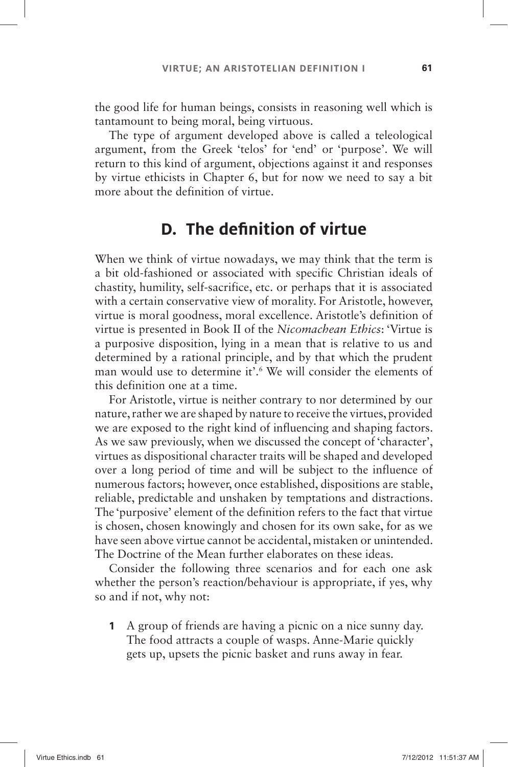the good life for human beings, consists in reasoning well which is tantamount to being moral, being virtuous.

The type of argument developed above is called a teleological argument, from the Greek 'telos' for 'end' or 'purpose'. We will return to this kind of argument, objections against it and responses by virtue ethicists in Chapter 6, but for now we need to say a bit more about the definition of virtue.

## **D.** The definition of virtue

When we think of virtue nowadays, we may think that the term is a bit old-fashioned or associated with specific Christian ideals of chastity, humility, self-sacrifice, etc. or perhaps that it is associated with a certain conservative view of morality. For Aristotle, however, virtue is moral goodness, moral excellence. Aristotle's definition of virtue is presented in Book II of the *Nicomachean Ethics*: ' Virtue is a purposive disposition, lying in a mean that is relative to us and determined by a rational principle, and by that which the prudent man would use to determine it'.<sup>6</sup> We will consider the elements of this definition one at a time.

For Aristotle, virtue is neither contrary to nor determined by our nature, rather we are shaped by nature to receive the virtues, provided we are exposed to the right kind of influencing and shaping factors. As we saw previously, when we discussed the concept of 'character', virtues as dispositional character traits will be shaped and developed over a long period of time and will be subject to the influence of numerous factors; however, once established, dispositions are stable, reliable, predictable and unshaken by temptations and distractions. The 'purposive' element of the definition refers to the fact that virtue is chosen, chosen knowingly and chosen for its own sake, for as we have seen above virtue cannot be accidental, mistaken or unintended. The Doctrine of the Mean further elaborates on these ideas.

Consider the following three scenarios and for each one ask whether the person's reaction/behaviour is appropriate, if yes, why so and if not, why not:

 **1** A group of friends are having a picnic on a nice sunny day. The food attracts a couple of wasps. Anne-Marie quickly gets up, upsets the picnic basket and runs away in fear.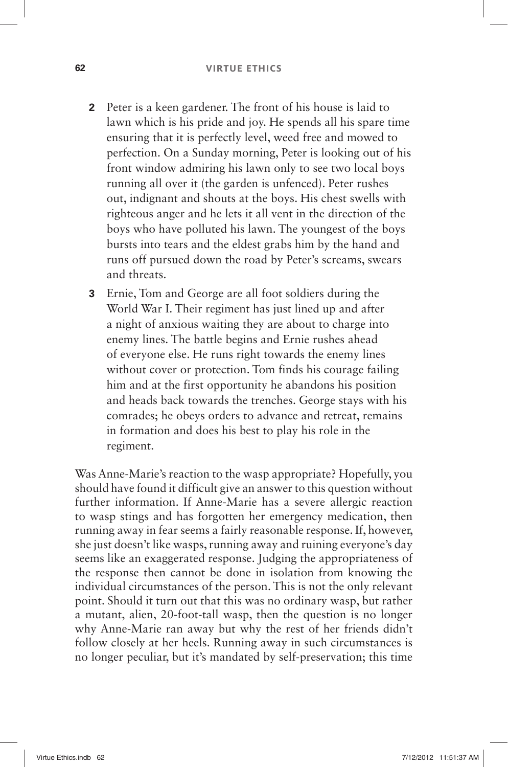- **2** Peter is a keen gardener. The front of his house is laid to lawn which is his pride and joy. He spends all his spare time ensuring that it is perfectly level, weed free and mowed to perfection. On a Sunday morning, Peter is looking out of his front window admiring his lawn only to see two local boys running all over it (the garden is unfenced). Peter rushes out, indignant and shouts at the boys. His chest swells with righteous anger and he lets it all vent in the direction of the boys who have polluted his lawn. The youngest of the boys bursts into tears and the eldest grabs him by the hand and runs off pursued down the road by Peter's screams, swears and threats.
- **3** Ernie, Tom and George are all foot soldiers during the World War I. Their regiment has just lined up and after a night of anxious waiting they are about to charge into enemy lines. The battle begins and Ernie rushes ahead of everyone else. He runs right towards the enemy lines without cover or protection. Tom finds his courage failing him and at the first opportunity he abandons his position and heads back towards the trenches. George stays with his comrades; he obeys orders to advance and retreat, remains in formation and does his best to play his role in the regiment.

Was Anne-Marie's reaction to the wasp appropriate? Hopefully, you should have found it difficult give an answer to this question without further information. If Anne-Marie has a severe allergic reaction to wasp stings and has forgotten her emergency medication, then running away in fear seems a fairly reasonable response. If, however, she just doesn't like wasps, running away and ruining everyone's day seems like an exaggerated response. Judging the appropriateness of the response then cannot be done in isolation from knowing the individual circumstances of the person. This is not the only relevant point. Should it turn out that this was no ordinary wasp, but rather a mutant, alien, 20-foot-tall wasp, then the question is no longer why Anne-Marie ran away but why the rest of her friends didn't follow closely at her heels. Running away in such circumstances is no longer peculiar, but it's mandated by self-preservation; this time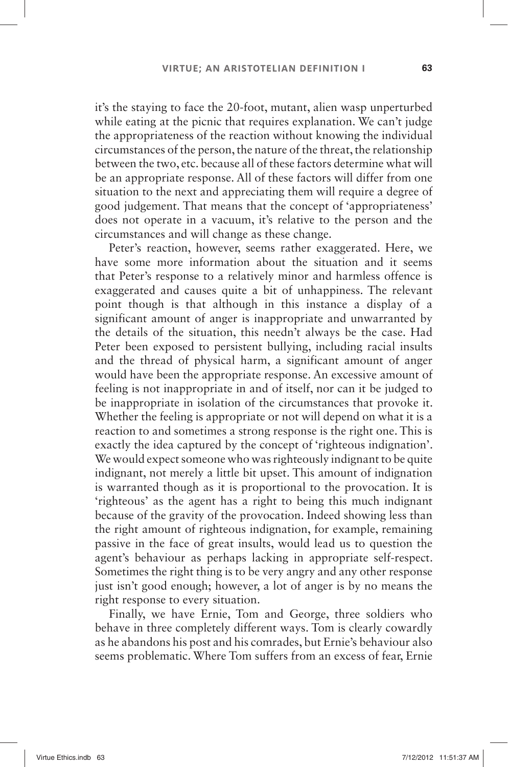it's the staying to face the 20-foot, mutant, alien wasp unperturbed while eating at the picnic that requires explanation. We can't judge the appropriateness of the reaction without knowing the individual circumstances of the person, the nature of the threat, the relationship between the two, etc. because all of these factors determine what will be an appropriate response. All of these factors will differ from one situation to the next and appreciating them will require a degree of good judgement. That means that the concept of 'appropriateness' does not operate in a vacuum, it's relative to the person and the circumstances and will change as these change.

Peter's reaction, however, seems rather exaggerated. Here, we have some more information about the situation and it seems that Peter's response to a relatively minor and harmless offence is exaggerated and causes quite a bit of unhappiness. The relevant point though is that although in this instance a display of a significant amount of anger is inappropriate and unwarranted by the details of the situation, this needn't always be the case. Had Peter been exposed to persistent bullying, including racial insults and the thread of physical harm, a significant amount of anger would have been the appropriate response. An excessive amount of feeling is not inappropriate in and of itself, nor can it be judged to be inappropriate in isolation of the circumstances that provoke it. Whether the feeling is appropriate or not will depend on what it is a reaction to and sometimes a strong response is the right one. This is exactly the idea captured by the concept of 'righteous indignation'. We would expect someone who was righteously indignant to be quite indignant, not merely a little bit upset. This amount of indignation is warranted though as it is proportional to the provocation. It is 'righteous' as the agent has a right to being this much indignant because of the gravity of the provocation. Indeed showing less than the right amount of righteous indignation, for example, remaining passive in the face of great insults, would lead us to question the agent's behaviour as perhaps lacking in appropriate self-respect. Sometimes the right thing is to be very angry and any other response just isn't good enough; however, a lot of anger is by no means the right response to every situation.

Finally, we have Ernie, Tom and George, three soldiers who behave in three completely different ways. Tom is clearly cowardly as he abandons his post and his comrades, but Ernie's behaviour also seems problematic. Where Tom suffers from an excess of fear, Ernie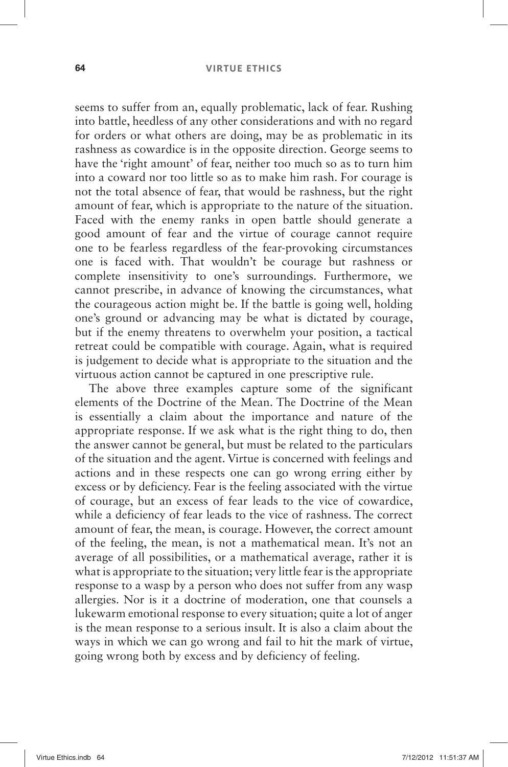### **64 VIRTUE ETHICS**

seems to suffer from an, equally problematic, lack of fear. Rushing into battle, heedless of any other considerations and with no regard for orders or what others are doing, may be as problematic in its rashness as cowardice is in the opposite direction. George seems to have the 'right amount' of fear, neither too much so as to turn him into a coward nor too little so as to make him rash. For courage is not the total absence of fear, that would be rashness, but the right amount of fear, which is appropriate to the nature of the situation. Faced with the enemy ranks in open battle should generate a good amount of fear and the virtue of courage cannot require one to be fearless regardless of the fear-provoking circumstances one is faced with. That wouldn't be courage but rashness or complete insensitivity to one's surroundings. Furthermore, we cannot prescribe, in advance of knowing the circumstances, what the courageous action might be. If the battle is going well, holding one's ground or advancing may be what is dictated by courage, but if the enemy threatens to overwhelm your position, a tactical retreat could be compatible with courage. Again, what is required is judgement to decide what is appropriate to the situation and the virtuous action cannot be captured in one prescriptive rule.

The above three examples capture some of the significant elements of the Doctrine of the Mean. The Doctrine of the Mean is essentially a claim about the importance and nature of the appropriate response. If we ask what is the right thing to do, then the answer cannot be general, but must be related to the particulars of the situation and the agent. Virtue is concerned with feelings and actions and in these respects one can go wrong erring either by excess or by deficiency. Fear is the feeling associated with the virtue of courage, but an excess of fear leads to the vice of cowardice, while a deficiency of fear leads to the vice of rashness. The correct amount of fear, the mean, is courage. However, the correct amount of the feeling, the mean, is not a mathematical mean. It's not an average of all possibilities, or a mathematical average, rather it is what is appropriate to the situation; very little fear is the appropriate response to a wasp by a person who does not suffer from any wasp allergies. Nor is it a doctrine of moderation, one that counsels a lukewarm emotional response to every situation; quite a lot of anger is the mean response to a serious insult. It is also a claim about the ways in which we can go wrong and fail to hit the mark of virtue, going wrong both by excess and by deficiency of feeling.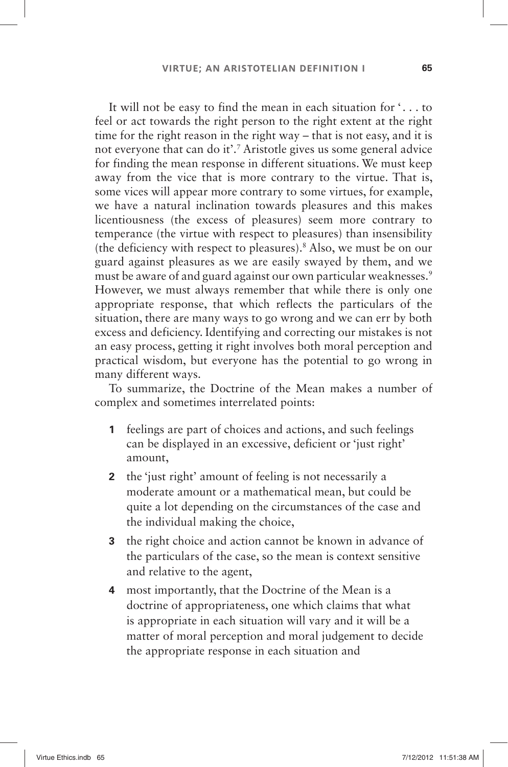It will not be easy to find the mean in each situation for '. . . to feel or act towards the right person to the right extent at the right time for the right reason in the right way  $-$  that is not easy, and it is not everyone that can do it'.<sup>7</sup> Aristotle gives us some general advice for finding the mean response in different situations. We must keep away from the vice that is more contrary to the virtue. That is, some vices will appear more contrary to some virtues, for example, we have a natural inclination towards pleasures and this makes licentiousness (the excess of pleasures) seem more contrary to temperance (the virtue with respect to pleasures) than insensibility (the deficiency with respect to pleasures). 8 Also, we must be on our guard against pleasures as we are easily swayed by them, and we must be aware of and guard against our own particular weaknesses.<sup>9</sup> However, we must always remember that while there is only one appropriate response, that which reflects the particulars of the situation, there are many ways to go wrong and we can err by both excess and deficiency. Identifying and correcting our mistakes is not an easy process, getting it right involves both moral perception and practical wisdom, but everyone has the potential to go wrong in many different ways.

To summarize, the Doctrine of the Mean makes a number of complex and sometimes interrelated points:

- **1** feelings are part of choices and actions, and such feelings can be displayed in an excessive, deficient or 'just right' amount,
- **2** the 'just right' amount of feeling is not necessarily a moderate amount or a mathematical mean, but could be quite a lot depending on the circumstances of the case and the individual making the choice,
- **3** the right choice and action cannot be known in advance of the particulars of the case, so the mean is context sensitive and relative to the agent,
- **4** most importantly, that the Doctrine of the Mean is a doctrine of appropriateness, one which claims that what is appropriate in each situation will vary and it will be a matter of moral perception and moral judgement to decide the appropriate response in each situation and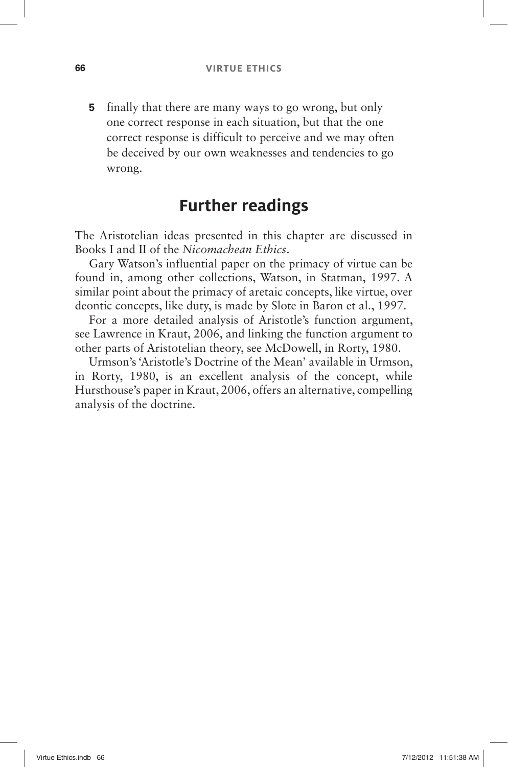**5** finally that there are many ways to go wrong, but only one correct response in each situation, but that the one correct response is difficult to perceive and we may often be deceived by our own weaknesses and tendencies to go wrong.

### **Further readings**

The Aristotelian ideas presented in this chapter are discussed in Books I and II of the *Nicomachean Ethics*.

Gary Watson's influential paper on the primacy of virtue can be found in, among other collections, Watson, in Statman, 1997. A similar point about the primacy of aretaic concepts, like virtue, over deontic concepts, like duty, is made by Slote in Baron et al., 1997.

For a more detailed analysis of Aristotle's function argument, see Lawrence in Kraut, 2006, and linking the function argument to other parts of Aristotelian theory, see McDowell, in Rorty, 1980.

Urmson's 'Aristotle's Doctrine of the Mean' available in Urmson, in Rorty, 1980, is an excellent analysis of the concept, while Hursthouse's paper in Kraut, 2006, offers an alternative, compelling analysis of the doctrine.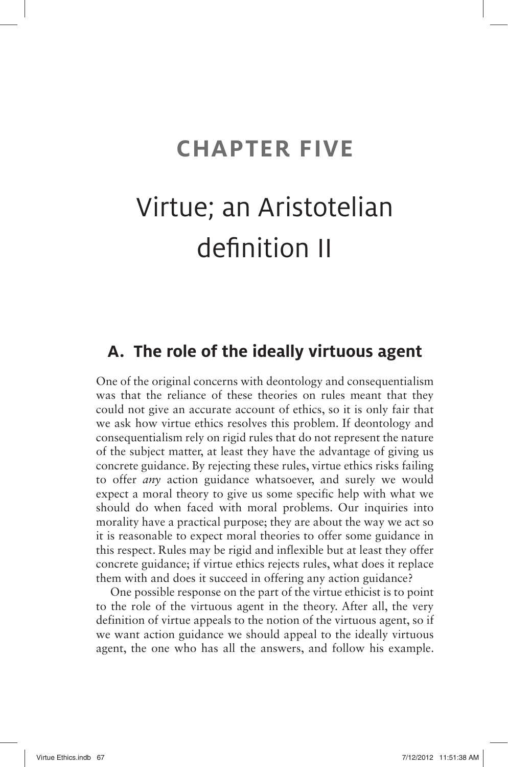## **CHAPTER FIVE**

# Virtue; an Aristotelian definition II

### **A. The role of the ideally virtuous agent**

One of the original concerns with deontology and consequentialism was that the reliance of these theories on rules meant that they could not give an accurate account of ethics, so it is only fair that we ask how virtue ethics resolves this problem. If deontology and consequentialism rely on rigid rules that do not represent the nature of the subject matter, at least they have the advantage of giving us concrete guidance. By rejecting these rules, virtue ethics risks failing to offer *any* action guidance whatsoever, and surely we would expect a moral theory to give us some specific help with what we should do when faced with moral problems. Our inquiries into morality have a practical purpose; they are about the way we act so it is reasonable to expect moral theories to offer some guidance in this respect. Rules may be rigid and inflexible but at least they offer concrete guidance; if virtue ethics rejects rules, what does it replace them with and does it succeed in offering any action guidance?

One possible response on the part of the virtue ethicist is to point to the role of the virtuous agent in the theory. After all, the very definition of virtue appeals to the notion of the virtuous agent, so if we want action guidance we should appeal to the ideally virtuous agent, the one who has all the answers, and follow his example.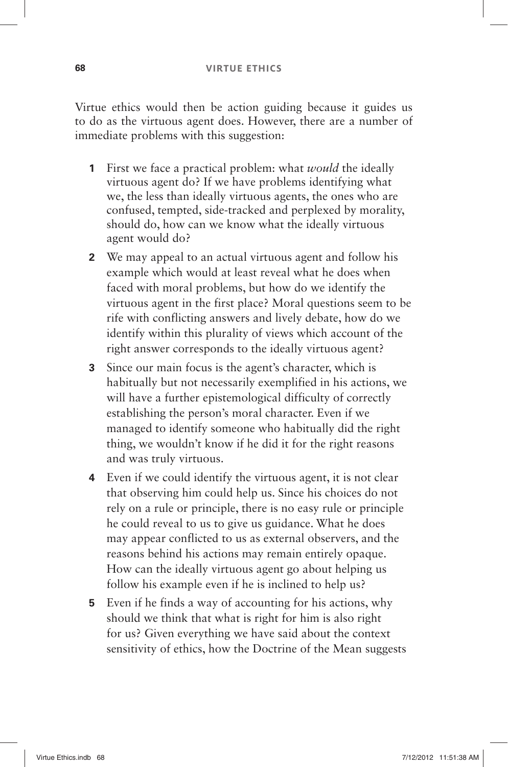Virtue ethics would then be action guiding because it guides us to do as the virtuous agent does. However, there are a number of immediate problems with this suggestion:

- **1** First we face a practical problem: what *would* the ideally virtuous agent do? If we have problems identifying what we, the less than ideally virtuous agents, the ones who are confused, tempted, side-tracked and perplexed by morality, should do, how can we know what the ideally virtuous agent would do?
- **2** We may appeal to an actual virtuous agent and follow his example which would at least reveal what he does when faced with moral problems, but how do we identify the virtuous agent in the first place? Moral questions seem to be rife with conflicting answers and lively debate, how do we identify within this plurality of views which account of the right answer corresponds to the ideally virtuous agent?
- **3** Since our main focus is the agent's character, which is habitually but not necessarily exemplified in his actions, we will have a further epistemological difficulty of correctly establishing the person's moral character. Even if we managed to identify someone who habitually did the right thing, we wouldn't know if he did it for the right reasons and was truly virtuous.
- **4** Even if we could identify the virtuous agent, it is not clear that observing him could help us. Since his choices do not rely on a rule or principle, there is no easy rule or principle he could reveal to us to give us guidance. What he does may appear conflicted to us as external observers, and the reasons behind his actions may remain entirely opaque. How can the ideally virtuous agent go about helping us follow his example even if he is inclined to help us?
- **5** Even if he finds a way of accounting for his actions, why should we think that what is right for him is also right for us? Given everything we have said about the context sensitivity of ethics, how the Doctrine of the Mean suggests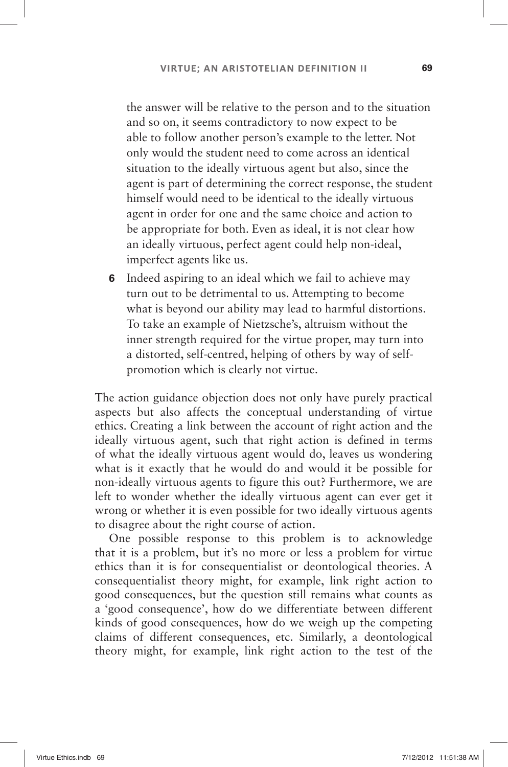the answer will be relative to the person and to the situation and so on, it seems contradictory to now expect to be able to follow another person's example to the letter. Not only would the student need to come across an identical situation to the ideally virtuous agent but also, since the agent is part of determining the correct response, the student himself would need to be identical to the ideally virtuous agent in order for one and the same choice and action to be appropriate for both. Even as ideal, it is not clear how an ideally virtuous, perfect agent could help non-ideal, imperfect agents like us.

 **6** Indeed aspiring to an ideal which we fail to achieve may turn out to be detrimental to us. Attempting to become what is beyond our ability may lead to harmful distortions. To take an example of Nietzsche's, altruism without the inner strength required for the virtue proper, may turn into a distorted, self-centred, helping of others by way of selfpromotion which is clearly not virtue.

The action guidance objection does not only have purely practical aspects but also affects the conceptual understanding of virtue ethics. Creating a link between the account of right action and the ideally virtuous agent, such that right action is defined in terms of what the ideally virtuous agent would do, leaves us wondering what is it exactly that he would do and would it be possible for non-ideally virtuous agents to figure this out? Furthermore, we are left to wonder whether the ideally virtuous agent can ever get it wrong or whether it is even possible for two ideally virtuous agents to disagree about the right course of action.

One possible response to this problem is to acknowledge that it is a problem, but it's no more or less a problem for virtue ethics than it is for consequentialist or deontological theories. A consequentialist theory might, for example, link right action to good consequences, but the question still remains what counts as a 'good consequence', how do we differentiate between different kinds of good consequences, how do we weigh up the competing claims of different consequences, etc. Similarly, a deontological theory might, for example, link right action to the test of the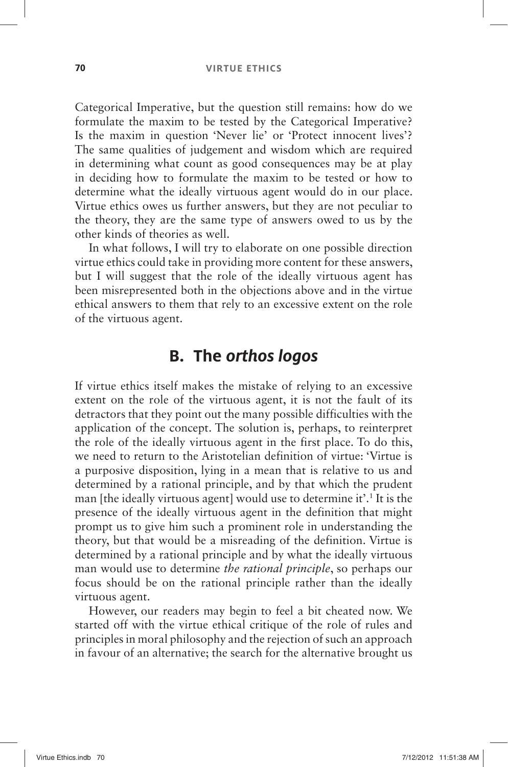Categorical Imperative, but the question still remains: how do we formulate the maxim to be tested by the Categorical Imperative? Is the maxim in question 'Never lie' or 'Protect innocent lives'? The same qualities of judgement and wisdom which are required in determining what count as good consequences may be at play in deciding how to formulate the maxim to be tested or how to determine what the ideally virtuous agent would do in our place. Virtue ethics owes us further answers, but they are not peculiar to the theory, they are the same type of answers owed to us by the other kinds of theories as well.

In what follows, I will try to elaborate on one possible direction virtue ethics could take in providing more content for these answers, but I will suggest that the role of the ideally virtuous agent has been misrepresented both in the objections above and in the virtue ethical answers to them that rely to an excessive extent on the role of the virtuous agent.

### **B. The orthos logos**

If virtue ethics itself makes the mistake of relying to an excessive extent on the role of the virtuous agent, it is not the fault of its detractors that they point out the many possible difficulties with the application of the concept. The solution is, perhaps, to reinterpret the role of the ideally virtuous agent in the first place. To do this, we need to return to the Aristotelian definition of virtue: 'Virtue is a purposive disposition, lying in a mean that is relative to us and determined by a rational principle, and by that which the prudent man [the ideally virtuous agent] would use to determine it'.<sup>1</sup> It is the presence of the ideally virtuous agent in the definition that might prompt us to give him such a prominent role in understanding the theory, but that would be a misreading of the definition. Virtue is determined by a rational principle and by what the ideally virtuous man would use to determine *the rational principle*, so perhaps our focus should be on the rational principle rather than the ideally virtuous agent.

However, our readers may begin to feel a bit cheated now. We started off with the virtue ethical critique of the role of rules and principles in moral philosophy and the rejection of such an approach in favour of an alternative; the search for the alternative brought us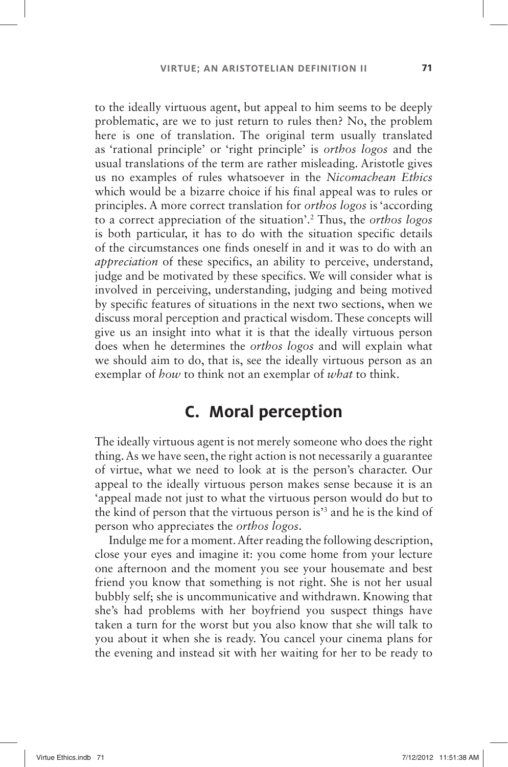to the ideally virtuous agent, but appeal to him seems to be deeply problematic, are we to just return to rules then? No, the problem here is one of translation. The original term usually translated as 'rational principle' or 'right principle' is *orthos logos* and the usual translations of the term are rather misleading. Aristotle gives us no examples of rules whatsoever in the *Nicomachean Ethics* which would be a bizarre choice if his final appeal was to rules or principles. A more correct translation for *orthos logos* is 'according to a correct appreciation of the situation'.<sup>2</sup> Thus, the *orthos logos* is both particular, it has to do with the situation specific details of the circumstances one finds oneself in and it was to do with an *appreciation* of these specifics, an ability to perceive, understand, judge and be motivated by these specifics. We will consider what is involved in perceiving, understanding, judging and being motived by specific features of situations in the next two sections, when we discuss moral perception and practical wisdom. These concepts will give us an insight into what it is that the ideally virtuous person does when he determines the *orthos logos* and will explain what we should aim to do, that is, see the ideally virtuous person as an exemplar of *how* to think not an exemplar of *what* to think.

### **C. Moral perception**

The ideally virtuous agent is not merely someone who does the right thing. As we have seen, the right action is not necessarily a guarantee of virtue, what we need to look at is the person's character. Our appeal to the ideally virtuous person makes sense because it is an ' appeal made not just to what the virtuous person would do but to the kind of person that the virtuous person is<sup>3</sup> and he is the kind of person who appreciates the *orthos logos*.

Indulge me for a moment. After reading the following description, close your eyes and imagine it: you come home from your lecture one afternoon and the moment you see your housemate and best friend you know that something is not right. She is not her usual bubbly self; she is uncommunicative and withdrawn. Knowing that she's had problems with her boyfriend you suspect things have taken a turn for the worst but you also know that she will talk to you about it when she is ready. You cancel your cinema plans for the evening and instead sit with her waiting for her to be ready to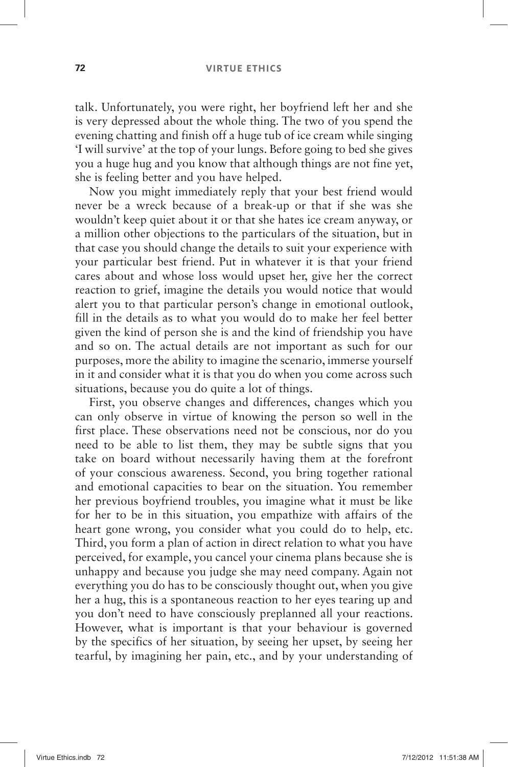talk. Unfortunately, you were right, her boyfriend left her and she is very depressed about the whole thing. The two of you spend the evening chatting and finish off a huge tub of ice cream while singing ' I will survive 'at the top of your lungs. Before going to bed she gives you a huge hug and you know that although things are not fine yet, she is feeling better and you have helped.

Now you might immediately reply that your best friend would never be a wreck because of a break-up or that if she was she wouldn't keep quiet about it or that she hates ice cream anyway, or a million other objections to the particulars of the situation, but in that case you should change the details to suit your experience with your particular best friend. Put in whatever it is that your friend cares about and whose loss would upset her, give her the correct reaction to grief, imagine the details you would notice that would alert you to that particular person's change in emotional outlook, fill in the details as to what you would do to make her feel better given the kind of person she is and the kind of friendship you have and so on. The actual details are not important as such for our purposes, more the ability to imagine the scenario, immerse yourself in it and consider what it is that you do when you come across such situations, because you do quite a lot of things.

First, you observe changes and differences, changes which you can only observe in virtue of knowing the person so well in the first place. These observations need not be conscious, nor do you need to be able to list them, they may be subtle signs that you take on board without necessarily having them at the forefront of your conscious awareness. Second, you bring together rational and emotional capacities to bear on the situation. You remember her previous boyfriend troubles, you imagine what it must be like for her to be in this situation, you empathize with affairs of the heart gone wrong, you consider what you could do to help, etc. Third, you form a plan of action in direct relation to what you have perceived, for example, you cancel your cinema plans because she is unhappy and because you judge she may need company. Again not everything you do has to be consciously thought out, when you give her a hug, this is a spontaneous reaction to her eyes tearing up and you don't need to have consciously preplanned all your reactions. However, what is important is that your behaviour is governed by the specifics of her situation, by seeing her upset, by seeing her tearful, by imagining her pain, etc., and by your understanding of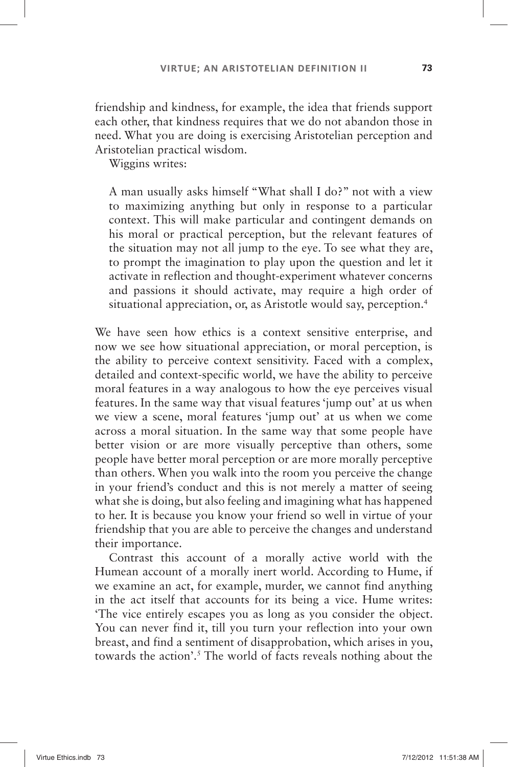friendship and kindness, for example, the idea that friends support each other, that kindness requires that we do not abandon those in need. What you are doing is exercising Aristotelian perception and Aristotelian practical wisdom.

Wiggins writes:

A man usually asks himself "What shall I do?" not with a view to maximizing anything but only in response to a particular context. This will make particular and contingent demands on his moral or practical perception, but the relevant features of the situation may not all jump to the eye. To see what they are, to prompt the imagination to play upon the question and let it activate in reflection and thought-experiment whatever concerns and passions it should activate, may require a high order of situational appreciation, or, as Aristotle would say, perception.<sup>4</sup>

We have seen how ethics is a context sensitive enterprise, and now we see how situational appreciation, or moral perception, is the ability to perceive context sensitivity. Faced with a complex, detailed and context-specific world, we have the ability to perceive moral features in a way analogous to how the eye perceives visual features. In the same way that visual features 'jump out' at us when we view a scene, moral features 'jump out' at us when we come across a moral situation. In the same way that some people have better vision or are more visually perceptive than others, some people have better moral perception or are more morally perceptive than others. When you walk into the room you perceive the change in your friend's conduct and this is not merely a matter of seeing what she is doing, but also feeling and imagining what has happened to her. It is because you know your friend so well in virtue of your friendship that you are able to perceive the changes and understand their importance.

Contrast this account of a morally active world with the Humean account of a morally inert world. According to Hume, if we examine an act, for example, murder, we cannot find anything in the act itself that accounts for its being a vice. Hume writes: ' The vice entirely escapes you as long as you consider the object. You can never find it, till you turn your reflection into your own breast, and find a sentiment of disapprobation, which arises in you, towards the action'.<sup>5</sup> The world of facts reveals nothing about the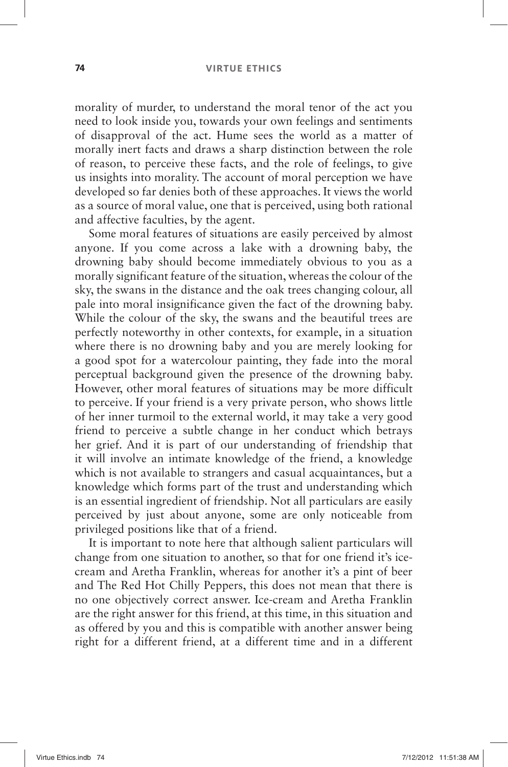morality of murder, to understand the moral tenor of the act you need to look inside you, towards your own feelings and sentiments of disapproval of the act. Hume sees the world as a matter of morally inert facts and draws a sharp distinction between the role of reason, to perceive these facts, and the role of feelings, to give us insights into morality. The account of moral perception we have developed so far denies both of these approaches. It views the world as a source of moral value, one that is perceived, using both rational and affective faculties, by the agent.

Some moral features of situations are easily perceived by almost anyone. If you come across a lake with a drowning baby, the drowning baby should become immediately obvious to you as a morally significant feature of the situation, whereas the colour of the sky, the swans in the distance and the oak trees changing colour, all pale into moral insignificance given the fact of the drowning baby. While the colour of the sky, the swans and the beautiful trees are perfectly noteworthy in other contexts, for example, in a situation where there is no drowning baby and you are merely looking for a good spot for a watercolour painting, they fade into the moral perceptual background given the presence of the drowning baby. However, other moral features of situations may be more difficult to perceive. If your friend is a very private person, who shows little of her inner turmoil to the external world, it may take a very good friend to perceive a subtle change in her conduct which betrays her grief. And it is part of our understanding of friendship that it will involve an intimate knowledge of the friend, a knowledge which is not available to strangers and casual acquaintances, but a knowledge which forms part of the trust and understanding which is an essential ingredient of friendship. Not all particulars are easily perceived by just about anyone, some are only noticeable from privileged positions like that of a friend.

It is important to note here that although salient particulars will change from one situation to another, so that for one friend it's icecream and Aretha Franklin, whereas for another it's a pint of beer and The Red Hot Chilly Peppers, this does not mean that there is no one objectively correct answer. Ice-cream and Aretha Franklin are the right answer for this friend, at this time, in this situation and as offered by you and this is compatible with another answer being right for a different friend, at a different time and in a different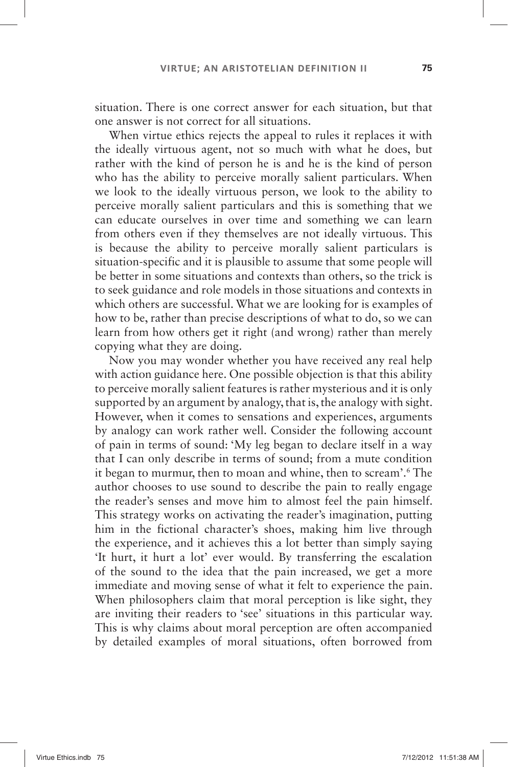situation. There is one correct answer for each situation, but that one answer is not correct for all situations.

When virtue ethics rejects the appeal to rules it replaces it with the ideally virtuous agent, not so much with what he does, but rather with the kind of person he is and he is the kind of person who has the ability to perceive morally salient particulars. When we look to the ideally virtuous person, we look to the ability to perceive morally salient particulars and this is something that we can educate ourselves in over time and something we can learn from others even if they themselves are not ideally virtuous. This is because the ability to perceive morally salient particulars is situation-specific and it is plausible to assume that some people will be better in some situations and contexts than others, so the trick is to seek guidance and role models in those situations and contexts in which others are successful. What we are looking for is examples of how to be, rather than precise descriptions of what to do, so we can learn from how others get it right (and wrong) rather than merely copying what they are doing.

Now you may wonder whether you have received any real help with action guidance here. One possible objection is that this ability to perceive morally salient features is rather mysterious and it is only supported by an argument by analogy, that is, the analogy with sight. However, when it comes to sensations and experiences, arguments by analogy can work rather well. Consider the following account of pain in terms of sound: 'My leg began to declare itself in a way that I can only describe in terms of sound; from a mute condition it began to murmur, then to moan and whine, then to scream'.<sup>6</sup> The author chooses to use sound to describe the pain to really engage the reader's senses and move him to almost feel the pain himself. This strategy works on activating the reader's imagination, putting him in the fictional character's shoes, making him live through the experience, and it achieves this a lot better than simply saying 'It hurt, it hurt a lot' ever would. By transferring the escalation of the sound to the idea that the pain increased, we get a more immediate and moving sense of what it felt to experience the pain. When philosophers claim that moral perception is like sight, they are inviting their readers to 'see' situations in this particular way. This is why claims about moral perception are often accompanied by detailed examples of moral situations, often borrowed from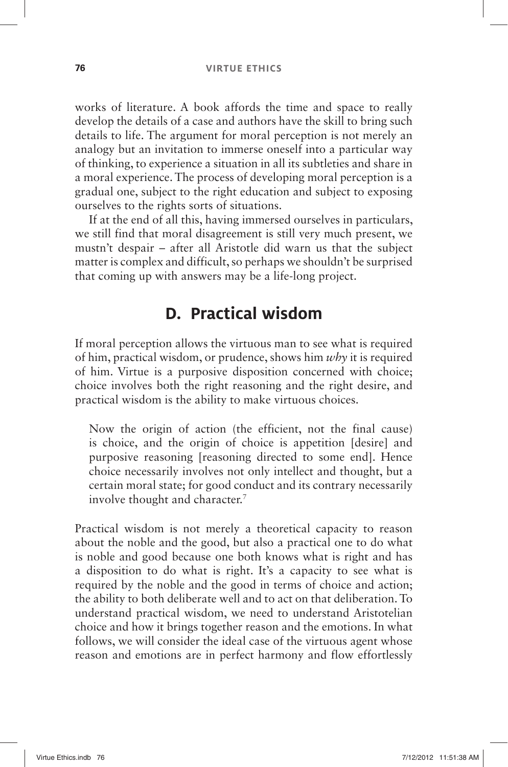works of literature. A book affords the time and space to really develop the details of a case and authors have the skill to bring such details to life. The argument for moral perception is not merely an analogy but an invitation to immerse oneself into a particular way of thinking, to experience a situation in all its subtleties and share in a moral experience. The process of developing moral perception is a gradual one, subject to the right education and subject to exposing ourselves to the rights sorts of situations.

If at the end of all this, having immersed ourselves in particulars, we still find that moral disagreement is still very much present, we mustn't despair – after all Aristotle did warn us that the subject matter is complex and difficult, so perhaps we shouldn't be surprised that coming up with answers may be a life-long project.

## **D. Practical wisdom**

If moral perception allows the virtuous man to see what is required of him, practical wisdom, or prudence, shows him *why* it is required of him. Virtue is a purposive disposition concerned with choice; choice involves both the right reasoning and the right desire, and practical wisdom is the ability to make virtuous choices.

Now the origin of action (the efficient, not the final cause) is choice, and the origin of choice is appetition [desire] and purposive reasoning [reasoning directed to some end]. Hence choice necessarily involves not only intellect and thought, but a certain moral state; for good conduct and its contrary necessarily involve thought and character.<sup>7</sup>

Practical wisdom is not merely a theoretical capacity to reason about the noble and the good, but also a practical one to do what is noble and good because one both knows what is right and has a disposition to do what is right. It's a capacity to see what is required by the noble and the good in terms of choice and action; the ability to both deliberate well and to act on that deliberation. To understand practical wisdom, we need to understand Aristotelian choice and how it brings together reason and the emotions. In what follows, we will consider the ideal case of the virtuous agent whose reason and emotions are in perfect harmony and flow effortlessly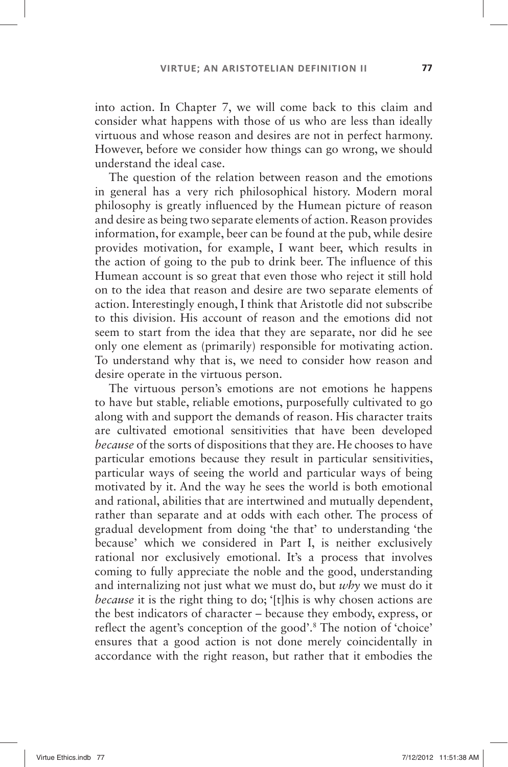into action. In Chapter 7, we will come back to this claim and consider what happens with those of us who are less than ideally virtuous and whose reason and desires are not in perfect harmony. However, before we consider how things can go wrong, we should understand the ideal case.

The question of the relation between reason and the emotions in general has a very rich philosophical history. Modern moral philosophy is greatly influenced by the Humean picture of reason and desire as being two separate elements of action. Reason provides information, for example, beer can be found at the pub, while desire provides motivation, for example, I want beer, which results in the action of going to the pub to drink beer. The influence of this Humean account is so great that even those who reject it still hold on to the idea that reason and desire are two separate elements of action. Interestingly enough, I think that Aristotle did not subscribe to this division. His account of reason and the emotions did not seem to start from the idea that they are separate, nor did he see only one element as (primarily) responsible for motivating action. To understand why that is, we need to consider how reason and desire operate in the virtuous person.

The virtuous person's emotions are not emotions he happens to have but stable, reliable emotions, purposefully cultivated to go along with and support the demands of reason. His character traits are cultivated emotional sensitivities that have been developed *because* of the sorts of dispositions that they are. He chooses to have particular emotions because they result in particular sensitivities, particular ways of seeing the world and particular ways of being motivated by it. And the way he sees the world is both emotional and rational, abilities that are intertwined and mutually dependent, rather than separate and at odds with each other. The process of gradual development from doing 'the that' to understanding 'the because' which we considered in Part I, is neither exclusively rational nor exclusively emotional. It's a process that involves coming to fully appreciate the noble and the good, understanding and internalizing not just what we must do, but *why* we must do it *because* it is the right thing to do; '[t]his is why chosen actions are the best indicators of character –because they embody, express, or reflect the agent's conception of the good'.<sup>8</sup> The notion of 'choice' ensures that a good action is not done merely coincidentally in accordance with the right reason, but rather that it embodies the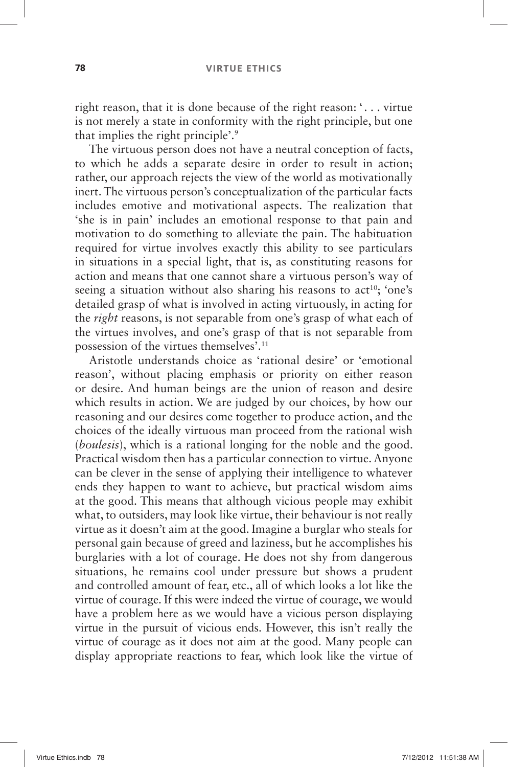right reason, that it is done because of the right reason: '. . . virtue is not merely a state in conformity with the right principle, but one that implies the right principle'.<sup>9</sup>

The virtuous person does not have a neutral conception of facts, to which he adds a separate desire in order to result in action; rather, our approach rejects the view of the world as motivationally inert. The virtuous person's conceptualization of the particular facts includes emotive and motivational aspects. The realization that 'she is in pain' includes an emotional response to that pain and motivation to do something to alleviate the pain. The habituation required for virtue involves exactly this ability to see particulars in situations in a special light, that is, as constituting reasons for action and means that one cannot share a virtuous person's way of seeing a situation without also sharing his reasons to  $act<sup>10</sup>$ ; 'one's detailed grasp of what is involved in acting virtuously, in acting for the *right* reasons, is not separable from one's grasp of what each of the virtues involves, and one's grasp of that is not separable from possession of the virtues themselves'.<sup>11</sup>

Aristotle understands choice as 'rational desire' or 'emotional reason', without placing emphasis or priority on either reason or desire. And human beings are the union of reason and desire which results in action. We are judged by our choices, by how our reasoning and our desires come together to produce action, and the choices of the ideally virtuous man proceed from the rational wish ( *boulesis*), which is a rational longing for the noble and the good. Practical wisdom then has a particular connection to virtue. Anyone can be clever in the sense of applying their intelligence to whatever ends they happen to want to achieve, but practical wisdom aims at the good. This means that although vicious people may exhibit what, to outsiders, may look like virtue, their behaviour is not really virtue as it doesn't aim at the good. Imagine a burglar who steals for personal gain because of greed and laziness, but he accomplishes his burglaries with a lot of courage. He does not shy from dangerous situations, he remains cool under pressure but shows a prudent and controlled amount of fear, etc., all of which looks a lot like the virtue of courage. If this were indeed the virtue of courage, we would have a problem here as we would have a vicious person displaying virtue in the pursuit of vicious ends. However, this isn't really the virtue of courage as it does not aim at the good. Many people can display appropriate reactions to fear, which look like the virtue of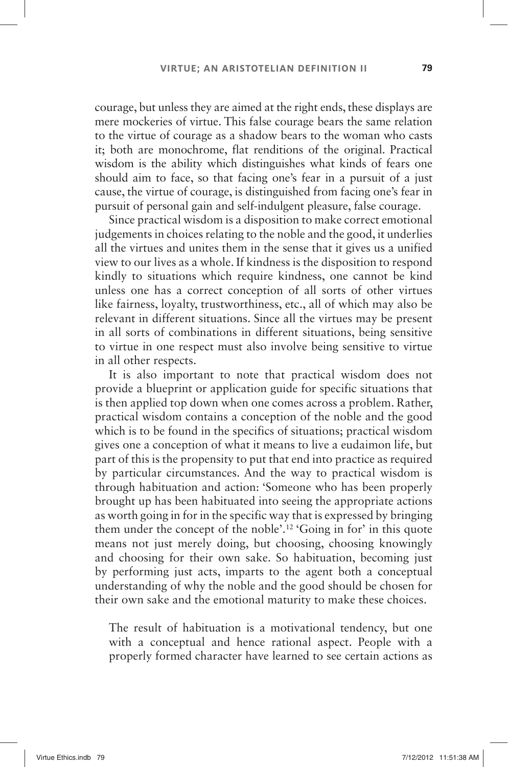courage, but unless they are aimed at the right ends, these displays are mere mockeries of virtue. This false courage bears the same relation to the virtue of courage as a shadow bears to the woman who casts it; both are monochrome, flat renditions of the original. Practical wisdom is the ability which distinguishes what kinds of fears one should aim to face, so that facing one's fear in a pursuit of a just cause, the virtue of courage, is distinguished from facing one's fear in pursuit of personal gain and self-indulgent pleasure, false courage.

Since practical wisdom is a disposition to make correct emotional judgements in choices relating to the noble and the good, it underlies all the virtues and unites them in the sense that it gives us a unified view to our lives as a whole. If kindness is the disposition to respond kindly to situations which require kindness, one cannot be kind unless one has a correct conception of all sorts of other virtues like fairness, loyalty, trustworthiness, etc., all of which may also be relevant in different situations. Since all the virtues may be present in all sorts of combinations in different situations, being sensitive to virtue in one respect must also involve being sensitive to virtue in all other respects.

It is also important to note that practical wisdom does not provide a blueprint or application guide for specific situations that is then applied top down when one comes across a problem. Rather, practical wisdom contains a conception of the noble and the good which is to be found in the specifics of situations; practical wisdom gives one a conception of what it means to live a eudaimon life, but part of this is the propensity to put that end into practice as required by particular circumstances. And the way to practical wisdom is through habituation and action: 'Someone who has been properly brought up has been habituated into seeing the appropriate actions as worth going in for in the specific way that is expressed by bringing them under the concept of the noble'.<sup>12</sup> 'Going in for' in this quote means not just merely doing, but choosing, choosing knowingly and choosing for their own sake. So habituation, becoming just by performing just acts, imparts to the agent both a conceptual understanding of why the noble and the good should be chosen for their own sake and the emotional maturity to make these choices.

The result of habituation is a motivational tendency, but one with a conceptual and hence rational aspect. People with a properly formed character have learned to see certain actions as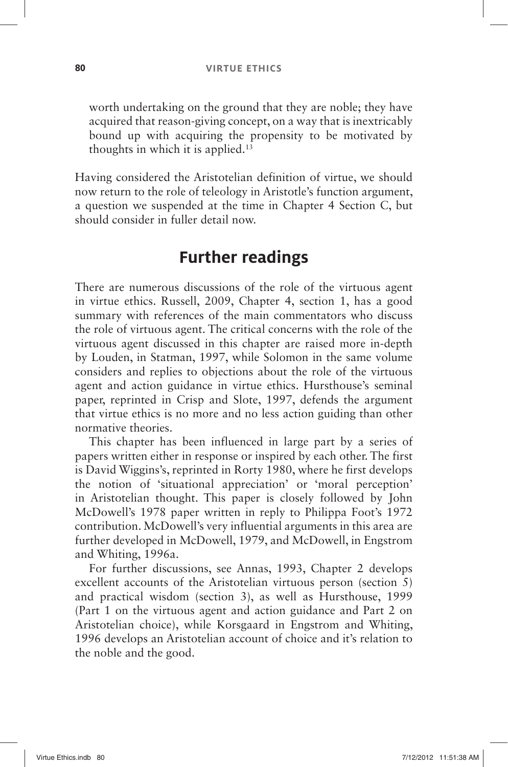worth undertaking on the ground that they are noble; they have acquired that reason-giving concept, on a way that is inextricably bound up with acquiring the propensity to be motivated by thoughts in which it is applied.<sup>13</sup>

Having considered the Aristotelian definition of virtue, we should now return to the role of teleology in Aristotle's function argument, a question we suspended at the time in Chapter 4 Section C, but should consider in fuller detail now.

## **Further readings**

There are numerous discussions of the role of the virtuous agent in virtue ethics. Russell, 2009, Chapter 4, section 1, has a good summary with references of the main commentators who discuss the role of virtuous agent. The critical concerns with the role of the virtuous agent discussed in this chapter are raised more in-depth by Louden, in Statman, 1997, while Solomon in the same volume considers and replies to objections about the role of the virtuous agent and action guidance in virtue ethics. Hursthouse's seminal paper, reprinted in Crisp and Slote, 1997, defends the argument that virtue ethics is no more and no less action guiding than other normative theories.

This chapter has been influenced in large part by a series of papers written either in response or inspired by each other. The first is David Wiggins's, reprinted in Rorty 1980, where he first develops the notion of 'situational appreciation' or 'moral perception' in Aristotelian thought. This paper is closely followed by John McDowell's 1978 paper written in reply to Philippa Foot's 1972 contribution. McDowell's very influential arguments in this area are further developed in McDowell, 1979, and McDowell, in Engstrom and Whiting, 1996a.

For further discussions, see Annas, 1993, Chapter 2 develops excellent accounts of the Aristotelian virtuous person (section 5) and practical wisdom (section 3), as well as Hursthouse, 1999 (Part 1 on the virtuous agent and action guidance and Part 2 on Aristotelian choice), while Korsgaard in Engstrom and Whiting, 1996 develops an Aristotelian account of choice and it's relation to the noble and the good.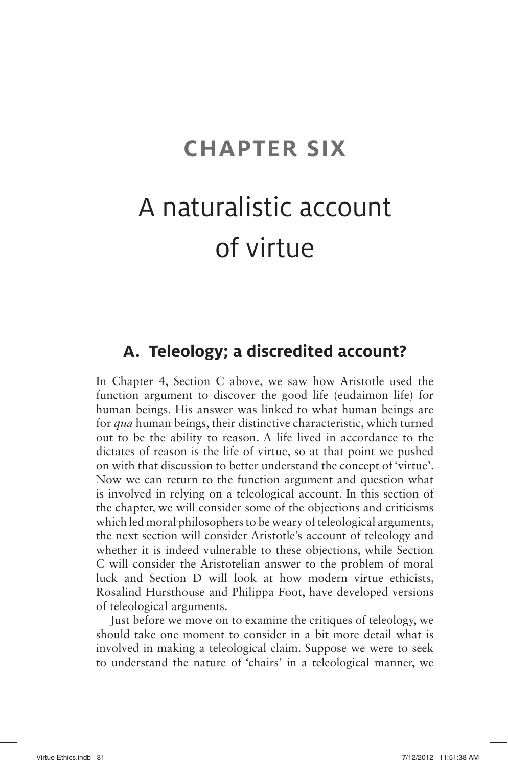## **CHAPTER SIX**

# A naturalistic account of virtue

### **A. Teleology; a discredited account?**

In Chapter 4, Section C above, we saw how Aristotle used the function argument to discover the good life (eudaimon life) for human beings. His answer was linked to what human beings are for *qua* human beings, their distinctive characteristic, which turned out to be the ability to reason. A life lived in accordance to the dictates of reason is the life of virtue, so at that point we pushed on with that discussion to better understand the concept of 'virtue'. Now we can return to the function argument and question what is involved in relying on a teleological account. In this section of the chapter, we will consider some of the objections and criticisms which led moral philosophers to be weary of teleological arguments, the next section will consider Aristotle's account of teleology and whether it is indeed vulnerable to these objections, while Section C will consider the Aristotelian answer to the problem of moral luck and Section D will look at how modern virtue ethicists, Rosalind Hursthouse and Philippa Foot, have developed versions of teleological arguments.

Just before we move on to examine the critiques of teleology, we should take one moment to consider in a bit more detail what is involved in making a teleological claim. Suppose we were to seek to understand the nature of 'chairs' in a teleological manner, we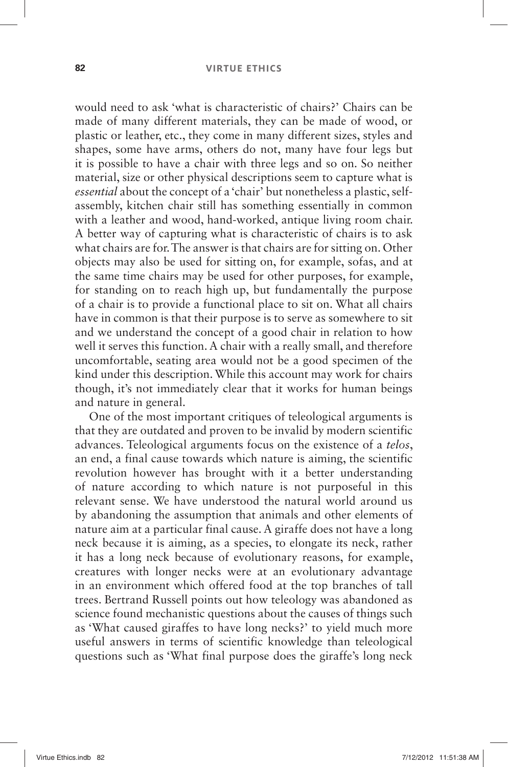### **82 VIRTUE ETHICS**

would need to ask 'what is characteristic of chairs?' Chairs can be made of many different materials, they can be made of wood, or plastic or leather, etc., they come in many different sizes, styles and shapes, some have arms, others do not, many have four legs but it is possible to have a chair with three legs and so on. So neither material, size or other physical descriptions seem to capture what is *essential* about the concept of a 'chair' but nonetheless a plastic, selfassembly, kitchen chair still has something essentially in common with a leather and wood, hand-worked, antique living room chair. A better way of capturing what is characteristic of chairs is to ask what chairs are for. The answer is that chairs are for sitting on. Other objects may also be used for sitting on, for example, sofas, and at the same time chairs may be used for other purposes, for example, for standing on to reach high up, but fundamentally the purpose of a chair is to provide a functional place to sit on. What all chairs have in common is that their purpose is to serve as somewhere to sit and we understand the concept of a good chair in relation to how well it serves this function. A chair with a really small, and therefore uncomfortable, seating area would not be a good specimen of the kind under this description. While this account may work for chairs though, it's not immediately clear that it works for human beings and nature in general.

One of the most important critiques of teleological arguments is that they are outdated and proven to be invalid by modern scientific advances. Teleological arguments focus on the existence of a *telos*, an end, a final cause towards which nature is aiming, the scientific revolution however has brought with it a better understanding of nature according to which nature is not purposeful in this relevant sense. We have understood the natural world around us by abandoning the assumption that animals and other elements of nature aim at a particular final cause. A giraffe does not have a long neck because it is aiming, as a species, to elongate its neck, rather it has a long neck because of evolutionary reasons, for example, creatures with longer necks were at an evolutionary advantage in an environment which offered food at the top branches of tall trees. Bertrand Russell points out how teleology was abandoned as science found mechanistic questions about the causes of things such as 'What caused giraffes to have long necks?' to yield much more useful answers in terms of scientific knowledge than teleological questions such as 'What final purpose does the giraffe's long neck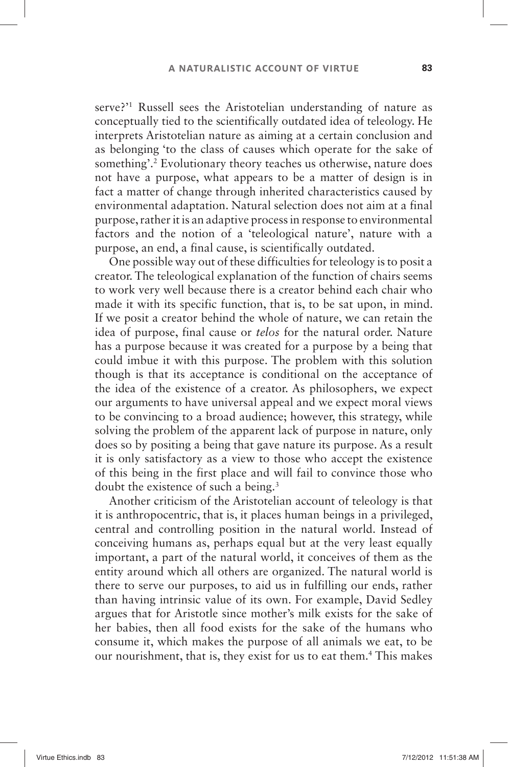serve?'<sup>1</sup> Russell sees the Aristotelian understanding of nature as conceptually tied to the scientifically outdated idea of teleology. He interprets Aristotelian nature as aiming at a certain conclusion and as belonging 'to the class of causes which operate for the sake of something'.<sup>2</sup> Evolutionary theory teaches us otherwise, nature does not have a purpose, what appears to be a matter of design is in fact a matter of change through inherited characteristics caused by environmental adaptation. Natural selection does not aim at a final purpose, rather it is an adaptive process in response to environmental factors and the notion of a 'teleological nature', nature with a purpose, an end, a final cause, is scientifically outdated.

One possible way out of these difficulties for teleology is to posit a creator. The teleological explanation of the function of chairs seems to work very well because there is a creator behind each chair who made it with its specific function, that is, to be sat upon, in mind. If we posit a creator behind the whole of nature, we can retain the idea of purpose, final cause or *telos* for the natural order. Nature has a purpose because it was created for a purpose by a being that could imbue it with this purpose. The problem with this solution though is that its acceptance is conditional on the acceptance of the idea of the existence of a creator. As philosophers, we expect our arguments to have universal appeal and we expect moral views to be convincing to a broad audience; however, this strategy, while solving the problem of the apparent lack of purpose in nature, only does so by positing a being that gave nature its purpose. As a result it is only satisfactory as a view to those who accept the existence of this being in the first place and will fail to convince those who doubt the existence of such a being. 3

Another criticism of the Aristotelian account of teleology is that it is anthropocentric, that is, it places human beings in a privileged, central and controlling position in the natural world. Instead of conceiving humans as, perhaps equal but at the very least equally important, a part of the natural world, it conceives of them as the entity around which all others are organized. The natural world is there to serve our purposes, to aid us in fulfilling our ends, rather than having intrinsic value of its own. For example, David Sedley argues that for Aristotle since mother's milk exists for the sake of her babies, then all food exists for the sake of the humans who consume it, which makes the purpose of all animals we eat, to be our nourishment, that is, they exist for us to eat them.<sup>4</sup> This makes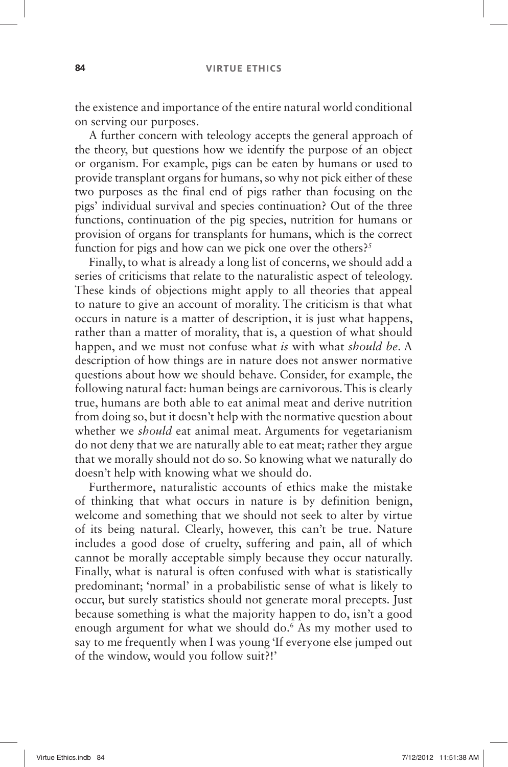the existence and importance of the entire natural world conditional on serving our purposes.

A further concern with teleology accepts the general approach of the theory, but questions how we identify the purpose of an object or organism. For example, pigs can be eaten by humans or used to provide transplant organs for humans, so why not pick either of these two purposes as the final end of pigs rather than focusing on the pigs 'individual survival and species continuation? Out of the three functions, continuation of the pig species, nutrition for humans or provision of organs for transplants for humans, which is the correct function for pigs and how can we pick one over the others?<sup>5</sup>

Finally, to what is already a long list of concerns, we should add a series of criticisms that relate to the naturalistic aspect of teleology. These kinds of objections might apply to all theories that appeal to nature to give an account of morality. The criticism is that what occurs in nature is a matter of description, it is just what happens, rather than a matter of morality, that is, a question of what should happen, and we must not confuse what *is* with what *should be*. A description of how things are in nature does not answer normative questions about how we should behave. Consider, for example, the following natural fact: human beings are carnivorous. This is clearly true, humans are both able to eat animal meat and derive nutrition from doing so, but it doesn't help with the normative question about whether we *should* eat animal meat. Arguments for vegetarianism do not deny that we are naturally able to eat meat; rather they argue that we morally should not do so. So knowing what we naturally do doesn't help with knowing what we should do.

Furthermore, naturalistic accounts of ethics make the mistake of thinking that what occurs in nature is by definition benign, welcome and something that we should not seek to alter by virtue of its being natural. Clearly, however, this can't be true. Nature includes a good dose of cruelty, suffering and pain, all of which cannot be morally acceptable simply because they occur naturally. Finally, what is natural is often confused with what is statistically predominant; 'normal' in a probabilistic sense of what is likely to occur, but surely statistics should not generate moral precepts. Just because something is what the majority happen to do, isn't a good enough argument for what we should do.<sup>6</sup> As my mother used to say to me frequently when I was young 'If everyone else jumped out of the window, would you follow suit?! '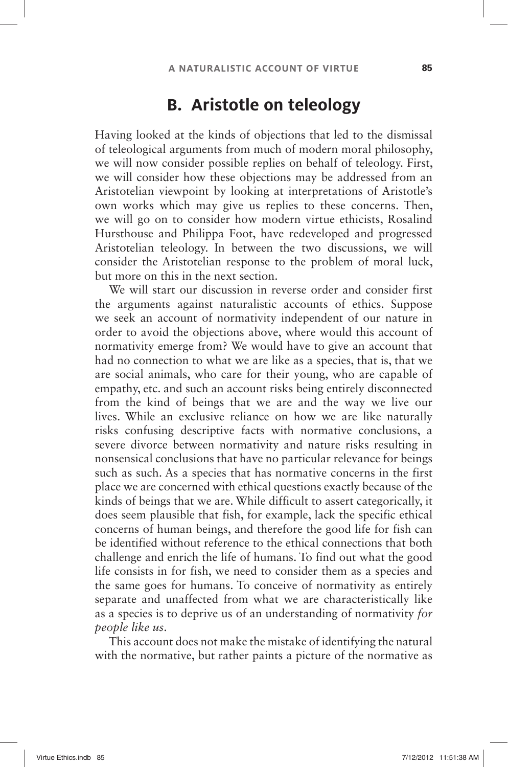### **B. Aristotle on teleology**

Having looked at the kinds of objections that led to the dismissal of teleological arguments from much of modern moral philosophy, we will now consider possible replies on behalf of teleology. First, we will consider how these objections may be addressed from an Aristotelian viewpoint by looking at interpretations of Aristotle's own works which may give us replies to these concerns. Then, we will go on to consider how modern virtue ethicists, Rosalind Hursthouse and Philippa Foot, have redeveloped and progressed Aristotelian teleology. In between the two discussions, we will consider the Aristotelian response to the problem of moral luck, but more on this in the next section.

We will start our discussion in reverse order and consider first the arguments against naturalistic accounts of ethics. Suppose we seek an account of normativity independent of our nature in order to avoid the objections above, where would this account of normativity emerge from? We would have to give an account that had no connection to what we are like as a species, that is, that we are social animals, who care for their young, who are capable of empathy, etc. and such an account risks being entirely disconnected from the kind of beings that we are and the way we live our lives. While an exclusive reliance on how we are like naturally risks confusing descriptive facts with normative conclusions, a severe divorce between normativity and nature risks resulting in nonsensical conclusions that have no particular relevance for beings such as such. As a species that has normative concerns in the first place we are concerned with ethical questions exactly because of the kinds of beings that we are. While difficult to assert categorically, it does seem plausible that fish, for example, lack the specific ethical concerns of human beings, and therefore the good life for fish can be identified without reference to the ethical connections that both challenge and enrich the life of humans. To find out what the good life consists in for fish, we need to consider them as a species and the same goes for humans. To conceive of normativity as entirely separate and unaffected from what we are characteristically like as a species is to deprive us of an understanding of normativity *for people like us*.

This account does not make the mistake of identifying the natural with the normative, but rather paints a picture of the normative as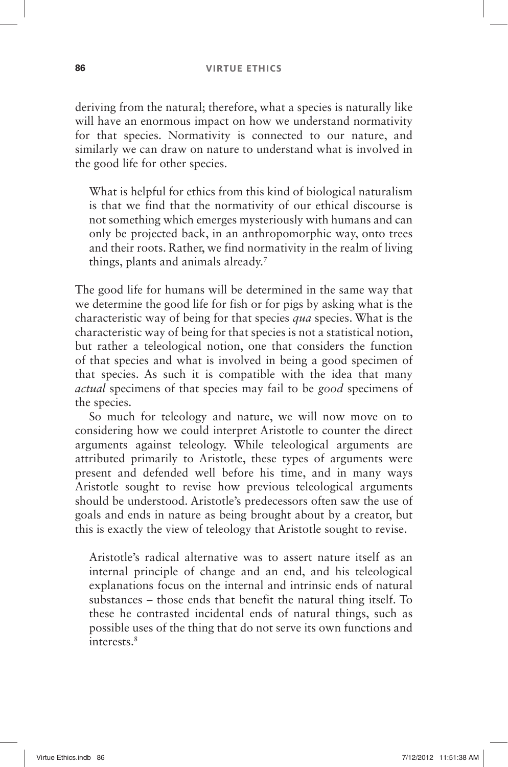deriving from the natural; therefore, what a species is naturally like will have an enormous impact on how we understand normativity for that species. Normativity is connected to our nature, and similarly we can draw on nature to understand what is involved in the good life for other species.

What is helpful for ethics from this kind of biological naturalism is that we find that the normativity of our ethical discourse is not something which emerges mysteriously with humans and can only be projected back, in an anthropomorphic way, onto trees and their roots. Rather, we find normativity in the realm of living things, plants and animals already.<sup>7</sup>

The good life for humans will be determined in the same way that we determine the good life for fish or for pigs by asking what is the characteristic way of being for that species *qua* species. What is the characteristic way of being for that species is not a statistical notion, but rather a teleological notion, one that considers the function of that species and what is involved in being a good specimen of that species. As such it is compatible with the idea that many *actual* specimens of that species may fail to be *good* specimens of the species.

So much for teleology and nature, we will now move on to considering how we could interpret Aristotle to counter the direct arguments against teleology. While teleological arguments are attributed primarily to Aristotle, these types of arguments were present and defended well before his time, and in many ways Aristotle sought to revise how previous teleological arguments should be understood. Aristotle's predecessors often saw the use of goals and ends in nature as being brought about by a creator, but this is exactly the view of teleology that Aristotle sought to revise.

Aristotle's radical alternative was to assert nature itself as an internal principle of change and an end, and his teleological explanations focus on the internal and intrinsic ends of natural substances – those ends that benefit the natural thing itself. To these he contrasted incidental ends of natural things, such as possible uses of the thing that do not serve its own functions and interests. 8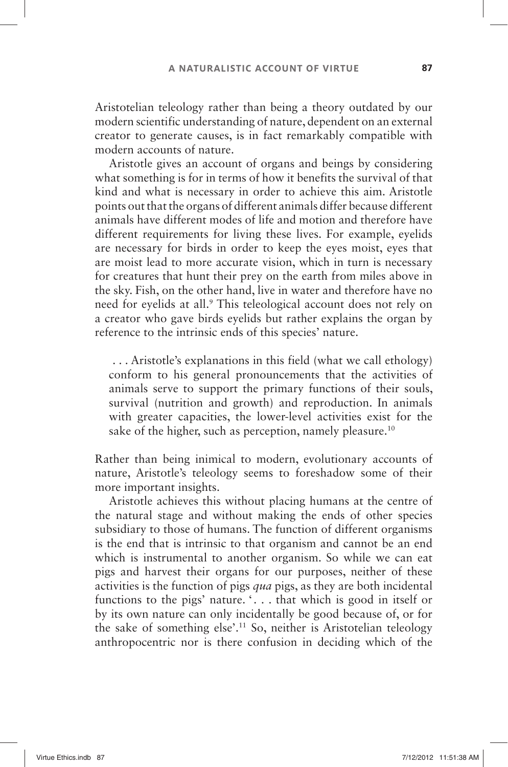Aristotelian teleology rather than being a theory outdated by our modern scientific understanding of nature, dependent on an external creator to generate causes, is in fact remarkably compatible with modern accounts of nature.

Aristotle gives an account of organs and beings by considering what something is for in terms of how it benefits the survival of that kind and what is necessary in order to achieve this aim. Aristotle points out that the organs of different animals differ because different animals have different modes of life and motion and therefore have different requirements for living these lives. For example, eyelids are necessary for birds in order to keep the eyes moist, eyes that are moist lead to more accurate vision, which in turn is necessary for creatures that hunt their prey on the earth from miles above in the sky. Fish, on the other hand, live in water and therefore have no need for eyelids at all.<sup>9</sup> This teleological account does not rely on a creator who gave birds eyelids but rather explains the organ by reference to the intrinsic ends of this species' nature.

... Aristotle's explanations in this field (what we call ethology) conform to his general pronouncements that the activities of animals serve to support the primary functions of their souls, survival (nutrition and growth) and reproduction. In animals with greater capacities, the lower-level activities exist for the sake of the higher, such as perception, namely pleasure.<sup>10</sup>

Rather than being inimical to modern, evolutionary accounts of nature, Aristotle's teleology seems to foreshadow some of their more important insights.

Aristotle achieves this without placing humans at the centre of the natural stage and without making the ends of other species subsidiary to those of humans. The function of different organisms is the end that is intrinsic to that organism and cannot be an end which is instrumental to another organism. So while we can eat pigs and harvest their organs for our purposes, neither of these activities is the function of pigs *qua* pigs, as they are both incidental functions to the pigs' nature.  $\ldots$  that which is good in itself or by its own nature can only incidentally be good because of, or for the sake of something else'.<sup>11</sup> So, neither is Aristotelian teleology anthropocentric nor is there confusion in deciding which of the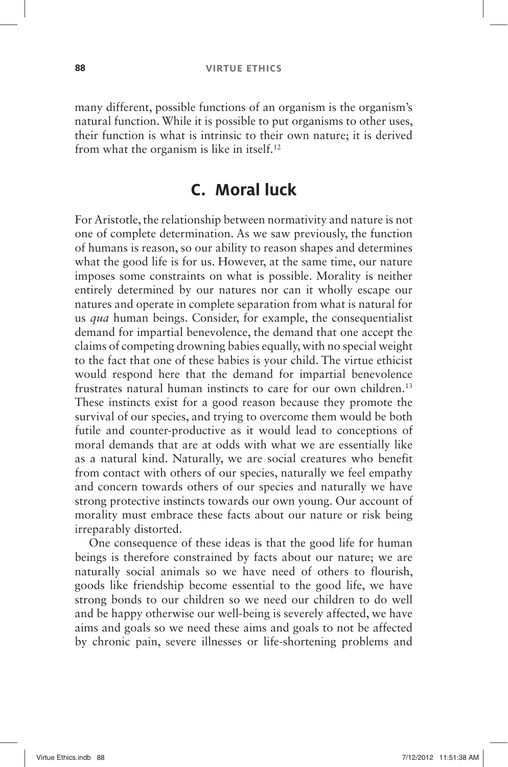many different, possible functions of an organism is the organism's natural function. While it is possible to put organisms to other uses, their function is what is intrinsic to their own nature; it is derived from what the organism is like in itself. 12

## **C. Moral luck**

For Aristotle, the relationship between normativity and nature is not one of complete determination. As we saw previously, the function of humans is reason, so our ability to reason shapes and determines what the good life is for us. However, at the same time, our nature imposes some constraints on what is possible. Morality is neither entirely determined by our natures nor can it wholly escape our natures and operate in complete separation from what is natural for us *qua* human beings. Consider, for example, the consequentialist demand for impartial benevolence, the demand that one accept the claims of competing drowning babies equally, with no special weight to the fact that one of these babies is your child. The virtue ethicist would respond here that the demand for impartial benevolence frustrates natural human instincts to care for our own children.<sup>13</sup> These instincts exist for a good reason because they promote the survival of our species, and trying to overcome them would be both futile and counter-productive as it would lead to conceptions of moral demands that are at odds with what we are essentially like as a natural kind. Naturally, we are social creatures who benefit from contact with others of our species, naturally we feel empathy and concern towards others of our species and naturally we have strong protective instincts towards our own young. Our account of morality must embrace these facts about our nature or risk being irreparably distorted.

One consequence of these ideas is that the good life for human beings is therefore constrained by facts about our nature; we are naturally social animals so we have need of others to flourish, goods like friendship become essential to the good life, we have strong bonds to our children so we need our children to do well and be happy otherwise our well-being is severely affected, we have aims and goals so we need these aims and goals to not be affected by chronic pain, severe illnesses or life-shortening problems and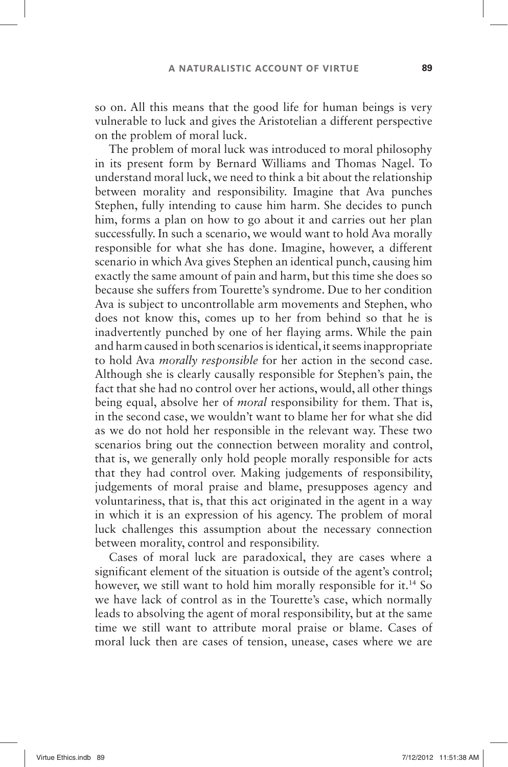so on. All this means that the good life for human beings is very vulnerable to luck and gives the Aristotelian a different perspective on the problem of moral luck.

The problem of moral luck was introduced to moral philosophy in its present form by Bernard Williams and Thomas Nagel. To understand moral luck, we need to think a bit about the relationship between morality and responsibility. Imagine that Ava punches Stephen, fully intending to cause him harm. She decides to punch him, forms a plan on how to go about it and carries out her plan successfully. In such a scenario, we would want to hold Ava morally responsible for what she has done. Imagine, however, a different scenario in which Ava gives Stephen an identical punch, causing him exactly the same amount of pain and harm, but this time she does so because she suffers from Tourette's syndrome. Due to her condition Ava is subject to uncontrollable arm movements and Stephen, who does not know this, comes up to her from behind so that he is inadvertently punched by one of her flaying arms. While the pain and harm caused in both scenarios is identical, it seems inappropriate to hold Ava *morally responsible* for her action in the second case. Although she is clearly causally responsible for Stephen's pain, the fact that she had no control over her actions, would, all other things being equal, absolve her of *moral* responsibility for them. That is, in the second case, we wouldn't want to blame her for what she did as we do not hold her responsible in the relevant way. These two scenarios bring out the connection between morality and control, that is, we generally only hold people morally responsible for acts that they had control over. Making judgements of responsibility, judgements of moral praise and blame, presupposes agency and voluntariness, that is, that this act originated in the agent in a way in which it is an expression of his agency. The problem of moral luck challenges this assumption about the necessary connection between morality, control and responsibility.

Cases of moral luck are paradoxical, they are cases where a significant element of the situation is outside of the agent's control; however, we still want to hold him morally responsible for it.<sup>14</sup> So we have lack of control as in the Tourette's case, which normally leads to absolving the agent of moral responsibility, but at the same time we still want to attribute moral praise or blame. Cases of moral luck then are cases of tension, unease, cases where we are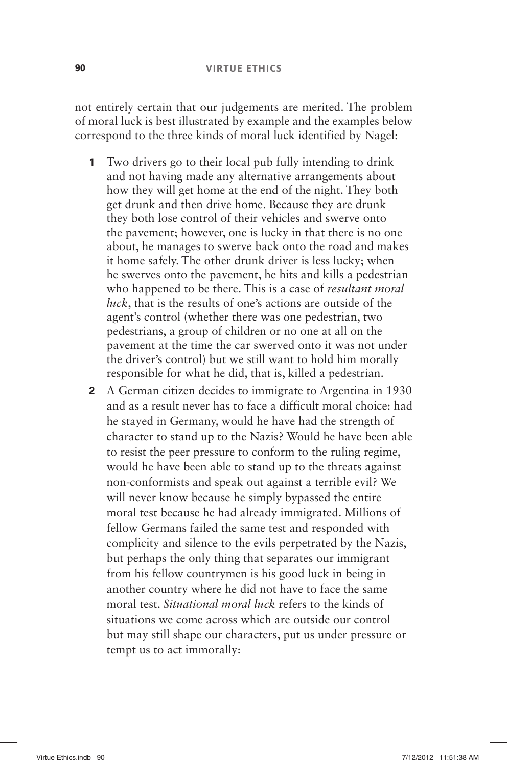### **90 VIRTUE ETHICS**

not entirely certain that our judgements are merited. The problem of moral luck is best illustrated by example and the examples below correspond to the three kinds of moral luck identified by Nagel:

- **1** Two drivers go to their local pub fully intending to drink and not having made any alternative arrangements about how they will get home at the end of the night. They both get drunk and then drive home. Because they are drunk they both lose control of their vehicles and swerve onto the pavement; however, one is lucky in that there is no one about, he manages to swerve back onto the road and makes it home safely. The other drunk driver is less lucky; when he swerves onto the pavement, he hits and kills a pedestrian who happened to be there. This is a case of *resultant moral luck*, that is the results of one's actions are outside of the agent's control (whether there was one pedestrian, two pedestrians, a group of children or no one at all on the pavement at the time the car swerved onto it was not under the driver's control) but we still want to hold him morally responsible for what he did, that is, killed a pedestrian.
- **2** A German citizen decides to immigrate to Argentina in 1930 and as a result never has to face a difficult moral choice: had he stayed in Germany, would he have had the strength of character to stand up to the Nazis? Would he have been able to resist the peer pressure to conform to the ruling regime, would he have been able to stand up to the threats against non-conformists and speak out against a terrible evil? We will never know because he simply bypassed the entire moral test because he had already immigrated. Millions of fellow Germans failed the same test and responded with complicity and silence to the evils perpetrated by the Nazis, but perhaps the only thing that separates our immigrant from his fellow countrymen is his good luck in being in another country where he did not have to face the same moral test. *Situational moral luck* refers to the kinds of situations we come across which are outside our control but may still shape our characters, put us under pressure or tempt us to act immorally: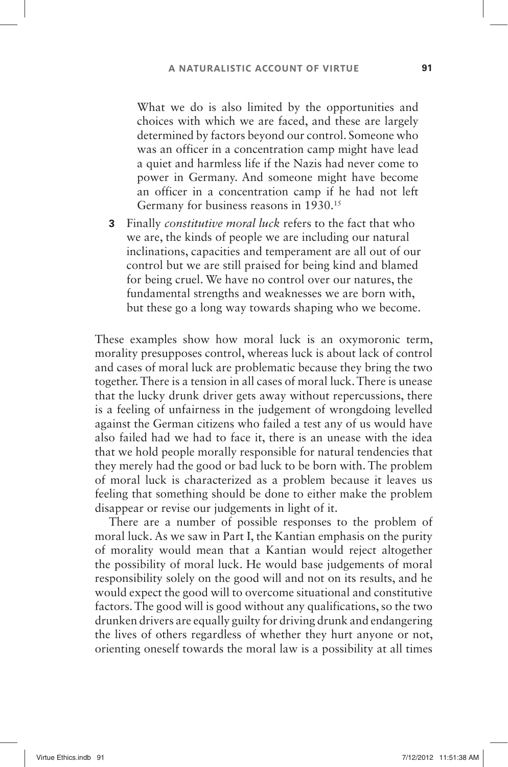What we do is also limited by the opportunities and choices with which we are faced, and these are largely determined by factors beyond our control. Someone who was an officer in a concentration camp might have lead a quiet and harmless life if the Nazis had never come to power in Germany. And someone might have become an officer in a concentration camp if he had not left Germany for business reasons in 1930.<sup>15</sup>

 **3** Finally *constitutive moral luck* refers to the fact that who we are, the kinds of people we are including our natural inclinations, capacities and temperament are all out of our control but we are still praised for being kind and blamed for being cruel. We have no control over our natures, the fundamental strengths and weaknesses we are born with, but these go a long way towards shaping who we become.

These examples show how moral luck is an oxymoronic term, morality presupposes control, whereas luck is about lack of control and cases of moral luck are problematic because they bring the two together. There is a tension in all cases of moral luck. There is unease that the lucky drunk driver gets away without repercussions, there is a feeling of unfairness in the judgement of wrongdoing levelled against the German citizens who failed a test any of us would have also failed had we had to face it, there is an unease with the idea that we hold people morally responsible for natural tendencies that they merely had the good or bad luck to be born with. The problem of moral luck is characterized as a problem because it leaves us feeling that something should be done to either make the problem disappear or revise our judgements in light of it.

There are a number of possible responses to the problem of moral luck. As we saw in Part I, the Kantian emphasis on the purity of morality would mean that a Kantian would reject altogether the possibility of moral luck. He would base judgements of moral responsibility solely on the good will and not on its results, and he would expect the good will to overcome situational and constitutive factors. The good will is good without any qualifications, so the two drunken drivers are equally guilty for driving drunk and endangering the lives of others regardless of whether they hurt anyone or not, orienting oneself towards the moral law is a possibility at all times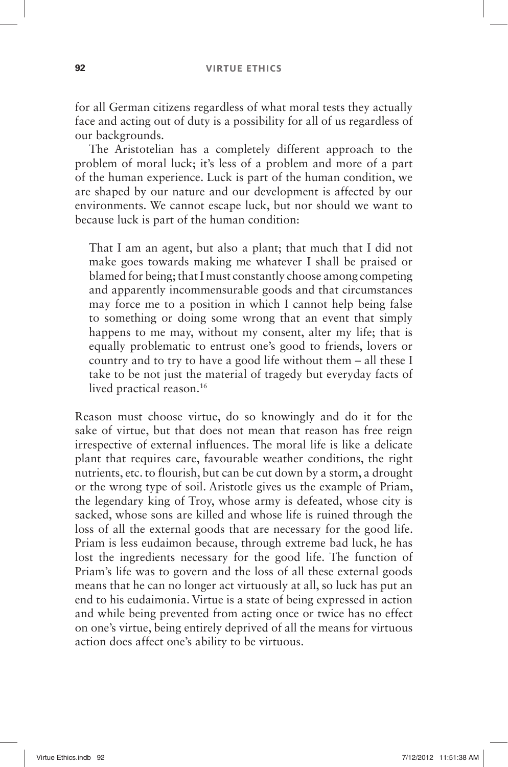for all German citizens regardless of what moral tests they actually face and acting out of duty is a possibility for all of us regardless of our backgrounds.

The Aristotelian has a completely different approach to the problem of moral luck; it's less of a problem and more of a part of the human experience. Luck is part of the human condition, we are shaped by our nature and our development is affected by our environments. We cannot escape luck, but nor should we want to because luck is part of the human condition:

That I am an agent, but also a plant; that much that I did not make goes towards making me whatever I shall be praised or blamed for being; that I must constantly choose among competing and apparently incommensurable goods and that circumstances may force me to a position in which I cannot help being false to something or doing some wrong that an event that simply happens to me may, without my consent, alter my life; that is equally problematic to entrust one's good to friends, lovers or country and to try to have a good life without them  $-$  all these I take to be not just the material of tragedy but everyday facts of lived practical reason.<sup>16</sup>

Reason must choose virtue, do so knowingly and do it for the sake of virtue, but that does not mean that reason has free reign irrespective of external influences. The moral life is like a delicate plant that requires care, favourable weather conditions, the right nutrients, etc. to flourish, but can be cut down by a storm, a drought or the wrong type of soil. Aristotle gives us the example of Priam, the legendary king of Troy, whose army is defeated, whose city is sacked, whose sons are killed and whose life is ruined through the loss of all the external goods that are necessary for the good life. Priam is less eudaimon because, through extreme bad luck, he has lost the ingredients necessary for the good life. The function of Priam's life was to govern and the loss of all these external goods means that he can no longer act virtuously at all, so luck has put an end to his eudaimonia. Virtue is a state of being expressed in action and while being prevented from acting once or twice has no effect on one's virtue, being entirely deprived of all the means for virtuous action does affect one's ability to be virtuous.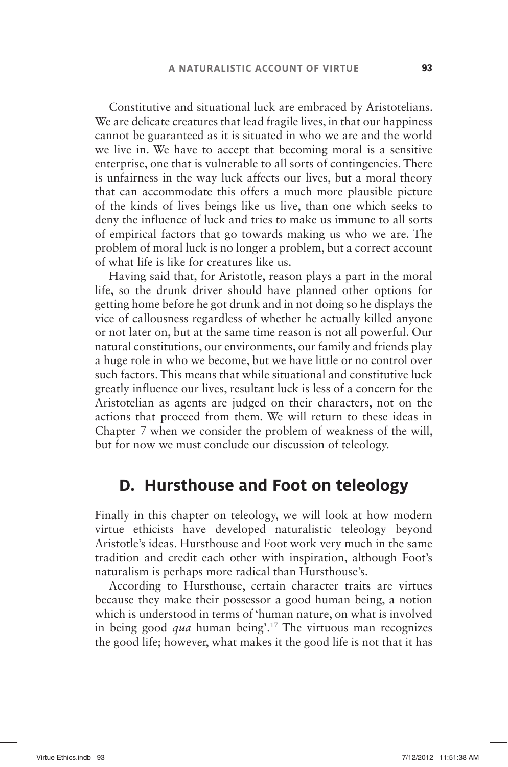Constitutive and situational luck are embraced by Aristotelians. We are delicate creatures that lead fragile lives, in that our happiness cannot be guaranteed as it is situated in who we are and the world we live in. We have to accept that becoming moral is a sensitive enterprise, one that is vulnerable to all sorts of contingencies. There is unfairness in the way luck affects our lives, but a moral theory that can accommodate this offers a much more plausible picture of the kinds of lives beings like us live, than one which seeks to deny the influence of luck and tries to make us immune to all sorts of empirical factors that go towards making us who we are. The problem of moral luck is no longer a problem, but a correct account of what life is like for creatures like us.

Having said that, for Aristotle, reason plays a part in the moral life, so the drunk driver should have planned other options for getting home before he got drunk and in not doing so he displays the vice of callousness regardless of whether he actually killed anyone or not later on, but at the same time reason is not all powerful. Our natural constitutions, our environments, our family and friends play a huge role in who we become, but we have little or no control over such factors. This means that while situational and constitutive luck greatly influence our lives, resultant luck is less of a concern for the Aristotelian as agents are judged on their characters, not on the actions that proceed from them. We will return to these ideas in Chapter 7 when we consider the problem of weakness of the will, but for now we must conclude our discussion of teleology.

### **D. Hursthouse and Foot on teleology**

Finally in this chapter on teleology, we will look at how modern virtue ethicists have developed naturalistic teleology beyond Aristotle's ideas. Hursthouse and Foot work very much in the same tradition and credit each other with inspiration, although Foot's naturalism is perhaps more radical than Hursthouse's.

According to Hursthouse, certain character traits are virtues because they make their possessor a good human being, a notion which is understood in terms of 'human nature, on what is involved in being good *qua* human being'.<sup>17</sup> The virtuous man recognizes the good life; however, what makes it the good life is not that it has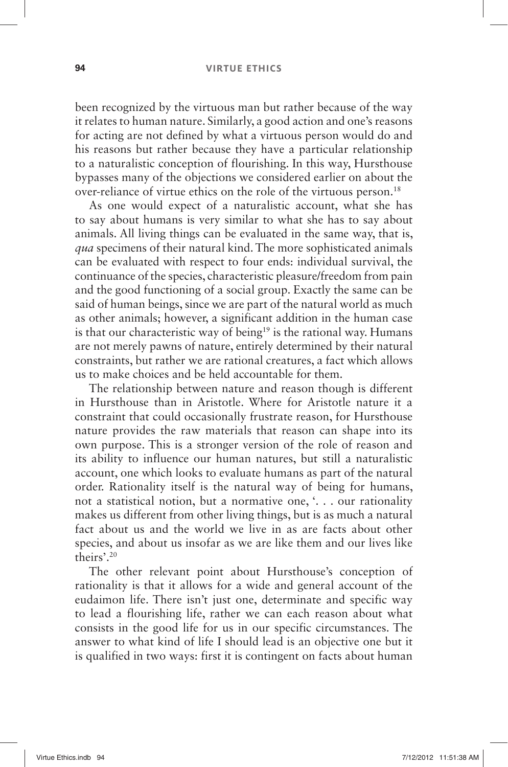### **94 VIRTUE ETHICS**

been recognized by the virtuous man but rather because of the way it relates to human nature. Similarly, a good action and one's reasons for acting are not defined by what a virtuous person would do and his reasons but rather because they have a particular relationship to a naturalistic conception of flourishing. In this way, Hursthouse bypasses many of the objections we considered earlier on about the over-reliance of virtue ethics on the role of the virtuous person. 18

As one would expect of a naturalistic account, what she has to say about humans is very similar to what she has to say about animals. All living things can be evaluated in the same way, that is, *qua* specimens of their natural kind. The more sophisticated animals can be evaluated with respect to four ends: individual survival, the continuance of the species, characteristic pleasure/freedom from pain and the good functioning of a social group. Exactly the same can be said of human beings, since we are part of the natural world as much as other animals; however, a significant addition in the human case is that our characteristic way of being<sup>19</sup> is the rational way. Humans are not merely pawns of nature, entirely determined by their natural constraints, but rather we are rational creatures, a fact which allows us to make choices and be held accountable for them.

The relationship between nature and reason though is different in Hursthouse than in Aristotle. Where for Aristotle nature it a constraint that could occasionally frustrate reason, for Hursthouse nature provides the raw materials that reason can shape into its own purpose. This is a stronger version of the role of reason and its ability to influence our human natures, but still a naturalistic account, one which looks to evaluate humans as part of the natural order. Rationality itself is the natural way of being for humans, not a statistical notion, but a normative one, '. . . our rationality makes us different from other living things, but is as much a natural fact about us and the world we live in as are facts about other species, and about us insofar as we are like them and our lives like theirs'.<sup>20</sup>

The other relevant point about Hursthouse's conception of rationality is that it allows for a wide and general account of the eudaimon life. There isn't just one, determinate and specific way to lead a flourishing life, rather we can each reason about what consists in the good life for us in our specific circumstances. The answer to what kind of life I should lead is an objective one but it is qualified in two ways: first it is contingent on facts about human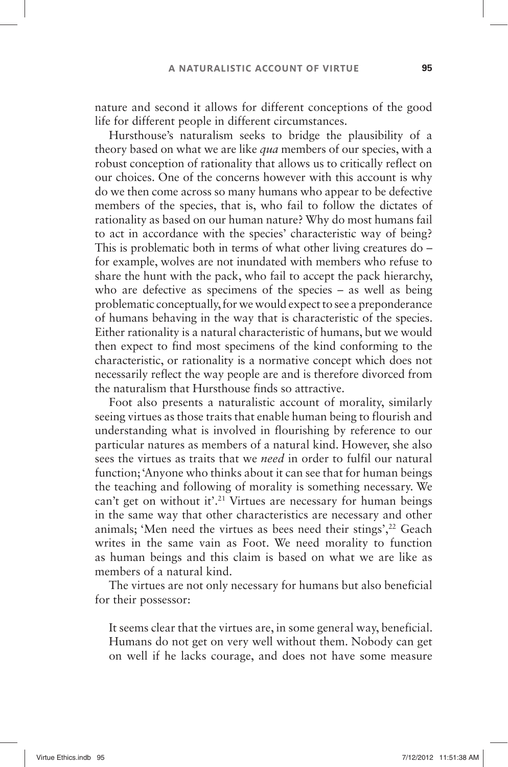nature and second it allows for different conceptions of the good life for different people in different circumstances.

Hursthouse's naturalism seeks to bridge the plausibility of a theory based on what we are like *qua* members of our species, with a robust conception of rationality that allows us to critically reflect on our choices. One of the concerns however with this account is why do we then come across so many humans who appear to be defective members of the species, that is, who fail to follow the dictates of rationality as based on our human nature? Why do most humans fail to act in accordance with the species' characteristic way of being? This is problematic both in terms of what other living creatures do – for example, wolves are not inundated with members who refuse to share the hunt with the pack, who fail to accept the pack hierarchy, who are defective as specimens of the species  $-$  as well as being problematic conceptually, for we would expect to see a preponderance of humans behaving in the way that is characteristic of the species. Either rationality is a natural characteristic of humans, but we would then expect to find most specimens of the kind conforming to the characteristic, or rationality is a normative concept which does not necessarily reflect the way people are and is therefore divorced from the naturalism that Hursthouse finds so attractive.

Foot also presents a naturalistic account of morality, similarly seeing virtues as those traits that enable human being to flourish and understanding what is involved in flourishing by reference to our particular natures as members of a natural kind. However, she also sees the virtues as traits that we *need* in order to fulfil our natural function; 'Anyone who thinks about it can see that for human beings the teaching and following of morality is something necessary. We can't get on without it'.<sup>21</sup> Virtues are necessary for human beings in the same way that other characteristics are necessary and other animals; 'Men need the virtues as bees need their stings', $22$  Geach writes in the same vain as Foot. We need morality to function as human beings and this claim is based on what we are like as members of a natural kind.

The virtues are not only necessary for humans but also beneficial for their possessor:

It seems clear that the virtues are, in some general way, beneficial. Humans do not get on very well without them. Nobody can get on well if he lacks courage, and does not have some measure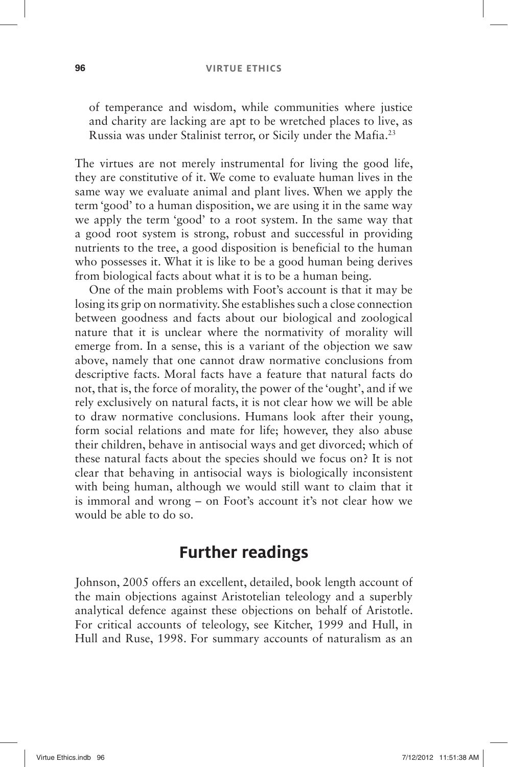#### **96 VIRTUE ETHICS**

of temperance and wisdom, while communities where justice and charity are lacking are apt to be wretched places to live, as Russia was under Stalinist terror, or Sicily under the Mafia. 23

The virtues are not merely instrumental for living the good life, they are constitutive of it. We come to evaluate human lives in the same way we evaluate animal and plant lives. When we apply the term 'good' to a human disposition, we are using it in the same way we apply the term 'good' to a root system. In the same way that a good root system is strong, robust and successful in providing nutrients to the tree, a good disposition is beneficial to the human who possesses it. What it is like to be a good human being derives from biological facts about what it is to be a human being.

One of the main problems with Foot's account is that it may be losing its grip on normativity. She establishes such a close connection between goodness and facts about our biological and zoological nature that it is unclear where the normativity of morality will emerge from. In a sense, this is a variant of the objection we saw above, namely that one cannot draw normative conclusions from descriptive facts. Moral facts have a feature that natural facts do not, that is, the force of morality, the power of the 'ought', and if we rely exclusively on natural facts, it is not clear how we will be able to draw normative conclusions. Humans look after their young, form social relations and mate for life; however, they also abuse their children, behave in antisocial ways and get divorced; which of these natural facts about the species should we focus on? It is not clear that behaving in antisocial ways is biologically inconsistent with being human, although we would still want to claim that it is immoral and wrong – on Foot's account it's not clear how we would be able to do so.

### **Further readings**

Johnson, 2005 offers an excellent, detailed, book length account of the main objections against Aristotelian teleology and a superbly analytical defence against these objections on behalf of Aristotle. For critical accounts of teleology, see Kitcher, 1999 and Hull, in Hull and Ruse, 1998. For summary accounts of naturalism as an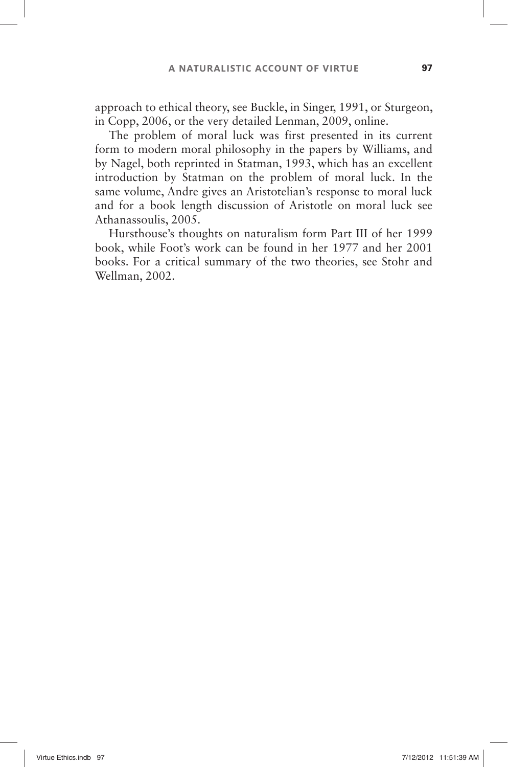approach to ethical theory, see Buckle, in Singer, 1991, or Sturgeon, in Copp, 2006, or the very detailed Lenman, 2009, online.

The problem of moral luck was first presented in its current form to modern moral philosophy in the papers by Williams, and by Nagel, both reprinted in Statman, 1993, which has an excellent introduction by Statman on the problem of moral luck. In the same volume, Andre gives an Aristotelian's response to moral luck and for a book length discussion of Aristotle on moral luck see Athanassoulis, 2005.

Hursthouse's thoughts on naturalism form Part III of her 1999 book, while Foot's work can be found in her 1977 and her 2001 books. For a critical summary of the two theories, see Stohr and Wellman, 2002.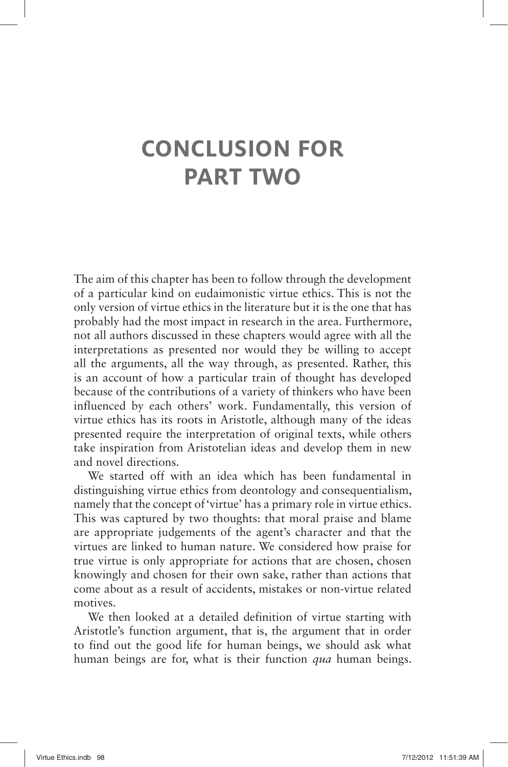## **CONCLUSION FOR PART TWO**

The aim of this chapter has been to follow through the development of a particular kind on eudaimonistic virtue ethics. This is not the only version of virtue ethics in the literature but it is the one that has probably had the most impact in research in the area. Furthermore, not all authors discussed in these chapters would agree with all the interpretations as presented nor would they be willing to accept all the arguments, all the way through, as presented. Rather, this is an account of how a particular train of thought has developed because of the contributions of a variety of thinkers who have been influenced by each others' work. Fundamentally, this version of virtue ethics has its roots in Aristotle, although many of the ideas presented require the interpretation of original texts, while others take inspiration from Aristotelian ideas and develop them in new and novel directions.

We started off with an idea which has been fundamental in distinguishing virtue ethics from deontology and consequentialism, namely that the concept of 'virtue' has a primary role in virtue ethics. This was captured by two thoughts: that moral praise and blame are appropriate judgements of the agent's character and that the virtues are linked to human nature. We considered how praise for true virtue is only appropriate for actions that are chosen, chosen knowingly and chosen for their own sake, rather than actions that come about as a result of accidents, mistakes or non-virtue related motives.

We then looked at a detailed definition of virtue starting with Aristotle's function argument, that is, the argument that in order to find out the good life for human beings, we should ask what human beings are for, what is their function *qua* human beings.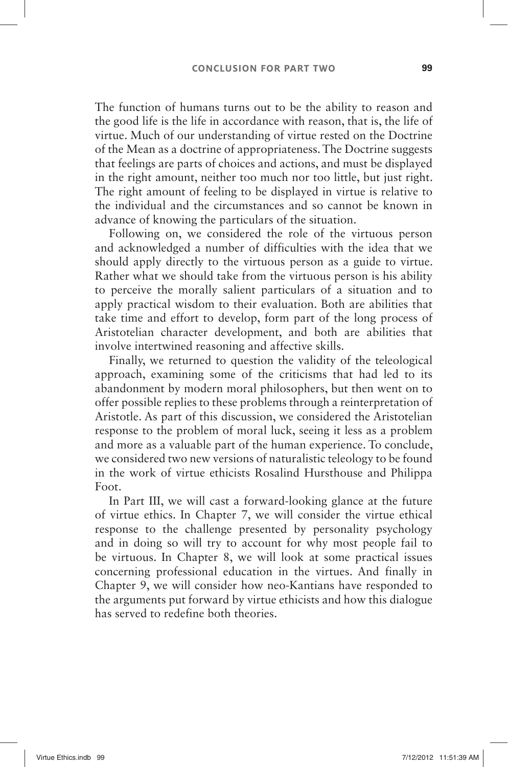The function of humans turns out to be the ability to reason and the good life is the life in accordance with reason, that is, the life of virtue. Much of our understanding of virtue rested on the Doctrine of the Mean as a doctrine of appropriateness. The Doctrine suggests that feelings are parts of choices and actions, and must be displayed in the right amount, neither too much nor too little, but just right. The right amount of feeling to be displayed in virtue is relative to the individual and the circumstances and so cannot be known in advance of knowing the particulars of the situation.

Following on, we considered the role of the virtuous person and acknowledged a number of difficulties with the idea that we should apply directly to the virtuous person as a guide to virtue. Rather what we should take from the virtuous person is his ability to perceive the morally salient particulars of a situation and to apply practical wisdom to their evaluation. Both are abilities that take time and effort to develop, form part of the long process of Aristotelian character development, and both are abilities that involve intertwined reasoning and affective skills.

Finally, we returned to question the validity of the teleological approach, examining some of the criticisms that had led to its abandonment by modern moral philosophers, but then went on to offer possible replies to these problems through a reinterpretation of Aristotle. As part of this discussion, we considered the Aristotelian response to the problem of moral luck, seeing it less as a problem and more as a valuable part of the human experience. To conclude, we considered two new versions of naturalistic teleology to be found in the work of virtue ethicists Rosalind Hursthouse and Philippa Foot.

In Part III, we will cast a forward-looking glance at the future of virtue ethics. In Chapter 7, we will consider the virtue ethical response to the challenge presented by personality psychology and in doing so will try to account for why most people fail to be virtuous. In Chapter 8, we will look at some practical issues concerning professional education in the virtues. And finally in Chapter 9, we will consider how neo-Kantians have responded to the arguments put forward by virtue ethicists and how this dialogue has served to redefine both theories.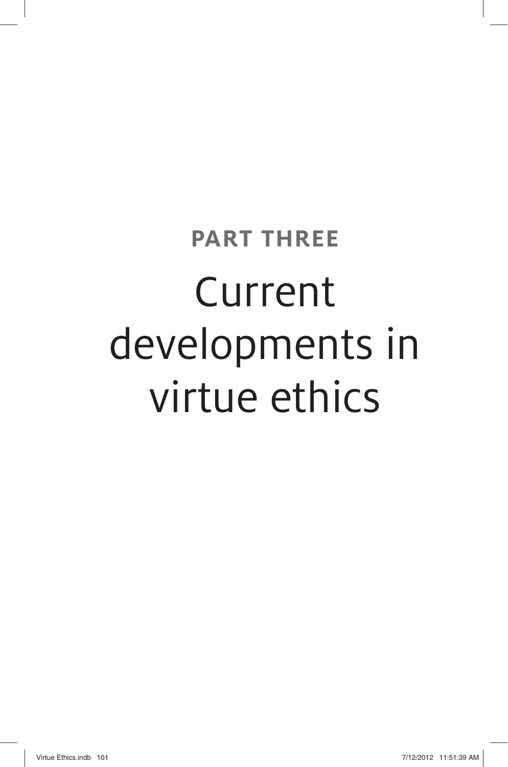# **PART THREE**  Current developments in virtue ethics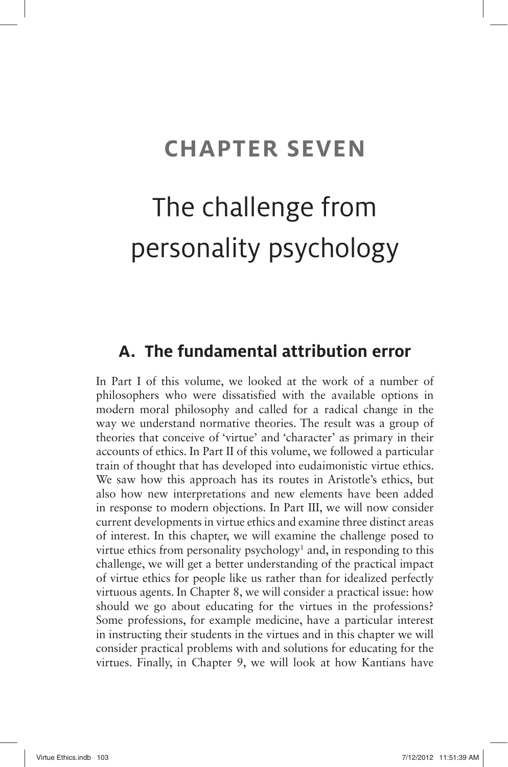## **CHAPTER SEVEN**

## The challenge from personality psychology

### **A. The fundamental attribution error**

In Part I of this volume, we looked at the work of a number of philosophers who were dissatisfied with the available options in modern moral philosophy and called for a radical change in the way we understand normative theories. The result was a group of theories that conceive of 'virtue' and 'character' as primary in their accounts of ethics. In Part II of this volume, we followed a particular train of thought that has developed into eudaimonistic virtue ethics. We saw how this approach has its routes in Aristotle's ethics, but also how new interpretations and new elements have been added in response to modern objections. In Part III, we will now consider current developments in virtue ethics and examine three distinct areas of interest. In this chapter, we will examine the challenge posed to virtue ethics from personality psychology<sup>1</sup> and, in responding to this challenge, we will get a better understanding of the practical impact of virtue ethics for people like us rather than for idealized perfectly virtuous agents. In Chapter 8, we will consider a practical issue: how should we go about educating for the virtues in the professions? Some professions, for example medicine, have a particular interest in instructing their students in the virtues and in this chapter we will consider practical problems with and solutions for educating for the virtues. Finally, in Chapter 9, we will look at how Kantians have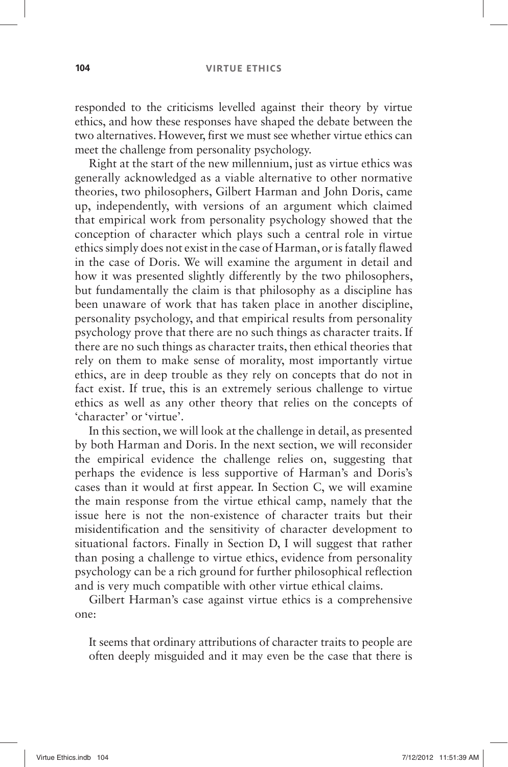#### **104 VIRTUE ETHICS**

responded to the criticisms levelled against their theory by virtue ethics, and how these responses have shaped the debate between the two alternatives. However, first we must see whether virtue ethics can meet the challenge from personality psychology.

Right at the start of the new millennium, just as virtue ethics was generally acknowledged as a viable alternative to other normative theories, two philosophers, Gilbert Harman and John Doris, came up, independently, with versions of an argument which claimed that empirical work from personality psychology showed that the conception of character which plays such a central role in virtue ethics simply does not exist in the case of Harman, or is fatally flawed in the case of Doris. We will examine the argument in detail and how it was presented slightly differently by the two philosophers, but fundamentally the claim is that philosophy as a discipline has been unaware of work that has taken place in another discipline, personality psychology, and that empirical results from personality psychology prove that there are no such things as character traits. If there are no such things as character traits, then ethical theories that rely on them to make sense of morality, most importantly virtue ethics, are in deep trouble as they rely on concepts that do not in fact exist. If true, this is an extremely serious challenge to virtue ethics as well as any other theory that relies on the concepts of ' character' or 'virtue'.

In this section, we will look at the challenge in detail, as presented by both Harman and Doris. In the next section, we will reconsider the empirical evidence the challenge relies on, suggesting that perhaps the evidence is less supportive of Harman's and Doris's cases than it would at first appear. In Section C, we will examine the main response from the virtue ethical camp, namely that the issue here is not the non-existence of character traits but their misidentification and the sensitivity of character development to situational factors. Finally in Section D, I will suggest that rather than posing a challenge to virtue ethics, evidence from personality psychology can be a rich ground for further philosophical reflection and is very much compatible with other virtue ethical claims.

Gilbert Harman's case against virtue ethics is a comprehensive one:

It seems that ordinary attributions of character traits to people are often deeply misguided and it may even be the case that there is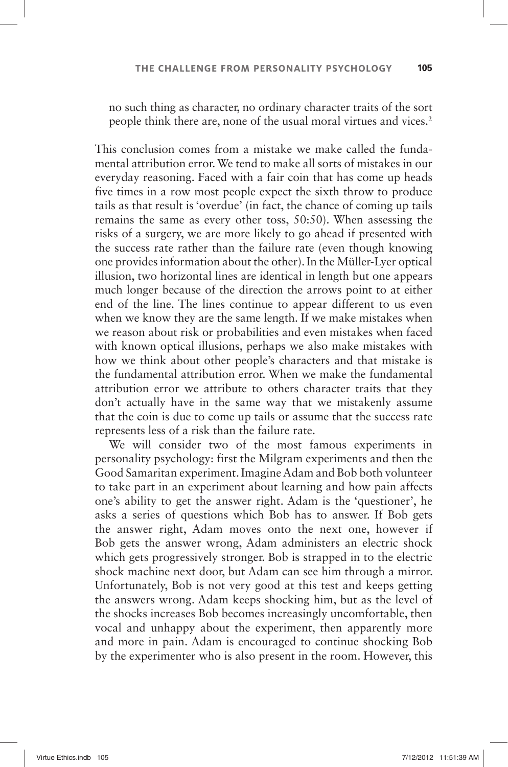no such thing as character, no ordinary character traits of the sort people think there are, none of the usual moral virtues and vices.<sup>2</sup>

This conclusion comes from a mistake we make called the fundamental attribution error. We tend to make all sorts of mistakes in our everyday reasoning. Faced with a fair coin that has come up heads five times in a row most people expect the sixth throw to produce tails as that result is 'overdue' (in fact, the chance of coming up tails remains the same as every other toss, 50:50). When assessing the risks of a surgery, we are more likely to go ahead if presented with the success rate rather than the failure rate (even though knowing one provides information about the other). In the Müller-Lyer optical illusion, two horizontal lines are identical in length but one appears much longer because of the direction the arrows point to at either end of the line. The lines continue to appear different to us even when we know they are the same length. If we make mistakes when we reason about risk or probabilities and even mistakes when faced with known optical illusions, perhaps we also make mistakes with how we think about other people's characters and that mistake is the fundamental attribution error. When we make the fundamental attribution error we attribute to others character traits that they don't actually have in the same way that we mistakenly assume that the coin is due to come up tails or assume that the success rate represents less of a risk than the failure rate.

We will consider two of the most famous experiments in personality psychology: first the Milgram experiments and then the Good Samaritan experiment. Imagine Adam and Bob both volunteer to take part in an experiment about learning and how pain affects one's ability to get the answer right. Adam is the 'questioner', he asks a series of questions which Bob has to answer. If Bob gets the answer right, Adam moves onto the next one, however if Bob gets the answer wrong, Adam administers an electric shock which gets progressively stronger. Bob is strapped in to the electric shock machine next door, but Adam can see him through a mirror. Unfortunately, Bob is not very good at this test and keeps getting the answers wrong. Adam keeps shocking him, but as the level of the shocks increases Bob becomes increasingly uncomfortable, then vocal and unhappy about the experiment, then apparently more and more in pain. Adam is encouraged to continue shocking Bob by the experimenter who is also present in the room. However, this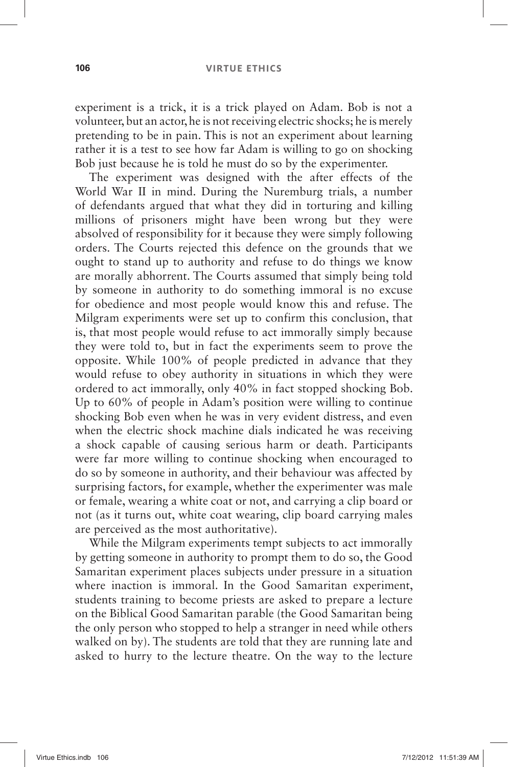#### **106 VIRTUE ETHICS**

experiment is a trick, it is a trick played on Adam. Bob is not a volunteer, but an actor, he is not receiving electric shocks; he is merely pretending to be in pain. This is not an experiment about learning rather it is a test to see how far Adam is willing to go on shocking Bob just because he is told he must do so by the experimenter.

The experiment was designed with the after effects of the World War II in mind. During the Nuremburg trials, a number of defendants argued that what they did in torturing and killing millions of prisoners might have been wrong but they were absolved of responsibility for it because they were simply following orders. The Courts rejected this defence on the grounds that we ought to stand up to authority and refuse to do things we know are morally abhorrent. The Courts assumed that simply being told by someone in authority to do something immoral is no excuse for obedience and most people would know this and refuse. The Milgram experiments were set up to confirm this conclusion, that is, that most people would refuse to act immorally simply because they were told to, but in fact the experiments seem to prove the opposite. While 100% of people predicted in advance that they would refuse to obey authority in situations in which they were ordered to act immorally, only 40% in fact stopped shocking Bob. Up to  $60\%$  of people in Adam's position were willing to continue shocking Bob even when he was in very evident distress, and even when the electric shock machine dials indicated he was receiving a shock capable of causing serious harm or death. Participants were far more willing to continue shocking when encouraged to do so by someone in authority, and their behaviour was affected by surprising factors, for example, whether the experimenter was male or female, wearing a white coat or not, and carrying a clip board or not (as it turns out, white coat wearing, clip board carrying males are perceived as the most authoritative).

While the Milgram experiments tempt subjects to act immorally by getting someone in authority to prompt them to do so, the Good Samaritan experiment places subjects under pressure in a situation where inaction is immoral. In the Good Samaritan experiment, students training to become priests are asked to prepare a lecture on the Biblical Good Samaritan parable (the Good Samaritan being the only person who stopped to help a stranger in need while others walked on by). The students are told that they are running late and asked to hurry to the lecture theatre. On the way to the lecture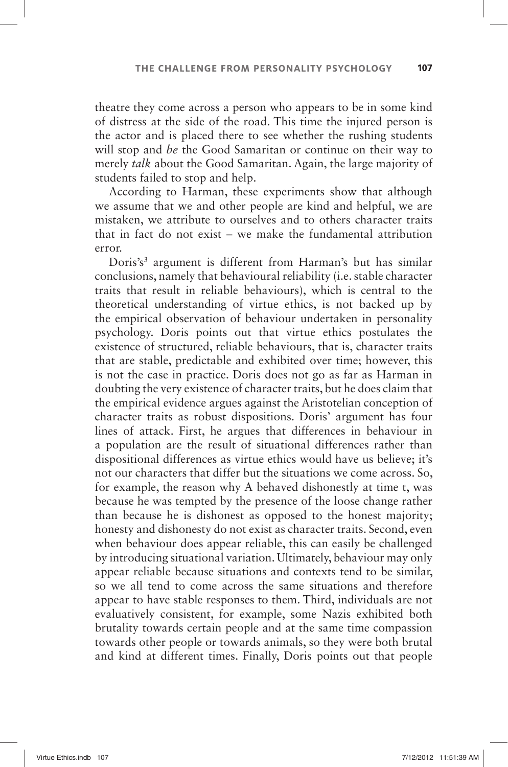theatre they come across a person who appears to be in some kind of distress at the side of the road. This time the injured person is the actor and is placed there to see whether the rushing students will stop and *be* the Good Samaritan or continue on their way to merely *talk* about the Good Samaritan. Again, the large majority of students failed to stop and help.

According to Harman, these experiments show that although we assume that we and other people are kind and helpful, we are mistaken, we attribute to ourselves and to others character traits that in fact do not exist  $-$  we make the fundamental attribution error.

Doris's<sup>3</sup> argument is different from Harman's but has similar conclusions, namely that behavioural reliability (i.e. stable character traits that result in reliable behaviours), which is central to the theoretical understanding of virtue ethics, is not backed up by the empirical observation of behaviour undertaken in personality psychology. Doris points out that virtue ethics postulates the existence of structured, reliable behaviours, that is, character traits that are stable, predictable and exhibited over time; however, this is not the case in practice. Doris does not go as far as Harman in doubting the very existence of character traits, but he does claim that the empirical evidence argues against the Aristotelian conception of character traits as robust dispositions. Doris' argument has four lines of attack. First, he argues that differences in behaviour in a population are the result of situational differences rather than dispositional differences as virtue ethics would have us believe; it's not our characters that differ but the situations we come across. So, for example, the reason why A behaved dishonestly at time t, was because he was tempted by the presence of the loose change rather than because he is dishonest as opposed to the honest majority; honesty and dishonesty do not exist as character traits. Second, even when behaviour does appear reliable, this can easily be challenged by introducing situational variation. Ultimately, behaviour may only appear reliable because situations and contexts tend to be similar, so we all tend to come across the same situations and therefore appear to have stable responses to them. Third, individuals are not evaluatively consistent, for example, some Nazis exhibited both brutality towards certain people and at the same time compassion towards other people or towards animals, so they were both brutal and kind at different times. Finally, Doris points out that people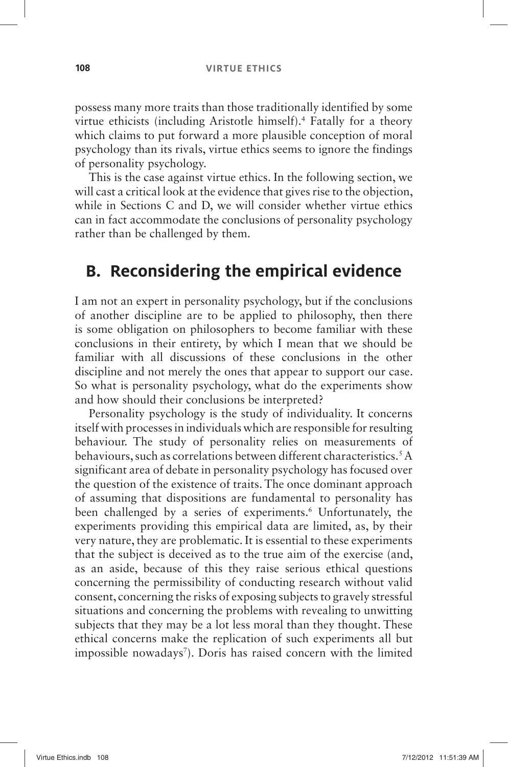possess many more traits than those traditionally identified by some virtue ethicists (including Aristotle himself).<sup>4</sup> Fatally for a theory which claims to put forward a more plausible conception of moral psychology than its rivals, virtue ethics seems to ignore the findings of personality psychology.

This is the case against virtue ethics. In the following section, we will cast a critical look at the evidence that gives rise to the objection, while in Sections C and D, we will consider whether virtue ethics can in fact accommodate the conclusions of personality psychology rather than be challenged by them.

#### **B. Reconsidering the empirical evidence**

I am not an expert in personality psychology, but if the conclusions of another discipline are to be applied to philosophy, then there is some obligation on philosophers to become familiar with these conclusions in their entirety, by which I mean that we should be familiar with all discussions of these conclusions in the other discipline and not merely the ones that appear to support our case. So what is personality psychology, what do the experiments show and how should their conclusions be interpreted?

Personality psychology is the study of individuality. It concerns itself with processes in individuals which are responsible for resulting behaviour. The study of personality relies on measurements of behaviours, such as correlations between different characteristics. 5 A significant area of debate in personality psychology has focused over the question of the existence of traits. The once dominant approach of assuming that dispositions are fundamental to personality has been challenged by a series of experiments.<sup>6</sup> Unfortunately, the experiments providing this empirical data are limited, as, by their very nature, they are problematic. It is essential to these experiments that the subject is deceived as to the true aim of the exercise (and, as an aside, because of this they raise serious ethical questions concerning the permissibility of conducting research without valid consent, concerning the risks of exposing subjects to gravely stressful situations and concerning the problems with revealing to unwitting subjects that they may be a lot less moral than they thought. These ethical concerns make the replication of such experiments all but impossible nowadays<sup>7</sup>). Doris has raised concern with the limited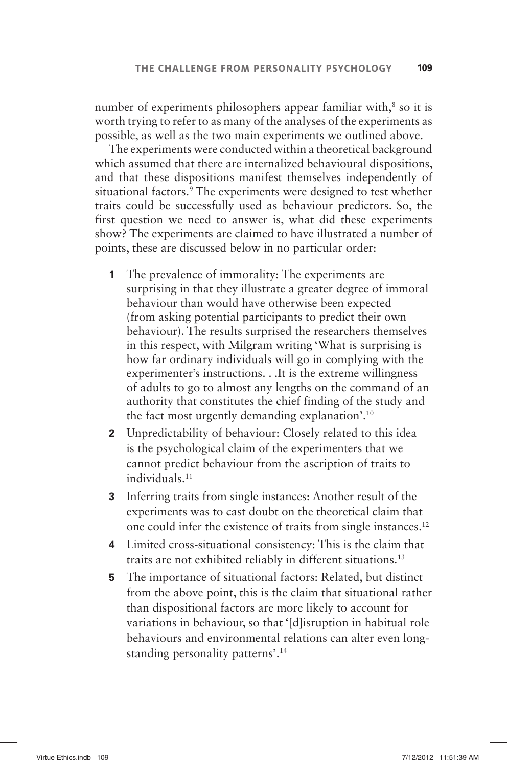number of experiments philosophers appear familiar with,<sup>8</sup> so it is worth trying to refer to as many of the analyses of the experiments as possible, as well as the two main experiments we outlined above.

The experiments were conducted within a theoretical background which assumed that there are internalized behavioural dispositions, and that these dispositions manifest themselves independently of situational factors. 9 The experiments were designed to test whether traits could be successfully used as behaviour predictors. So, the first question we need to answer is, what did these experiments show? The experiments are claimed to have illustrated a number of points, these are discussed below in no particular order:

- **1** The prevalence of immorality: The experiments are surprising in that they illustrate a greater degree of immoral behaviour than would have otherwise been expected (from asking potential participants to predict their own behaviour). The results surprised the researchers themselves in this respect, with Milgram writing 'What is surprising is how far ordinary individuals will go in complying with the experimenter's instructions.  $\ldots$  It is the extreme willingness of adults to go to almost any lengths on the command of an authority that constitutes the chief finding of the study and the fact most urgently demanding explanation'.<sup>10</sup>
- **2** Unpredictability of behaviour: Closely related to this idea is the psychological claim of the experimenters that we cannot predict behaviour from the ascription of traits to individuals. 11
- **3** Inferring traits from single instances: Another result of the experiments was to cast doubt on the theoretical claim that one could infer the existence of traits from single instances. 12
- **4** Limited cross-situational consistency: This is the claim that traits are not exhibited reliably in different situations. 13
- **5** The importance of situational factors: Related, but distinct from the above point, this is the claim that situational rather than dispositional factors are more likely to account for variations in behaviour, so that '[d]isruption in habitual role behaviours and environmental relations can alter even longstanding personality patterns'.<sup>14</sup>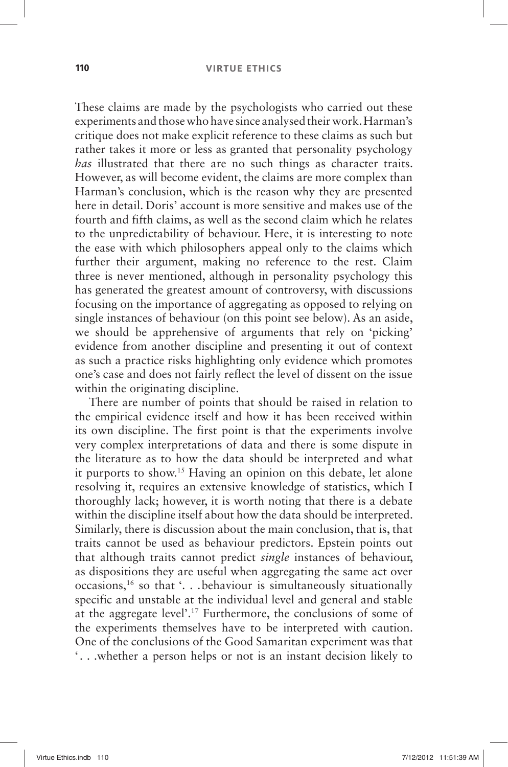These claims are made by the psychologists who carried out these experiments and those who have since analysed their work. Harman's critique does not make explicit reference to these claims as such but rather takes it more or less as granted that personality psychology *has* illustrated that there are no such things as character traits. However, as will become evident, the claims are more complex than Harman's conclusion, which is the reason why they are presented here in detail. Doris' account is more sensitive and makes use of the fourth and fifth claims, as well as the second claim which he relates to the unpredictability of behaviour. Here, it is interesting to note the ease with which philosophers appeal only to the claims which further their argument, making no reference to the rest. Claim three is never mentioned, although in personality psychology this has generated the greatest amount of controversy, with discussions focusing on the importance of aggregating as opposed to relying on single instances of behaviour (on this point see below). As an aside, we should be apprehensive of arguments that rely on 'picking' evidence from another discipline and presenting it out of context as such a practice risks highlighting only evidence which promotes one's case and does not fairly reflect the level of dissent on the issue within the originating discipline.

There are number of points that should be raised in relation to the empirical evidence itself and how it has been received within its own discipline. The first point is that the experiments involve very complex interpretations of data and there is some dispute in the literature as to how the data should be interpreted and what it purports to show.<sup>15</sup> Having an opinion on this debate, let alone resolving it, requires an extensive knowledge of statistics, which I thoroughly lack; however, it is worth noting that there is a debate within the discipline itself about how the data should be interpreted. Similarly, there is discussion about the main conclusion, that is, that traits cannot be used as behaviour predictors. Epstein points out that although traits cannot predict *single* instances of behaviour, as dispositions they are useful when aggregating the same act over occasions, <sup>16</sup> so that '. . . behaviour is simultaneously situationally specific and unstable at the individual level and general and stable at the aggregate level'.<sup>17</sup> Furthermore, the conclusions of some of the experiments themselves have to be interpreted with caution. One of the conclusions of the Good Samaritan experiment was that '. . . whether a person helps or not is an instant decision likely to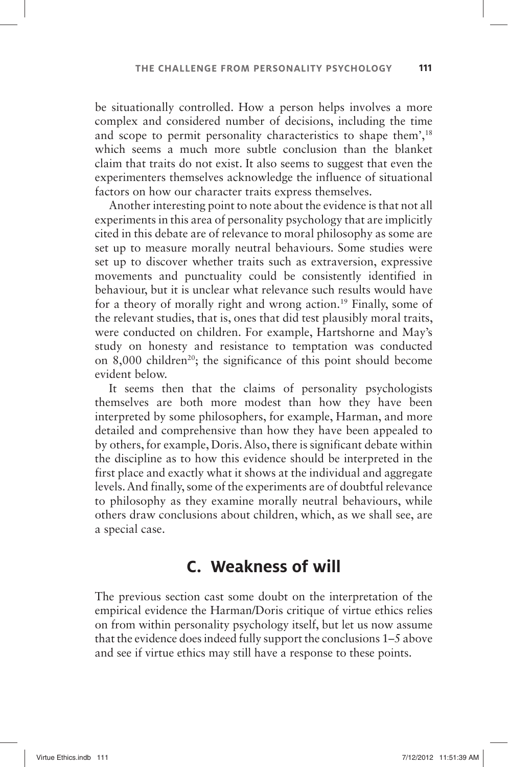be situationally controlled. How a person helps involves a more complex and considered number of decisions, including the time and scope to permit personality characteristics to shape them',<sup>18</sup> which seems a much more subtle conclusion than the blanket claim that traits do not exist. It also seems to suggest that even the experimenters themselves acknowledge the influence of situational factors on how our character traits express themselves.

Another interesting point to note about the evidence is that not all experiments in this area of personality psychology that are implicitly cited in this debate are of relevance to moral philosophy as some are set up to measure morally neutral behaviours. Some studies were set up to discover whether traits such as extraversion, expressive movements and punctuality could be consistently identified in behaviour, but it is unclear what relevance such results would have for a theory of morally right and wrong action. 19 Finally, some of the relevant studies, that is, ones that did test plausibly moral traits, were conducted on children. For example, Hartshorne and May's study on honesty and resistance to temptation was conducted on 8,000 children<sup>20</sup>; the significance of this point should become evident below.

It seems then that the claims of personality psychologists themselves are both more modest than how they have been interpreted by some philosophers, for example, Harman, and more detailed and comprehensive than how they have been appealed to by others, for example, Doris. Also, there is significant debate within the discipline as to how this evidence should be interpreted in the first place and exactly what it shows at the individual and aggregate levels. And finally, some of the experiments are of doubtful relevance to philosophy as they examine morally neutral behaviours, while others draw conclusions about children, which, as we shall see, are a special case.

### **C. Weakness of will**

The previous section cast some doubt on the interpretation of the empirical evidence the Harman/Doris critique of virtue ethics relies on from within personality psychology itself, but let us now assume that the evidence does indeed fully support the conclusions 1–5 above and see if virtue ethics may still have a response to these points.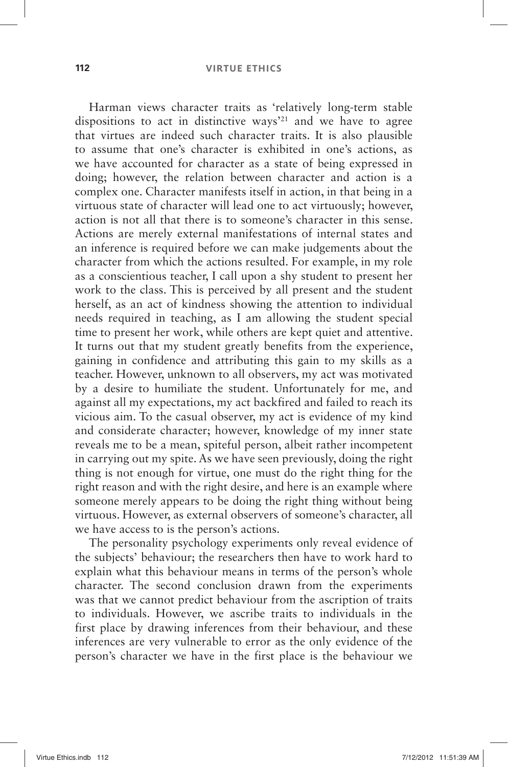Harman views character traits as 'relatively long-term stable dispositions to act in distinctive ways<sup> $21$ </sup> and we have to agree that virtues are indeed such character traits. It is also plausible to assume that one's character is exhibited in one's actions, as we have accounted for character as a state of being expressed in doing; however, the relation between character and action is a complex one. Character manifests itself in action, in that being in a virtuous state of character will lead one to act virtuously; however, action is not all that there is to someone's character in this sense. Actions are merely external manifestations of internal states and an inference is required before we can make judgements about the character from which the actions resulted. For example, in my role as a conscientious teacher, I call upon a shy student to present her work to the class. This is perceived by all present and the student herself, as an act of kindness showing the attention to individual needs required in teaching, as I am allowing the student special time to present her work, while others are kept quiet and attentive. It turns out that my student greatly benefits from the experience, gaining in confidence and attributing this gain to my skills as a teacher. However, unknown to all observers, my act was motivated by a desire to humiliate the student. Unfortunately for me, and against all my expectations, my act backfired and failed to reach its vicious aim. To the casual observer, my act is evidence of my kind and considerate character; however, knowledge of my inner state reveals me to be a mean, spiteful person, albeit rather incompetent in carrying out my spite. As we have seen previously, doing the right thing is not enough for virtue, one must do the right thing for the right reason and with the right desire, and here is an example where someone merely appears to be doing the right thing without being virtuous. However, as external observers of someone's character, all we have access to is the person's actions.

The personality psychology experiments only reveal evidence of the subjects' behaviour; the researchers then have to work hard to explain what this behaviour means in terms of the person's whole character. The second conclusion drawn from the experiments was that we cannot predict behaviour from the ascription of traits to individuals. However, we ascribe traits to individuals in the first place by drawing inferences from their behaviour, and these inferences are very vulnerable to error as the only evidence of the person's character we have in the first place is the behaviour we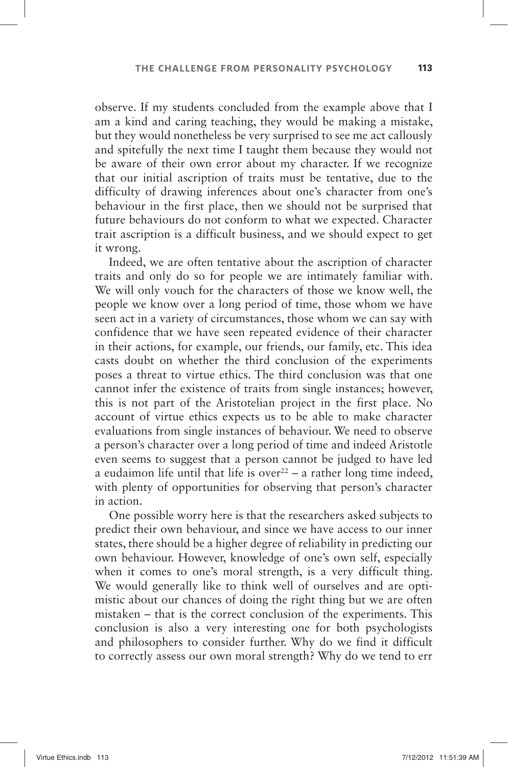observe. If my students concluded from the example above that I am a kind and caring teaching, they would be making a mistake, but they would nonetheless be very surprised to see me act callously and spitefully the next time I taught them because they would not be aware of their own error about my character. If we recognize that our initial ascription of traits must be tentative, due to the difficulty of drawing inferences about one's character from one's behaviour in the first place, then we should not be surprised that future behaviours do not conform to what we expected. Character trait ascription is a difficult business, and we should expect to get it wrong.

Indeed, we are often tentative about the ascription of character traits and only do so for people we are intimately familiar with. We will only vouch for the characters of those we know well, the people we know over a long period of time, those whom we have seen act in a variety of circumstances, those whom we can say with confidence that we have seen repeated evidence of their character in their actions, for example, our friends, our family, etc. This idea casts doubt on whether the third conclusion of the experiments poses a threat to virtue ethics. The third conclusion was that one cannot infer the existence of traits from single instances; however, this is not part of the Aristotelian project in the first place. No account of virtue ethics expects us to be able to make character evaluations from single instances of behaviour. We need to observe a person's character over a long period of time and indeed Aristotle even seems to suggest that a person cannot be judged to have led a eudaimon life until that life is over  $2^2$  – a rather long time indeed, with plenty of opportunities for observing that person's character in action.

One possible worry here is that the researchers asked subjects to predict their own behaviour, and since we have access to our inner states, there should be a higher degree of reliability in predicting our own behaviour. However, knowledge of one's own self, especially when it comes to one's moral strength, is a very difficult thing. We would generally like to think well of ourselves and are optimistic about our chances of doing the right thing but we are often mistaken – that is the correct conclusion of the experiments. This conclusion is also a very interesting one for both psychologists and philosophers to consider further. Why do we find it difficult to correctly assess our own moral strength? Why do we tend to err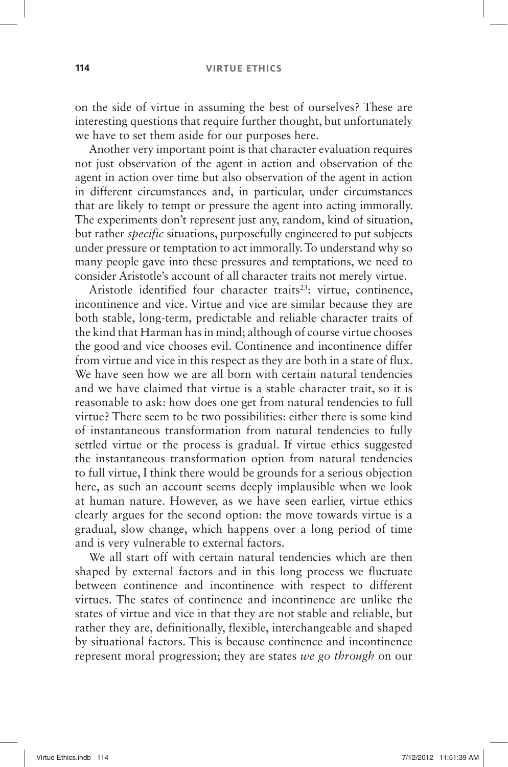#### **114 VIRTUE ETHICS**

on the side of virtue in assuming the best of ourselves? These are interesting questions that require further thought, but unfortunately we have to set them aside for our purposes here.

Another very important point is that character evaluation requires not just observation of the agent in action and observation of the agent in action over time but also observation of the agent in action in different circumstances and, in particular, under circumstances that are likely to tempt or pressure the agent into acting immorally. The experiments don't represent just any, random, kind of situation, but rather *specific* situations, purposefully engineered to put subjects under pressure or temptation to act immorally. To understand why so many people gave into these pressures and temptations, we need to consider Aristotle's account of all character traits not merely virtue.

Aristotle identified four character traits<sup>23</sup>: virtue, continence, incontinence and vice. Virtue and vice are similar because they are both stable, long-term, predictable and reliable character traits of the kind that Harman has in mind; although of course virtue chooses the good and vice chooses evil. Continence and incontinence differ from virtue and vice in this respect as they are both in a state of flux. We have seen how we are all born with certain natural tendencies and we have claimed that virtue is a stable character trait, so it is reasonable to ask: how does one get from natural tendencies to full virtue? There seem to be two possibilities: either there is some kind of instantaneous transformation from natural tendencies to fully settled virtue or the process is gradual. If virtue ethics suggested the instantaneous transformation option from natural tendencies to full virtue, I think there would be grounds for a serious objection here, as such an account seems deeply implausible when we look at human nature. However, as we have seen earlier, virtue ethics clearly argues for the second option: the move towards virtue is a gradual, slow change, which happens over a long period of time and is very vulnerable to external factors.

We all start off with certain natural tendencies which are then shaped by external factors and in this long process we fluctuate between continence and incontinence with respect to different virtues. The states of continence and incontinence are unlike the states of virtue and vice in that they are not stable and reliable, but rather they are, definitionally, flexible, interchangeable and shaped by situational factors. This is because continence and incontinence represent moral progression; they are states *we go through* on our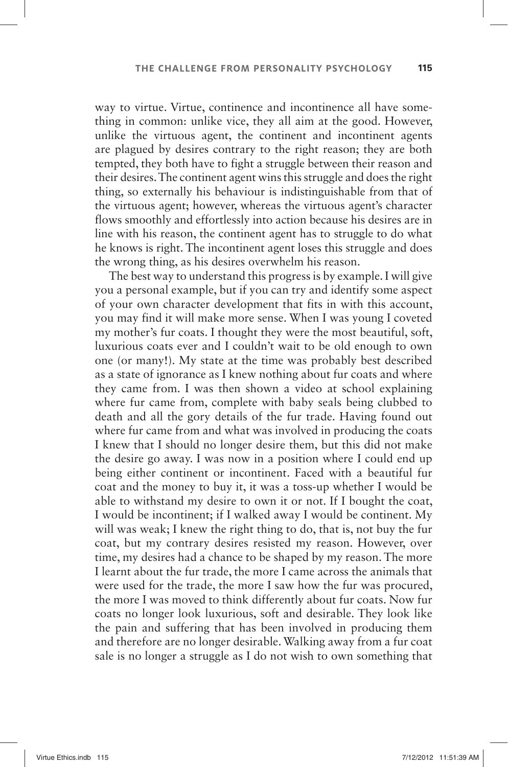way to virtue. Virtue, continence and incontinence all have something in common: unlike vice, they all aim at the good. However, unlike the virtuous agent, the continent and incontinent agents are plagued by desires contrary to the right reason; they are both tempted, they both have to fight a struggle between their reason and their desires. The continent agent wins this struggle and does the right thing, so externally his behaviour is indistinguishable from that of the virtuous agent; however, whereas the virtuous agent's character flows smoothly and effortlessly into action because his desires are in line with his reason, the continent agent has to struggle to do what he knows is right. The incontinent agent loses this struggle and does the wrong thing, as his desires overwhelm his reason.

The best way to understand this progress is by example. I will give you a personal example, but if you can try and identify some aspect of your own character development that fits in with this account, you may find it will make more sense. When I was young I coveted my mother's fur coats. I thought they were the most beautiful, soft, luxurious coats ever and I couldn't wait to be old enough to own one (or many!). My state at the time was probably best described as a state of ignorance as I knew nothing about fur coats and where they came from. I was then shown a video at school explaining where fur came from, complete with baby seals being clubbed to death and all the gory details of the fur trade. Having found out where fur came from and what was involved in producing the coats I knew that I should no longer desire them, but this did not make the desire go away. I was now in a position where I could end up being either continent or incontinent. Faced with a beautiful fur coat and the money to buy it, it was a toss-up whether I would be able to withstand my desire to own it or not. If I bought the coat, I would be incontinent; if I walked away I would be continent. My will was weak; I knew the right thing to do, that is, not buy the fur coat, but my contrary desires resisted my reason. However, over time, my desires had a chance to be shaped by my reason. The more I learnt about the fur trade, the more I came across the animals that were used for the trade, the more I saw how the fur was procured, the more I was moved to think differently about fur coats. Now fur coats no longer look luxurious, soft and desirable. They look like the pain and suffering that has been involved in producing them and therefore are no longer desirable. Walking away from a fur coat sale is no longer a struggle as I do not wish to own something that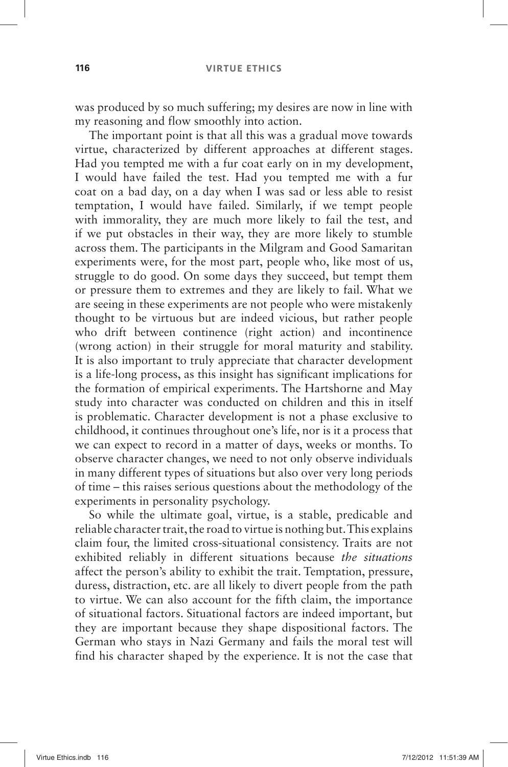was produced by so much suffering; my desires are now in line with my reasoning and flow smoothly into action.

The important point is that all this was a gradual move towards virtue, characterized by different approaches at different stages. Had you tempted me with a fur coat early on in my development, I would have failed the test. Had you tempted me with a fur coat on a bad day, on a day when I was sad or less able to resist temptation, I would have failed. Similarly, if we tempt people with immorality, they are much more likely to fail the test, and if we put obstacles in their way, they are more likely to stumble across them. The participants in the Milgram and Good Samaritan experiments were, for the most part, people who, like most of us, struggle to do good. On some days they succeed, but tempt them or pressure them to extremes and they are likely to fail. What we are seeing in these experiments are not people who were mistakenly thought to be virtuous but are indeed vicious, but rather people who drift between continence (right action) and incontinence (wrong action) in their struggle for moral maturity and stability. It is also important to truly appreciate that character development is a life-long process, as this insight has significant implications for the formation of empirical experiments. The Hartshorne and May study into character was conducted on children and this in itself is problematic. Character development is not a phase exclusive to childhood, it continues throughout one's life, nor is it a process that we can expect to record in a matter of days, weeks or months. To observe character changes, we need to not only observe individuals in many different types of situations but also over very long periods of time –this raises serious questions about the methodology of the experiments in personality psychology.

So while the ultimate goal, virtue, is a stable, predicable and reliable character trait, the road to virtue is nothing but. This explains claim four, the limited cross-situational consistency. Traits are not exhibited reliably in different situations because *the situations* affect the person's ability to exhibit the trait. Temptation, pressure, duress, distraction, etc. are all likely to divert people from the path to virtue. We can also account for the fifth claim, the importance of situational factors. Situational factors are indeed important, but they are important because they shape dispositional factors. The German who stays in Nazi Germany and fails the moral test will find his character shaped by the experience. It is not the case that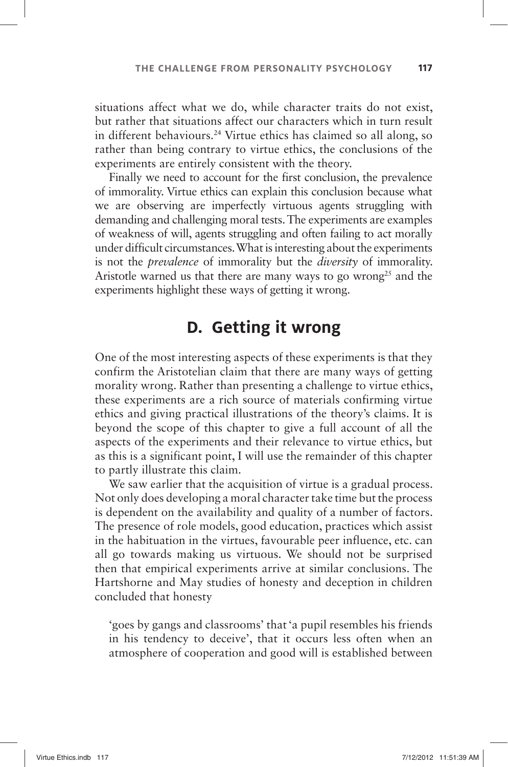situations affect what we do, while character traits do not exist, but rather that situations affect our characters which in turn result in different behaviours. 24 Virtue ethics has claimed so all along, so rather than being contrary to virtue ethics, the conclusions of the experiments are entirely consistent with the theory.

Finally we need to account for the first conclusion, the prevalence of immorality. Virtue ethics can explain this conclusion because what we are observing are imperfectly virtuous agents struggling with demanding and challenging moral tests. The experiments are examples of weakness of will, agents struggling and often failing to act morally under difficult circumstances. What is interesting about the experiments is not the *prevalence* of immorality but the *diversity* of immorality. Aristotle warned us that there are many ways to go wrong<sup>25</sup> and the experiments highlight these ways of getting it wrong.

### **D. Getting it wrong**

One of the most interesting aspects of these experiments is that they confirm the Aristotelian claim that there are many ways of getting morality wrong. Rather than presenting a challenge to virtue ethics, these experiments are a rich source of materials confirming virtue ethics and giving practical illustrations of the theory's claims. It is beyond the scope of this chapter to give a full account of all the aspects of the experiments and their relevance to virtue ethics, but as this is a significant point, I will use the remainder of this chapter to partly illustrate this claim.

We saw earlier that the acquisition of virtue is a gradual process. Not only does developing a moral character take time but the process is dependent on the availability and quality of a number of factors. The presence of role models, good education, practices which assist in the habituation in the virtues, favourable peer influence, etc. can all go towards making us virtuous. We should not be surprised then that empirical experiments arrive at similar conclusions. The Hartshorne and May studies of honesty and deception in children concluded that honesty

'goes by gangs and classrooms' that 'a pupil resembles his friends in his tendency to deceive', that it occurs less often when an atmosphere of cooperation and good will is established between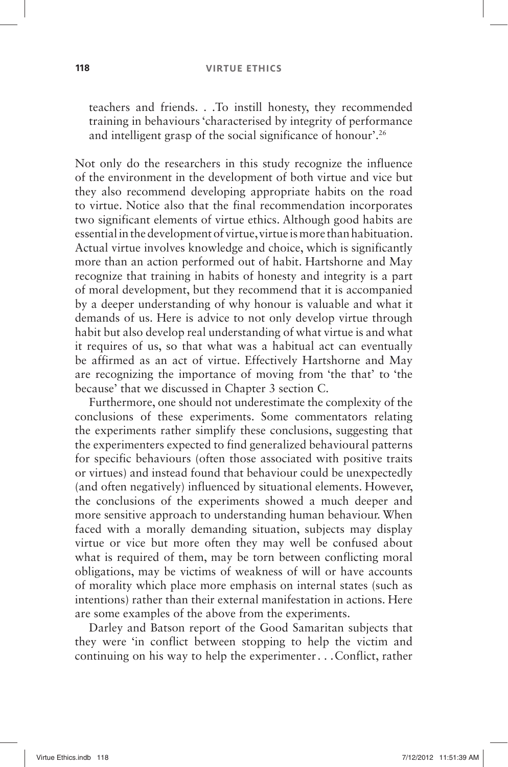#### **118 VIRTUE ETHICS**

teachers and friends . . . To instill honesty, they recommended training in behaviours 'characterised by integrity of performance and intelligent grasp of the social significance of honour'.<sup>26</sup>

Not only do the researchers in this study recognize the influence of the environment in the development of both virtue and vice but they also recommend developing appropriate habits on the road to virtue. Notice also that the final recommendation incorporates two significant elements of virtue ethics. Although good habits are essential in the development of virtue, virtue is more than habituation. Actual virtue involves knowledge and choice, which is significantly more than an action performed out of habit. Hartshorne and May recognize that training in habits of honesty and integrity is a part of moral development, but they recommend that it is accompanied by a deeper understanding of why honour is valuable and what it demands of us. Here is advice to not only develop virtue through habit but also develop real understanding of what virtue is and what it requires of us, so that what was a habitual act can eventually be affirmed as an act of virtue. Effectively Hartshorne and May are recognizing the importance of moving from 'the that' to 'the because' that we discussed in Chapter 3 section C.

Furthermore, one should not underestimate the complexity of the conclusions of these experiments. Some commentators relating the experiments rather simplify these conclusions, suggesting that the experimenters expected to find generalized behavioural patterns for specific behaviours (often those associated with positive traits or virtues) and instead found that behaviour could be unexpectedly (and often negatively) influenced by situational elements. However, the conclusions of the experiments showed a much deeper and more sensitive approach to understanding human behaviour. When faced with a morally demanding situation, subjects may display virtue or vice but more often they may well be confused about what is required of them, may be torn between conflicting moral obligations, may be victims of weakness of will or have accounts of morality which place more emphasis on internal states (such as intentions) rather than their external manifestation in actions. Here are some examples of the above from the experiments.

Darley and Batson report of the Good Samaritan subjects that they were 'in conflict between stopping to help the victim and continuing on his way to help the experimenter . . .Conflict, rather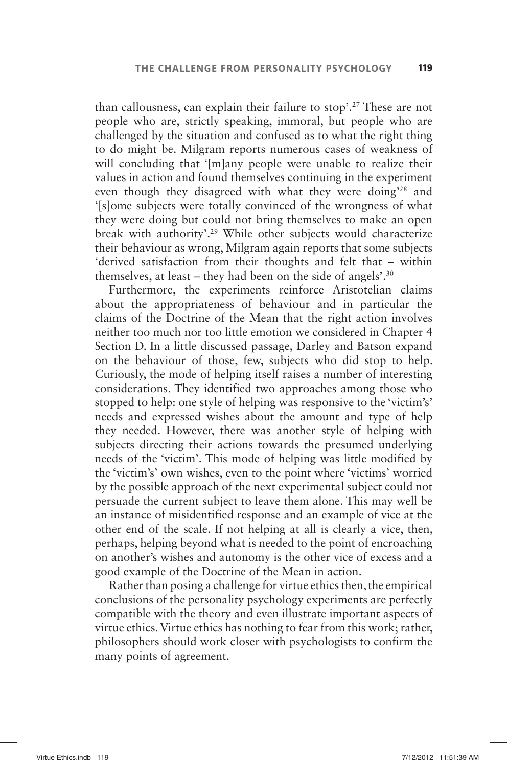than callousness, can explain their failure to stop'.<sup>27</sup> These are not people who are, strictly speaking, immoral, but people who are challenged by the situation and confused as to what the right thing to do might be. Milgram reports numerous cases of weakness of will concluding that 'Imlany people were unable to realize their values in action and found themselves continuing in the experiment even though they disagreed with what they were doing<sup>28</sup> and ' [s]ome subjects were totally convinced of the wrongness of what they were doing but could not bring themselves to make an open break with authority'.<sup>29</sup> While other subjects would characterize their behaviour as wrong, Milgram again reports that some subjects 'derived satisfaction from their thoughts and felt that – within themselves, at least – they had been on the side of angels'.<sup>30</sup>

Furthermore, the experiments reinforce Aristotelian claims about the appropriateness of behaviour and in particular the claims of the Doctrine of the Mean that the right action involves neither too much nor too little emotion we considered in Chapter 4 Section D. In a little discussed passage, Darley and Batson expand on the behaviour of those, few, subjects who did stop to help. Curiously, the mode of helping itself raises a number of interesting considerations. They identified two approaches among those who stopped to help: one style of helping was responsive to the 'victim's' needs and expressed wishes about the amount and type of help they needed. However, there was another style of helping with subjects directing their actions towards the presumed underlying needs of the 'victim'. This mode of helping was little modified by the 'victim's' own wishes, even to the point where 'victims' worried by the possible approach of the next experimental subject could not persuade the current subject to leave them alone. This may well be an instance of misidentified response and an example of vice at the other end of the scale. If not helping at all is clearly a vice, then, perhaps, helping beyond what is needed to the point of encroaching on another's wishes and autonomy is the other vice of excess and a good example of the Doctrine of the Mean in action.

Rather than posing a challenge for virtue ethics then, the empirical conclusions of the personality psychology experiments are perfectly compatible with the theory and even illustrate important aspects of virtue ethics. Virtue ethics has nothing to fear from this work; rather, philosophers should work closer with psychologists to confirm the many points of agreement.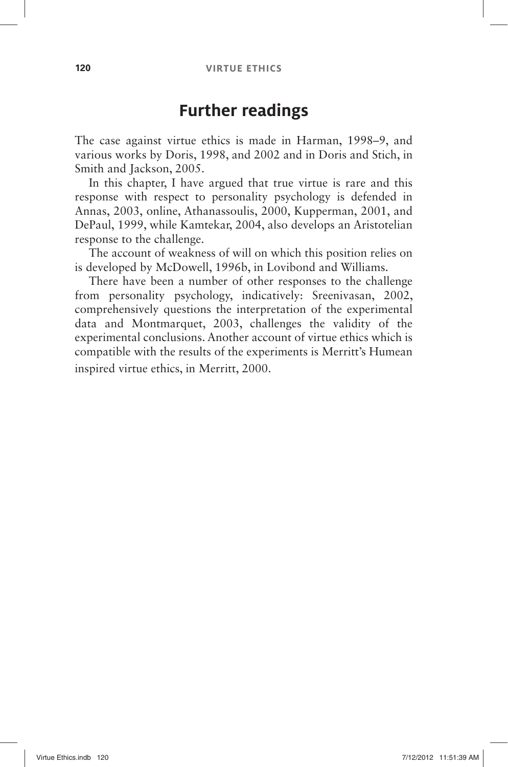#### **Further readings**

The case against virtue ethics is made in Harman, 1998–9, and various works by Doris, 1998, and 2002 and in Doris and Stich, in Smith and Jackson, 2005.

In this chapter, I have argued that true virtue is rare and this response with respect to personality psychology is defended in Annas, 2003, online, Athanassoulis, 2000, Kupperman, 2001, and DePaul, 1999, while Kamtekar, 2004, also develops an Aristotelian response to the challenge.

The account of weakness of will on which this position relies on is developed by McDowell, 1996b, in Lovibond and Williams.

There have been a number of other responses to the challenge from personality psychology, indicatively: Sreenivasan, 2002, comprehensively questions the interpretation of the experimental data and Montmarquet, 2003, challenges the validity of the experimental conclusions. Another account of virtue ethics which is compatible with the results of the experiments is Merritt's Humean inspired virtue ethics, in Merritt, 2000.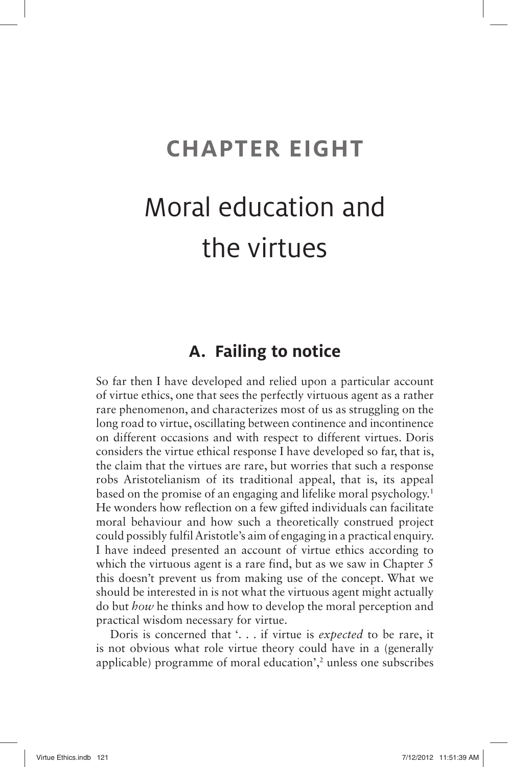## **CHAPTER EIGHT**

## Moral education and the virtues

### **A. Failing to notice**

So far then I have developed and relied upon a particular account of virtue ethics, one that sees the perfectly virtuous agent as a rather rare phenomenon, and characterizes most of us as struggling on the long road to virtue, oscillating between continence and incontinence on different occasions and with respect to different virtues. Doris considers the virtue ethical response I have developed so far, that is, the claim that the virtues are rare, but worries that such a response robs Aristotelianism of its traditional appeal, that is, its appeal based on the promise of an engaging and lifelike moral psychology.<sup>1</sup> He wonders how reflection on a few gifted individuals can facilitate moral behaviour and how such a theoretically construed project could possibly fulfil Aristotle's aim of engaging in a practical enquiry. I have indeed presented an account of virtue ethics according to which the virtuous agent is a rare find, but as we saw in Chapter 5 this doesn't prevent us from making use of the concept. What we should be interested in is not what the virtuous agent might actually do but *how* he thinks and how to develop the moral perception and practical wisdom necessary for virtue.

Doris is concerned that '. . . if virtue is *expected* to be rare, it is not obvious what role virtue theory could have in a (generally applicable) programme of moral education', $\frac{2}{3}$  unless one subscribes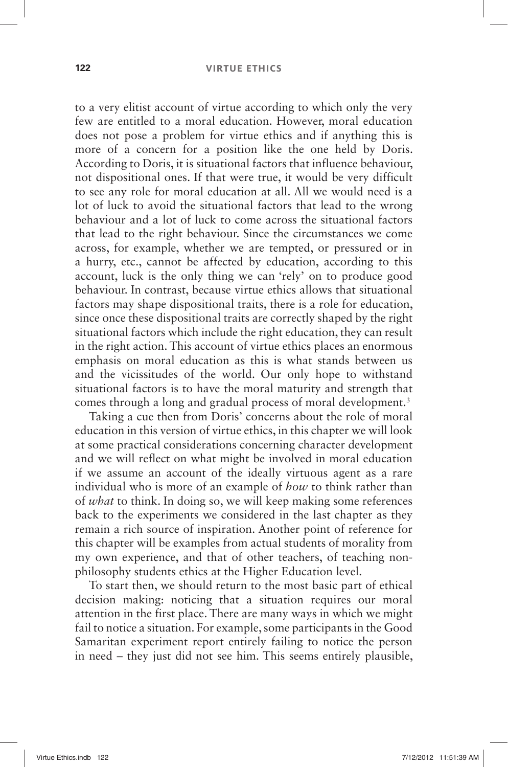#### **122 VIRTUE ETHICS**

to a very elitist account of virtue according to which only the very few are entitled to a moral education. However, moral education does not pose a problem for virtue ethics and if anything this is more of a concern for a position like the one held by Doris. According to Doris, it is situational factors that influence behaviour, not dispositional ones. If that were true, it would be very difficult to see any role for moral education at all. All we would need is a lot of luck to avoid the situational factors that lead to the wrong behaviour and a lot of luck to come across the situational factors that lead to the right behaviour. Since the circumstances we come across, for example, whether we are tempted, or pressured or in a hurry, etc., cannot be affected by education, according to this account, luck is the only thing we can 'rely' on to produce good behaviour. In contrast, because virtue ethics allows that situational factors may shape dispositional traits, there is a role for education, since once these dispositional traits are correctly shaped by the right situational factors which include the right education, they can result in the right action. This account of virtue ethics places an enormous emphasis on moral education as this is what stands between us and the vicissitudes of the world. Our only hope to withstand situational factors is to have the moral maturity and strength that comes through a long and gradual process of moral development.<sup>3</sup>

Taking a cue then from Doris' concerns about the role of moral education in this version of virtue ethics, in this chapter we will look at some practical considerations concerning character development and we will reflect on what might be involved in moral education if we assume an account of the ideally virtuous agent as a rare individual who is more of an example of *how* to think rather than of *what* to think. In doing so, we will keep making some references back to the experiments we considered in the last chapter as they remain a rich source of inspiration. Another point of reference for this chapter will be examples from actual students of morality from my own experience, and that of other teachers, of teaching nonphilosophy students ethics at the Higher Education level.

To start then, we should return to the most basic part of ethical decision making: noticing that a situation requires our moral attention in the first place. There are many ways in which we might fail to notice a situation. For example, some participants in the Good Samaritan experiment report entirely failing to notice the person in need – they just did not see him. This seems entirely plausible,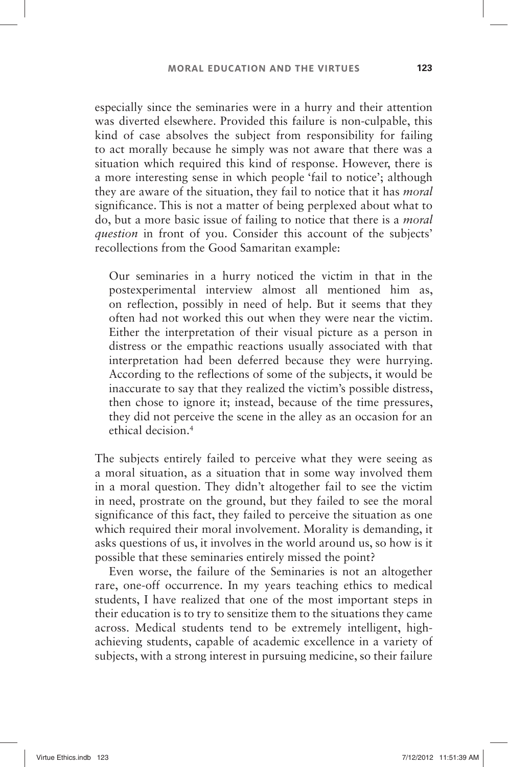especially since the seminaries were in a hurry and their attention was diverted elsewhere. Provided this failure is non-culpable, this kind of case absolves the subject from responsibility for failing to act morally because he simply was not aware that there was a situation which required this kind of response. However, there is a more interesting sense in which people 'fail to notice'; although they are aware of the situation, they fail to notice that it has *moral* significance. This is not a matter of being perplexed about what to do, but a more basic issue of failing to notice that there is a *moral question* in front of you. Consider this account of the subjects' recollections from the Good Samaritan example:

Our seminaries in a hurry noticed the victim in that in the postexperimental interview almost all mentioned him as, on reflection, possibly in need of help. But it seems that they often had not worked this out when they were near the victim. Either the interpretation of their visual picture as a person in distress or the empathic reactions usually associated with that interpretation had been deferred because they were hurrying. According to the reflections of some of the subjects, it would be inaccurate to say that they realized the victim's possible distress, then chose to ignore it; instead, because of the time pressures, they did not perceive the scene in the alley as an occasion for an ethical decision. 4

The subjects entirely failed to perceive what they were seeing as a moral situation, as a situation that in some way involved them in a moral question. They didn't altogether fail to see the victim in need, prostrate on the ground, but they failed to see the moral significance of this fact, they failed to perceive the situation as one which required their moral involvement. Morality is demanding, it asks questions of us, it involves in the world around us, so how is it possible that these seminaries entirely missed the point?

Even worse, the failure of the Seminaries is not an altogether rare, one-off occurrence. In my years teaching ethics to medical students, I have realized that one of the most important steps in their education is to try to sensitize them to the situations they came across. Medical students tend to be extremely intelligent, highachieving students, capable of academic excellence in a variety of subjects, with a strong interest in pursuing medicine, so their failure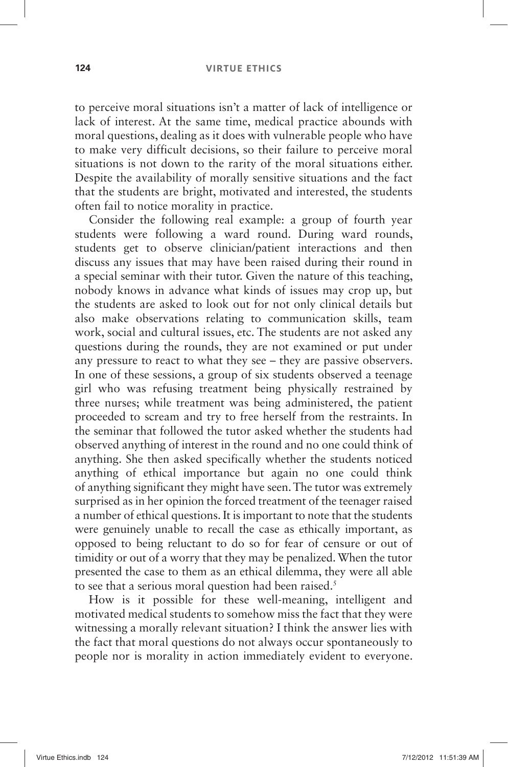to perceive moral situations isn't a matter of lack of intelligence or lack of interest. At the same time, medical practice abounds with moral questions, dealing as it does with vulnerable people who have to make very difficult decisions, so their failure to perceive moral situations is not down to the rarity of the moral situations either. Despite the availability of morally sensitive situations and the fact that the students are bright, motivated and interested, the students often fail to notice morality in practice.

Consider the following real example: a group of fourth year students were following a ward round. During ward rounds, students get to observe clinician/patient interactions and then discuss any issues that may have been raised during their round in a special seminar with their tutor. Given the nature of this teaching, nobody knows in advance what kinds of issues may crop up, but the students are asked to look out for not only clinical details but also make observations relating to communication skills, team work, social and cultural issues, etc. The students are not asked any questions during the rounds, they are not examined or put under any pressure to react to what they see  $-$  they are passive observers. In one of these sessions, a group of six students observed a teenage girl who was refusing treatment being physically restrained by three nurses; while treatment was being administered, the patient proceeded to scream and try to free herself from the restraints. In the seminar that followed the tutor asked whether the students had observed anything of interest in the round and no one could think of anything. She then asked specifically whether the students noticed anything of ethical importance but again no one could think of anything significant they might have seen. The tutor was extremely surprised as in her opinion the forced treatment of the teenager raised a number of ethical questions. It is important to note that the students were genuinely unable to recall the case as ethically important, as opposed to being reluctant to do so for fear of censure or out of timidity or out of a worry that they may be penalized. When the tutor presented the case to them as an ethical dilemma, they were all able to see that a serious moral question had been raised.<sup>5</sup>

How is it possible for these well-meaning, intelligent and motivated medical students to somehow miss the fact that they were witnessing a morally relevant situation? I think the answer lies with the fact that moral questions do not always occur spontaneously to people nor is morality in action immediately evident to everyone.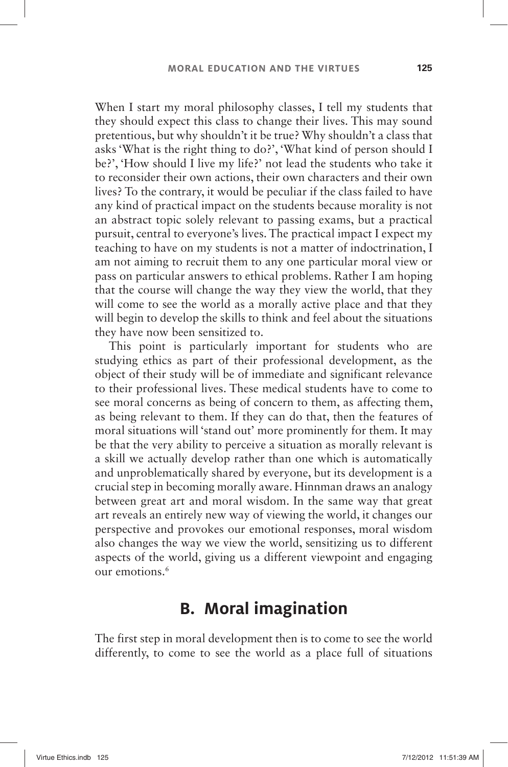When I start my moral philosophy classes, I tell my students that they should expect this class to change their lives. This may sound pretentious, but why shouldn't it be true? Why shouldn't a class that asks 'What is the right thing to do?', 'What kind of person should I be?', 'How should I live my life?' not lead the students who take it to reconsider their own actions, their own characters and their own lives? To the contrary, it would be peculiar if the class failed to have any kind of practical impact on the students because morality is not an abstract topic solely relevant to passing exams, but a practical pursuit, central to everyone's lives. The practical impact I expect my teaching to have on my students is not a matter of indoctrination, I am not aiming to recruit them to any one particular moral view or pass on particular answers to ethical problems. Rather I am hoping that the course will change the way they view the world, that they will come to see the world as a morally active place and that they will begin to develop the skills to think and feel about the situations they have now been sensitized to.

This point is particularly important for students who are studying ethics as part of their professional development, as the object of their study will be of immediate and significant relevance to their professional lives. These medical students have to come to see moral concerns as being of concern to them, as affecting them, as being relevant to them. If they can do that, then the features of moral situations will 'stand out' more prominently for them. It may be that the very ability to perceive a situation as morally relevant is a skill we actually develop rather than one which is automatically and unproblematically shared by everyone, but its development is a crucial step in becoming morally aware. Hinnman draws an analogy between great art and moral wisdom. In the same way that great art reveals an entirely new way of viewing the world, it changes our perspective and provokes our emotional responses, moral wisdom also changes the way we view the world, sensitizing us to different aspects of the world, giving us a different viewpoint and engaging our emotions. 6

#### **B. Moral imagination**

The first step in moral development then is to come to see the world differently, to come to see the world as a place full of situations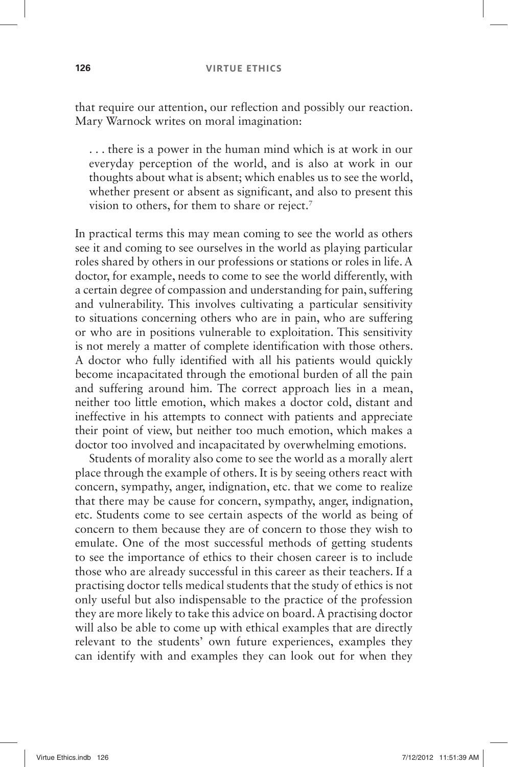that require our attention, our reflection and possibly our reaction. Mary Warnock writes on moral imagination:

. . .there is a power in the human mind which is at work in our everyday perception of the world, and is also at work in our thoughts about what is absent; which enables us to see the world, whether present or absent as significant, and also to present this vision to others, for them to share or reject.<sup>7</sup>

In practical terms this may mean coming to see the world as others see it and coming to see ourselves in the world as playing particular roles shared by others in our professions or stations or roles in life. A doctor, for example, needs to come to see the world differently, with a certain degree of compassion and understanding for pain, suffering and vulnerability. This involves cultivating a particular sensitivity to situations concerning others who are in pain, who are suffering or who are in positions vulnerable to exploitation. This sensitivity is not merely a matter of complete identification with those others. A doctor who fully identified with all his patients would quickly become incapacitated through the emotional burden of all the pain and suffering around him. The correct approach lies in a mean, neither too little emotion, which makes a doctor cold, distant and ineffective in his attempts to connect with patients and appreciate their point of view, but neither too much emotion, which makes a doctor too involved and incapacitated by overwhelming emotions.

Students of morality also come to see the world as a morally alert place through the example of others. It is by seeing others react with concern, sympathy, anger, indignation, etc. that we come to realize that there may be cause for concern, sympathy, anger, indignation, etc. Students come to see certain aspects of the world as being of concern to them because they are of concern to those they wish to emulate. One of the most successful methods of getting students to see the importance of ethics to their chosen career is to include those who are already successful in this career as their teachers. If a practising doctor tells medical students that the study of ethics is not only useful but also indispensable to the practice of the profession they are more likely to take this advice on board. A practising doctor will also be able to come up with ethical examples that are directly relevant to the students' own future experiences, examples they can identify with and examples they can look out for when they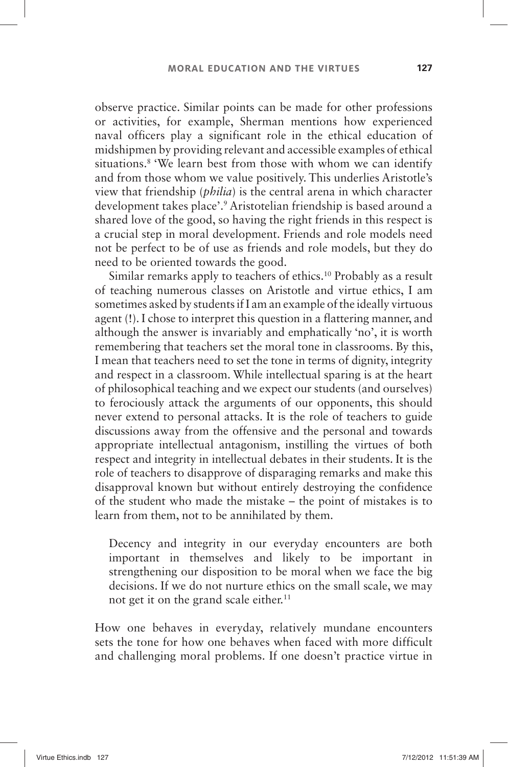observe practice. Similar points can be made for other professions or activities, for example, Sherman mentions how experienced naval officers play a significant role in the ethical education of midshipmen by providing relevant and accessible examples of ethical situations.<sup>8</sup> 'We learn best from those with whom we can identify and from those whom we value positively. This underlies Aristotle's view that friendship *(philia)* is the central arena in which character development takes place'.<sup>9</sup> Aristotelian friendship is based around a shared love of the good, so having the right friends in this respect is a crucial step in moral development. Friends and role models need not be perfect to be of use as friends and role models, but they do need to be oriented towards the good.

Similar remarks apply to teachers of ethics. 10 Probably as a result of teaching numerous classes on Aristotle and virtue ethics, I am sometimes asked by students if I am an example of the ideally virtuous agent (!). I chose to interpret this question in a flattering manner, and although the answer is invariably and emphatically 'no', it is worth remembering that teachers set the moral tone in classrooms. By this, I mean that teachers need to set the tone in terms of dignity, integrity and respect in a classroom. While intellectual sparing is at the heart of philosophical teaching and we expect our students (and ourselves) to ferociously attack the arguments of our opponents, this should never extend to personal attacks. It is the role of teachers to guide discussions away from the offensive and the personal and towards appropriate intellectual antagonism, instilling the virtues of both respect and integrity in intellectual debates in their students. It is the role of teachers to disapprove of disparaging remarks and make this disapproval known but without entirely destroying the confidence of the student who made the mistake  $-$  the point of mistakes is to learn from them, not to be annihilated by them.

Decency and integrity in our everyday encounters are both important in themselves and likely to be important in strengthening our disposition to be moral when we face the big decisions. If we do not nurture ethics on the small scale, we may not get it on the grand scale either.<sup>11</sup>

How one behaves in everyday, relatively mundane encounters sets the tone for how one behaves when faced with more difficult and challenging moral problems. If one doesn't practice virtue in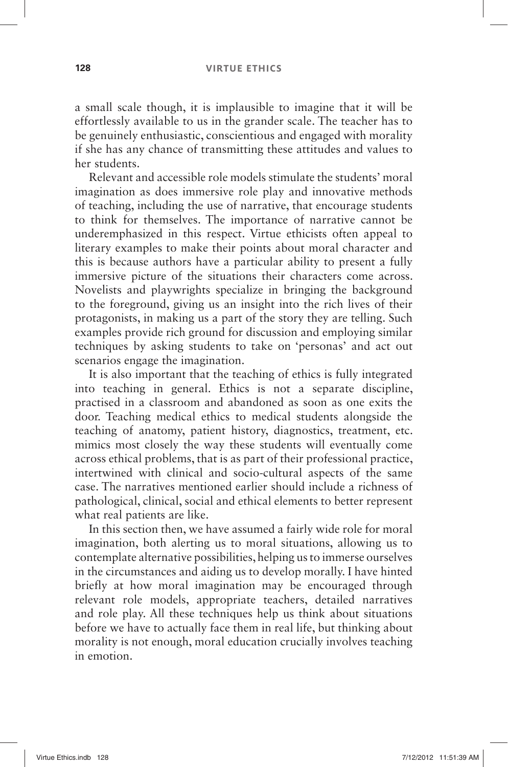a small scale though, it is implausible to imagine that it will be effortlessly available to us in the grander scale. The teacher has to be genuinely enthusiastic, conscientious and engaged with morality if she has any chance of transmitting these attitudes and values to her students.

Relevant and accessible role models stimulate the students' moral imagination as does immersive role play and innovative methods of teaching, including the use of narrative, that encourage students to think for themselves. The importance of narrative cannot be underemphasized in this respect. Virtue ethicists often appeal to literary examples to make their points about moral character and this is because authors have a particular ability to present a fully immersive picture of the situations their characters come across. Novelists and playwrights specialize in bringing the background to the foreground, giving us an insight into the rich lives of their protagonists, in making us a part of the story they are telling. Such examples provide rich ground for discussion and employing similar techniques by asking students to take on 'personas' and act out scenarios engage the imagination.

It is also important that the teaching of ethics is fully integrated into teaching in general. Ethics is not a separate discipline, practised in a classroom and abandoned as soon as one exits the door. Teaching medical ethics to medical students alongside the teaching of anatomy, patient history, diagnostics, treatment, etc. mimics most closely the way these students will eventually come across ethical problems, that is as part of their professional practice, intertwined with clinical and socio-cultural aspects of the same case. The narratives mentioned earlier should include a richness of pathological, clinical, social and ethical elements to better represent what real patients are like.

In this section then, we have assumed a fairly wide role for moral imagination, both alerting us to moral situations, allowing us to contemplate alternative possibilities, helping us to immerse ourselves in the circumstances and aiding us to develop morally. I have hinted briefly at how moral imagination may be encouraged through relevant role models, appropriate teachers, detailed narratives and role play. All these techniques help us think about situations before we have to actually face them in real life, but thinking about morality is not enough, moral education crucially involves teaching in emotion.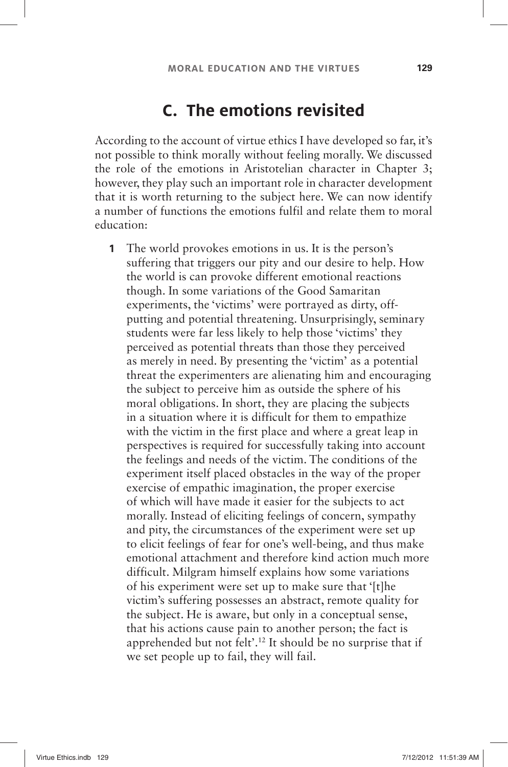## **C. The emotions revisited**

According to the account of virtue ethics I have developed so far, it's not possible to think morally without feeling morally. We discussed the role of the emotions in Aristotelian character in Chapter 3; however, they play such an important role in character development that it is worth returning to the subject here. We can now identify a number of functions the emotions fulfil and relate them to moral education:

**1** The world provokes emotions in us. It is the person's suffering that triggers our pity and our desire to help. How the world is can provoke different emotional reactions though. In some variations of the Good Samaritan experiments, the 'victims' were portrayed as dirty, offputting and potential threatening. Unsurprisingly, seminary students were far less likely to help those 'victims' they perceived as potential threats than those they perceived as merely in need. By presenting the 'victim' as a potential threat the experimenters are alienating him and encouraging the subject to perceive him as outside the sphere of his moral obligations. In short, they are placing the subjects in a situation where it is difficult for them to empathize with the victim in the first place and where a great leap in perspectives is required for successfully taking into account the feelings and needs of the victim. The conditions of the experiment itself placed obstacles in the way of the proper exercise of empathic imagination, the proper exercise of which will have made it easier for the subjects to act morally. Instead of eliciting feelings of concern, sympathy and pity, the circumstances of the experiment were set up to elicit feelings of fear for one's well-being, and thus make emotional attachment and therefore kind action much more difficult. Milgram himself explains how some variations of his experiment were set up to make sure that '[t]he victim's suffering possesses an abstract, remote quality for the subject. He is aware, but only in a conceptual sense, that his actions cause pain to another person; the fact is apprehended but not felt'.<sup>12</sup> It should be no surprise that if we set people up to fail, they will fail.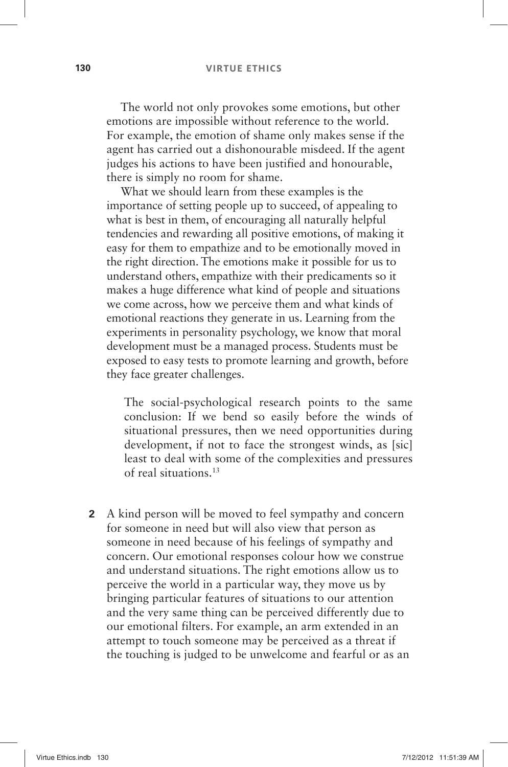The world not only provokes some emotions, but other emotions are impossible without reference to the world. For example, the emotion of shame only makes sense if the agent has carried out a dishonourable misdeed. If the agent judges his actions to have been justified and honourable. there is simply no room for shame.

What we should learn from these examples is the importance of setting people up to succeed, of appealing to what is best in them, of encouraging all naturally helpful tendencies and rewarding all positive emotions, of making it easy for them to empathize and to be emotionally moved in the right direction. The emotions make it possible for us to understand others, empathize with their predicaments so it makes a huge difference what kind of people and situations we come across, how we perceive them and what kinds of emotional reactions they generate in us. Learning from the experiments in personality psychology, we know that moral development must be a managed process. Students must be exposed to easy tests to promote learning and growth, before they face greater challenges.

The social-psychological research points to the same conclusion: If we bend so easily before the winds of situational pressures, then we need opportunities during development, if not to face the strongest winds, as [sic] least to deal with some of the complexities and pressures of real situations. 13

 **2** A kind person will be moved to feel sympathy and concern for someone in need but will also view that person as someone in need because of his feelings of sympathy and concern. Our emotional responses colour how we construe and understand situations. The right emotions allow us to perceive the world in a particular way, they move us by bringing particular features of situations to our attention and the very same thing can be perceived differently due to our emotional filters. For example, an arm extended in an attempt to touch someone may be perceived as a threat if the touching is judged to be unwelcome and fearful or as an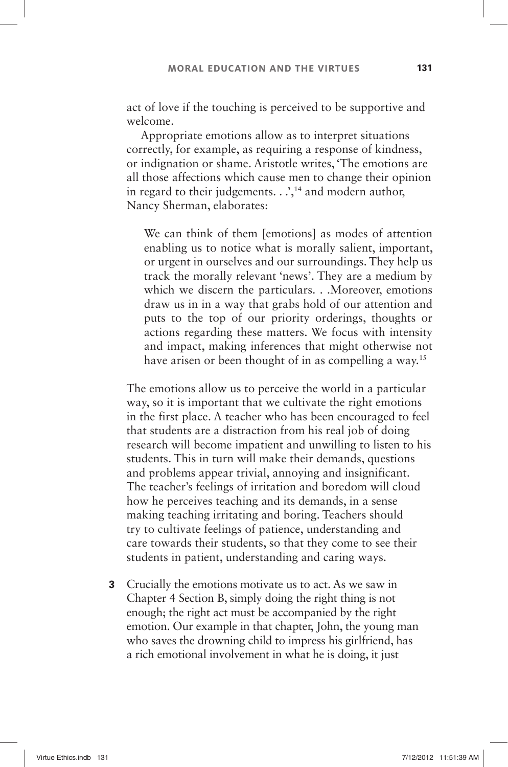act of love if the touching is perceived to be supportive and welcome.

Appropriate emotions allow as to interpret situations correctly, for example, as requiring a response of kindness, or indignation or shame. Aristotle writes, 'The emotions are all those affections which cause men to change their opinion in regard to their judgements.  $\therefore$ ,<sup>14</sup> and modern author, Nancy Sherman, elaborates:

We can think of them [emotions] as modes of attention enabling us to notice what is morally salient, important, or urgent in ourselves and our surroundings. They help us track the morally relevant 'news'. They are a medium by which we discern the particulars. . . Moreover, emotions draw us in in a way that grabs hold of our attention and puts to the top of our priority orderings, thoughts or actions regarding these matters. We focus with intensity and impact, making inferences that might otherwise not have arisen or been thought of in as compelling a way.<sup>15</sup>

 The emotions allow us to perceive the world in a particular way, so it is important that we cultivate the right emotions in the first place. A teacher who has been encouraged to feel that students are a distraction from his real job of doing research will become impatient and unwilling to listen to his students. This in turn will make their demands, questions and problems appear trivial, annoying and insignificant. The teacher's feelings of irritation and boredom will cloud how he perceives teaching and its demands, in a sense making teaching irritating and boring. Teachers should try to cultivate feelings of patience, understanding and care towards their students, so that they come to see their students in patient, understanding and caring ways.

 **3** Crucially the emotions motivate us to act. As we saw in Chapter 4 Section B, simply doing the right thing is not enough; the right act must be accompanied by the right emotion. Our example in that chapter, John, the young man who saves the drowning child to impress his girlfriend, has a rich emotional involvement in what he is doing, it just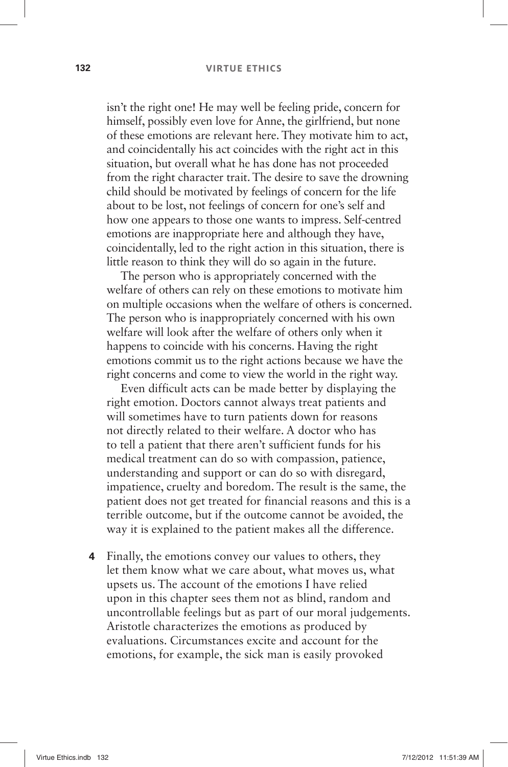#### **132 VIRTUE ETHICS**

isn't the right one! He may well be feeling pride, concern for himself, possibly even love for Anne, the girlfriend, but none of these emotions are relevant here. They motivate him to act, and coincidentally his act coincides with the right act in this situation, but overall what he has done has not proceeded from the right character trait. The desire to save the drowning child should be motivated by feelings of concern for the life about to be lost, not feelings of concern for one's self and how one appears to those one wants to impress. Self-centred emotions are inappropriate here and although they have, coincidentally, led to the right action in this situation, there is little reason to think they will do so again in the future.

The person who is appropriately concerned with the welfare of others can rely on these emotions to motivate him on multiple occasions when the welfare of others is concerned. The person who is inappropriately concerned with his own welfare will look after the welfare of others only when it happens to coincide with his concerns. Having the right emotions commit us to the right actions because we have the right concerns and come to view the world in the right way.

Even difficult acts can be made better by displaying the right emotion. Doctors cannot always treat patients and will sometimes have to turn patients down for reasons not directly related to their welfare. A doctor who has to tell a patient that there aren't sufficient funds for his medical treatment can do so with compassion, patience, understanding and support or can do so with disregard, impatience, cruelty and boredom. The result is the same, the patient does not get treated for financial reasons and this is a terrible outcome, but if the outcome cannot be avoided, the way it is explained to the patient makes all the difference.

 **4** Finally, the emotions convey our values to others, they let them know what we care about, what moves us, what upsets us. The account of the emotions I have relied upon in this chapter sees them not as blind, random and uncontrollable feelings but as part of our moral judgements. Aristotle characterizes the emotions as produced by evaluations. Circumstances excite and account for the emotions, for example, the sick man is easily provoked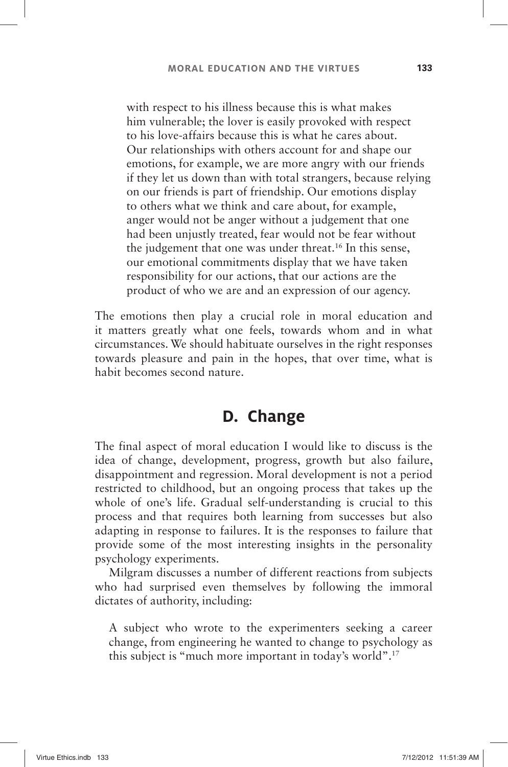with respect to his illness because this is what makes him vulnerable; the lover is easily provoked with respect to his love-affairs because this is what he cares about. Our relationships with others account for and shape our emotions, for example, we are more angry with our friends if they let us down than with total strangers, because relying on our friends is part of friendship. Our emotions display to others what we think and care about, for example, anger would not be anger without a judgement that one had been unjustly treated, fear would not be fear without the judgement that one was under threat.<sup>16</sup> In this sense, our emotional commitments display that we have taken responsibility for our actions, that our actions are the product of who we are and an expression of our agency.

The emotions then play a crucial role in moral education and it matters greatly what one feels, towards whom and in what circumstances. We should habituate ourselves in the right responses towards pleasure and pain in the hopes, that over time, what is habit becomes second nature.

## **D. Change**

The final aspect of moral education I would like to discuss is the idea of change, development, progress, growth but also failure, disappointment and regression. Moral development is not a period restricted to childhood, but an ongoing process that takes up the whole of one's life. Gradual self-understanding is crucial to this process and that requires both learning from successes but also adapting in response to failures. It is the responses to failure that provide some of the most interesting insights in the personality psychology experiments.

Milgram discusses a number of different reactions from subjects who had surprised even themselves by following the immoral dictates of authority, including:

A subject who wrote to the experimenters seeking a career change, from engineering he wanted to change to psychology as this subject is "much more important in today's world".<sup>17</sup>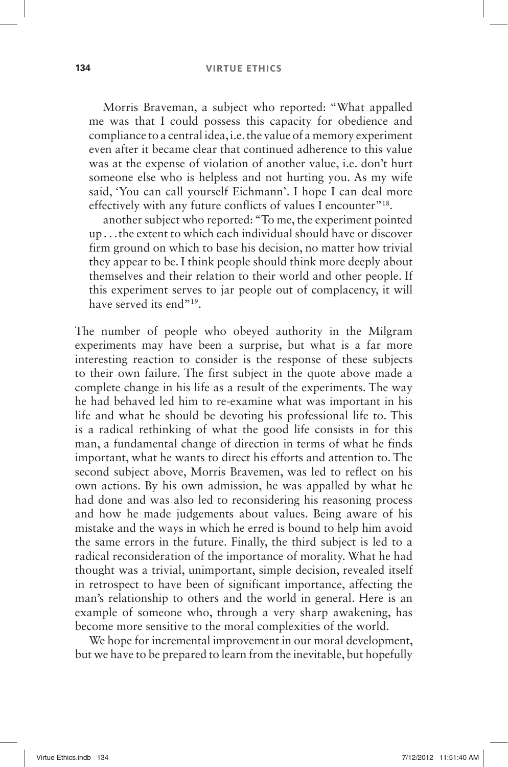Morris Braveman, a subject who reported: " What appalled me was that I could possess this capacity for obedience and compliance to a central idea, i.e. the value of a memory experiment even after it became clear that continued adherence to this value was at the expense of violation of another value, i.e. don't hurt someone else who is helpless and not hurting you. As my wife said, 'You can call yourself Eichmann'. I hope I can deal more effectively with any future conflicts of values I encounter"<sup>18</sup>.

another subject who reported: " To me, the experiment pointed up . . .the extent to which each individual should have or discover firm ground on which to base his decision, no matter how trivial they appear to be. I think people should think more deeply about themselves and their relation to their world and other people. If this experiment serves to jar people out of complacency, it will have served its end"<sup>19</sup>.

The number of people who obeyed authority in the Milgram experiments may have been a surprise, but what is a far more interesting reaction to consider is the response of these subjects to their own failure. The first subject in the quote above made a complete change in his life as a result of the experiments. The way he had behaved led him to re-examine what was important in his life and what he should be devoting his professional life to. This is a radical rethinking of what the good life consists in for this man, a fundamental change of direction in terms of what he finds important, what he wants to direct his efforts and attention to. The second subject above, Morris Bravemen, was led to reflect on his own actions. By his own admission, he was appalled by what he had done and was also led to reconsidering his reasoning process and how he made judgements about values. Being aware of his mistake and the ways in which he erred is bound to help him avoid the same errors in the future. Finally, the third subject is led to a radical reconsideration of the importance of morality. What he had thought was a trivial, unimportant, simple decision, revealed itself in retrospect to have been of significant importance, affecting the man's relationship to others and the world in general. Here is an example of someone who, through a very sharp awakening, has become more sensitive to the moral complexities of the world.

We hope for incremental improvement in our moral development, but we have to be prepared to learn from the inevitable, but hopefully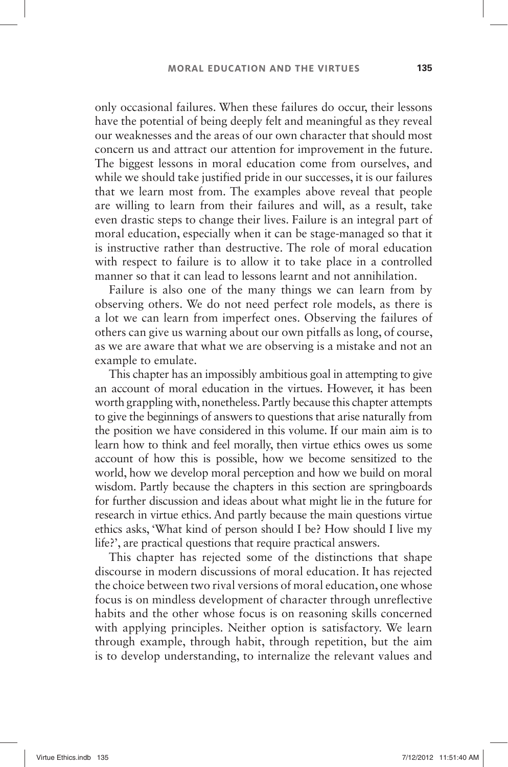only occasional failures. When these failures do occur, their lessons have the potential of being deeply felt and meaningful as they reveal our weaknesses and the areas of our own character that should most concern us and attract our attention for improvement in the future. The biggest lessons in moral education come from ourselves, and while we should take justified pride in our successes, it is our failures that we learn most from. The examples above reveal that people are willing to learn from their failures and will, as a result, take even drastic steps to change their lives. Failure is an integral part of moral education, especially when it can be stage-managed so that it is instructive rather than destructive. The role of moral education with respect to failure is to allow it to take place in a controlled manner so that it can lead to lessons learnt and not annihilation.

Failure is also one of the many things we can learn from by observing others. We do not need perfect role models, as there is a lot we can learn from imperfect ones. Observing the failures of others can give us warning about our own pitfalls as long, of course, as we are aware that what we are observing is a mistake and not an example to emulate.

This chapter has an impossibly ambitious goal in attempting to give an account of moral education in the virtues. However, it has been worth grappling with, nonetheless. Partly because this chapter attempts to give the beginnings of answers to questions that arise naturally from the position we have considered in this volume. If our main aim is to learn how to think and feel morally, then virtue ethics owes us some account of how this is possible, how we become sensitized to the world, how we develop moral perception and how we build on moral wisdom. Partly because the chapters in this section are springboards for further discussion and ideas about what might lie in the future for research in virtue ethics. And partly because the main questions virtue ethics asks, 'What kind of person should I be? How should I live my life?', are practical questions that require practical answers.

This chapter has rejected some of the distinctions that shape discourse in modern discussions of moral education. It has rejected the choice between two rival versions of moral education, one whose focus is on mindless development of character through unreflective habits and the other whose focus is on reasoning skills concerned with applying principles. Neither option is satisfactory. We learn through example, through habit, through repetition, but the aim is to develop understanding, to internalize the relevant values and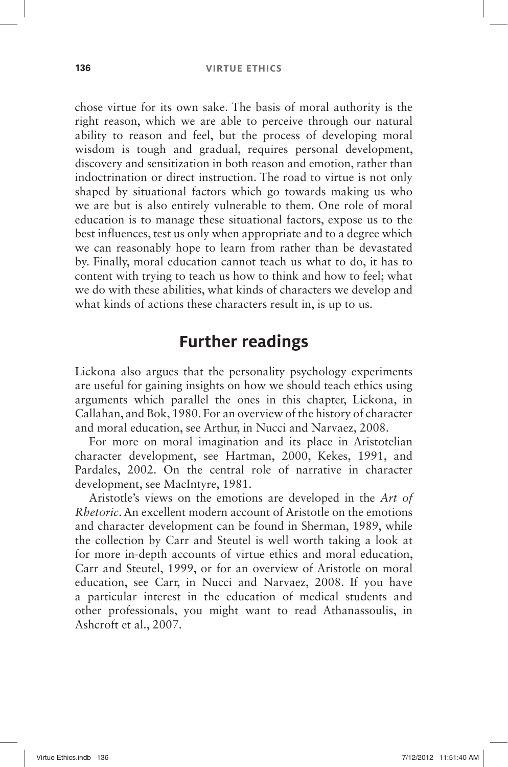#### **136 VIRTUE ETHICS**

chose virtue for its own sake. The basis of moral authority is the right reason, which we are able to perceive through our natural ability to reason and feel, but the process of developing moral wisdom is tough and gradual, requires personal development, discovery and sensitization in both reason and emotion, rather than indoctrination or direct instruction. The road to virtue is not only shaped by situational factors which go towards making us who we are but is also entirely vulnerable to them. One role of moral education is to manage these situational factors, expose us to the best influences, test us only when appropriate and to a degree which we can reasonably hope to learn from rather than be devastated by. Finally, moral education cannot teach us what to do, it has to content with trying to teach us how to think and how to feel; what we do with these abilities, what kinds of characters we develop and what kinds of actions these characters result in, is up to us.

## **Further readings**

Lickona also argues that the personality psychology experiments are useful for gaining insights on how we should teach ethics using arguments which parallel the ones in this chapter, Lickona, in Callahan, and Bok, 1980. For an overview of the history of character and moral education, see Arthur, in Nucci and Narvaez, 2008.

For more on moral imagination and its place in Aristotelian character development, see Hartman, 2000, Kekes, 1991, and Pardales, 2002. On the central role of narrative in character development, see MacIntyre, 1981.

Aristotle's views on the emotions are developed in the *Art of Rhetoric*. An excellent modern account of Aristotle on the emotions and character development can be found in Sherman, 1989, while the collection by Carr and Steutel is well worth taking a look at for more in-depth accounts of virtue ethics and moral education, Carr and Steutel, 1999, or for an overview of Aristotle on moral education, see Carr, in Nucci and Narvaez, 2008. If you have a particular interest in the education of medical students and other professionals, you might want to read Athanassoulis, in Ashcroft et al., 2007.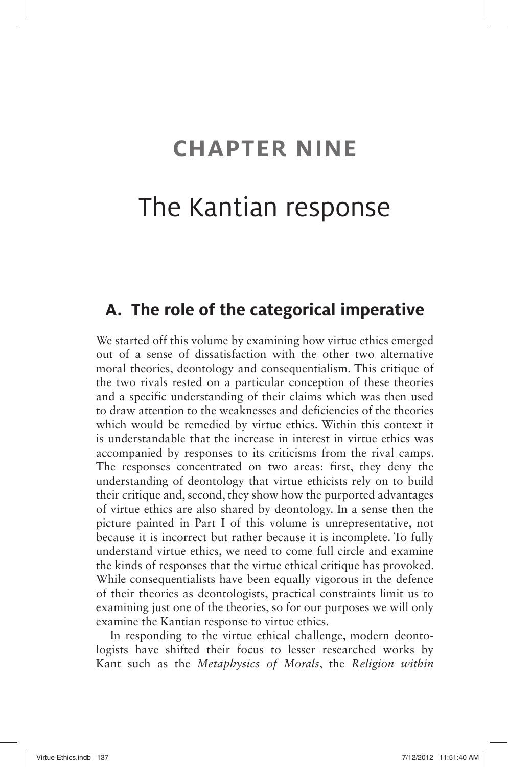## **CHAPTER NINE**

## The Kantian response

## **A. The role of the categorical imperative**

We started off this volume by examining how virtue ethics emerged out of a sense of dissatisfaction with the other two alternative moral theories, deontology and consequentialism. This critique of the two rivals rested on a particular conception of these theories and a specific understanding of their claims which was then used to draw attention to the weaknesses and deficiencies of the theories which would be remedied by virtue ethics. Within this context it is understandable that the increase in interest in virtue ethics was accompanied by responses to its criticisms from the rival camps. The responses concentrated on two areas: first, they deny the understanding of deontology that virtue ethicists rely on to build their critique and, second, they show how the purported advantages of virtue ethics are also shared by deontology. In a sense then the picture painted in Part I of this volume is unrepresentative, not because it is incorrect but rather because it is incomplete. To fully understand virtue ethics, we need to come full circle and examine the kinds of responses that the virtue ethical critique has provoked. While consequentialists have been equally vigorous in the defence of their theories as deontologists, practical constraints limit us to examining just one of the theories, so for our purposes we will only examine the Kantian response to virtue ethics.

In responding to the virtue ethical challenge, modern deontologists have shifted their focus to lesser researched works by Kant such as the *Metaphysics of Morals*, the *Religion within*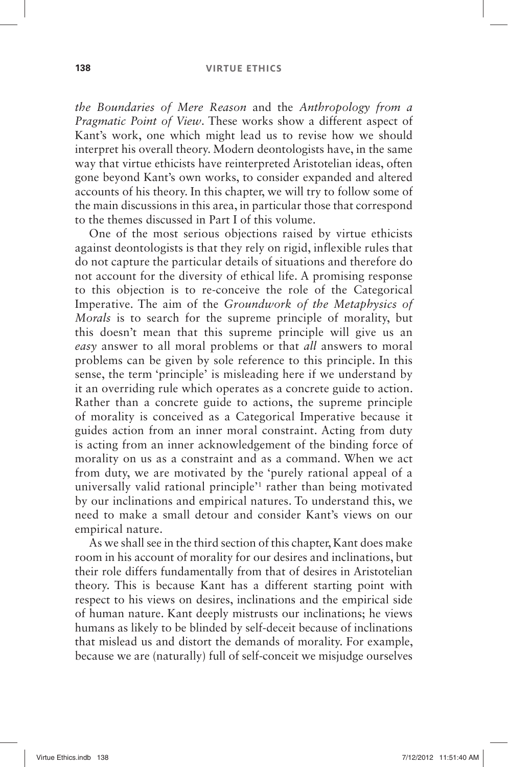#### **138 VIRTUE ETHICS**

*the Boundaries of Mere Reason* and the *Anthropology from a Pragmatic Point of View*. These works show a different aspect of Kant's work, one which might lead us to revise how we should interpret his overall theory. Modern deontologists have, in the same way that virtue ethicists have reinterpreted Aristotelian ideas, often gone beyond Kant's own works, to consider expanded and altered accounts of his theory. In this chapter, we will try to follow some of the main discussions in this area, in particular those that correspond to the themes discussed in Part I of this volume.

One of the most serious objections raised by virtue ethicists against deontologists is that they rely on rigid, inflexible rules that do not capture the particular details of situations and therefore do not account for the diversity of ethical life. A promising response to this objection is to re-conceive the role of the Categorical Imperative. The aim of the *Groundwork of the Metaphysics of Morals* is to search for the supreme principle of morality, but this doesn't mean that this supreme principle will give us an *easy* answer to all moral problems or that *all* answers to moral problems can be given by sole reference to this principle. In this sense, the term 'principle' is misleading here if we understand by it an overriding rule which operates as a concrete guide to action. Rather than a concrete guide to actions, the supreme principle of morality is conceived as a Categorical Imperative because it guides action from an inner moral constraint. Acting from duty is acting from an inner acknowledgement of the binding force of morality on us as a constraint and as a command. When we act from duty, we are motivated by the 'purely rational appeal of a universally valid rational principle<sup>'1</sup> rather than being motivated by our inclinations and empirical natures. To understand this, we need to make a small detour and consider Kant's views on our empirical nature.

As we shall see in the third section of this chapter, Kant does make room in his account of morality for our desires and inclinations, but their role differs fundamentally from that of desires in Aristotelian theory. This is because Kant has a different starting point with respect to his views on desires, inclinations and the empirical side of human nature. Kant deeply mistrusts our inclinations; he views humans as likely to be blinded by self-deceit because of inclinations that mislead us and distort the demands of morality. For example, because we are (naturally) full of self-conceit we misjudge ourselves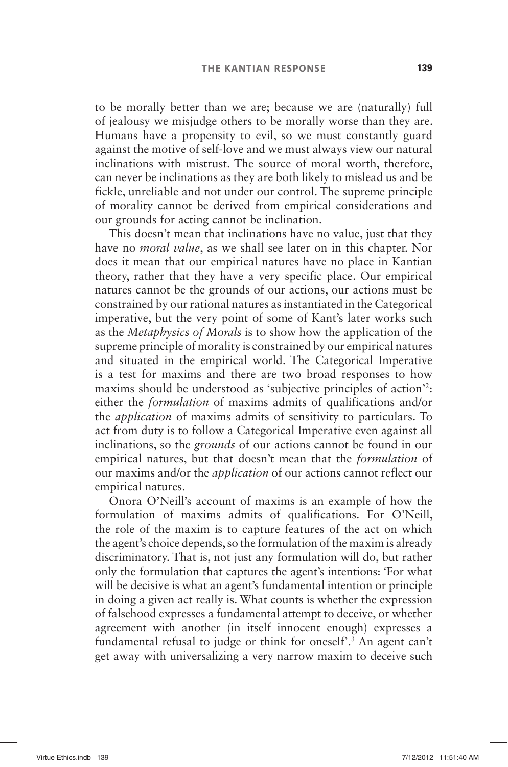to be morally better than we are; because we are (naturally) full of jealousy we misjudge others to be morally worse than they are. Humans have a propensity to evil, so we must constantly guard against the motive of self-love and we must always view our natural inclinations with mistrust. The source of moral worth, therefore, can never be inclinations as they are both likely to mislead us and be fickle, unreliable and not under our control. The supreme principle of morality cannot be derived from empirical considerations and our grounds for acting cannot be inclination.

This doesn't mean that inclinations have no value, just that they have no *moral value*, as we shall see later on in this chapter. Nor does it mean that our empirical natures have no place in Kantian theory, rather that they have a very specific place. Our empirical natures cannot be the grounds of our actions, our actions must be constrained by our rational natures as instantiated in the Categorical imperative, but the very point of some of Kant's later works such as the *Metaphysics of Morals* is to show how the application of the supreme principle of morality is constrained by our empirical natures and situated in the empirical world. The Categorical Imperative is a test for maxims and there are two broad responses to how maxims should be understood as 'subjective principles of action'?: either the *formulation* of maxims admits of qualifications and/or the *application* of maxims admits of sensitivity to particulars. To act from duty is to follow a Categorical Imperative even against all inclinations, so the *grounds* of our actions cannot be found in our empirical natures, but that doesn't mean that the *formulation* of our maxims and/or the *application* of our actions cannot reflect our empirical natures.

Onora O'Neill's account of maxims is an example of how the formulation of maxims admits of qualifications. For O'Neill, the role of the maxim is to capture features of the act on which the agent's choice depends, so the formulation of the maxim is already discriminatory. That is, not just any formulation will do, but rather only the formulation that captures the agent's intentions: 'For what will be decisive is what an agent's fundamental intention or principle in doing a given act really is. What counts is whether the expression of falsehood expresses a fundamental attempt to deceive, or whether agreement with another (in itself innocent enough) expresses a fundamental refusal to judge or think for oneself<sup>3</sup>.<sup>3</sup> An agent can't get away with universalizing a very narrow maxim to deceive such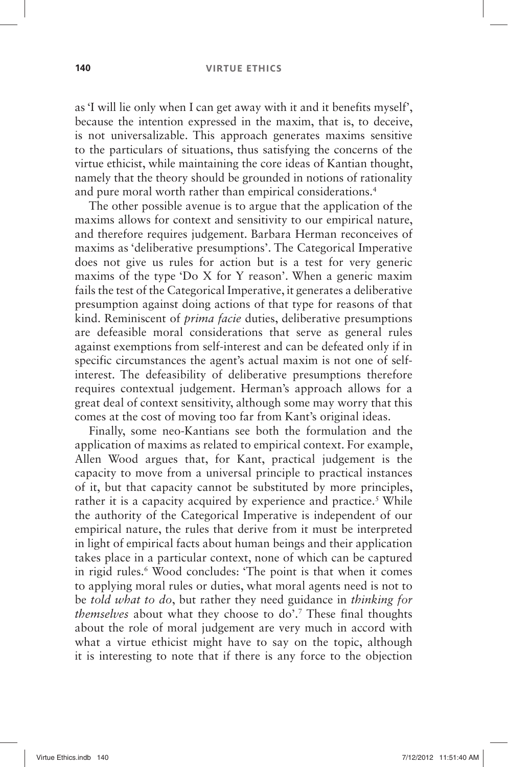#### **140 VIRTUE ETHICS**

as 'I will lie only when I can get away with it and it benefits myself', because the intention expressed in the maxim, that is, to deceive, is not universalizable. This approach generates maxims sensitive to the particulars of situations, thus satisfying the concerns of the virtue ethicist, while maintaining the core ideas of Kantian thought, namely that the theory should be grounded in notions of rationality and pure moral worth rather than empirical considerations. 4

The other possible avenue is to argue that the application of the maxims allows for context and sensitivity to our empirical nature, and therefore requires judgement. Barbara Herman reconceives of maxims as 'deliberative presumptions'. The Categorical Imperative does not give us rules for action but is a test for very generic maxims of the type 'Do X for Y reason'. When a generic maxim fails the test of the Categorical Imperative, it generates a deliberative presumption against doing actions of that type for reasons of that kind. Reminiscent of *prima facie* duties, deliberative presumptions are defeasible moral considerations that serve as general rules against exemptions from self-interest and can be defeated only if in specific circumstances the agent's actual maxim is not one of selfinterest. The defeasibility of deliberative presumptions therefore requires contextual judgement. Herman's approach allows for a great deal of context sensitivity, although some may worry that this comes at the cost of moving too far from Kant's original ideas.

Finally, some neo-Kantians see both the formulation and the application of maxims as related to empirical context. For example, Allen Wood argues that, for Kant, practical judgement is the capacity to move from a universal principle to practical instances of it, but that capacity cannot be substituted by more principles, rather it is a capacity acquired by experience and practice.<sup>5</sup> While the authority of the Categorical Imperative is independent of our empirical nature, the rules that derive from it must be interpreted in light of empirical facts about human beings and their application takes place in a particular context, none of which can be captured in rigid rules.<sup>6</sup> Wood concludes: 'The point is that when it comes to applying moral rules or duties, what moral agents need is not to be *told what to do*, but rather they need guidance in *thinking for themselves* about what they choose to do'.<sup>7</sup> These final thoughts about the role of moral judgement are very much in accord with what a virtue ethicist might have to say on the topic, although it is interesting to note that if there is any force to the objection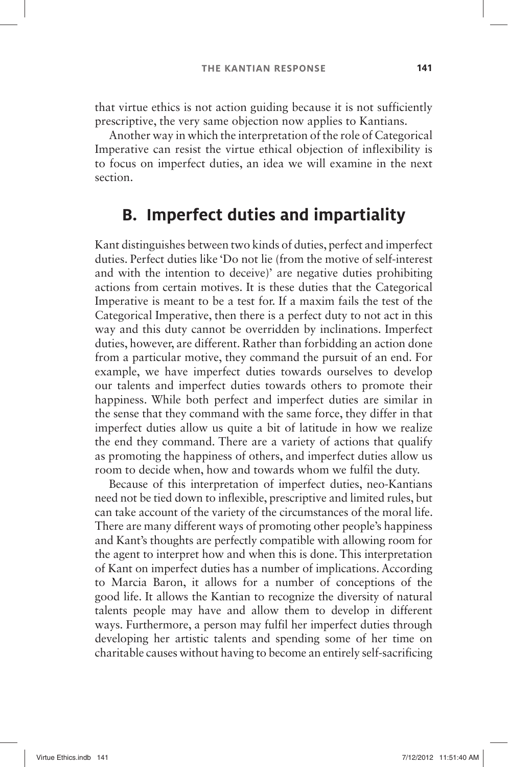that virtue ethics is not action guiding because it is not sufficiently prescriptive, the very same objection now applies to Kantians.

Another way in which the interpretation of the role of Categorical Imperative can resist the virtue ethical objection of inflexibility is to focus on imperfect duties, an idea we will examine in the next section.

## **B. Imperfect duties and impartiality**

Kant distinguishes between two kinds of duties, perfect and imperfect duties. Perfect duties like 'Do not lie (from the motive of self-interest and with the intention to deceive)' are negative duties prohibiting actions from certain motives. It is these duties that the Categorical Imperative is meant to be a test for. If a maxim fails the test of the Categorical Imperative, then there is a perfect duty to not act in this way and this duty cannot be overridden by inclinations. Imperfect duties, however, are different. Rather than forbidding an action done from a particular motive, they command the pursuit of an end. For example, we have imperfect duties towards ourselves to develop our talents and imperfect duties towards others to promote their happiness. While both perfect and imperfect duties are similar in the sense that they command with the same force, they differ in that imperfect duties allow us quite a bit of latitude in how we realize the end they command. There are a variety of actions that qualify as promoting the happiness of others, and imperfect duties allow us room to decide when, how and towards whom we fulfil the duty.

Because of this interpretation of imperfect duties, neo-Kantians need not be tied down to inflexible, prescriptive and limited rules, but can take account of the variety of the circumstances of the moral life. There are many different ways of promoting other people's happiness and Kant's thoughts are perfectly compatible with allowing room for the agent to interpret how and when this is done. This interpretation of Kant on imperfect duties has a number of implications. According to Marcia Baron, it allows for a number of conceptions of the good life. It allows the Kantian to recognize the diversity of natural talents people may have and allow them to develop in different ways. Furthermore, a person may fulfil her imperfect duties through developing her artistic talents and spending some of her time on charitable causes without having to become an entirely self-sacrificing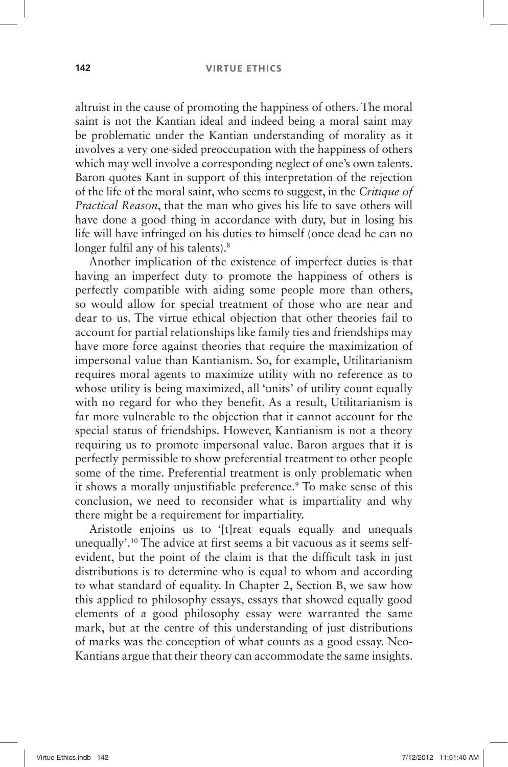altruist in the cause of promoting the happiness of others. The moral saint is not the Kantian ideal and indeed being a moral saint may be problematic under the Kantian understanding of morality as it involves a very one-sided preoccupation with the happiness of others which may well involve a corresponding neglect of one's own talents. Baron quotes Kant in support of this interpretation of the rejection of the life of the moral saint, who seems to suggest, in the *Critique of Practical Reason*, that the man who gives his life to save others will have done a good thing in accordance with duty, but in losing his life will have infringed on his duties to himself (once dead he can no longer fulfil any of his talents).<sup>8</sup>

Another implication of the existence of imperfect duties is that having an imperfect duty to promote the happiness of others is perfectly compatible with aiding some people more than others, so would allow for special treatment of those who are near and dear to us. The virtue ethical objection that other theories fail to account for partial relationships like family ties and friendships may have more force against theories that require the maximization of impersonal value than Kantianism. So, for example, Utilitarianism requires moral agents to maximize utility with no reference as to whose utility is being maximized, all 'units' of utility count equally with no regard for who they benefit. As a result, Utilitarianism is far more vulnerable to the objection that it cannot account for the special status of friendships. However, Kantianism is not a theory requiring us to promote impersonal value. Baron argues that it is perfectly permissible to show preferential treatment to other people some of the time. Preferential treatment is only problematic when it shows a morally unjustifiable preference. 9 To make sense of this conclusion, we need to reconsider what is impartiality and why there might be a requirement for impartiality.

Aristotle enjoins us to '[t]reat equals equally and unequals unequally'.<sup>10</sup> The advice at first seems a bit vacuous as it seems selfevident, but the point of the claim is that the difficult task in just distributions is to determine who is equal to whom and according to what standard of equality. In Chapter 2, Section B, we saw how this applied to philosophy essays, essays that showed equally good elements of a good philosophy essay were warranted the same mark, but at the centre of this understanding of just distributions of marks was the conception of what counts as a good essay. Neo-Kantians argue that their theory can accommodate the same insights.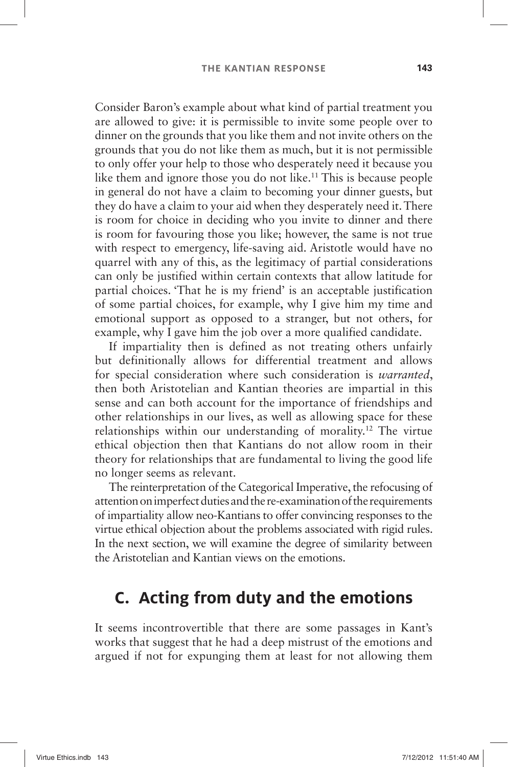Consider Baron's example about what kind of partial treatment you are allowed to give: it is permissible to invite some people over to dinner on the grounds that you like them and not invite others on the grounds that you do not like them as much, but it is not permissible to only offer your help to those who desperately need it because you like them and ignore those you do not like.<sup>11</sup> This is because people in general do not have a claim to becoming your dinner guests, but they do have a claim to your aid when they desperately need it. There is room for choice in deciding who you invite to dinner and there is room for favouring those you like; however, the same is not true with respect to emergency, life-saving aid. Aristotle would have no quarrel with any of this, as the legitimacy of partial considerations can only be justified within certain contexts that allow latitude for partial choices. That he is my friend' is an acceptable justification of some partial choices, for example, why I give him my time and emotional support as opposed to a stranger, but not others, for example, why I gave him the job over a more qualified candidate.

If impartiality then is defined as not treating others unfairly but definitionally allows for differential treatment and allows for special consideration where such consideration is *warranted*, then both Aristotelian and Kantian theories are impartial in this sense and can both account for the importance of friendships and other relationships in our lives, as well as allowing space for these relationships within our understanding of morality.<sup>12</sup> The virtue ethical objection then that Kantians do not allow room in their theory for relationships that are fundamental to living the good life no longer seems as relevant.

The reinterpretation of the Categorical Imperative, the refocusing of attention on imperfect duties and the re-examination of the requirements of impartiality allow neo-Kantians to offer convincing responses to the virtue ethical objection about the problems associated with rigid rules. In the next section, we will examine the degree of similarity between the Aristotelian and Kantian views on the emotions.

## **C. Acting from duty and the emotions**

It seems incontrovertible that there are some passages in Kant's works that suggest that he had a deep mistrust of the emotions and argued if not for expunging them at least for not allowing them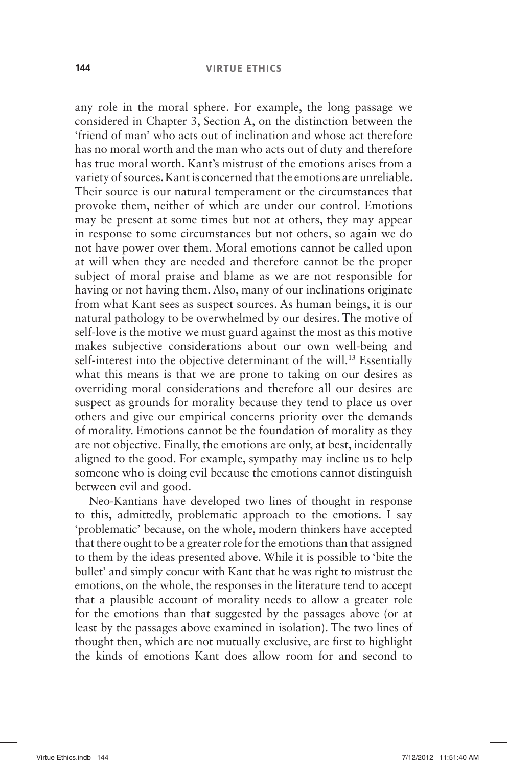any role in the moral sphere. For example, the long passage we considered in Chapter 3, Section A, on the distinction between the ' friend of man 'who acts out of inclination and whose act therefore has no moral worth and the man who acts out of duty and therefore has true moral worth. Kant's mistrust of the emotions arises from a variety of sources. Kant is concerned that the emotions are unreliable. Their source is our natural temperament or the circumstances that provoke them, neither of which are under our control. Emotions may be present at some times but not at others, they may appear in response to some circumstances but not others, so again we do not have power over them. Moral emotions cannot be called upon at will when they are needed and therefore cannot be the proper subject of moral praise and blame as we are not responsible for having or not having them. Also, many of our inclinations originate from what Kant sees as suspect sources. As human beings, it is our natural pathology to be overwhelmed by our desires. The motive of self-love is the motive we must guard against the most as this motive makes subjective considerations about our own well-being and self-interest into the objective determinant of the will.<sup>13</sup> Essentially what this means is that we are prone to taking on our desires as overriding moral considerations and therefore all our desires are suspect as grounds for morality because they tend to place us over others and give our empirical concerns priority over the demands of morality. Emotions cannot be the foundation of morality as they are not objective. Finally, the emotions are only, at best, incidentally aligned to the good. For example, sympathy may incline us to help someone who is doing evil because the emotions cannot distinguish between evil and good.

Neo-Kantians have developed two lines of thought in response to this, admittedly, problematic approach to the emotions. I say 'problematic' because, on the whole, modern thinkers have accepted that there ought to be a greater role for the emotions than that assigned to them by the ideas presented above. While it is possible to ' bite the bullet' and simply concur with Kant that he was right to mistrust the emotions, on the whole, the responses in the literature tend to accept that a plausible account of morality needs to allow a greater role for the emotions than that suggested by the passages above (or at least by the passages above examined in isolation). The two lines of thought then, which are not mutually exclusive, are first to highlight the kinds of emotions Kant does allow room for and second to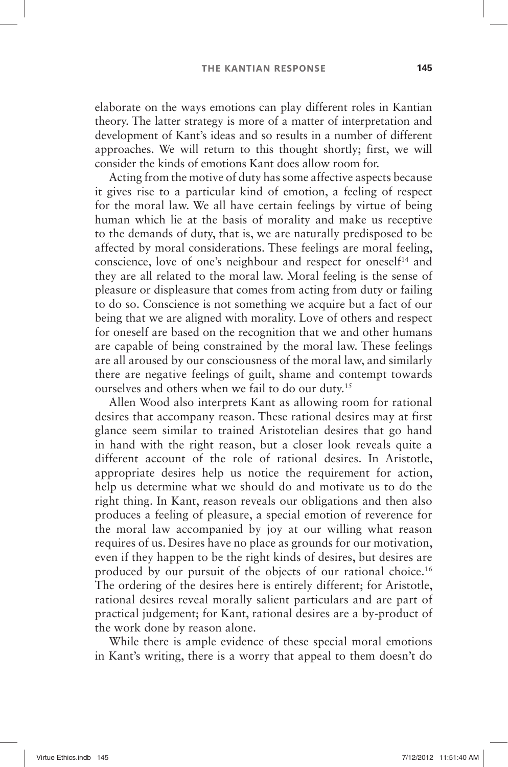elaborate on the ways emotions can play different roles in Kantian theory. The latter strategy is more of a matter of interpretation and development of Kant's ideas and so results in a number of different approaches. We will return to this thought shortly; first, we will consider the kinds of emotions Kant does allow room for.

Acting from the motive of duty has some affective aspects because it gives rise to a particular kind of emotion, a feeling of respect for the moral law. We all have certain feelings by virtue of being human which lie at the basis of morality and make us receptive to the demands of duty, that is, we are naturally predisposed to be affected by moral considerations. These feelings are moral feeling, conscience, love of one's neighbour and respect for oneself<sup>14</sup> and they are all related to the moral law. Moral feeling is the sense of pleasure or displeasure that comes from acting from duty or failing to do so. Conscience is not something we acquire but a fact of our being that we are aligned with morality. Love of others and respect for oneself are based on the recognition that we and other humans are capable of being constrained by the moral law. These feelings are all aroused by our consciousness of the moral law, and similarly there are negative feelings of guilt, shame and contempt towards ourselves and others when we fail to do our duty.<sup>15</sup>

Allen Wood also interprets Kant as allowing room for rational desires that accompany reason. These rational desires may at first glance seem similar to trained Aristotelian desires that go hand in hand with the right reason, but a closer look reveals quite a different account of the role of rational desires. In Aristotle, appropriate desires help us notice the requirement for action, help us determine what we should do and motivate us to do the right thing. In Kant, reason reveals our obligations and then also produces a feeling of pleasure, a special emotion of reverence for the moral law accompanied by joy at our willing what reason requires of us. Desires have no place as grounds for our motivation, even if they happen to be the right kinds of desires, but desires are produced by our pursuit of the objects of our rational choice. 16 The ordering of the desires here is entirely different; for Aristotle, rational desires reveal morally salient particulars and are part of practical judgement; for Kant, rational desires are a by-product of the work done by reason alone.

While there is ample evidence of these special moral emotions in Kant's writing, there is a worry that appeal to them doesn't do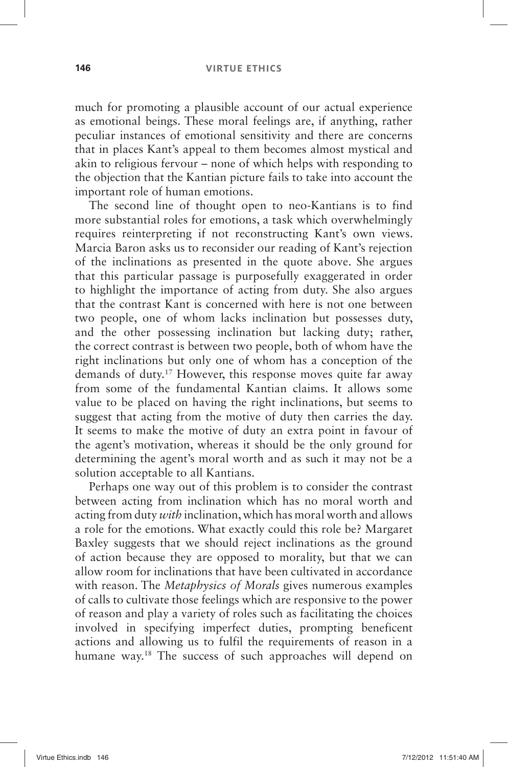#### **146 VIRTUE ETHICS**

much for promoting a plausible account of our actual experience as emotional beings. These moral feelings are, if anything, rather peculiar instances of emotional sensitivity and there are concerns that in places Kant's appeal to them becomes almost mystical and akin to religious fervour – none of which helps with responding to the objection that the Kantian picture fails to take into account the important role of human emotions.

The second line of thought open to neo-Kantians is to find more substantial roles for emotions, a task which overwhelmingly requires reinterpreting if not reconstructing Kant's own views. Marcia Baron asks us to reconsider our reading of Kant's rejection of the inclinations as presented in the quote above. She argues that this particular passage is purposefully exaggerated in order to highlight the importance of acting from duty. She also argues that the contrast Kant is concerned with here is not one between two people, one of whom lacks inclination but possesses duty, and the other possessing inclination but lacking duty; rather, the correct contrast is between two people, both of whom have the right inclinations but only one of whom has a conception of the demands of duty.<sup>17</sup> However, this response moves quite far away from some of the fundamental Kantian claims. It allows some value to be placed on having the right inclinations, but seems to suggest that acting from the motive of duty then carries the day. It seems to make the motive of duty an extra point in favour of the agent's motivation, whereas it should be the only ground for determining the agent's moral worth and as such it may not be a solution acceptable to all Kantians.

Perhaps one way out of this problem is to consider the contrast between acting from inclination which has no moral worth and acting from duty *with* inclination, which has moral worth and allows a role for the emotions. What exactly could this role be? Margaret Baxley suggests that we should reject inclinations as the ground of action because they are opposed to morality, but that we can allow room for inclinations that have been cultivated in accordance with reason. The *Metaphysics of Morals* gives numerous examples of calls to cultivate those feelings which are responsive to the power of reason and play a variety of roles such as facilitating the choices involved in specifying imperfect duties, prompting beneficent actions and allowing us to fulfil the requirements of reason in a humane way.<sup>18</sup> The success of such approaches will depend on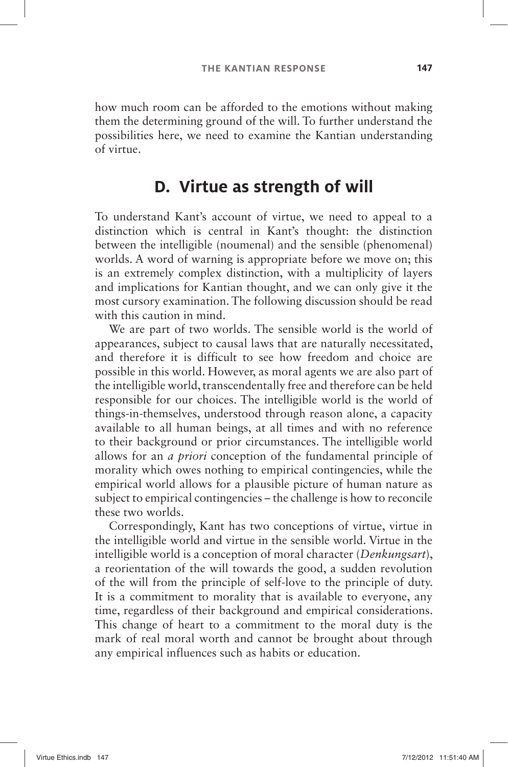how much room can be afforded to the emotions without making them the determining ground of the will. To further understand the possibilities here, we need to examine the Kantian understanding of virtue.

## **D. Virtue as strength of will**

To understand Kant's account of virtue, we need to appeal to a distinction which is central in Kant's thought: the distinction between the intelligible (noumenal) and the sensible (phenomenal) worlds. A word of warning is appropriate before we move on; this is an extremely complex distinction, with a multiplicity of layers and implications for Kantian thought, and we can only give it the most cursory examination. The following discussion should be read with this caution in mind.

We are part of two worlds. The sensible world is the world of appearances, subject to causal laws that are naturally necessitated, and therefore it is difficult to see how freedom and choice are possible in this world. However, as moral agents we are also part of the intelligible world, transcendentally free and therefore can be held responsible for our choices. The intelligible world is the world of things-in-themselves, understood through reason alone, a capacity available to all human beings, at all times and with no reference to their background or prior circumstances. The intelligible world allows for an *a priori* conception of the fundamental principle of morality which owes nothing to empirical contingencies, while the empirical world allows for a plausible picture of human nature as subject to empirical contingencies – the challenge is how to reconcile these two worlds.

Correspondingly, Kant has two conceptions of virtue, virtue in the intelligible world and virtue in the sensible world. Virtue in the intelligible world is a conception of moral character ( *Denkungsart*), a reorientation of the will towards the good, a sudden revolution of the will from the principle of self-love to the principle of duty. It is a commitment to morality that is available to everyone, any time, regardless of their background and empirical considerations. This change of heart to a commitment to the moral duty is the mark of real moral worth and cannot be brought about through any empirical influences such as habits or education.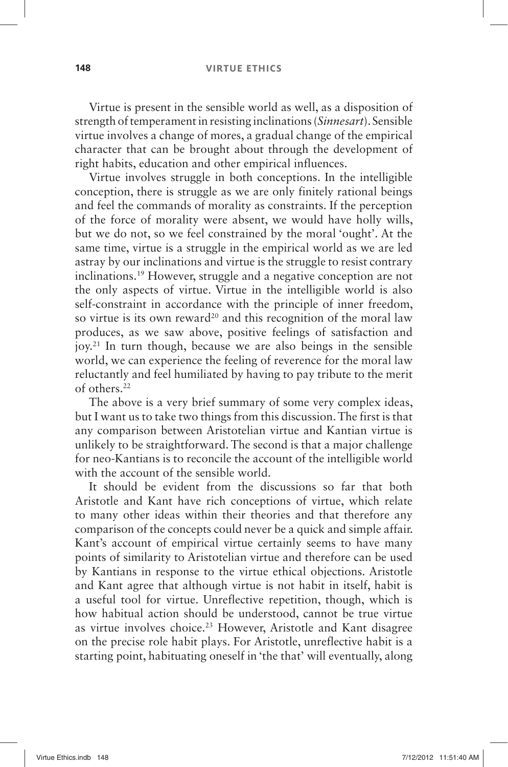#### **148 VIRTUE ETHICS**

Virtue is present in the sensible world as well, as a disposition of strength of temperament in resisting inclinations ( *Sinnesart*). Sensible virtue involves a change of mores, a gradual change of the empirical character that can be brought about through the development of right habits, education and other empirical influences.

Virtue involves struggle in both conceptions. In the intelligible conception, there is struggle as we are only finitely rational beings and feel the commands of morality as constraints. If the perception of the force of morality were absent, we would have holly wills, but we do not, so we feel constrained by the moral 'ought'. At the same time, virtue is a struggle in the empirical world as we are led astray by our inclinations and virtue is the struggle to resist contrary inclinations. 19 However, struggle and a negative conception are not the only aspects of virtue. Virtue in the intelligible world is also self-constraint in accordance with the principle of inner freedom, so virtue is its own reward<sup>20</sup> and this recognition of the moral law produces, as we saw above, positive feelings of satisfaction and joy. 21 In turn though, because we are also beings in the sensible world, we can experience the feeling of reverence for the moral law reluctantly and feel humiliated by having to pay tribute to the merit of others. 22

The above is a very brief summary of some very complex ideas, but I want us to take two things from this discussion. The first is that any comparison between Aristotelian virtue and Kantian virtue is unlikely to be straightforward. The second is that a major challenge for neo-Kantians is to reconcile the account of the intelligible world with the account of the sensible world.

It should be evident from the discussions so far that both Aristotle and Kant have rich conceptions of virtue, which relate to many other ideas within their theories and that therefore any comparison of the concepts could never be a quick and simple affair. Kant's account of empirical virtue certainly seems to have many points of similarity to Aristotelian virtue and therefore can be used by Kantians in response to the virtue ethical objections. Aristotle and Kant agree that although virtue is not habit in itself, habit is a useful tool for virtue. Unreflective repetition, though, which is how habitual action should be understood, cannot be true virtue as virtue involves choice.<sup>23</sup> However, Aristotle and Kant disagree on the precise role habit plays. For Aristotle, unreflective habit is a starting point, habituating oneself in 'the that' will eventually, along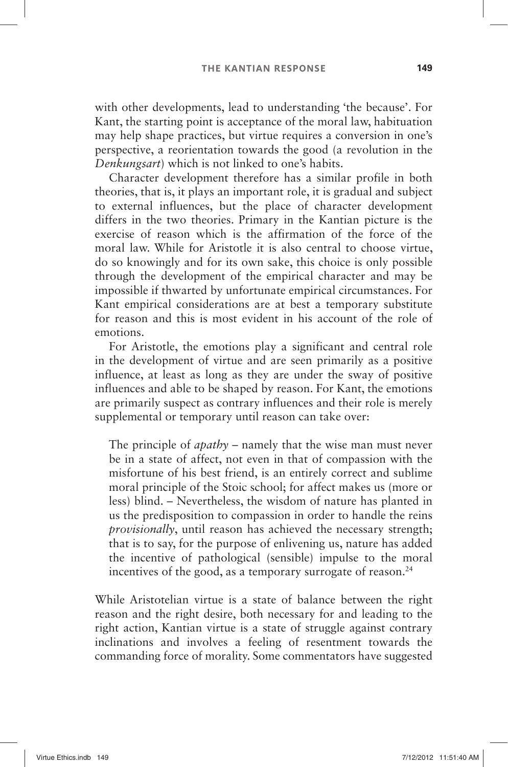with other developments, lead to understanding 'the because'. For Kant, the starting point is acceptance of the moral law, habituation may help shape practices, but virtue requires a conversion in one's perspective, a reorientation towards the good (a revolution in the *Denkungsart*) which is not linked to one's habits.

Character development therefore has a similar profile in both theories, that is, it plays an important role, it is gradual and subject to external influences, but the place of character development differs in the two theories. Primary in the Kantian picture is the exercise of reason which is the affirmation of the force of the moral law. While for Aristotle it is also central to choose virtue, do so knowingly and for its own sake, this choice is only possible through the development of the empirical character and may be impossible if thwarted by unfortunate empirical circumstances. For Kant empirical considerations are at best a temporary substitute for reason and this is most evident in his account of the role of emotions.

For Aristotle, the emotions play a significant and central role in the development of virtue and are seen primarily as a positive influence, at least as long as they are under the sway of positive influences and able to be shaped by reason. For Kant, the emotions are primarily suspect as contrary influences and their role is merely supplemental or temporary until reason can take over:

The principle of *apathy* – namely that the wise man must never be in a state of affect, not even in that of compassion with the misfortune of his best friend, is an entirely correct and sublime moral principle of the Stoic school; for affect makes us (more or less) blind. –Nevertheless, the wisdom of nature has planted in us the predisposition to compassion in order to handle the reins *provisionally*, until reason has achieved the necessary strength; that is to say, for the purpose of enlivening us, nature has added the incentive of pathological (sensible) impulse to the moral incentives of the good, as a temporary surrogate of reason.<sup>24</sup>

While Aristotelian virtue is a state of balance between the right reason and the right desire, both necessary for and leading to the right action, Kantian virtue is a state of struggle against contrary inclinations and involves a feeling of resentment towards the commanding force of morality. Some commentators have suggested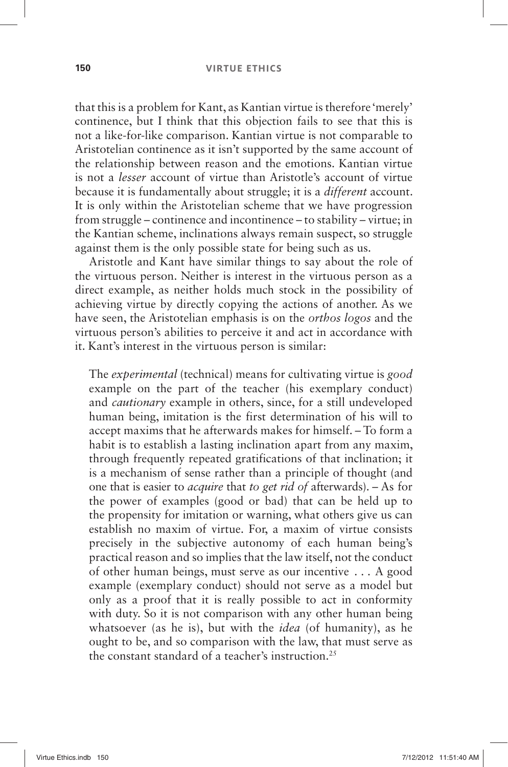that this is a problem for Kant, as Kantian virtue is therefore 'merely' continence, but I think that this objection fails to see that this is not a like-for-like comparison. Kantian virtue is not comparable to Aristotelian continence as it isn't supported by the same account of the relationship between reason and the emotions. Kantian virtue is not a *lesser* account of virtue than Aristotle's account of virtue because it is fundamentally about struggle; it is a *different* account. It is only within the Aristotelian scheme that we have progression from struggle –continence and incontinence –to stability –virtue; in the Kantian scheme, inclinations always remain suspect, so struggle against them is the only possible state for being such as us.

Aristotle and Kant have similar things to say about the role of the virtuous person. Neither is interest in the virtuous person as a direct example, as neither holds much stock in the possibility of achieving virtue by directly copying the actions of another. As we have seen, the Aristotelian emphasis is on the *orthos logos* and the virtuous person's abilities to perceive it and act in accordance with it. Kant's interest in the virtuous person is similar:

The *experimental* (technical) means for cultivating virtue is *good* example on the part of the teacher (his exemplary conduct) and *cautionary* example in others, since, for a still undeveloped human being, imitation is the first determination of his will to accept maxims that he afterwards makes for himself. –To form a habit is to establish a lasting inclination apart from any maxim, through frequently repeated gratifications of that inclination; it is a mechanism of sense rather than a principle of thought (and one that is easier to *acquire* that *to get rid of* afterwards). –As for the power of examples (good or bad) that can be held up to the propensity for imitation or warning, what others give us can establish no maxim of virtue. For, a maxim of virtue consists precisely in the subjective autonomy of each human being's practical reason and so implies that the law itself, not the conduct of other human beings, must serve as our incentive . . . A good example (exemplary conduct) should not serve as a model but only as a proof that it is really possible to act in conformity with duty. So it is not comparison with any other human being whatsoever (as he is), but with the *idea* (of humanity), as he ought to be, and so comparison with the law, that must serve as the constant standard of a teacher's instruction.<sup>25</sup>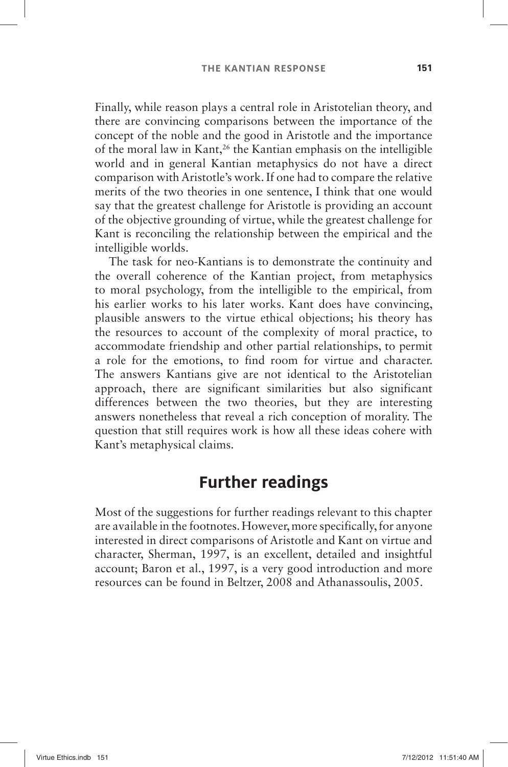Finally, while reason plays a central role in Aristotelian theory, and there are convincing comparisons between the importance of the concept of the noble and the good in Aristotle and the importance of the moral law in Kant, 26 the Kantian emphasis on the intelligible world and in general Kantian metaphysics do not have a direct comparison with Aristotle's work. If one had to compare the relative merits of the two theories in one sentence, I think that one would say that the greatest challenge for Aristotle is providing an account of the objective grounding of virtue, while the greatest challenge for Kant is reconciling the relationship between the empirical and the intelligible worlds.

The task for neo-Kantians is to demonstrate the continuity and the overall coherence of the Kantian project, from metaphysics to moral psychology, from the intelligible to the empirical, from his earlier works to his later works. Kant does have convincing, plausible answers to the virtue ethical objections; his theory has the resources to account of the complexity of moral practice, to accommodate friendship and other partial relationships, to permit a role for the emotions, to find room for virtue and character. The answers Kantians give are not identical to the Aristotelian approach, there are significant similarities but also significant differences between the two theories, but they are interesting answers nonetheless that reveal a rich conception of morality. The question that still requires work is how all these ideas cohere with Kant's metaphysical claims.

## **Further readings**

Most of the suggestions for further readings relevant to this chapter are available in the footnotes. However, more specifically, for anyone interested in direct comparisons of Aristotle and Kant on virtue and character, Sherman, 1997, is an excellent, detailed and insightful account; Baron et al., 1997, is a very good introduction and more resources can be found in Beltzer, 2008 and Athanassoulis, 2005.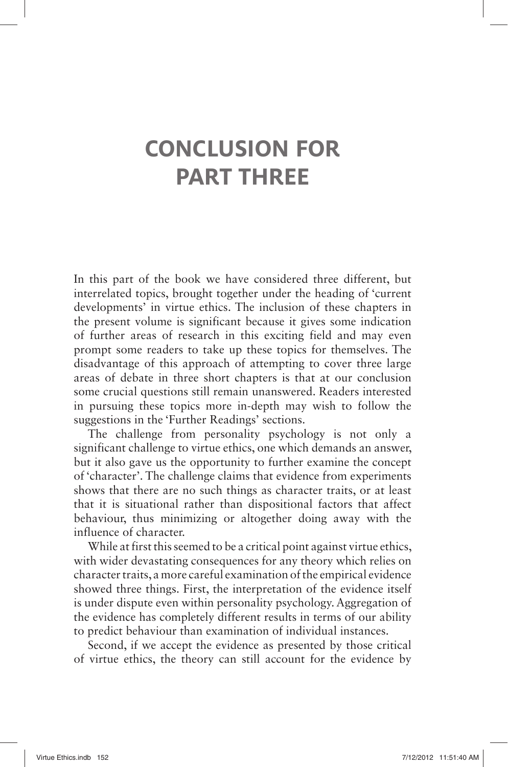## **CONCLUSION FOR PART THREE**

In this part of the book we have considered three different, but interrelated topics, brought together under the heading of 'current developments' in virtue ethics. The inclusion of these chapters in the present volume is significant because it gives some indication of further areas of research in this exciting field and may even prompt some readers to take up these topics for themselves. The disadvantage of this approach of attempting to cover three large areas of debate in three short chapters is that at our conclusion some crucial questions still remain unanswered. Readers interested in pursuing these topics more in-depth may wish to follow the suggestions in the 'Further Readings' sections.

The challenge from personality psychology is not only a significant challenge to virtue ethics, one which demands an answer, but it also gave us the opportunity to further examine the concept of 'character'. The challenge claims that evidence from experiments shows that there are no such things as character traits, or at least that it is situational rather than dispositional factors that affect behaviour, thus minimizing or altogether doing away with the influence of character.

While at first this seemed to be a critical point against virtue ethics, with wider devastating consequences for any theory which relies on character traits, a more careful examination of the empirical evidence showed three things. First, the interpretation of the evidence itself is under dispute even within personality psychology. Aggregation of the evidence has completely different results in terms of our ability to predict behaviour than examination of individual instances.

Second, if we accept the evidence as presented by those critical of virtue ethics, the theory can still account for the evidence by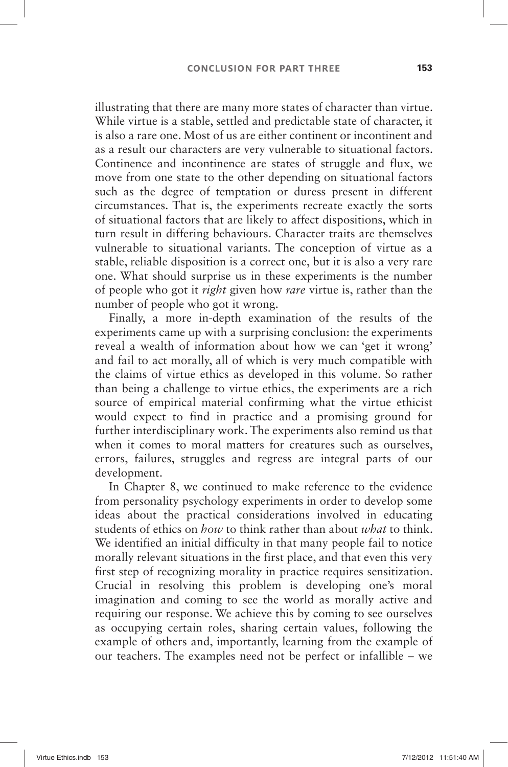illustrating that there are many more states of character than virtue. While virtue is a stable, settled and predictable state of character, it is also a rare one. Most of us are either continent or incontinent and as a result our characters are very vulnerable to situational factors. Continence and incontinence are states of struggle and flux, we move from one state to the other depending on situational factors such as the degree of temptation or duress present in different circumstances. That is, the experiments recreate exactly the sorts of situational factors that are likely to affect dispositions, which in turn result in differing behaviours. Character traits are themselves vulnerable to situational variants. The conception of virtue as a stable, reliable disposition is a correct one, but it is also a very rare one. What should surprise us in these experiments is the number of people who got it *right* given how *rare* virtue is, rather than the number of people who got it wrong.

Finally, a more in-depth examination of the results of the experiments came up with a surprising conclusion: the experiments reveal a wealth of information about how we can 'get it wrong' and fail to act morally, all of which is very much compatible with the claims of virtue ethics as developed in this volume. So rather than being a challenge to virtue ethics, the experiments are a rich source of empirical material confirming what the virtue ethicist would expect to find in practice and a promising ground for further interdisciplinary work. The experiments also remind us that when it comes to moral matters for creatures such as ourselves, errors, failures, struggles and regress are integral parts of our development.

In Chapter 8, we continued to make reference to the evidence from personality psychology experiments in order to develop some ideas about the practical considerations involved in educating students of ethics on *how* to think rather than about *what* to think. We identified an initial difficulty in that many people fail to notice morally relevant situations in the first place, and that even this very first step of recognizing morality in practice requires sensitization. Crucial in resolving this problem is developing one's moral imagination and coming to see the world as morally active and requiring our response. We achieve this by coming to see ourselves as occupying certain roles, sharing certain values, following the example of others and, importantly, learning from the example of our teachers. The examples need not be perfect or infallible –we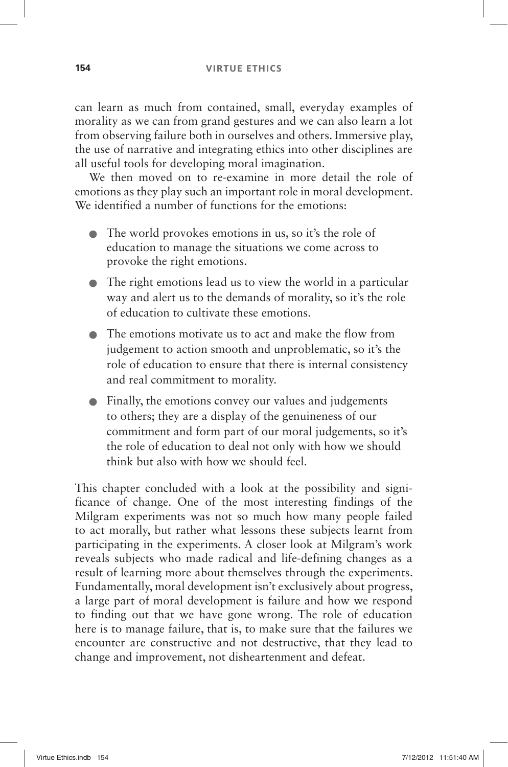can learn as much from contained, small, everyday examples of morality as we can from grand gestures and we can also learn a lot from observing failure both in ourselves and others. Immersive play, the use of narrative and integrating ethics into other disciplines are all useful tools for developing moral imagination.

We then moved on to re-examine in more detail the role of emotions as they play such an important role in moral development. We identified a number of functions for the emotions:

- $\bullet$  The world provokes emotions in us, so it's the role of education to manage the situations we come across to provoke the right emotions.
- O The right emotions lead us to view the world in a particular way and alert us to the demands of morality, so it's the role of education to cultivate these emotions.
- O The emotions motivate us to act and make the flow from judgement to action smooth and unproblematic, so it's the role of education to ensure that there is internal consistency and real commitment to morality.
- O Finally, the emotions convey our values and judgements to others; they are a display of the genuineness of our commitment and form part of our moral judgements, so it's the role of education to deal not only with how we should think but also with how we should feel.

This chapter concluded with a look at the possibility and significance of change. One of the most interesting findings of the Milgram experiments was not so much how many people failed to act morally, but rather what lessons these subjects learnt from participating in the experiments. A closer look at Milgram's work reveals subjects who made radical and life-defining changes as a result of learning more about themselves through the experiments. Fundamentally, moral development isn't exclusively about progress, a large part of moral development is failure and how we respond to finding out that we have gone wrong. The role of education here is to manage failure, that is, to make sure that the failures we encounter are constructive and not destructive, that they lead to change and improvement, not disheartenment and defeat.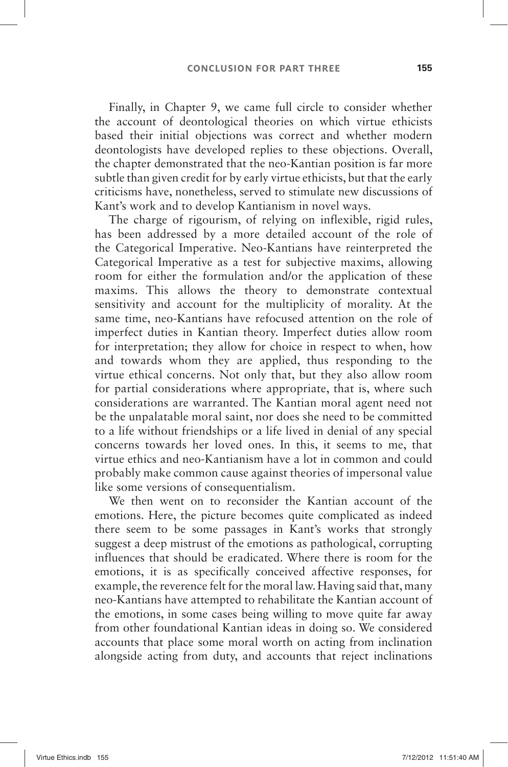Finally, in Chapter 9, we came full circle to consider whether the account of deontological theories on which virtue ethicists based their initial objections was correct and whether modern deontologists have developed replies to these objections. Overall, the chapter demonstrated that the neo-Kantian position is far more subtle than given credit for by early virtue ethicists, but that the early criticisms have, nonetheless, served to stimulate new discussions of Kant's work and to develop Kantianism in novel ways.

The charge of rigourism, of relying on inflexible, rigid rules, has been addressed by a more detailed account of the role of the Categorical Imperative. Neo-Kantians have reinterpreted the Categorical Imperative as a test for subjective maxims, allowing room for either the formulation and/or the application of these maxims. This allows the theory to demonstrate contextual sensitivity and account for the multiplicity of morality. At the same time, neo-Kantians have refocused attention on the role of imperfect duties in Kantian theory. Imperfect duties allow room for interpretation; they allow for choice in respect to when, how and towards whom they are applied, thus responding to the virtue ethical concerns. Not only that, but they also allow room for partial considerations where appropriate, that is, where such considerations are warranted. The Kantian moral agent need not be the unpalatable moral saint, nor does she need to be committed to a life without friendships or a life lived in denial of any special concerns towards her loved ones. In this, it seems to me, that virtue ethics and neo-Kantianism have a lot in common and could probably make common cause against theories of impersonal value like some versions of consequentialism.

We then went on to reconsider the Kantian account of the emotions. Here, the picture becomes quite complicated as indeed there seem to be some passages in Kant's works that strongly suggest a deep mistrust of the emotions as pathological, corrupting influences that should be eradicated. Where there is room for the emotions, it is as specifically conceived affective responses, for example, the reverence felt for the moral law. Having said that, many neo-Kantians have attempted to rehabilitate the Kantian account of the emotions, in some cases being willing to move quite far away from other foundational Kantian ideas in doing so. We considered accounts that place some moral worth on acting from inclination alongside acting from duty, and accounts that reject inclinations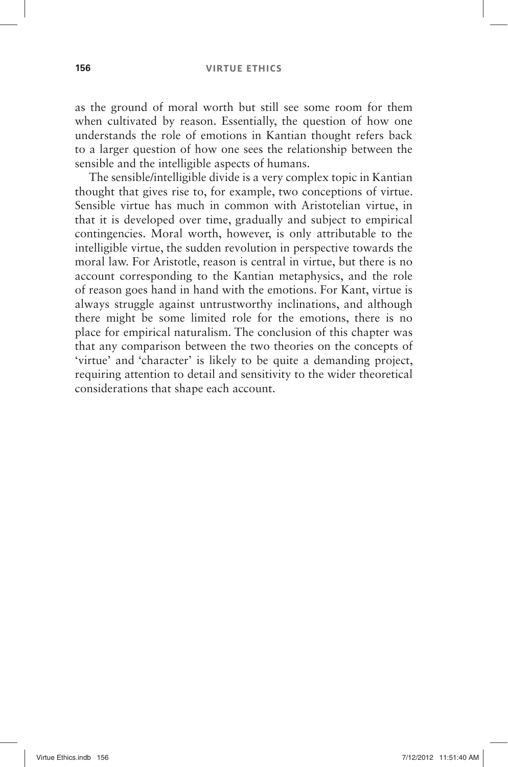#### **156 VIRTUE ETHICS**

as the ground of moral worth but still see some room for them when cultivated by reason. Essentially, the question of how one understands the role of emotions in Kantian thought refers back to a larger question of how one sees the relationship between the sensible and the intelligible aspects of humans.

The sensible/intelligible divide is a very complex topic in Kantian thought that gives rise to, for example, two conceptions of virtue. Sensible virtue has much in common with Aristotelian virtue, in that it is developed over time, gradually and subject to empirical contingencies. Moral worth, however, is only attributable to the intelligible virtue, the sudden revolution in perspective towards the moral law. For Aristotle, reason is central in virtue, but there is no account corresponding to the Kantian metaphysics, and the role of reason goes hand in hand with the emotions. For Kant, virtue is always struggle against untrustworthy inclinations, and although there might be some limited role for the emotions, there is no place for empirical naturalism. The conclusion of this chapter was that any comparison between the two theories on the concepts of 'virtue' and 'character' is likely to be quite a demanding project, requiring attention to detail and sensitivity to the wider theoretical considerations that shape each account.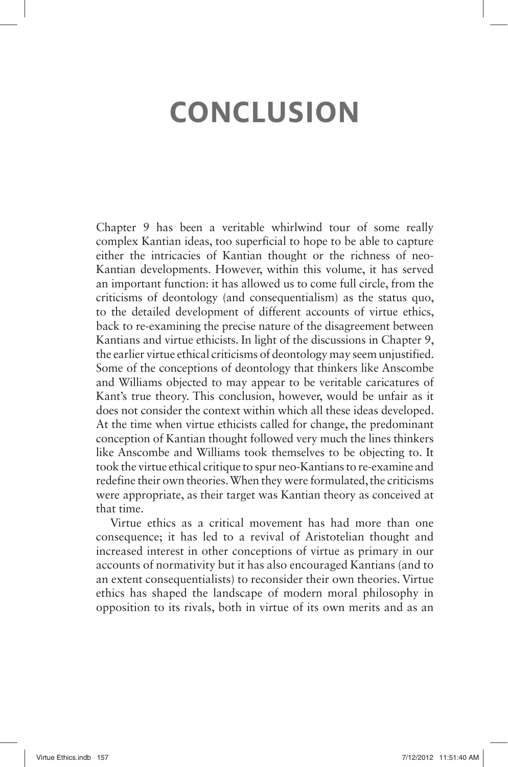# **CONCLUSION**

Chapter 9 has been a veritable whirlwind tour of some really complex Kantian ideas, too superficial to hope to be able to capture either the intricacies of Kantian thought or the richness of neo-Kantian developments. However, within this volume, it has served an important function: it has allowed us to come full circle, from the criticisms of deontology (and consequentialism) as the status quo, to the detailed development of different accounts of virtue ethics, back to re-examining the precise nature of the disagreement between Kantians and virtue ethicists. In light of the discussions in Chapter 9, the earlier virtue ethical criticisms of deontology may seem unjustified. Some of the conceptions of deontology that thinkers like Anscombe and Williams objected to may appear to be veritable caricatures of Kant's true theory. This conclusion, however, would be unfair as it does not consider the context within which all these ideas developed. At the time when virtue ethicists called for change, the predominant conception of Kantian thought followed very much the lines thinkers like Anscombe and Williams took themselves to be objecting to. It took the virtue ethical critique to spur neo-Kantians to re-examine and redefine their own theories. When they were formulated, the criticisms were appropriate, as their target was Kantian theory as conceived at that time.

Virtue ethics as a critical movement has had more than one consequence; it has led to a revival of Aristotelian thought and increased interest in other conceptions of virtue as primary in our accounts of normativity but it has also encouraged Kantians (and to an extent consequentialists) to reconsider their own theories. Virtue ethics has shaped the landscape of modern moral philosophy in opposition to its rivals, both in virtue of its own merits and as an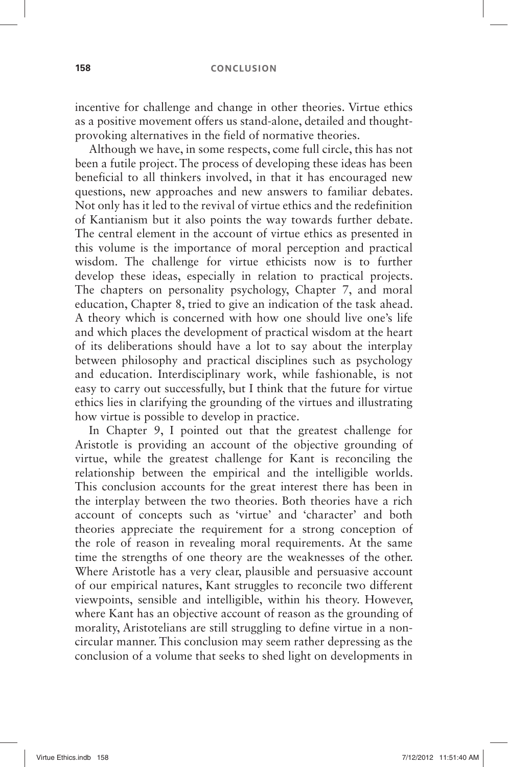#### **158 CONCLUSION**

incentive for challenge and change in other theories. Virtue ethics as a positive movement offers us stand-alone, detailed and thoughtprovoking alternatives in the field of normative theories.

Although we have, in some respects, come full circle, this has not been a futile project. The process of developing these ideas has been beneficial to all thinkers involved, in that it has encouraged new questions, new approaches and new answers to familiar debates. Not only has it led to the revival of virtue ethics and the redefinition of Kantianism but it also points the way towards further debate. The central element in the account of virtue ethics as presented in this volume is the importance of moral perception and practical wisdom. The challenge for virtue ethicists now is to further develop these ideas, especially in relation to practical projects. The chapters on personality psychology, Chapter 7, and moral education, Chapter 8, tried to give an indication of the task ahead. A theory which is concerned with how one should live one's life and which places the development of practical wisdom at the heart of its deliberations should have a lot to say about the interplay between philosophy and practical disciplines such as psychology and education. Interdisciplinary work, while fashionable, is not easy to carry out successfully, but I think that the future for virtue ethics lies in clarifying the grounding of the virtues and illustrating how virtue is possible to develop in practice.

In Chapter 9, I pointed out that the greatest challenge for Aristotle is providing an account of the objective grounding of virtue, while the greatest challenge for Kant is reconciling the relationship between the empirical and the intelligible worlds. This conclusion accounts for the great interest there has been in the interplay between the two theories. Both theories have a rich account of concepts such as 'virtue' and 'character' and both theories appreciate the requirement for a strong conception of the role of reason in revealing moral requirements. At the same time the strengths of one theory are the weaknesses of the other. Where Aristotle has a very clear, plausible and persuasive account of our empirical natures, Kant struggles to reconcile two different viewpoints, sensible and intelligible, within his theory. However, where Kant has an objective account of reason as the grounding of morality, Aristotelians are still struggling to define virtue in a noncircular manner. This conclusion may seem rather depressing as the conclusion of a volume that seeks to shed light on developments in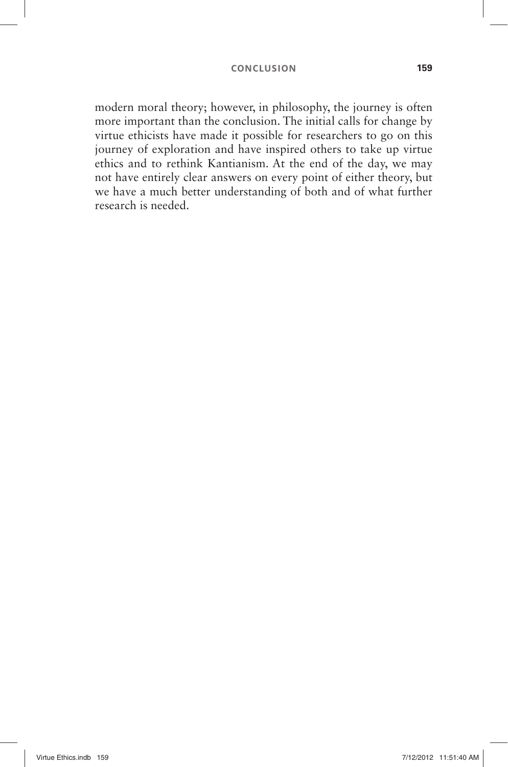#### **CONCLUSION 159**

modern moral theory; however, in philosophy, the journey is often more important than the conclusion. The initial calls for change by virtue ethicists have made it possible for researchers to go on this journey of exploration and have inspired others to take up virtue ethics and to rethink Kantianism. At the end of the day, we may not have entirely clear answers on every point of either theory, but we have a much better understanding of both and of what further research is needed.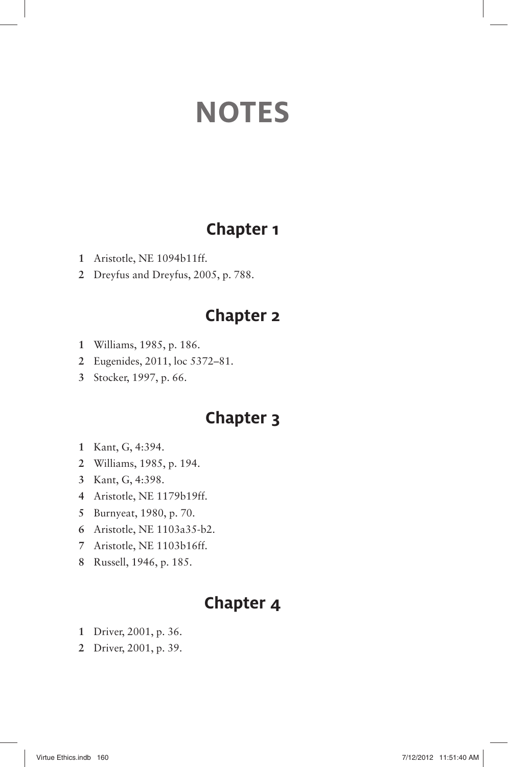# **NOTES**

## **Chapter 1**

- Aristotle, NE 1094b11ff.
- Dreyfus and Dreyfus, 2005, p. 788.

## **Chapter 2**

- Williams, 1985, p. 186.
- Eugenides, 2011, loc 5372 81.
- Stocker, 1997, p. 66.

## **Chapter 3**

- Kant, G, 4:394.
- Williams, 1985, p. 194.
- Kant, G, 4:398.
- Aristotle, NE 1179b19ff.
- Burnyeat, 1980, p. 70.
- Aristotle, NE 1103a35-b2.
- Aristotle, NE 1103b16ff.
- Russell, 1946, p. 185.

- Driver, 2001, p. 36.
- Driver, 2001, p. 39.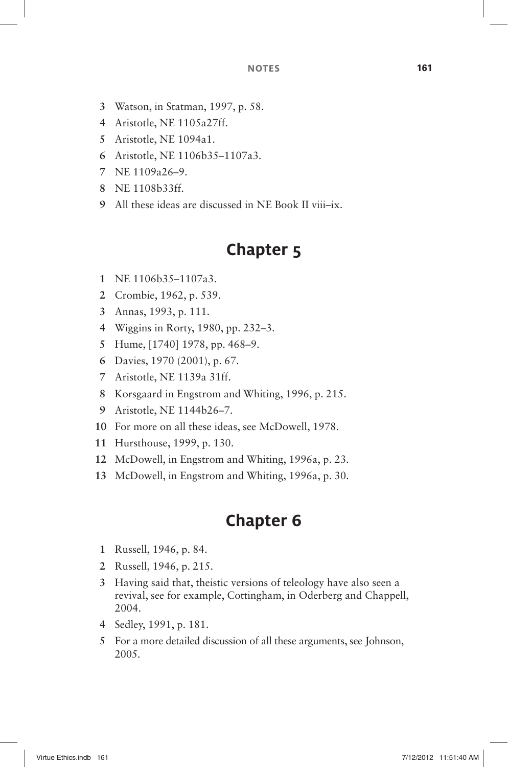- Watson, in Statman, 1997, p. 58.
- Aristotle, NE 1105a27ff.
- Aristotle, NE 1094a1.
- Aristotle, NE 1106b35 1107a3.
- NE 1109a26 9.
- NE 1108b33ff.
- All these ideas are discussed in NE Book II viii-ix.

## **Chapter 5**

- NE 1106b35 1107a3.
- Crombie, 1962, p. 539.
- Annas, 1993, p. 111.
- 4 Wiggins in Rorty, 1980, pp. 232–3.
- 5 Hume, [1740] 1978, pp. 468-9.
- Davies, 1970 (2001), p. 67.
- Aristotle, NE 1139a 31ff.
- Korsgaard in Engstrom and Whiting, 1996, p. 215.
- 9 Aristotle, NE 1144b26-7.
- For more on all these ideas, see McDowell, 1978.
- Hursthouse, 1999, p. 130.
- McDowell, in Engstrom and Whiting, 1996a, p. 23.
- McDowell, in Engstrom and Whiting, 1996a, p. 30.

- Russell, 1946, p. 84.
- Russell, 1946, p. 215.
- Having said that, theistic versions of teleology have also seen a revival, see for example, Cottingham, in Oderberg and Chappell, 2004.
- Sedley, 1991, p. 181.
- For a more detailed discussion of all these arguments, see Johnson, 2005.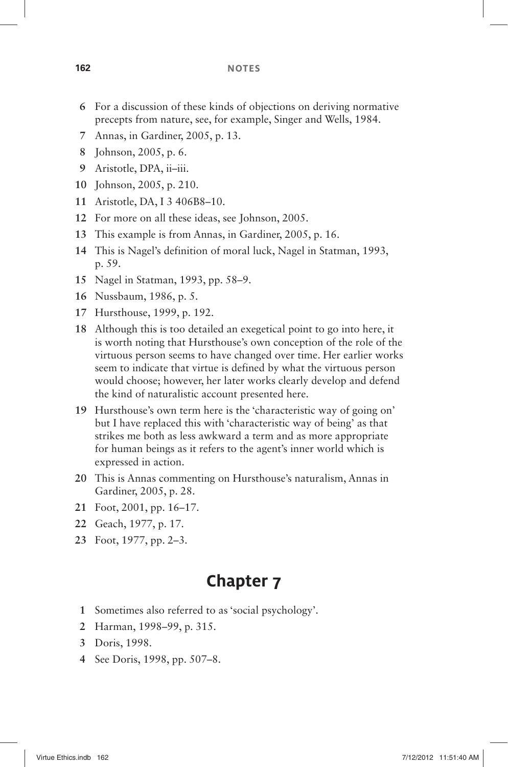#### **162 NOTES**

- **6** For a discussion of these kinds of objections on deriving normative precepts from nature, see, for example, Singer and Wells, 1984.
- **7** Annas, in Gardiner, 2005, p. 13.
- **8** Johnson, 2005, p. 6.
- 9 Aristotle, DPA, ii-iii.
- **10** Johnson, 2005, p. 210.
- **11** Aristotle, DA, I 3 406B8–10.
- **12** For more on all these ideas, see Johnson, 2005.
- **13** This example is from Annas, in Gardiner, 2005, p. 16.
- 14 This is Nagel's definition of moral luck, Nagel in Statman, 1993, p. 59.
- 15 Nagel in Statman, 1993, pp. 58–9.
- **16** Nussbaum, 1986, p. 5.
- **17** Hursthouse, 1999, p. 192.
- **18** Although this is too detailed an exegetical point to go into here, it is worth noting that Hursthouse's own conception of the role of the virtuous person seems to have changed over time. Her earlier works seem to indicate that virtue is defined by what the virtuous person would choose; however, her later works clearly develop and defend the kind of naturalistic account presented here.
- **19** Hursthouse's own term here is the 'characteristic way of going on' but I have replaced this with 'characteristic way of being' as that strikes me both as less awkward a term and as more appropriate for human beings as it refers to the agent's inner world which is expressed in action.
- 20 This is Annas commenting on Hursthouse's naturalism, Annas in Gardiner, 2005, p. 28.
- **21** Foot, 2001, pp. 16–17.
- **22** Geach, 1977, p. 17.
- 23 Foot, 1977, pp. 2–3.

- 1 Sometimes also referred to as 'social psychology'.
- 2 Harman, 1998–99, p. 315.
- **3** Doris, 1998.
- 4 See Doris, 1998, pp. 507–8.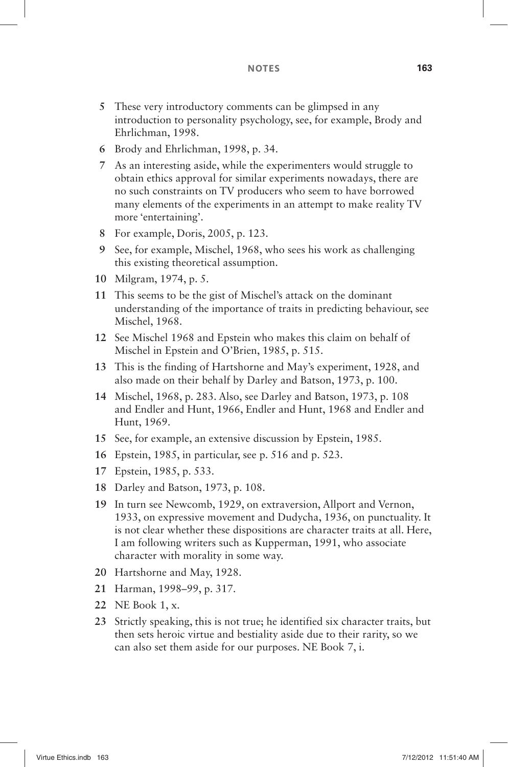- **5** These very introductory comments can be glimpsed in any introduction to personality psychology, see, for example, Brody and Ehrlichman, 1998.
- **6** Brody and Ehrlichman, 1998, p. 34.
- **7** As an interesting aside, while the experimenters would struggle to obtain ethics approval for similar experiments nowadays, there are no such constraints on TV producers who seem to have borrowed many elements of the experiments in an attempt to make reality TV more 'entertaining'.
- **8** For example, Doris, 2005, p. 123.
- **9** See, for example, Mischel, 1968, who sees his work as challenging this existing theoretical assumption.
- **10** Milgram, 1974, p. 5.
- **11** This seems to be the gist of Mischel's attack on the dominant understanding of the importance of traits in predicting behaviour, see Mischel, 1968.
- **12** See Mischel 1968 and Epstein who makes this claim on behalf of Mischel in Epstein and O'Brien, 1985, p. 515.
- **13** This is the finding of Hartshorne and May's experiment, 1928, and also made on their behalf by Darley and Batson, 1973, p. 100.
- **14** Mischel, 1968, p. 283. Also, see Darley and Batson, 1973, p. 108 and Endler and Hunt, 1966, Endler and Hunt, 1968 and Endler and Hunt, 1969.
- **15** See, for example, an extensive discussion by Epstein, 1985.
- **16** Epstein, 1985, in particular, see p. 516 and p. 523.
- **17** Epstein, 1985, p. 533.
- **18** Darley and Batson, 1973, p. 108.
- **19** In turn see Newcomb, 1929, on extraversion, Allport and Vernon, 1933, on expressive movement and Dudycha, 1936, on punctuality. It is not clear whether these dispositions are character traits at all. Here, I am following writers such as Kupperman, 1991, who associate character with morality in some way.
- **20** Hartshorne and May, 1928.
- 21 Harman, 1998-99, p. 317.
- **22** NE Book 1, x.
- **23** Strictly speaking, this is not true; he identified six character traits, but then sets heroic virtue and bestiality aside due to their rarity, so we can also set them aside for our purposes. NE Book 7, i.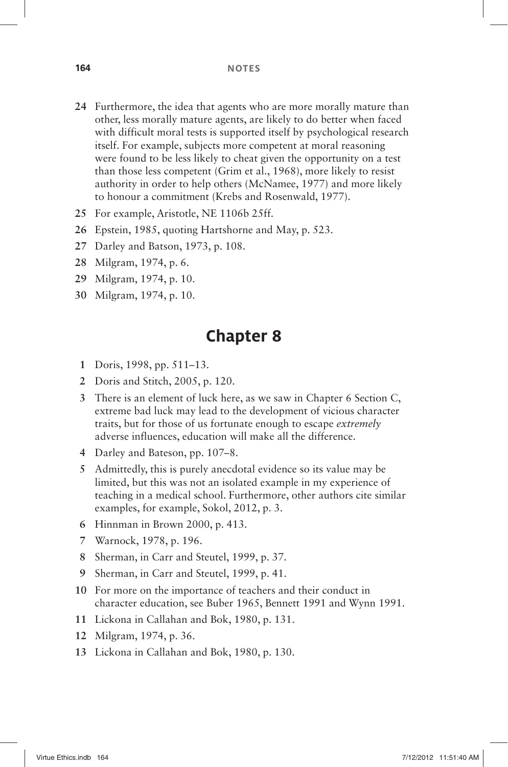- **24** Furthermore, the idea that agents who are more morally mature than other, less morally mature agents, are likely to do better when faced with difficult moral tests is supported itself by psychological research itself. For example, subjects more competent at moral reasoning were found to be less likely to cheat given the opportunity on a test than those less competent (Grim et al., 1968), more likely to resist authority in order to help others (McNamee, 1977) and more likely to honour a commitment (Krebs and Rosenwald, 1977).
- **25** For example, Aristotle, NE 1106b 25ff.
- **26** Epstein, 1985, quoting Hartshorne and May, p. 523.
- **27** Darley and Batson, 1973, p. 108.
- **28** Milgram, 1974, p. 6.
- **29** Milgram, 1974, p. 10.
- **30** Milgram, 1974, p. 10.

- 1 Doris, 1998, pp. 511–13.
- **2** Doris and Stitch, 2005, p. 120.
- **3** There is an element of luck here, as we saw in Chapter 6 Section C, extreme bad luck may lead to the development of vicious character traits, but for those of us fortunate enough to escape *extremely* adverse influences, education will make all the difference.
- **4** Darley and Bateson, pp. 107-8.
- **5** Admittedly, this is purely anecdotal evidence so its value may be limited, but this was not an isolated example in my experience of teaching in a medical school. Furthermore, other authors cite similar examples, for example, Sokol, 2012, p. 3.
- **6** Hinnman in Brown 2000, p. 413.
- **7** Warnock, 1978, p. 196.
- **8** Sherman, in Carr and Steutel, 1999, p. 37.
- **9** Sherman, in Carr and Steutel, 1999, p. 41.
- **10** For more on the importance of teachers and their conduct in character education, see Buber 1965, Bennett 1991 and Wynn 1991.
- **11** Lickona in Callahan and Bok, 1980, p. 131.
- **12** Milgram, 1974, p. 36.
- **13** Lickona in Callahan and Bok, 1980, p. 130.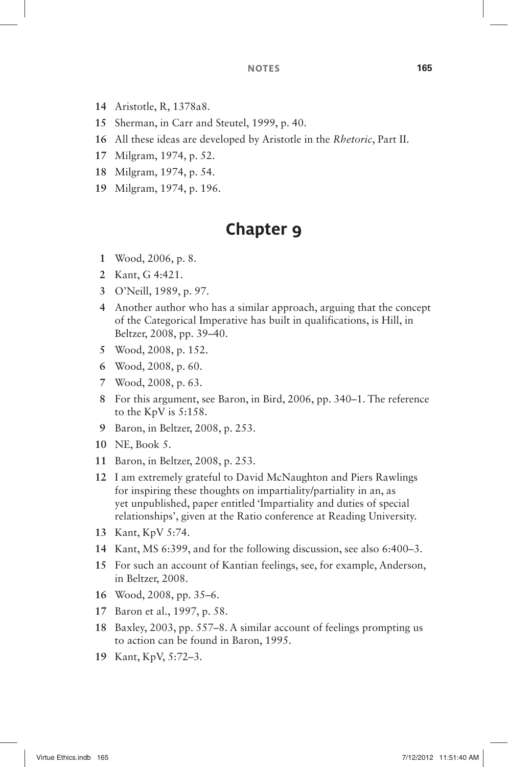#### **NOTES 165**

- Aristotle, R, 1378a8.
- Sherman, in Carr and Steutel, 1999, p. 40.
- All these ideas are developed by Aristotle in the *Rhetoric*, Part II.
- Milgram, 1974, p. 52.
- Milgram, 1974, p. 54.
- Milgram, 1974, p. 196.

- Wood, 2006, p. 8.
- Kant, G 4:421.
- O ' Neill, 1989, p. 97.
- Another author who has a similar approach, arguing that the concept of the Categorical Imperative has built in qualifications, is Hill, in Beltzer, 2008, pp. 39-40.
- Wood, 2008, p. 152.
- Wood, 2008, p. 60.
- Wood, 2008, p. 63.
- 8 For this argument, see Baron, in Bird, 2006, pp. 340–1. The reference to the KpV is 5:158.
- Baron, in Beltzer, 2008, p. 253.
- NE, Book 5.
- Baron, in Beltzer, 2008, p. 253.
- I am extremely grateful to David McNaughton and Piers Rawlings for inspiring these thoughts on impartiality/partiality in an, as yet unpublished, paper entitled 'Impartiality and duties of special relationships', given at the Ratio conference at Reading University.
- Kant, KpV 5:74.
- 14 Kant, MS 6:399, and for the following discussion, see also 6:400–3.
- For such an account of Kantian feelings, see, for example, Anderson, in Beltzer, 2008.
- 16 Wood, 2008, pp. 35–6.
- Baron et al., 1997, p. 58.
- Baxley, 2003, pp. 557 8. A similar account of feelings prompting us to action can be found in Baron, 1995.
- Kant, KpV, 5:72-3.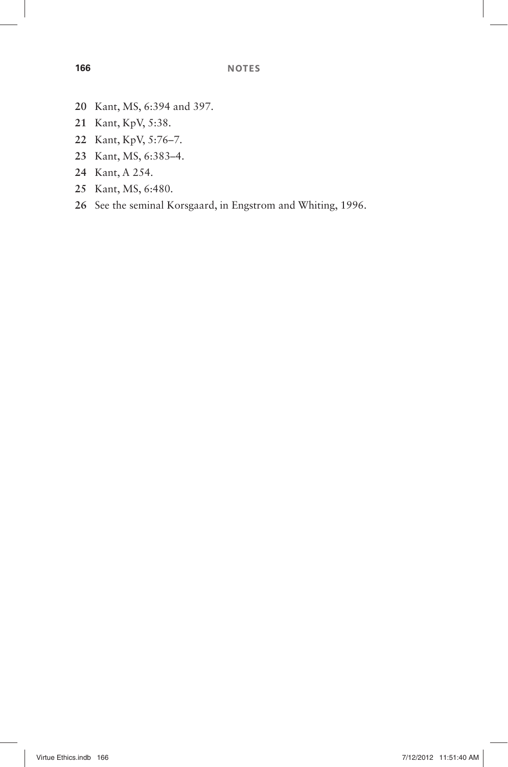- Kant, MS, 6:394 and 397.
- Kant, KpV, 5:38.
- 22 Kant, KpV, 5:76-7.
- 23 Kant, MS, 6:383-4.
- Kant, A 254.
- Kant, MS, 6:480.
- See the seminal Korsgaard, in Engstrom and Whiting, 1996.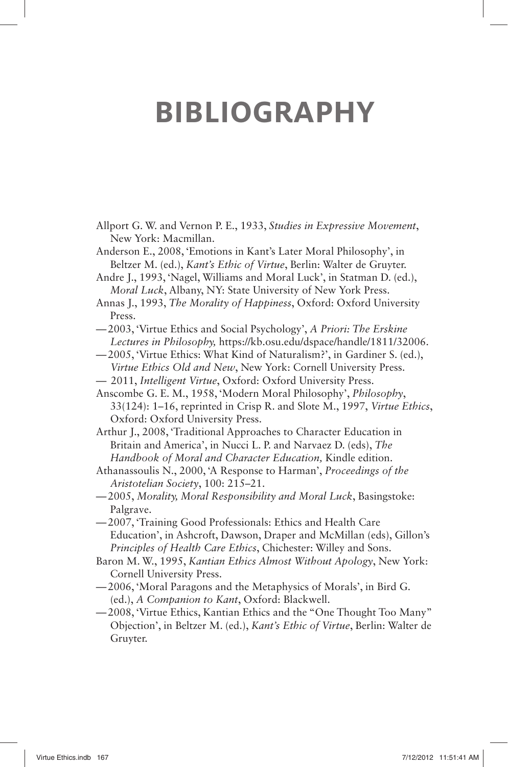# **BIBLIOGRAPHY**

- Allport G. W. and Vernon P. E., 1933, *Studies in Expressive Movement*, New York: Macmillan.
- Anderson E., 2008, 'Emotions in Kant's Later Moral Philosophy', in Beltzer M. (ed.), *Kant's Ethic of Virtue*, Berlin: Walter de Gruyter.
- Andre J., 1993, 'Nagel, Williams and Moral Luck', in Statman D. (ed.), *Moral Luck*, Albany, NY: State University of New York Press.
- Annas J., 1993, *The Morality of Happiness*, Oxford: Oxford University Press.
- 2003, ' Virtue Ethics and Social Psychology ' , *A Priori: The Erskine Lectures in Philosophy,* https://kb.osu.edu/dspace/handle/1811/32006.
- 2005, ' Virtue Ethics: What Kind of Naturalism? ' , in Gardiner S. (ed.), *Virtue Ethics Old and New*, New York: Cornell University Press.
- —2011, *Intelligent Virtue*, Oxford: Oxford University Press.
- Anscombe G. E. M., 1958, 'Modern Moral Philosophy', *Philosophy*, 33(124): 1 – 16, reprinted in Crisp R. and Slote M., 1997, *Virtue Ethics*, Oxford: Oxford University Press.
- Arthur J., 2008, 'Traditional Approaches to Character Education in Britain and America', in Nucci L. P. and Narvaez D. (eds), *The Handbook of Moral and Character Education,* Kindle edition.
- Athanassoulis N., 2000, 'A Response to Harman', *Proceedings of the Aristotelian Society*, 100: 215–21.
- 2005, *Morality, Moral Responsibility and Moral Luck*, Basingstoke: Palgrave.
- 2007, ' Training Good Professionals: Ethics and Health Care Education', in Ashcroft, Dawson, Draper and McMillan (eds), Gillon's *Principles of Health Care Ethics*, Chichester: Willey and Sons.
- Baron M. W., 1995, *Kantian Ethics Almost Without Apology*, New York: Cornell University Press.
- 2006, ' Moral Paragons and the Metaphysics of Morals ' , in Bird G. (ed.), *A Companion to Kant*, Oxford: Blackwell.
- 2008, ' Virtue Ethics, Kantian Ethics and the " One Thought Too Many " Objection', in Beltzer M. (ed.), *Kant's Ethic of Virtue*, Berlin: Walter de Gruyter.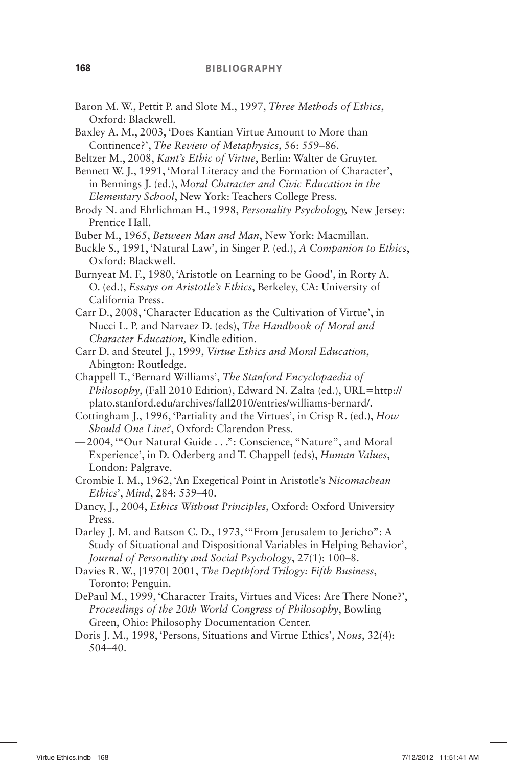- Baron M. W., Pettit P. and Slote M., 1997, *Three Methods of Ethics*, Oxford: Blackwell.
- Baxley A. M., 2003, 'Does Kantian Virtue Amount to More than Continence?', *The Review of Metaphysics*, 56: 559–86.
- Beltzer M., 2008, *Kant's Ethic of Virtue*, Berlin: Walter de Gruyter.

Bennett W. J., 1991, 'Moral Literacy and the Formation of Character'. in Bennings J. (ed.), *Moral Character and Civic Education in the Elementary School*, New York: Teachers College Press.

Brody N. and Ehrlichman H., 1998, *Personality Psychology,* New Jersey: Prentice Hall.

Buber M., 1965, *Between Man and Man*, New York: Macmillan.

Buckle S., 1991, 'Natural Law', in Singer P. (ed.), *A Companion to Ethics*, Oxford: Blackwell.

Burnyeat M. F., 1980, 'Aristotle on Learning to be Good', in Rorty A. O. (ed.), *Essays on Aristotle's Ethics*, Berkeley, CA: University of California Press.

Carr D., 2008, 'Character Education as the Cultivation of Virtue', in Nucci L. P. and Narvaez D. (eds), *The Handbook of Moral and Character Education,* Kindle edition.

- Carr D. and Steutel J., 1999, *Virtue Ethics and Moral Education*, Abington: Routledge.
- Chappell T., 'Bernard Williams', *The Stanford Encyclopaedia of* Philosophy, (Fall 2010 Edition), Edward N. Zalta (ed.), URL=http:// plato.stanford.edu/archives/fall2010/entries/williams-bernard/.
- Cottingham J., 1996, 'Partiality and the Virtues', in Crisp R. (ed.), *How Should One Live?*, Oxford: Clarendon Press.

— 2004, ' " Our Natural Guide . . . " : Conscience, " Nature " , and Moral Experience', in D. Oderberg and T. Chappell (eds), *Human Values*, London: Palgrave.

- Crombie I. M., 1962, 'An Exegetical Point in Aristotle's Nicomachean *Ethics*', *Mind*, 284: 539-40.
- Dancy, J., 2004, *Ethics Without Principles*, Oxford: Oxford University Press.
- Darley J. M. and Batson C. D., 1973, "From Jerusalem to Jericho": A Study of Situational and Dispositional Variables in Helping Behavior', *Journal of Personality and Social Psychology*, 27(1): 100–8.
- Davies R. W., [1970] 2001, *The Depthford Trilogy: Fifth Business*, Toronto: Penguin.
- DePaul M., 1999, 'Character Traits, Virtues and Vices: Are There None?', *Proceedings of the 20th World Congress of Philosophy*, Bowling Green, Ohio: Philosophy Documentation Center.
- Doris J. M., 1998, 'Persons, Situations and Virtue Ethics', *Nous*, 32(4):  $504 - 40.$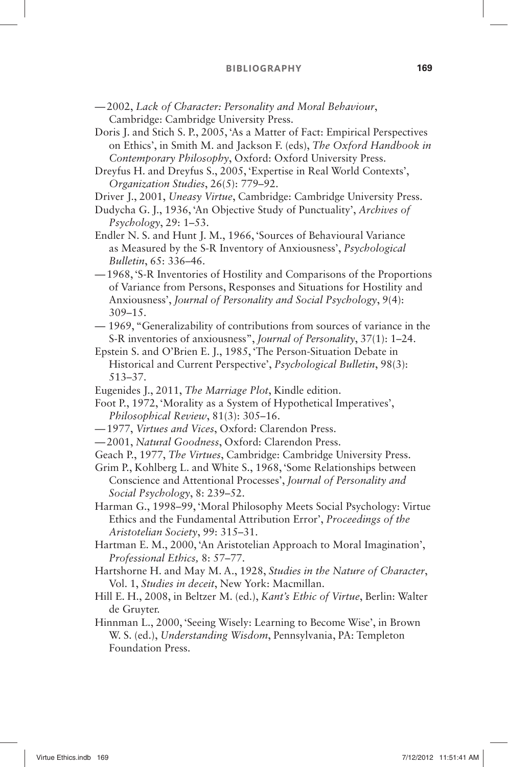- 2002, *Lack of Character: Personality and Moral Behaviour*, Cambridge: Cambridge University Press.
- Doris J. and Stich S. P., 2005, 'As a Matter of Fact: Empirical Perspectives on Ethics ' , in Smith M. and Jackson F. (eds), *The Oxford Handbook in Contemporary Philosophy*, Oxford: Oxford University Press.
- Dreyfus H. and Dreyfus S., 2005, 'Expertise in Real World Contexts', *Organization Studies*, 26(5): 779-92.
- Driver J., 2001, *Uneasy Virtue*, Cambridge: Cambridge University Press.
- Dudycha G. J., 1936, 'An Objective Study of Punctuality', *Archives of Psychology*, 29: 1–53.
- Endler N. S. and Hunt J. M., 1966, 'Sources of Behavioural Variance as Measured by the S-R Inventory of Anxiousness', *Psychological Bulletin*, 65: 336–46.
- 1968, ' S-R Inventories of Hostility and Comparisons of the Proportions of Variance from Persons, Responses and Situations for Hostility and Anxiousness', *Journal of Personality and Social Psychology*, 9(4):  $309 - 15.$
- —1969, "Generalizability of contributions from sources of variance in the S-R inventories of anxiousness", *Journal of Personality*, 37(1): 1–24.
- Epstein S. and O'Brien E. J., 1985, 'The Person-Situation Debate in Historical and Current Perspective', *Psychological Bulletin*, 98(3): 513 – 37.
- Eugenides J., 2011, *The Marriage Plot*, Kindle edition.
- Foot P., 1972, 'Morality as a System of Hypothetical Imperatives', *Philosophical Review*, 81(3): 305–16.
- 1977, *Virtues and Vices*, Oxford: Clarendon Press.
- 2001, *Natural Goodness*, Oxford: Clarendon Press.
- Geach P., 1977, *The Virtues*, Cambridge: Cambridge University Press.
- Grim P., Kohlberg L. and White S., 1968, ' Some Relationships between Conscience and Attentional Processes', *Journal of Personality and Social Psychology*, 8: 239–52.
- Harman G., 1998-99, 'Moral Philosophy Meets Social Psychology: Virtue Ethics and the Fundamental Attribution Error', *Proceedings of the Aristotelian Society*, 99: 315 – 31.
- Hartman E. M., 2000, 'An Aristotelian Approach to Moral Imagination', Professional Ethics, 8: 57-77.
- Hartshorne H. and May M. A., 1928, *Studies in the Nature of Character*, Vol. 1, *Studies in deceit*, New York: Macmillan.
- Hill E. H., 2008, in Beltzer M. (ed.), *Kant's Ethic of Virtue*, Berlin: Walter de Gruyter.
- Hinnman L., 2000, 'Seeing Wisely: Learning to Become Wise', in Brown W. S. (ed.), *Understanding Wisdom*, Pennsylvania, PA: Templeton Foundation Press.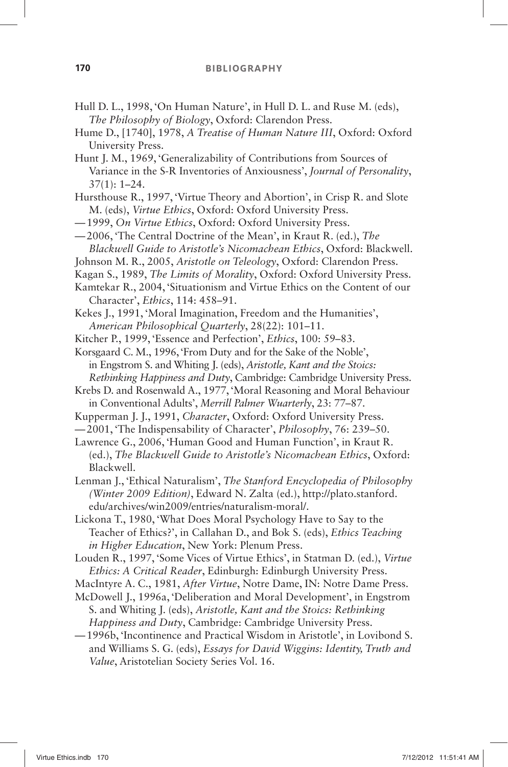- Hull D. L., 1998, 'On Human Nature', in Hull D. L. and Ruse M. (eds), *The Philosophy of Biology*, Oxford: Clarendon Press.
- Hume D., [1740], 1978, *A Treatise of Human Nature III*, Oxford: Oxford University Press.
- Hunt J. M., 1969, 'Generalizability of Contributions from Sources of Variance in the S-R Inventories of Anxiousness', *Journal of Personality*,  $37(1): 1 - 24.$
- Hursthouse R., 1997, 'Virtue Theory and Abortion', in Crisp R, and Slote M. (eds), *Virtue Ethics*, Oxford: Oxford University Press.
- 1999, *On Virtue Ethics*, Oxford: Oxford University Press.
- 2006, ' The Central Doctrine of the Mean ' , in Kraut R. (ed.), *The Blackwell Guide to Aristotle's Nicomachean Ethics*, Oxford: Blackwell.
- Johnson M. R., 2005, *Aristotle on Teleology*, Oxford: Clarendon Press.
- Kagan S., 1989, *The Limits of Morality*, Oxford: Oxford University Press.
- Kamtekar R., 2004, 'Situationism and Virtue Ethics on the Content of our Character', *Ethics*, 114: 458-91.
- Kekes J., 1991, 'Moral Imagination, Freedom and the Humanities', *American Philosophical Quarterly, 28(22): 101-11.*
- Kitcher P., 1999, 'Essence and Perfection', *Ethics*, 100: 59–83.
- Korsgaard C. M., 1996, 'From Duty and for the Sake of the Noble'. in Engstrom S. and Whiting J. (eds), *Aristotle, Kant and the Stoics: Rethinking Happiness and Duty*, Cambridge: Cambridge University Press.
- Krebs D. and Rosenwald A., 1977, ' Moral Reasoning and Moral Behaviour in Conventional Adults', *Merrill Palmer Wuarterly*, 23: 77-87.
- Kupperman J. J., 1991, *Character*, Oxford: Oxford University Press.
- 2001, ' The Indispensability of Character ' , *Philosophy*, 76: 239 50.
- Lawrence G., 2006, 'Human Good and Human Function', in Kraut R. (ed.), *The Blackwell Guide to Aristotle's Nicomachean Ethics*, Oxford: Blackwell.
- Lenman J., 'Ethical Naturalism', *The Stanford Encyclopedia of Philosophy (Winter 2009 Edition)*, Edward N. Zalta (ed.), http://plato.stanford. edu/archives/win2009/entries/naturalism-moral/.
- Lickona T., 1980, 'What Does Moral Psychology Have to Say to the Teacher of Ethics? ' , in Callahan D., and Bok S. (eds), *Ethics Teaching in Higher Education*, New York: Plenum Press.
- Louden R., 1997, 'Some Vices of Virtue Ethics', in Statman D. (ed.), *Virtue Ethics: A Critical Reader*, Edinburgh: Edinburgh University Press.
- MacIntyre A. C., 1981, *After Virtue*, Notre Dame, IN: Notre Dame Press.
- McDowell J., 1996a, 'Deliberation and Moral Development', in Engstrom S. and Whiting J. (eds), *Aristotle, Kant and the Stoics: Rethinking Happiness and Duty*, Cambridge: Cambridge University Press.
- 1996b, ' Incontinence and Practical Wisdom in Aristotle ' , in Lovibond S. and Williams S. G. (eds), *Essays for David Wiggins: Identity, Truth and Value*, Aristotelian Society Series Vol. 16.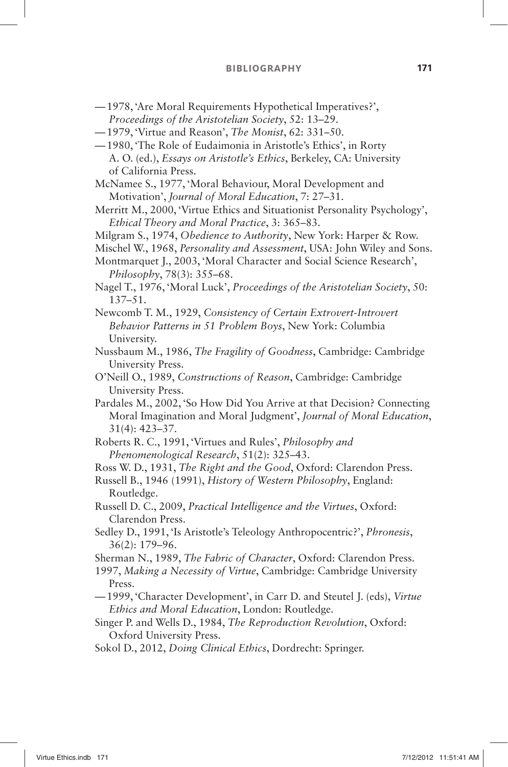- 1978, ' Are Moral Requirements Hypothetical Imperatives? ' , Proceedings of the Aristotelian Society, 52: 13-29.
- 1979, ' Virtue and Reason ' , *The Monist*, 62: 331 50.
- 1980, 'The Role of Eudaimonia in Aristotle's Ethics', in Rorty A. O. (ed.), *Essays on Aristotle's Ethics*, Berkeley, CA: University of California Press.
- McNamee S., 1977, ' Moral Behaviour, Moral Development and Motivation', *Journal of Moral Education*, 7: 27–31.
- Merritt M., 2000, 'Virtue Ethics and Situationist Personality Psychology', *Ethical Theory and Moral Practice*, 3: 365 – 83.
- Milgram S., 1974, *Obedience to Authority*, New York: Harper & Row.
- Mischel W., 1968, *Personality and Assessment*, USA: John Wiley and Sons.

Montmarquet J., 2003, 'Moral Character and Social Science Research', Philosophy, 78(3): 355–68.

- Nagel T., 1976, 'Moral Luck', *Proceedings of the Aristotelian Society*, 50:  $137 - 51.$
- Newcomb T. M., 1929, *Consistency of Certain Extrovert-Introvert Behavior Patterns in 51 Problem Boys*, New York: Columbia University.
- Nussbaum M., 1986, *The Fragility of Goodness*, Cambridge: Cambridge University Press.
- O ' Neill O., 1989, *Constructions of Reason*, Cambridge: Cambridge University Press.
- Pardales M., 2002, 'So How Did You Arrive at that Decision? Connecting Moral Imagination and Moral Judgment', *Journal of Moral Education*,  $31(4): 423 - 37.$
- Roberts R. C., 1991, 'Virtues and Rules', *Philosophy and Phenomenological Research*, 51(2): 325–43.
- Ross W. D., 1931, *The Right and the Good*, Oxford: Clarendon Press.
- Russell B., 1946 (1991), *History of Western Philosophy*, England: Routledge.
- Russell D. C., 2009, *Practical Intelligence and the Virtues*, Oxford: Clarendon Press.
- Sedley D., 1991, 'Is Aristotle's Teleology Anthropocentric?', *Phronesis*, 36(2): 179 – 96.
- Sherman N., 1989, *The Fabric of Character*, Oxford: Clarendon Press.
- 1997, *Making a Necessity of Virtue*, Cambridge: Cambridge University Press.
- 1999, ' Character Development ' , in Carr D. and Steutel J. (eds), *Virtue Ethics and Moral Education*, London: Routledge.
- Singer P. and Wells D., 1984, *The Reproduction Revolution*, Oxford: Oxford University Press.
- Sokol D., 2012, *Doing Clinical Ethics*, Dordrecht: Springer.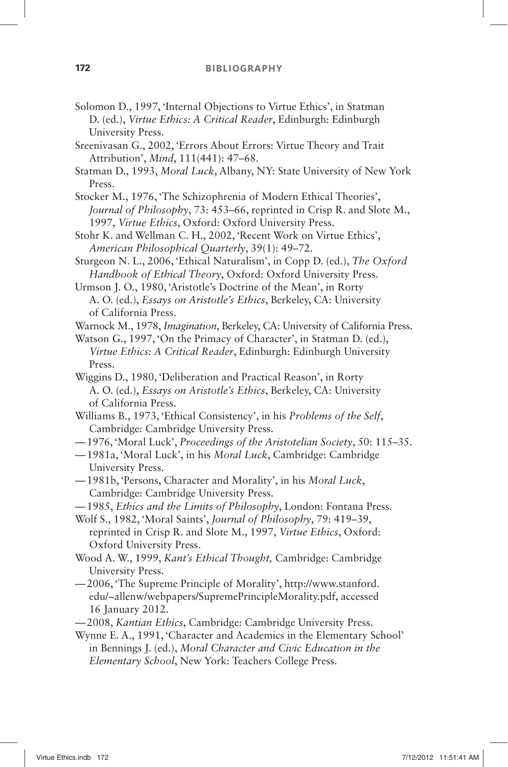- Solomon D., 1997, 'Internal Objections to Virtue Ethics', in Statman D. (ed.), *Virtue Ethics: A Critical Reader*, Edinburgh: Edinburgh University Press.
- Sreenivasan G., 2002, 'Errors About Errors: Virtue Theory and Trait Attribution', *Mind*, 111(441): 47-68.
- Statman D., 1993, *Moral Luck*, Albany, NY: State University of New York Press.
- Stocker M., 1976, 'The Schizophrenia of Modern Ethical Theories', *Journal of Philosophy*, 73: 453–66, reprinted in Crisp R. and Slote M., 1997, *Virtue Ethics*, Oxford: Oxford University Press.
- Stohr K. and Wellman C. H., 2002, 'Recent Work on Virtue Ethics', *American Philosophical Quarterly*, 39(1): 49-72.
- Sturgeon N. L., 2006, 'Ethical Naturalism', in Copp D. (ed.), *The Oxford Handbook of Ethical Theory*, Oxford: Oxford University Press.
- Urmson J. O., 1980, 'Aristotle's Doctrine of the Mean', in Rorty A. O. (ed.), *Essays on Aristotle's Ethics*, Berkeley, CA: University of California Press.
- Warnock M., 1978, *Imagination*, Berkeley, CA: University of California Press.
- Watson G., 1997, 'On the Primacy of Character', in Statman D. (ed.), *Virtue Ethics: A Critical Reader*, Edinburgh: Edinburgh University Press.
- Wiggins D., 1980, 'Deliberation and Practical Reason', in Rorty A. O. (ed.), *Essays on Aristotle's Ethics*, Berkeley, CA: University of California Press.
- Williams B., 1973, 'Ethical Consistency', in his *Problems of the Self*, Cambridge: Cambridge University Press.
- 1976, ' Moral Luck ' , *Proceedings of the Aristotelian Society*, 50: 115 35.
- 1981a, ' Moral Luck ' , in his *Moral Luck*, Cambridge: Cambridge University Press.
- 1981b, ' Persons, Character and Morality ' , in his *Moral Luck*, Cambridge: Cambridge University Press.
- 1985, *Ethics and the Limits of Philosophy*, London: Fontana Press.
- Wolf S., 1982, 'Moral Saints', *Journal of Philosophy*, 79: 419-39, reprinted in Crisp R. and Slote M., 1997, *Virtue Ethics*, Oxford: Oxford University Press.
- Wood A. W., 1999, *Kant's Ethical Thought*, Cambridge: Cambridge University Press.
- 2006, ' The Supreme Principle of Morality ' , http://www.stanford. edu/ ~ allenw/webpapers/SupremePrincipleMorality.pdf, accessed 16 January 2012.
- 2008, *Kantian Ethics*, Cambridge: Cambridge University Press.
- Wynne E. A., 1991, 'Character and Academics in the Elementary School' in Bennings J. (ed.), *Moral Character and Civic Education in the Elementary School*, New York: Teachers College Press.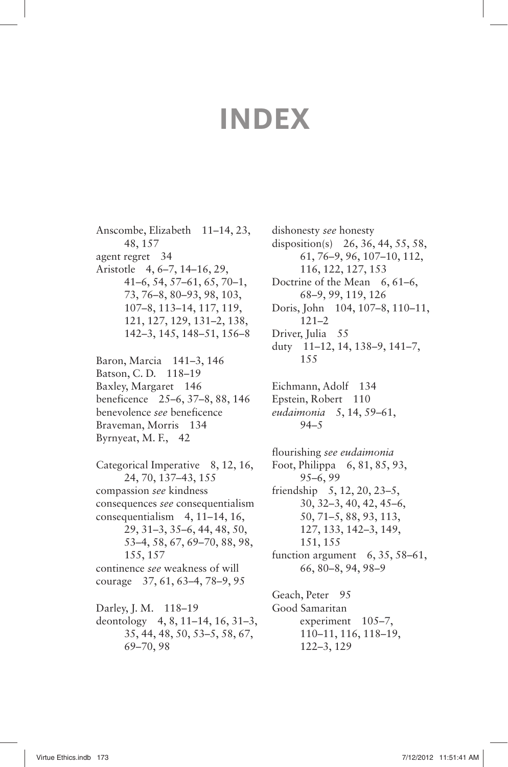## **INDEX**

Anscombe, Elizabeth 11–14, 23, 48, 157 agent regret 34 Aristotle 4, 6–7, 14–16, 29, 41–6, 54, 57–61, 65, 70–1, 73, 76–8, 80–93, 98, 103, 107–8, 113–14, 117, 119, 121, 127, 129, 131–2, 138, 142–3, 145, 148–51, 156–8

Baron, Marcia 141–3, 146 Batson, C. D. 118–19 Baxley, Margaret 146 beneficence 25–6, 37–8, 88, 146 benevolence *see* beneficence Braveman, Morris 134 Byrnyeat, M. F., 42

Categorical Imperative 8, 12, 16, 24, 70, 137–43, 155 compassion *see* kindness consequences *see* consequentialism consequentialism 4, 11–14, 16, 29, 31–3, 35–6, 44, 48, 50, 53–4, 58, 67, 69–70, 88, 98, 155, 157 continence *see* weakness of will courage 37, 61, 63–4, 78–9, 95

Darley, J. M. 118–19 deontology 4, 8, 11–14, 16, 31–3, 35, 44, 48, 50, 53–5, 58, 67, 69–70, 98

dishonesty *see* honesty disposition(s) 26, 36, 44, 55, 58, 61, 76–9, 96, 107–10, 112, 116, 122, 127, 153 Doctrine of the Mean 6, 61–6, 68–9, 99, 119, 126 Doris, John 104, 107–8, 110–11, 121–2 Driver, Julia 55 duty 11–12, 14, 138–9, 141–7, 155 Eichmann, Adolf 134 Epstein, Robert 110 *eudaimonia* 5, 14, 59–61, 94–5 flourishing *see eudaimonia* Foot, Philippa 6, 81, 85, 93, 95–6, 99 friendship 5, 12, 20, 23–5, 30, 32–3, 40, 42, 45–6, 50, 71–5, 88, 93, 113, 127, 133, 142–3, 149, 151, 155 function argument 6, 35, 58–61, 66, 80–8, 94, 98–9 Geach, Peter 95 Good Samaritan experiment 105–7, 110–11, 116, 118–19,

122–3, 129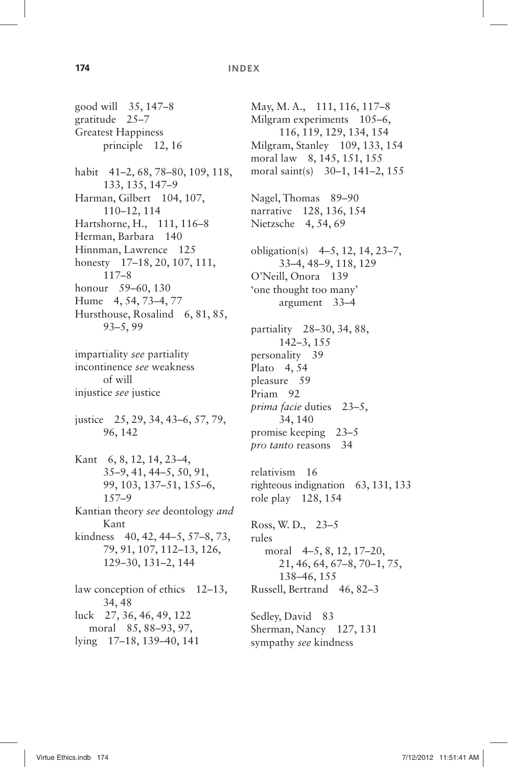## **174 INDEX**

good will 35, 147–8 gratitude 25–7 Greatest Happiness principle 12, 16 habit 41–2, 68, 78–80, 109, 118, 133, 135, 147–9 Harman, Gilbert 104, 107, 110–12, 114 Hartshorne, H., 111, 116–8 Herman, Barbara 140 Hinnman, Lawrence 125 honesty 17–18, 20, 107, 111, 117–8 honour 59–60, 130 Hume 4, 54, 73–4, 77 Hursthouse, Rosalind 6, 81, 85, 93–5, 99 impartiality *see* partiality incontinence *see* weakness of will injustice *see* justice justice 25, 29, 34, 43–6, 57, 79, 96, 142 Kant 6, 8, 12, 14, 23–4, 35–9, 41, 44–5, 50, 91, 99, 103, 137–51, 155–6, 157–9 Kantian theory *see* deontology *and* Kant kindness 40, 42, 44–5, 57–8, 73, 79, 91, 107, 112–13, 126, 129–30, 131–2, 144 law conception of ethics 12–13, 34, 48 luck 27, 36, 46, 49, 122 moral 85, 88–93, 97, lying 17–18, 139–40, 141

May, M. A., 111, 116, 117–8 Milgram experiments 105–6, 116, 119, 129, 134, 154 Milgram, Stanley 109, 133, 154 moral law 8, 145, 151, 155 moral saint(s) 30–1, 141–2, 155 Nagel, Thomas 89–90 narrative 128, 136, 154 Nietzsche 4, 54, 69 obligation(s) 4–5, 12, 14, 23–7, 33–4, 48–9, 118, 129 O'Neill, Onora 139 ' one thought too many ' argument 33–4 partiality 28–30, 34, 88, 142–3, 155 personality 39 Plato 4, 54 pleasure 59 Priam 92 *prima facie* duties 23–5, 34, 140 promise keeping 23–5 *pro tanto* reasons 34 relativism 16 righteous indignation 63, 131, 133 role play 128, 154 Ross, W. D., 23–5 rules moral 4–5, 8, 12, 17–20, 21, 46, 64, 67–8, 70–1, 75, 138–46, 155 Russell, Bertrand 46, 82–3 Sedley, David 83 Sherman, Nancy 127, 131 sympathy *see* kindness